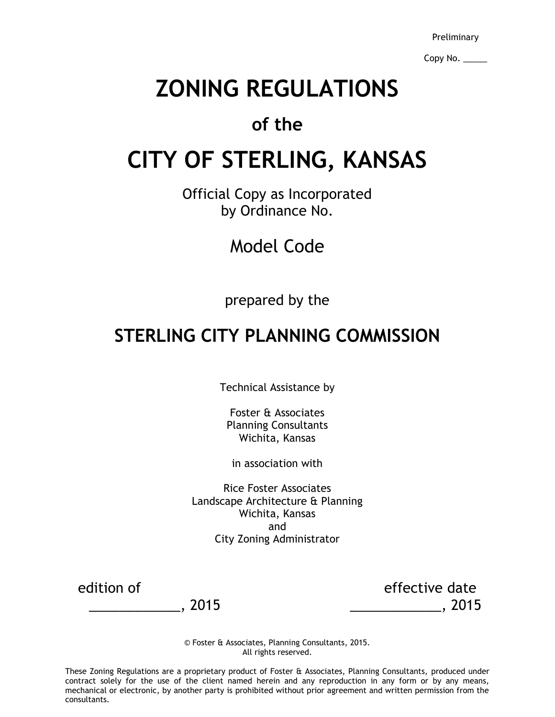Preliminary

Copy No. \_\_\_\_\_

# **ZONING REGULATIONS**

# **of the**

# **CITY OF STERLING, KANSAS**

Official Copy as Incorporated by Ordinance No.

Model Code

prepared by the

# **STERLING CITY PLANNING COMMISSION**

Technical Assistance by

Foster & Associates Planning Consultants Wichita, Kansas

in association with

Rice Foster Associates Landscape Architecture & Planning Wichita, Kansas and City Zoning Administrator

edition of effective date \_\_\_\_\_\_\_\_\_\_\_\_, 2015 \_\_\_\_\_\_\_\_\_\_\_\_, 2015

> © Foster & Associates, Planning Consultants, 2015. All rights reserved.

These Zoning Regulations are a proprietary product of Foster & Associates, Planning Consultants, produced under contract solely for the use of the client named herein and any reproduction in any form or by any means, mechanical or electronic, by another party is prohibited without prior agreement and written permission from the consultants.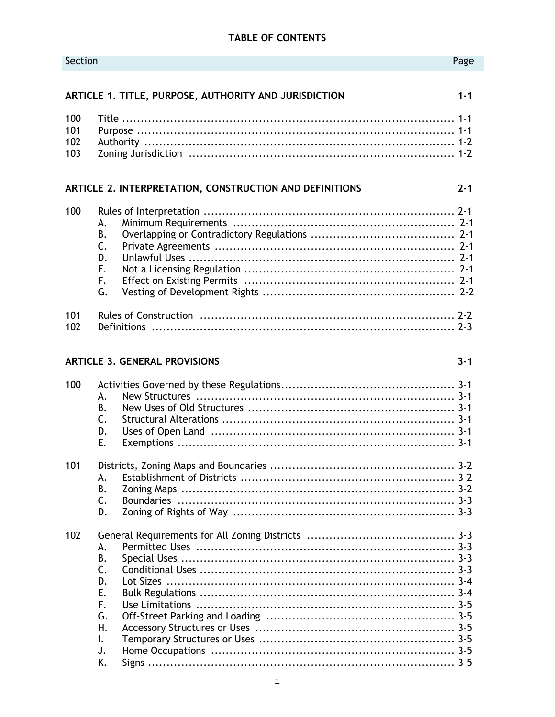# TABLE OF CONTENTS

| Section                  |                                                                |                                                         | Page    |
|--------------------------|----------------------------------------------------------------|---------------------------------------------------------|---------|
|                          |                                                                | ARTICLE 1. TITLE, PURPOSE, AUTHORITY AND JURISDICTION   | $1 - 1$ |
| 100<br>101<br>102<br>103 |                                                                |                                                         |         |
|                          |                                                                | ARTICLE 2. INTERPRETATION, CONSTRUCTION AND DEFINITIONS | $2 - 1$ |
| 100                      | А.<br>В.<br>C.<br>D.<br>Ε.<br>F.<br>G.                         |                                                         |         |
| 101<br>102               |                                                                | <b>Definitions</b>                                      |         |
|                          |                                                                | <b>ARTICLE 3. GENERAL PROVISIONS</b>                    | $3 - 1$ |
| 100                      | А.<br>В.<br>$\mathsf{C}$ .<br>D.<br>E.                         |                                                         |         |
| 101                      | А.<br>В.<br>$\mathsf{C}$ .<br>D.                               |                                                         |         |
| 102                      | А.<br>B.<br>C.<br>D.<br>Ε.<br>F.<br>G.<br>Η.<br>Ι.<br>J.<br>K. |                                                         |         |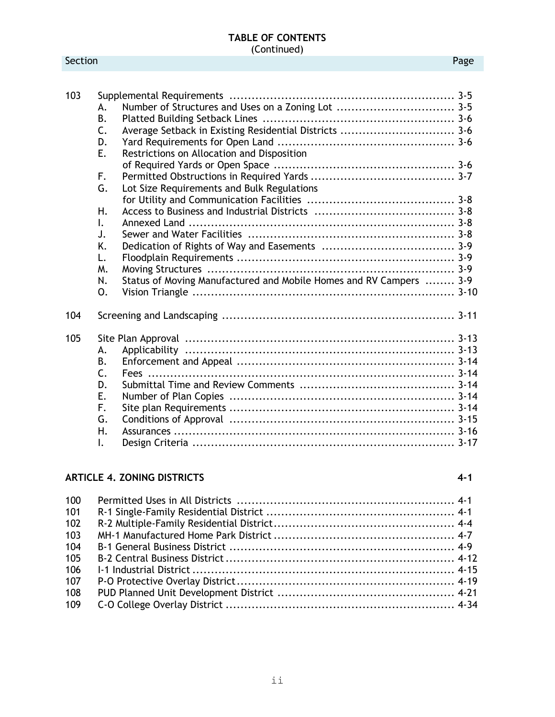| 103 |                |                                                                    |  |
|-----|----------------|--------------------------------------------------------------------|--|
|     | А.             |                                                                    |  |
|     | <b>B.</b>      |                                                                    |  |
|     | C.             | Average Setback in Existing Residential Districts  3-6             |  |
|     | D.             |                                                                    |  |
|     | Е.             | Restrictions on Allocation and Disposition                         |  |
|     |                |                                                                    |  |
|     | F.             |                                                                    |  |
|     | G.             | Lot Size Requirements and Bulk Regulations                         |  |
|     |                |                                                                    |  |
|     | Н.             |                                                                    |  |
|     | I.             |                                                                    |  |
|     | J.             |                                                                    |  |
|     | K.             |                                                                    |  |
|     | L.             |                                                                    |  |
|     | Μ.             |                                                                    |  |
|     | N.             | Status of Moving Manufactured and Mobile Homes and RV Campers  3-9 |  |
|     | 0.             |                                                                    |  |
| 104 |                |                                                                    |  |
| 105 |                |                                                                    |  |
|     | А.             |                                                                    |  |
|     | <b>B.</b>      |                                                                    |  |
|     | $\mathsf{C}$ . |                                                                    |  |
|     | D.             |                                                                    |  |
|     | Ε.             |                                                                    |  |
|     | F.             |                                                                    |  |
|     | G.             |                                                                    |  |
|     | Η.             |                                                                    |  |
|     | $\mathsf{L}$   |                                                                    |  |

# **ARTICLE 4. ZONING DISTRICTS 4-1**

| 100 |  |
|-----|--|
| 101 |  |
| 102 |  |
| 103 |  |
| 104 |  |
| 105 |  |
| 106 |  |
| 107 |  |
| 108 |  |
| 109 |  |
|     |  |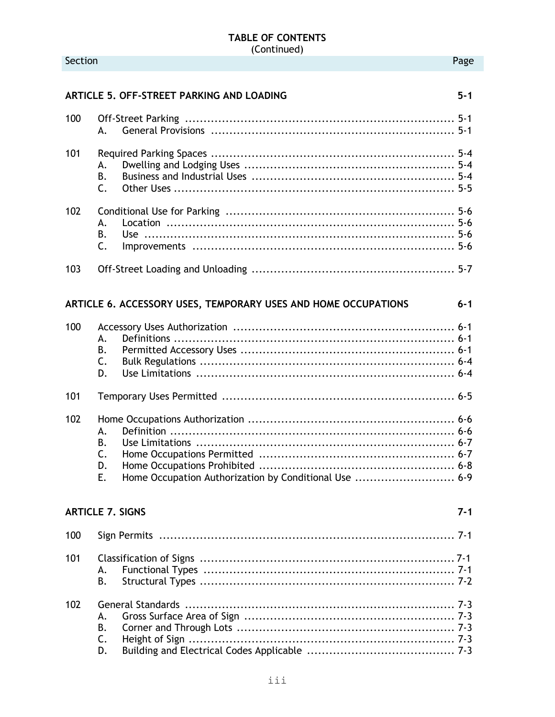Section

iii

|                   | ARTICLE 5. OFF-STREET PARKING AND LOADING                                                                                 | $5 - 1$ |
|-------------------|---------------------------------------------------------------------------------------------------------------------------|---------|
| 100               | А.                                                                                                                        |         |
| 101               | А.<br><b>B.</b><br>$\mathsf{C}$ .                                                                                         |         |
| 102               | A.<br>В.<br>C.                                                                                                            |         |
| 103               |                                                                                                                           |         |
|                   | ARTICLE 6. ACCESSORY USES, TEMPORARY USES AND HOME OCCUPATIONS                                                            | $6 - 1$ |
| 100<br>101<br>102 | А.<br><b>B.</b><br>C.<br>D.<br>А.<br><b>B.</b><br>C.<br>D.<br>Home Occupation Authorization by Conditional Use  6-9<br>E. |         |
|                   | <b>ARTICLE 7. SIGNS</b>                                                                                                   | 7-1     |
| 100               |                                                                                                                           |         |
| 101               | А.<br><b>B.</b>                                                                                                           |         |
| 102               | А.<br>В.<br>C.<br>D.                                                                                                      |         |

Page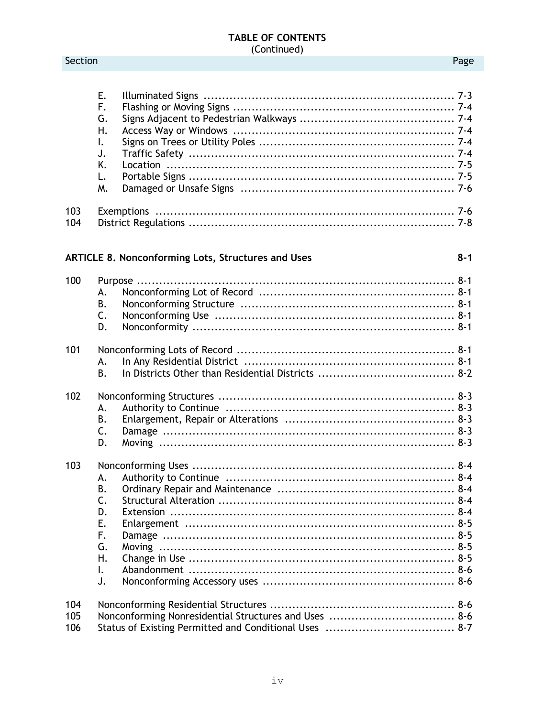## Page

|                   | Ε.<br>F.<br>G.<br>Η.<br>I.<br>J.<br>K.<br>L.<br>M.                                     |         |
|-------------------|----------------------------------------------------------------------------------------|---------|
| 103<br>104        |                                                                                        |         |
|                   | <b>ARTICLE 8. Nonconforming Lots, Structures and Uses</b>                              | $8 - 1$ |
| 100               | А.<br>В.<br>C.<br>D.                                                                   |         |
| 101               | In Any Residential District (and increase in the control of the 8-1<br>А.<br><b>B.</b> |         |
| 102               | А.<br>В.<br>C.<br>D.                                                                   |         |
| 103               | А.<br>В.<br>C.<br>D.<br>Е.<br>F.<br>G.<br>Η.<br>I.<br>J.                               |         |
| 104<br>105<br>106 |                                                                                        |         |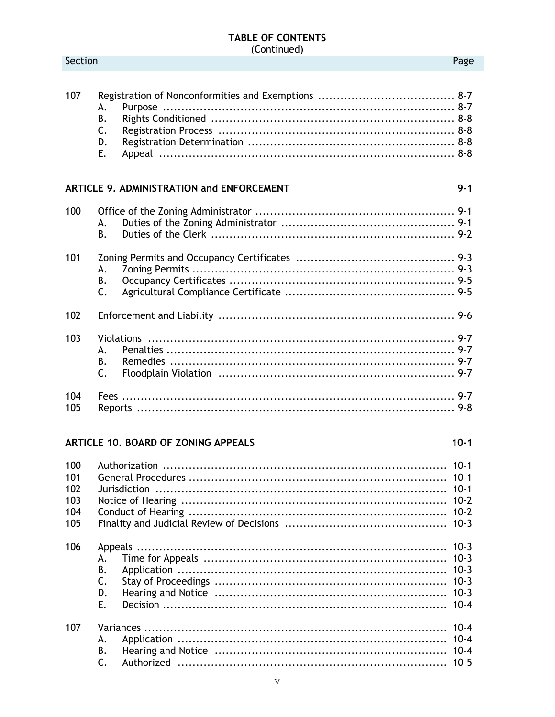#### 107 А. **B.** C. D. E.

# ARTICLE 9. ADMINISTRATION and ENFORCEMENT

Section

| 100 |                |  |
|-----|----------------|--|
|     | А.             |  |
|     | B.             |  |
| 101 |                |  |
|     | А.             |  |
|     | В.             |  |
|     | $\mathsf{C}$ . |  |
| 102 |                |  |
| 103 |                |  |
|     | А.             |  |
|     | В.             |  |
|     | $\mathsf{C}$ . |  |
| 104 |                |  |
| 105 |                |  |

# ARTICLE 10. BOARD OF ZONING APPEALS

| 100 |                |  |
|-----|----------------|--|
| 101 |                |  |
| 102 |                |  |
| 103 |                |  |
| 104 |                |  |
| 105 |                |  |
| 106 |                |  |
|     | А.             |  |
|     | В.             |  |
|     | C.             |  |
|     | D.             |  |
|     | F.             |  |
| 107 |                |  |
|     | А.             |  |
|     | В.             |  |
|     | $\mathsf{C}$ . |  |

## Page

 $9 - 1$ 

 $10 - 1$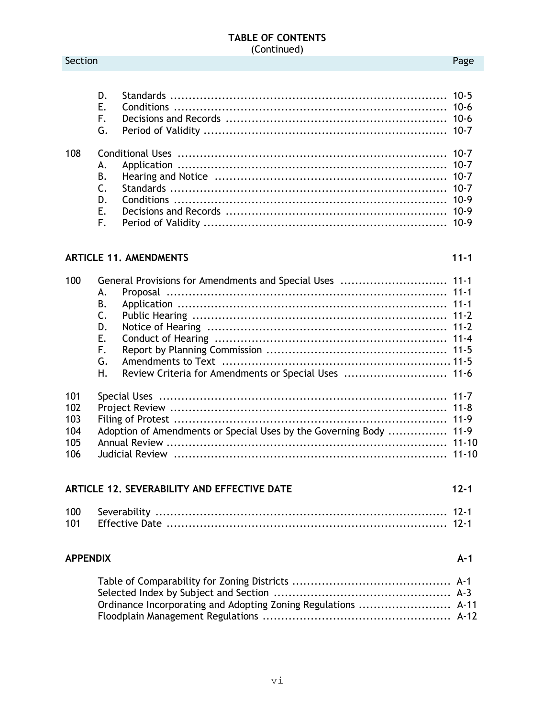#### Section **Page**

| D.<br>F.<br>G.                                      |  |
|-----------------------------------------------------|--|
| 108<br><b>B.</b><br>$\mathcal{C}$<br>D.<br>F.<br>F. |  |

# **ARTICLE 11. AMENDMENTS 11-1**

| 100 |    | General Provisions for Amendments and Special Uses  11-1           |          |
|-----|----|--------------------------------------------------------------------|----------|
|     | А. |                                                                    |          |
|     | В. |                                                                    |          |
|     | C. |                                                                    |          |
|     | D. |                                                                    |          |
|     | Е. |                                                                    |          |
|     | F. |                                                                    |          |
|     | G. |                                                                    |          |
|     | Η. | Review Criteria for Amendments or Special Uses  11-6               |          |
| 101 |    |                                                                    |          |
| 102 |    |                                                                    |          |
| 103 |    |                                                                    |          |
| 104 |    | Adoption of Amendments or Special Uses by the Governing Body  11-9 |          |
| 105 |    |                                                                    |          |
| 106 |    |                                                                    |          |
|     |    | <b>ARTICLE 12. SEVERABILITY AND EFFECTIVE DATE</b>                 | $12 - 1$ |
|     |    |                                                                    |          |
| 100 |    |                                                                    |          |
| 101 |    |                                                                    |          |

# **APPENDIX A-1**

| Ordinance Incorporating and Adopting Zoning Regulations  A-11 |  |
|---------------------------------------------------------------|--|
|                                                               |  |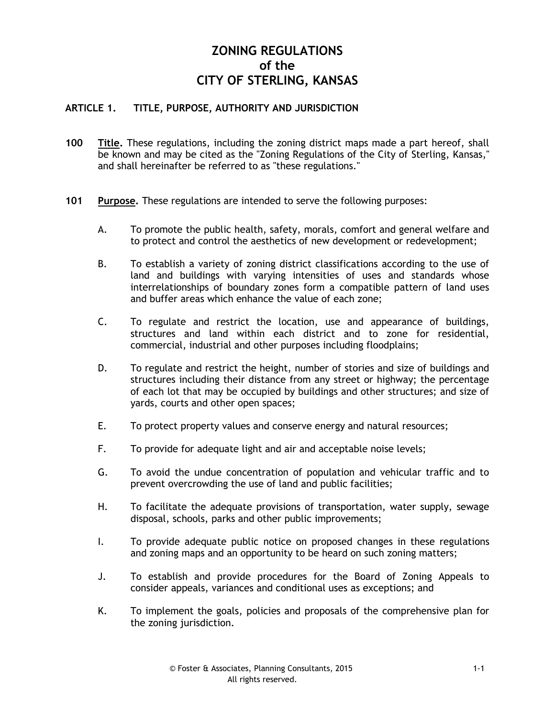# **ZONING REGULATIONS of the CITY OF STERLING, KANSAS**

# **ARTICLE 1. TITLE, PURPOSE, AUTHORITY AND JURISDICTION**

- **100 Title.** These regulations, including the zoning district maps made a part hereof, shall be known and may be cited as the "Zoning Regulations of the City of Sterling, Kansas," and shall hereinafter be referred to as "these regulations."
- **101 Purpose.** These regulations are intended to serve the following purposes:
	- A. To promote the public health, safety, morals, comfort and general welfare and to protect and control the aesthetics of new development or redevelopment;
	- B. To establish a variety of zoning district classifications according to the use of land and buildings with varying intensities of uses and standards whose interrelationships of boundary zones form a compatible pattern of land uses and buffer areas which enhance the value of each zone;
	- C. To regulate and restrict the location, use and appearance of buildings, structures and land within each district and to zone for residential, commercial, industrial and other purposes including floodplains;
	- D. To regulate and restrict the height, number of stories and size of buildings and structures including their distance from any street or highway; the percentage of each lot that may be occupied by buildings and other structures; and size of yards, courts and other open spaces;
	- E. To protect property values and conserve energy and natural resources;
	- F. To provide for adequate light and air and acceptable noise levels;
	- G. To avoid the undue concentration of population and vehicular traffic and to prevent overcrowding the use of land and public facilities;
	- H. To facilitate the adequate provisions of transportation, water supply, sewage disposal, schools, parks and other public improvements;
	- I. To provide adequate public notice on proposed changes in these regulations and zoning maps and an opportunity to be heard on such zoning matters;
	- J. To establish and provide procedures for the Board of Zoning Appeals to consider appeals, variances and conditional uses as exceptions; and
	- K. To implement the goals, policies and proposals of the comprehensive plan for the zoning jurisdiction.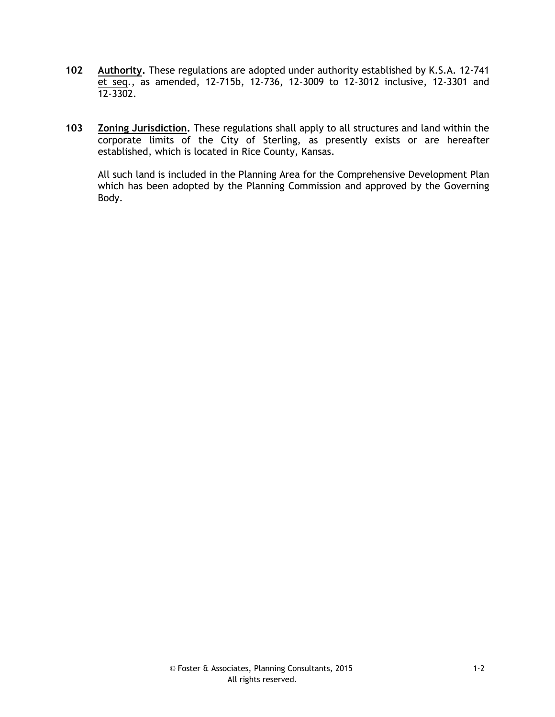- **102 Authority.** These regulations are adopted under authority established by K.S.A. 12-741 et seq., as amended, 12-715b, 12-736, 12-3009 to 12-3012 inclusive, 12-3301 and 12-3302.
- **103 Zoning Jurisdiction.** These regulations shall apply to all structures and land within the corporate limits of the City of Sterling, as presently exists or are hereafter established, which is located in Rice County, Kansas.

All such land is included in the Planning Area for the Comprehensive Development Plan which has been adopted by the Planning Commission and approved by the Governing Body.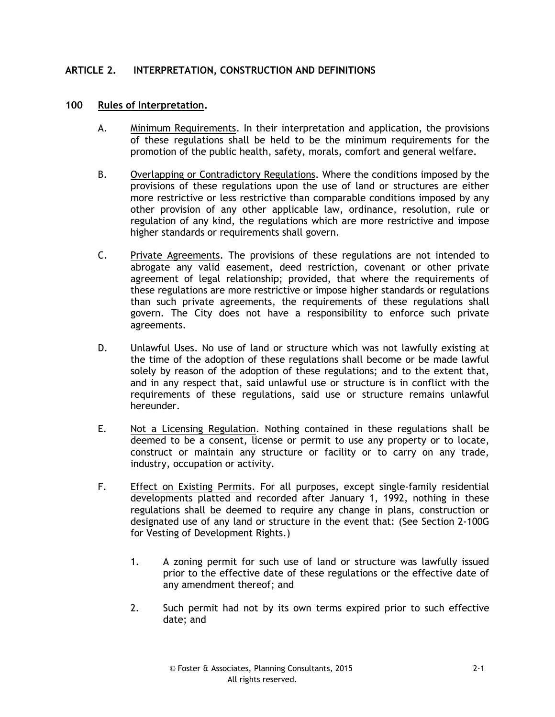# **ARTICLE 2. INTERPRETATION, CONSTRUCTION AND DEFINITIONS**

## **100 Rules of Interpretation.**

- A. Minimum Requirements. In their interpretation and application, the provisions of these regulations shall be held to be the minimum requirements for the promotion of the public health, safety, morals, comfort and general welfare.
- B. Overlapping or Contradictory Regulations. Where the conditions imposed by the provisions of these regulations upon the use of land or structures are either more restrictive or less restrictive than comparable conditions imposed by any other provision of any other applicable law, ordinance, resolution, rule or regulation of any kind, the regulations which are more restrictive and impose higher standards or requirements shall govern.
- C. Private Agreements. The provisions of these regulations are not intended to abrogate any valid easement, deed restriction, covenant or other private agreement of legal relationship; provided, that where the requirements of these regulations are more restrictive or impose higher standards or regulations than such private agreements, the requirements of these regulations shall govern. The City does not have a responsibility to enforce such private agreements.
- D. Unlawful Uses. No use of land or structure which was not lawfully existing at the time of the adoption of these regulations shall become or be made lawful solely by reason of the adoption of these regulations; and to the extent that, and in any respect that, said unlawful use or structure is in conflict with the requirements of these regulations, said use or structure remains unlawful hereunder.
- E. Not a Licensing Regulation. Nothing contained in these regulations shall be deemed to be a consent, license or permit to use any property or to locate, construct or maintain any structure or facility or to carry on any trade, industry, occupation or activity.
- F. Effect on Existing Permits. For all purposes, except single-family residential developments platted and recorded after January 1, 1992, nothing in these regulations shall be deemed to require any change in plans, construction or designated use of any land or structure in the event that: (See Section 2-100G for Vesting of Development Rights.)
	- 1. A zoning permit for such use of land or structure was lawfully issued prior to the effective date of these regulations or the effective date of any amendment thereof; and
	- 2. Such permit had not by its own terms expired prior to such effective date; and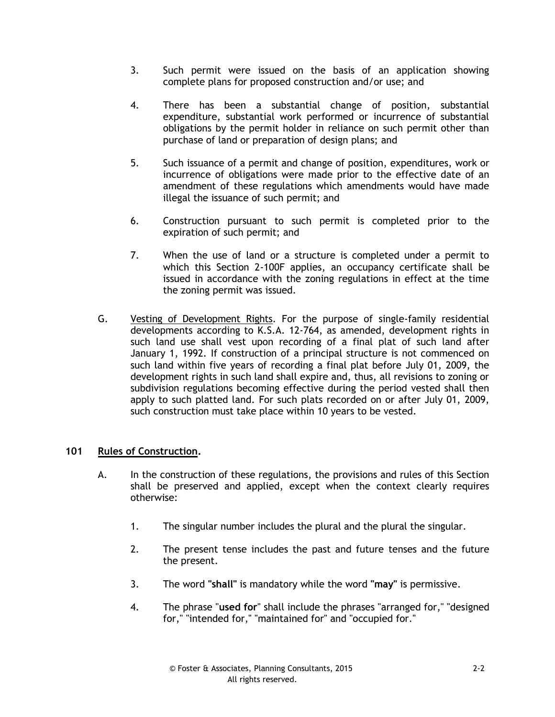- 3. Such permit were issued on the basis of an application showing complete plans for proposed construction and/or use; and
- 4. There has been a substantial change of position, substantial expenditure, substantial work performed or incurrence of substantial obligations by the permit holder in reliance on such permit other than purchase of land or preparation of design plans; and
- 5. Such issuance of a permit and change of position, expenditures, work or incurrence of obligations were made prior to the effective date of an amendment of these regulations which amendments would have made illegal the issuance of such permit; and
- 6. Construction pursuant to such permit is completed prior to the expiration of such permit; and
- 7. When the use of land or a structure is completed under a permit to which this Section 2-100F applies, an occupancy certificate shall be issued in accordance with the zoning regulations in effect at the time the zoning permit was issued.
- G. Vesting of Development Rights. For the purpose of single-family residential developments according to K.S.A. 12-764, as amended, development rights in such land use shall vest upon recording of a final plat of such land after January 1, 1992. If construction of a principal structure is not commenced on such land within five years of recording a final plat before July 01, 2009, the development rights in such land shall expire and, thus, all revisions to zoning or subdivision regulations becoming effective during the period vested shall then apply to such platted land. For such plats recorded on or after July 01, 2009, such construction must take place within 10 years to be vested.

# **101 Rules of Construction.**

- A. In the construction of these regulations, the provisions and rules of this Section shall be preserved and applied, except when the context clearly requires otherwise:
	- 1. The singular number includes the plural and the plural the singular.
	- 2. The present tense includes the past and future tenses and the future the present.
	- 3. The word **"shall"** is mandatory while the word **"may"** is permissive.
	- 4. The phrase "**used for**" shall include the phrases "arranged for," "designed for," "intended for," "maintained for" and "occupied for."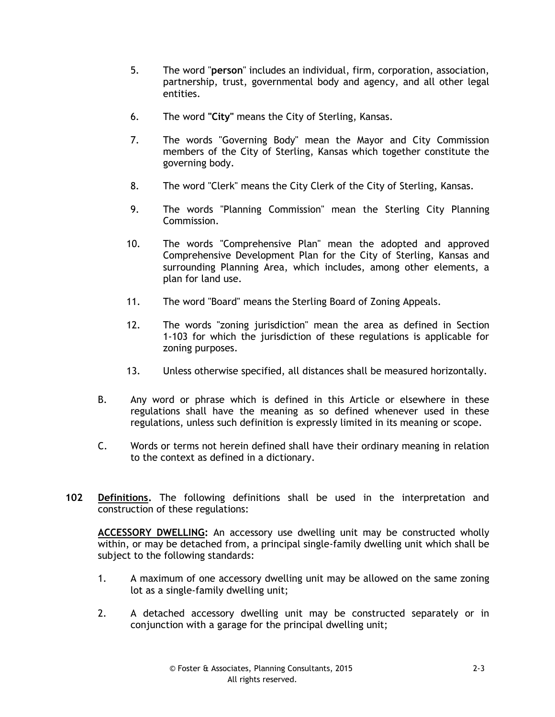- 5. The word "**person**" includes an individual, firm, corporation, association, partnership, trust, governmental body and agency, and all other legal entities.
- 6. The word **"City"** means the City of Sterling, Kansas.
- 7. The words "Governing Body" mean the Mayor and City Commission members of the City of Sterling, Kansas which together constitute the governing body.
- 8. The word "Clerk" means the City Clerk of the City of Sterling, Kansas.
- 9. The words "Planning Commission" mean the Sterling City Planning Commission.
- 10. The words "Comprehensive Plan" mean the adopted and approved Comprehensive Development Plan for the City of Sterling, Kansas and surrounding Planning Area, which includes, among other elements, a plan for land use.
- 11. The word "Board" means the Sterling Board of Zoning Appeals.
- 12. The words "zoning jurisdiction" mean the area as defined in Section 1-103 for which the jurisdiction of these regulations is applicable for zoning purposes.
- 13. Unless otherwise specified, all distances shall be measured horizontally.
- B. Any word or phrase which is defined in this Article or elsewhere in these regulations shall have the meaning as so defined whenever used in these regulations, unless such definition is expressly limited in its meaning or scope.
- C. Words or terms not herein defined shall have their ordinary meaning in relation to the context as defined in a dictionary.
- **102 Definitions.** The following definitions shall be used in the interpretation and construction of these regulations:

**ACCESSORY DWELLING:** An accessory use dwelling unit may be constructed wholly within, or may be detached from, a principal single-family dwelling unit which shall be subject to the following standards:

- 1. A maximum of one accessory dwelling unit may be allowed on the same zoning lot as a single-family dwelling unit;
- 2. A detached accessory dwelling unit may be constructed separately or in conjunction with a garage for the principal dwelling unit;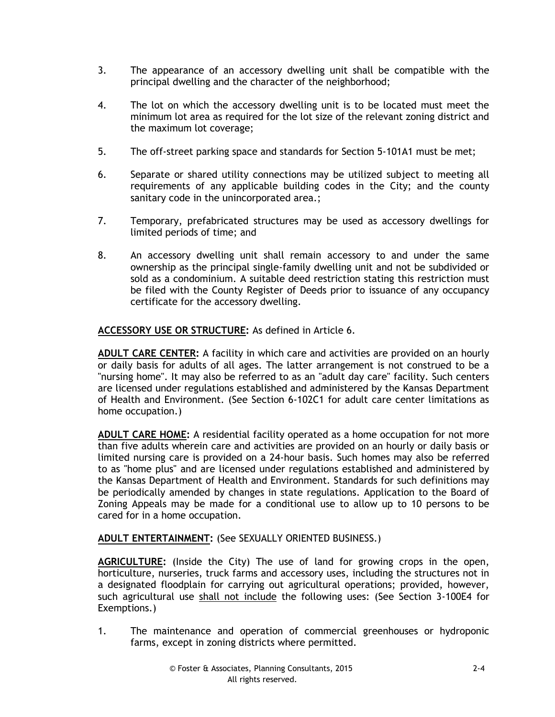- 3. The appearance of an accessory dwelling unit shall be compatible with the principal dwelling and the character of the neighborhood;
- 4. The lot on which the accessory dwelling unit is to be located must meet the minimum lot area as required for the lot size of the relevant zoning district and the maximum lot coverage;
- 5. The off-street parking space and standards for Section 5-101A1 must be met;
- 6. Separate or shared utility connections may be utilized subject to meeting all requirements of any applicable building codes in the City; and the county sanitary code in the unincorporated area.;
- 7. Temporary, prefabricated structures may be used as accessory dwellings for limited periods of time; and
- 8. An accessory dwelling unit shall remain accessory to and under the same ownership as the principal single-family dwelling unit and not be subdivided or sold as a condominium. A suitable deed restriction stating this restriction must be filed with the County Register of Deeds prior to issuance of any occupancy certificate for the accessory dwelling.

# **ACCESSORY USE OR STRUCTURE:** As defined in Article 6.

**ADULT CARE CENTER:** A facility in which care and activities are provided on an hourly or daily basis for adults of all ages. The latter arrangement is not construed to be a "nursing home". It may also be referred to as an "adult day care" facility. Such centers are licensed under regulations established and administered by the Kansas Department of Health and Environment. (See Section 6-102C1 for adult care center limitations as home occupation.)

**ADULT CARE HOME:** A residential facility operated as a home occupation for not more than five adults wherein care and activities are provided on an hourly or daily basis or limited nursing care is provided on a 24-hour basis. Such homes may also be referred to as "home plus" and are licensed under regulations established and administered by the Kansas Department of Health and Environment. Standards for such definitions may be periodically amended by changes in state regulations. Application to the Board of Zoning Appeals may be made for a conditional use to allow up to 10 persons to be cared for in a home occupation.

# **ADULT ENTERTAINMENT:** (See SEXUALLY ORIENTED BUSINESS.)

**AGRICULTURE:** (Inside the City) The use of land for growing crops in the open, horticulture, nurseries, truck farms and accessory uses, including the structures not in a designated floodplain for carrying out agricultural operations; provided, however, such agricultural use shall not include the following uses: (See Section 3-100E4 for Exemptions.)

1. The maintenance and operation of commercial greenhouses or hydroponic farms, except in zoning districts where permitted.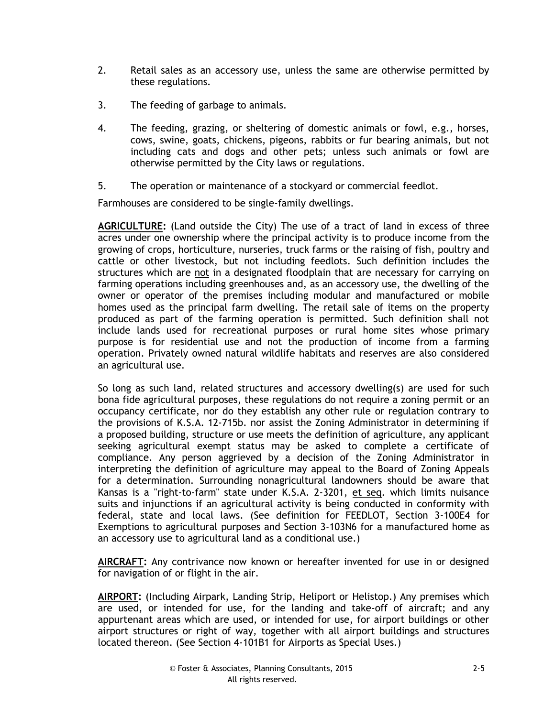- 2. Retail sales as an accessory use, unless the same are otherwise permitted by these regulations.
- 3. The feeding of garbage to animals.
- 4. The feeding, grazing, or sheltering of domestic animals or fowl, e.g., horses, cows, swine, goats, chickens, pigeons, rabbits or fur bearing animals, but not including cats and dogs and other pets; unless such animals or fowl are otherwise permitted by the City laws or regulations.
- 5. The operation or maintenance of a stockyard or commercial feedlot.

Farmhouses are considered to be single-family dwellings.

**AGRICULTURE:** (Land outside the City) The use of a tract of land in excess of three acres under one ownership where the principal activity is to produce income from the growing of crops, horticulture, nurseries, truck farms or the raising of fish, poultry and cattle or other livestock, but not including feedlots. Such definition includes the structures which are not in a designated floodplain that are necessary for carrying on farming operations including greenhouses and, as an accessory use, the dwelling of the owner or operator of the premises including modular and manufactured or mobile homes used as the principal farm dwelling. The retail sale of items on the property produced as part of the farming operation is permitted. Such definition shall not include lands used for recreational purposes or rural home sites whose primary purpose is for residential use and not the production of income from a farming operation. Privately owned natural wildlife habitats and reserves are also considered an agricultural use.

So long as such land, related structures and accessory dwelling(s) are used for such bona fide agricultural purposes, these regulations do not require a zoning permit or an occupancy certificate, nor do they establish any other rule or regulation contrary to the provisions of K.S.A. 12-715b. nor assist the Zoning Administrator in determining if a proposed building, structure or use meets the definition of agriculture, any applicant seeking agricultural exempt status may be asked to complete a certificate of compliance. Any person aggrieved by a decision of the Zoning Administrator in interpreting the definition of agriculture may appeal to the Board of Zoning Appeals for a determination. Surrounding nonagricultural landowners should be aware that Kansas is a "right-to-farm" state under K.S.A. 2-3201, et seq. which limits nuisance suits and injunctions if an agricultural activity is being conducted in conformity with federal, state and local laws. (See definition for FEEDLOT, Section 3-100E4 for Exemptions to agricultural purposes and Section 3-103N6 for a manufactured home as an accessory use to agricultural land as a conditional use.)

**AIRCRAFT:** Any contrivance now known or hereafter invented for use in or designed for navigation of or flight in the air.

**AIRPORT:** (Including Airpark, Landing Strip, Heliport or Helistop.) Any premises which are used, or intended for use, for the landing and take-off of aircraft; and any appurtenant areas which are used, or intended for use, for airport buildings or other airport structures or right of way, together with all airport buildings and structures located thereon. (See Section 4-101B1 for Airports as Special Uses.)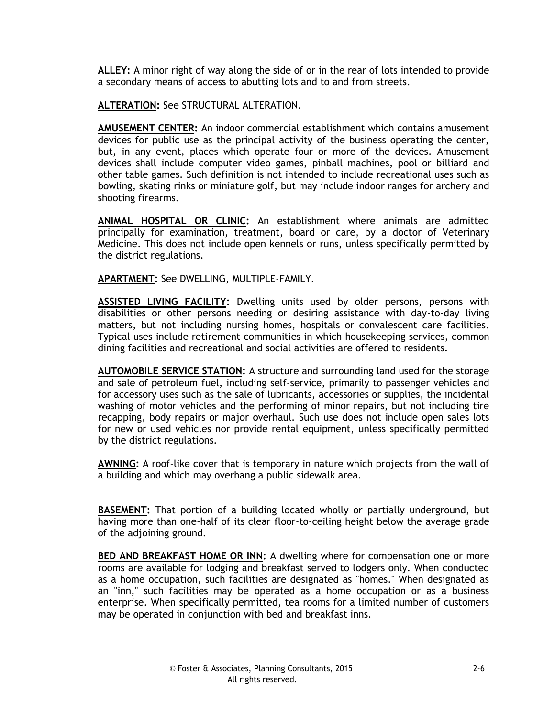**ALLEY:** A minor right of way along the side of or in the rear of lots intended to provide a secondary means of access to abutting lots and to and from streets.

**ALTERATION:** See STRUCTURAL ALTERATION.

**AMUSEMENT CENTER:** An indoor commercial establishment which contains amusement devices for public use as the principal activity of the business operating the center, but, in any event, places which operate four or more of the devices. Amusement devices shall include computer video games, pinball machines, pool or billiard and other table games. Such definition is not intended to include recreational uses such as bowling, skating rinks or miniature golf, but may include indoor ranges for archery and shooting firearms.

**ANIMAL HOSPITAL OR CLINIC:** An establishment where animals are admitted principally for examination, treatment, board or care, by a doctor of Veterinary Medicine. This does not include open kennels or runs, unless specifically permitted by the district regulations.

**APARTMENT:** See DWELLING, MULTIPLE-FAMILY.

**ASSISTED LIVING FACILITY:** Dwelling units used by older persons, persons with disabilities or other persons needing or desiring assistance with day-to-day living matters, but not including nursing homes, hospitals or convalescent care facilities. Typical uses include retirement communities in which housekeeping services, common dining facilities and recreational and social activities are offered to residents.

**AUTOMOBILE SERVICE STATION:** A structure and surrounding land used for the storage and sale of petroleum fuel, including self-service, primarily to passenger vehicles and for accessory uses such as the sale of lubricants, accessories or supplies, the incidental washing of motor vehicles and the performing of minor repairs, but not including tire recapping, body repairs or major overhaul. Such use does not include open sales lots for new or used vehicles nor provide rental equipment, unless specifically permitted by the district regulations.

**AWNING:** A roof-like cover that is temporary in nature which projects from the wall of a building and which may overhang a public sidewalk area.

**BASEMENT:** That portion of a building located wholly or partially underground, but having more than one-half of its clear floor-to-ceiling height below the average grade of the adjoining ground.

**BED AND BREAKFAST HOME OR INN:** A dwelling where for compensation one or more rooms are available for lodging and breakfast served to lodgers only. When conducted as a home occupation, such facilities are designated as "homes." When designated as an "inn," such facilities may be operated as a home occupation or as a business enterprise. When specifically permitted, tea rooms for a limited number of customers may be operated in conjunction with bed and breakfast inns.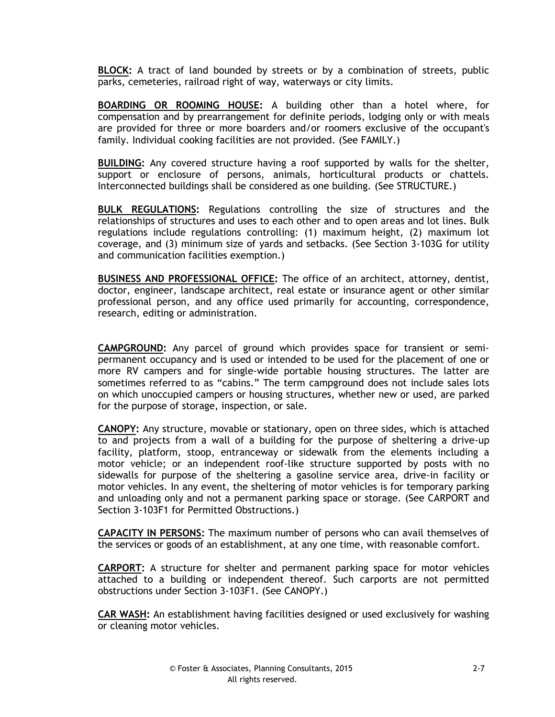**BLOCK:** A tract of land bounded by streets or by a combination of streets, public parks, cemeteries, railroad right of way, waterways or city limits.

**BOARDING OR ROOMING HOUSE:** A building other than a hotel where, for compensation and by prearrangement for definite periods, lodging only or with meals are provided for three or more boarders and/or roomers exclusive of the occupant's family. Individual cooking facilities are not provided. (See FAMILY.)

**BUILDING:** Any covered structure having a roof supported by walls for the shelter, support or enclosure of persons, animals, horticultural products or chattels. Interconnected buildings shall be considered as one building. (See STRUCTURE.)

**BULK REGULATIONS:** Regulations controlling the size of structures and the relationships of structures and uses to each other and to open areas and lot lines. Bulk regulations include regulations controlling: (1) maximum height, (2) maximum lot coverage, and (3) minimum size of yards and setbacks. (See Section 3-103G for utility and communication facilities exemption.)

**BUSINESS AND PROFESSIONAL OFFICE:** The office of an architect, attorney, dentist, doctor, engineer, landscape architect, real estate or insurance agent or other similar professional person, and any office used primarily for accounting, correspondence, research, editing or administration.

**CAMPGROUND:** Any parcel of ground which provides space for transient or semipermanent occupancy and is used or intended to be used for the placement of one or more RV campers and for single-wide portable housing structures. The latter are sometimes referred to as "cabins." The term campground does not include sales lots on which unoccupied campers or housing structures, whether new or used, are parked for the purpose of storage, inspection, or sale.

**CANOPY:** Any structure, movable or stationary, open on three sides, which is attached to and projects from a wall of a building for the purpose of sheltering a drive-up facility, platform, stoop, entranceway or sidewalk from the elements including a motor vehicle; or an independent roof-like structure supported by posts with no sidewalls for purpose of the sheltering a gasoline service area, drive-in facility or motor vehicles. In any event, the sheltering of motor vehicles is for temporary parking and unloading only and not a permanent parking space or storage. (See CARPORT and Section 3-103F1 for Permitted Obstructions.)

**CAPACITY IN PERSONS:** The maximum number of persons who can avail themselves of the services or goods of an establishment, at any one time, with reasonable comfort.

**CARPORT:** A structure for shelter and permanent parking space for motor vehicles attached to a building or independent thereof. Such carports are not permitted obstructions under Section 3-103F1. (See CANOPY.)

**CAR WASH:** An establishment having facilities designed or used exclusively for washing or cleaning motor vehicles.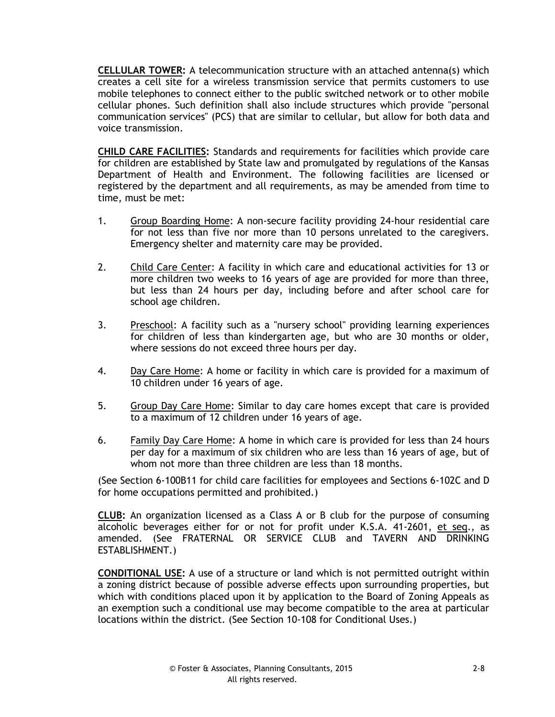**CELLULAR TOWER:** A telecommunication structure with an attached antenna(s) which creates a cell site for a wireless transmission service that permits customers to use mobile telephones to connect either to the public switched network or to other mobile cellular phones. Such definition shall also include structures which provide "personal communication services" (PCS) that are similar to cellular, but allow for both data and voice transmission.

**CHILD CARE FACILITIES:** Standards and requirements for facilities which provide care for children are established by State law and promulgated by regulations of the Kansas Department of Health and Environment. The following facilities are licensed or registered by the department and all requirements, as may be amended from time to time, must be met:

- 1. Group Boarding Home: A non-secure facility providing 24-hour residential care for not less than five nor more than 10 persons unrelated to the caregivers. Emergency shelter and maternity care may be provided.
- 2. Child Care Center: A facility in which care and educational activities for 13 or more children two weeks to 16 years of age are provided for more than three, but less than 24 hours per day, including before and after school care for school age children.
- 3. Preschool: A facility such as a "nursery school" providing learning experiences for children of less than kindergarten age, but who are 30 months or older, where sessions do not exceed three hours per day.
- 4. Day Care Home: A home or facility in which care is provided for a maximum of 10 children under 16 years of age.
- 5. Group Day Care Home: Similar to day care homes except that care is provided to a maximum of 12 children under 16 years of age.
- 6. Family Day Care Home: A home in which care is provided for less than 24 hours per day for a maximum of six children who are less than 16 years of age, but of whom not more than three children are less than 18 months.

(See Section 6-100B11 for child care facilities for employees and Sections 6-102C and D for home occupations permitted and prohibited.)

**CLUB:** An organization licensed as a Class A or B club for the purpose of consuming alcoholic beverages either for or not for profit under K.S.A. 41-2601, et seq., as amended. (See FRATERNAL OR SERVICE CLUB and TAVERN AND DRINKING ESTABLISHMENT.)

**CONDITIONAL USE:** A use of a structure or land which is not permitted outright within a zoning district because of possible adverse effects upon surrounding properties, but which with conditions placed upon it by application to the Board of Zoning Appeals as an exemption such a conditional use may become compatible to the area at particular locations within the district. (See Section 10-108 for Conditional Uses.)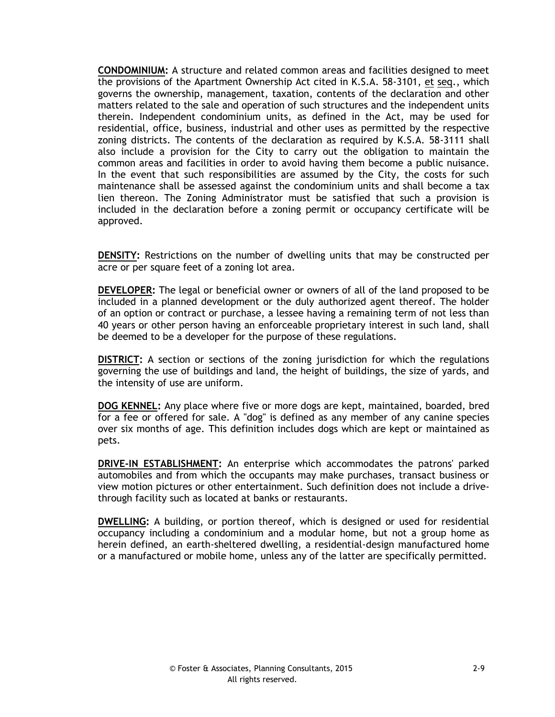**CONDOMINIUM:** A structure and related common areas and facilities designed to meet the provisions of the Apartment Ownership Act cited in K.S.A. 58-3101, et seq., which governs the ownership, management, taxation, contents of the declaration and other matters related to the sale and operation of such structures and the independent units therein. Independent condominium units, as defined in the Act, may be used for residential, office, business, industrial and other uses as permitted by the respective zoning districts. The contents of the declaration as required by K.S.A. 58-3111 shall also include a provision for the City to carry out the obligation to maintain the common areas and facilities in order to avoid having them become a public nuisance. In the event that such responsibilities are assumed by the City, the costs for such maintenance shall be assessed against the condominium units and shall become a tax lien thereon. The Zoning Administrator must be satisfied that such a provision is included in the declaration before a zoning permit or occupancy certificate will be approved.

**DENSITY:** Restrictions on the number of dwelling units that may be constructed per acre or per square feet of a zoning lot area.

**DEVELOPER:** The legal or beneficial owner or owners of all of the land proposed to be included in a planned development or the duly authorized agent thereof. The holder of an option or contract or purchase, a lessee having a remaining term of not less than 40 years or other person having an enforceable proprietary interest in such land, shall be deemed to be a developer for the purpose of these regulations.

**DISTRICT:** A section or sections of the zoning jurisdiction for which the regulations governing the use of buildings and land, the height of buildings, the size of yards, and the intensity of use are uniform.

**DOG KENNEL:** Any place where five or more dogs are kept, maintained, boarded, bred for a fee or offered for sale. A "dog" is defined as any member of any canine species over six months of age. This definition includes dogs which are kept or maintained as pets.

**DRIVE-IN ESTABLISHMENT:** An enterprise which accommodates the patrons' parked automobiles and from which the occupants may make purchases, transact business or view motion pictures or other entertainment. Such definition does not include a drivethrough facility such as located at banks or restaurants.

**DWELLING:** A building, or portion thereof, which is designed or used for residential occupancy including a condominium and a modular home, but not a group home as herein defined, an earth-sheltered dwelling, a residential-design manufactured home or a manufactured or mobile home, unless any of the latter are specifically permitted.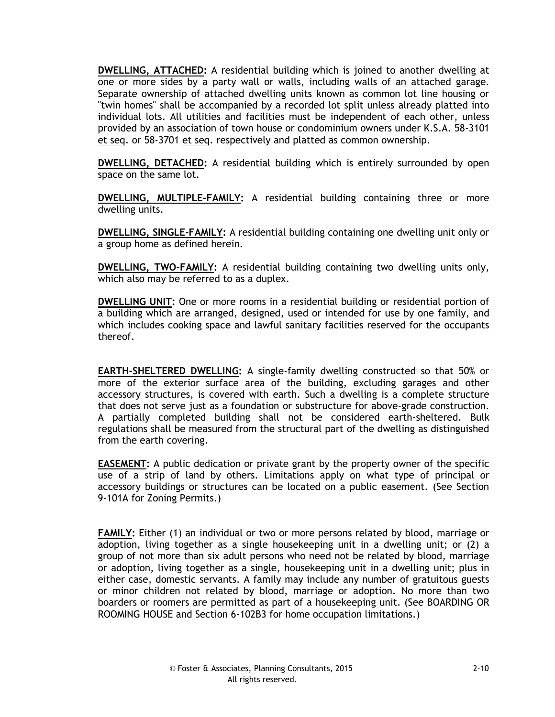**DWELLING, ATTACHED:** A residential building which is joined to another dwelling at one or more sides by a party wall or walls, including walls of an attached garage. Separate ownership of attached dwelling units known as common lot line housing or "twin homes" shall be accompanied by a recorded lot split unless already platted into individual lots. All utilities and facilities must be independent of each other, unless provided by an association of town house or condominium owners under K.S.A. 58-3101 et seq. or 58-3701 et seq. respectively and platted as common ownership.

**DWELLING, DETACHED:** A residential building which is entirely surrounded by open space on the same lot.

**DWELLING, MULTIPLE-FAMILY:** A residential building containing three or more dwelling units.

**DWELLING, SINGLE-FAMILY:** A residential building containing one dwelling unit only or a group home as defined herein.

**DWELLING, TWO-FAMILY:** A residential building containing two dwelling units only, which also may be referred to as a duplex.

**DWELLING UNIT:** One or more rooms in a residential building or residential portion of a building which are arranged, designed, used or intended for use by one family, and which includes cooking space and lawful sanitary facilities reserved for the occupants thereof.

**EARTH-SHELTERED DWELLING:** A single-family dwelling constructed so that 50% or more of the exterior surface area of the building, excluding garages and other accessory structures, is covered with earth. Such a dwelling is a complete structure that does not serve just as a foundation or substructure for above-grade construction. A partially completed building shall not be considered earth-sheltered. Bulk regulations shall be measured from the structural part of the dwelling as distinguished from the earth covering.

**EASEMENT:** A public dedication or private grant by the property owner of the specific use of a strip of land by others. Limitations apply on what type of principal or accessory buildings or structures can be located on a public easement. (See Section 9-101A for Zoning Permits.)

**FAMILY:** Either (1) an individual or two or more persons related by blood, marriage or adoption, living together as a single housekeeping unit in a dwelling unit; or (2) a group of not more than six adult persons who need not be related by blood, marriage or adoption, living together as a single, housekeeping unit in a dwelling unit; plus in either case, domestic servants. A family may include any number of gratuitous guests or minor children not related by blood, marriage or adoption. No more than two boarders or roomers are permitted as part of a housekeeping unit. (See BOARDING OR ROOMING HOUSE and Section 6-102B3 for home occupation limitations.)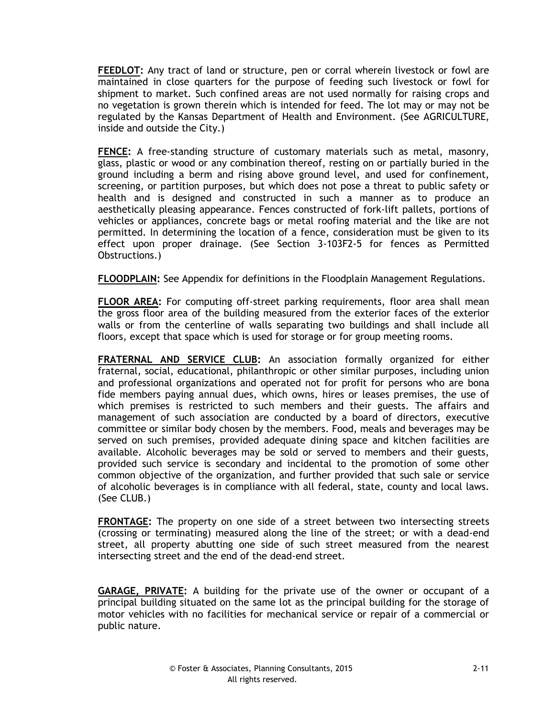**FEEDLOT:** Any tract of land or structure, pen or corral wherein livestock or fowl are maintained in close quarters for the purpose of feeding such livestock or fowl for shipment to market. Such confined areas are not used normally for raising crops and no vegetation is grown therein which is intended for feed. The lot may or may not be regulated by the Kansas Department of Health and Environment. (See AGRICULTURE, inside and outside the City.)

**FENCE:** A free-standing structure of customary materials such as metal, masonry, glass, plastic or wood or any combination thereof, resting on or partially buried in the ground including a berm and rising above ground level, and used for confinement, screening, or partition purposes, but which does not pose a threat to public safety or health and is designed and constructed in such a manner as to produce an aesthetically pleasing appearance. Fences constructed of fork-lift pallets, portions of vehicles or appliances, concrete bags or metal roofing material and the like are not permitted. In determining the location of a fence, consideration must be given to its effect upon proper drainage. (See Section 3-103F2-5 for fences as Permitted Obstructions.)

**FLOODPLAIN:** See Appendix for definitions in the Floodplain Management Regulations.

**FLOOR AREA:** For computing off-street parking requirements, floor area shall mean the gross floor area of the building measured from the exterior faces of the exterior walls or from the centerline of walls separating two buildings and shall include all floors, except that space which is used for storage or for group meeting rooms.

**FRATERNAL AND SERVICE CLUB:** An association formally organized for either fraternal, social, educational, philanthropic or other similar purposes, including union and professional organizations and operated not for profit for persons who are bona fide members paying annual dues, which owns, hires or leases premises, the use of which premises is restricted to such members and their guests. The affairs and management of such association are conducted by a board of directors, executive committee or similar body chosen by the members. Food, meals and beverages may be served on such premises, provided adequate dining space and kitchen facilities are available. Alcoholic beverages may be sold or served to members and their guests, provided such service is secondary and incidental to the promotion of some other common objective of the organization, and further provided that such sale or service of alcoholic beverages is in compliance with all federal, state, county and local laws. (See CLUB.)

**FRONTAGE:** The property on one side of a street between two intersecting streets (crossing or terminating) measured along the line of the street; or with a dead-end street, all property abutting one side of such street measured from the nearest intersecting street and the end of the dead-end street.

**GARAGE, PRIVATE:** A building for the private use of the owner or occupant of a principal building situated on the same lot as the principal building for the storage of motor vehicles with no facilities for mechanical service or repair of a commercial or public nature.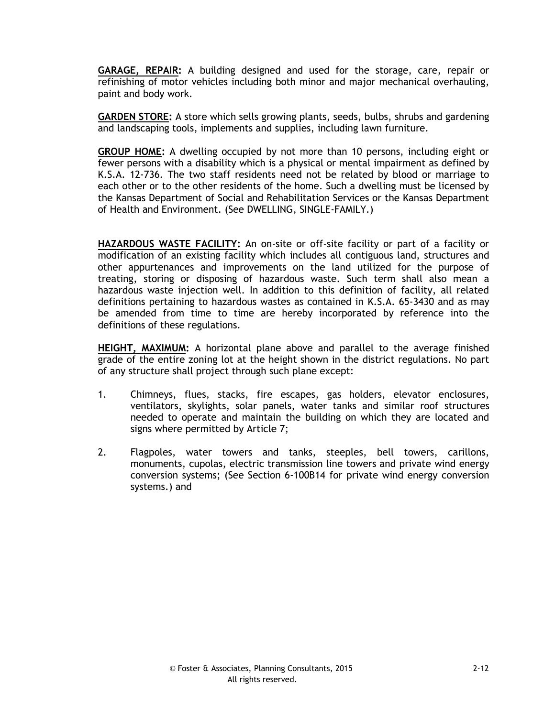**GARAGE, REPAIR:** A building designed and used for the storage, care, repair or refinishing of motor vehicles including both minor and major mechanical overhauling, paint and body work.

**GARDEN STORE:** A store which sells growing plants, seeds, bulbs, shrubs and gardening and landscaping tools, implements and supplies, including lawn furniture.

**GROUP HOME:** A dwelling occupied by not more than 10 persons, including eight or fewer persons with a disability which is a physical or mental impairment as defined by K.S.A. 12-736. The two staff residents need not be related by blood or marriage to each other or to the other residents of the home. Such a dwelling must be licensed by the Kansas Department of Social and Rehabilitation Services or the Kansas Department of Health and Environment. (See DWELLING, SINGLE-FAMILY.)

**HAZARDOUS WASTE FACILITY:** An on-site or off-site facility or part of a facility or modification of an existing facility which includes all contiguous land, structures and other appurtenances and improvements on the land utilized for the purpose of treating, storing or disposing of hazardous waste. Such term shall also mean a hazardous waste injection well. In addition to this definition of facility, all related definitions pertaining to hazardous wastes as contained in K.S.A. 65-3430 and as may be amended from time to time are hereby incorporated by reference into the definitions of these regulations.

**HEIGHT, MAXIMUM:** A horizontal plane above and parallel to the average finished grade of the entire zoning lot at the height shown in the district regulations. No part of any structure shall project through such plane except:

- 1. Chimneys, flues, stacks, fire escapes, gas holders, elevator enclosures, ventilators, skylights, solar panels, water tanks and similar roof structures needed to operate and maintain the building on which they are located and signs where permitted by Article 7;
- 2. Flagpoles, water towers and tanks, steeples, bell towers, carillons, monuments, cupolas, electric transmission line towers and private wind energy conversion systems; (See Section 6-100B14 for private wind energy conversion systems.) and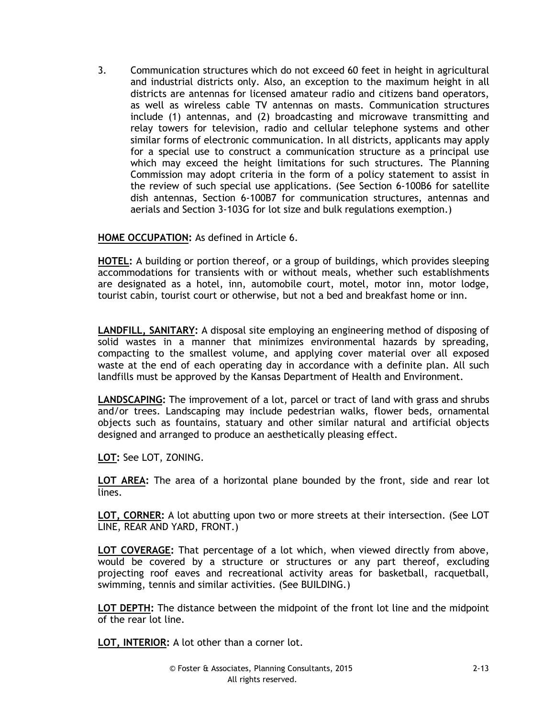3. Communication structures which do not exceed 60 feet in height in agricultural and industrial districts only. Also, an exception to the maximum height in all districts are antennas for licensed amateur radio and citizens band operators, as well as wireless cable TV antennas on masts. Communication structures include (1) antennas, and (2) broadcasting and microwave transmitting and relay towers for television, radio and cellular telephone systems and other similar forms of electronic communication. In all districts, applicants may apply for a special use to construct a communication structure as a principal use which may exceed the height limitations for such structures. The Planning Commission may adopt criteria in the form of a policy statement to assist in the review of such special use applications. (See Section 6-100B6 for satellite dish antennas, Section 6-100B7 for communication structures, antennas and aerials and Section 3-103G for lot size and bulk regulations exemption.)

# **HOME OCCUPATION:** As defined in Article 6.

**HOTEL:** A building or portion thereof, or a group of buildings, which provides sleeping accommodations for transients with or without meals, whether such establishments are designated as a hotel, inn, automobile court, motel, motor inn, motor lodge, tourist cabin, tourist court or otherwise, but not a bed and breakfast home or inn.

**LANDFILL, SANITARY:** A disposal site employing an engineering method of disposing of solid wastes in a manner that minimizes environmental hazards by spreading, compacting to the smallest volume, and applying cover material over all exposed waste at the end of each operating day in accordance with a definite plan. All such landfills must be approved by the Kansas Department of Health and Environment.

**LANDSCAPING:** The improvement of a lot, parcel or tract of land with grass and shrubs and/or trees. Landscaping may include pedestrian walks, flower beds, ornamental objects such as fountains, statuary and other similar natural and artificial objects designed and arranged to produce an aesthetically pleasing effect.

**LOT:** See LOT, ZONING.

**LOT AREA:** The area of a horizontal plane bounded by the front, side and rear lot lines.

**LOT, CORNER:** A lot abutting upon two or more streets at their intersection. (See LOT LINE, REAR AND YARD, FRONT.)

**LOT COVERAGE:** That percentage of a lot which, when viewed directly from above, would be covered by a structure or structures or any part thereof, excluding projecting roof eaves and recreational activity areas for basketball, racquetball, swimming, tennis and similar activities. (See BUILDING.)

**LOT DEPTH:** The distance between the midpoint of the front lot line and the midpoint of the rear lot line.

**LOT, INTERIOR:** A lot other than a corner lot.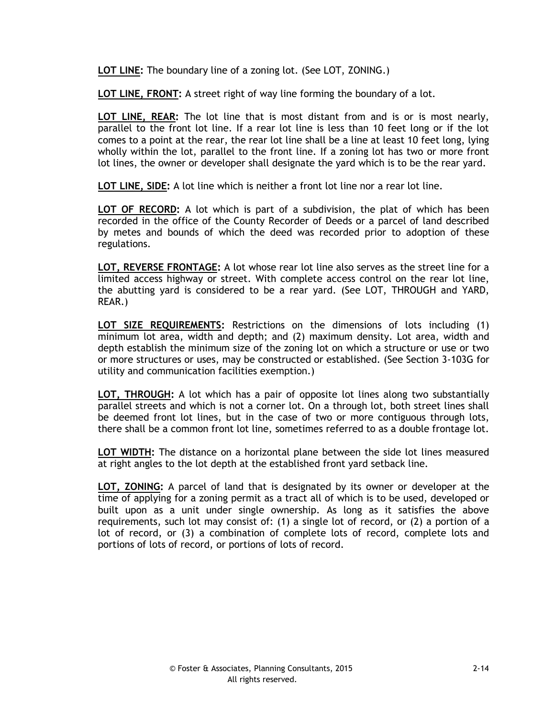**LOT LINE:** The boundary line of a zoning lot. (See LOT, ZONING.)

**LOT LINE, FRONT:** A street right of way line forming the boundary of a lot.

**LOT LINE, REAR:** The lot line that is most distant from and is or is most nearly, parallel to the front lot line. If a rear lot line is less than 10 feet long or if the lot comes to a point at the rear, the rear lot line shall be a line at least 10 feet long, lying wholly within the lot, parallel to the front line. If a zoning lot has two or more front lot lines, the owner or developer shall designate the yard which is to be the rear yard.

**LOT LINE, SIDE:** A lot line which is neither a front lot line nor a rear lot line.

**LOT OF RECORD:** A lot which is part of a subdivision, the plat of which has been recorded in the office of the County Recorder of Deeds or a parcel of land described by metes and bounds of which the deed was recorded prior to adoption of these regulations.

**LOT, REVERSE FRONTAGE:** A lot whose rear lot line also serves as the street line for a limited access highway or street. With complete access control on the rear lot line, the abutting yard is considered to be a rear yard. (See LOT, THROUGH and YARD, REAR.)

**LOT SIZE REQUIREMENTS:** Restrictions on the dimensions of lots including (1) minimum lot area, width and depth; and (2) maximum density. Lot area, width and depth establish the minimum size of the zoning lot on which a structure or use or two or more structures or uses, may be constructed or established. (See Section 3-103G for utility and communication facilities exemption.)

**LOT, THROUGH:** A lot which has a pair of opposite lot lines along two substantially parallel streets and which is not a corner lot. On a through lot, both street lines shall be deemed front lot lines, but in the case of two or more contiguous through lots, there shall be a common front lot line, sometimes referred to as a double frontage lot.

**LOT WIDTH:** The distance on a horizontal plane between the side lot lines measured at right angles to the lot depth at the established front yard setback line.

**LOT, ZONING:** A parcel of land that is designated by its owner or developer at the time of applying for a zoning permit as a tract all of which is to be used, developed or built upon as a unit under single ownership. As long as it satisfies the above requirements, such lot may consist of: (1) a single lot of record, or (2) a portion of a lot of record, or (3) a combination of complete lots of record, complete lots and portions of lots of record, or portions of lots of record.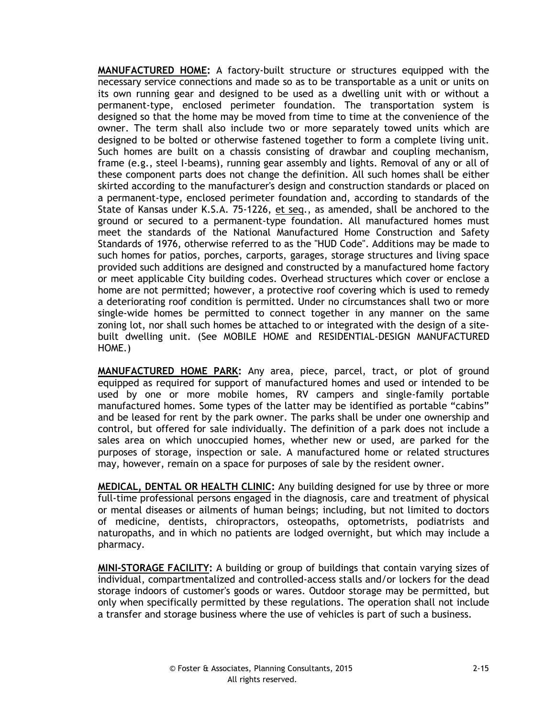**MANUFACTURED HOME:** A factory-built structure or structures equipped with the necessary service connections and made so as to be transportable as a unit or units on its own running gear and designed to be used as a dwelling unit with or without a permanent-type, enclosed perimeter foundation. The transportation system is designed so that the home may be moved from time to time at the convenience of the owner. The term shall also include two or more separately towed units which are designed to be bolted or otherwise fastened together to form a complete living unit. Such homes are built on a chassis consisting of drawbar and coupling mechanism, frame (e.g., steel I-beams), running gear assembly and lights. Removal of any or all of these component parts does not change the definition. All such homes shall be either skirted according to the manufacturer's design and construction standards or placed on a permanent-type, enclosed perimeter foundation and, according to standards of the State of Kansas under K.S.A. 75-1226, et seq., as amended, shall be anchored to the ground or secured to a permanent-type foundation. All manufactured homes must meet the standards of the National Manufactured Home Construction and Safety Standards of 1976, otherwise referred to as the "HUD Code". Additions may be made to such homes for patios, porches, carports, garages, storage structures and living space provided such additions are designed and constructed by a manufactured home factory or meet applicable City building codes. Overhead structures which cover or enclose a home are not permitted; however, a protective roof covering which is used to remedy a deteriorating roof condition is permitted. Under no circumstances shall two or more single-wide homes be permitted to connect together in any manner on the same zoning lot, nor shall such homes be attached to or integrated with the design of a sitebuilt dwelling unit. (See MOBILE HOME and RESIDENTIAL-DESIGN MANUFACTURED HOME.)

**MANUFACTURED HOME PARK:** Any area, piece, parcel, tract, or plot of ground equipped as required for support of manufactured homes and used or intended to be used by one or more mobile homes, RV campers and single-family portable manufactured homes. Some types of the latter may be identified as portable "cabins" and be leased for rent by the park owner. The parks shall be under one ownership and control, but offered for sale individually. The definition of a park does not include a sales area on which unoccupied homes, whether new or used, are parked for the purposes of storage, inspection or sale. A manufactured home or related structures may, however, remain on a space for purposes of sale by the resident owner.

**MEDICAL, DENTAL OR HEALTH CLINIC:** Any building designed for use by three or more full-time professional persons engaged in the diagnosis, care and treatment of physical or mental diseases or ailments of human beings; including, but not limited to doctors of medicine, dentists, chiropractors, osteopaths, optometrists, podiatrists and naturopaths, and in which no patients are lodged overnight, but which may include a pharmacy.

**MINI-STORAGE FACILITY:** A building or group of buildings that contain varying sizes of individual, compartmentalized and controlled-access stalls and/or lockers for the dead storage indoors of customer's goods or wares. Outdoor storage may be permitted, but only when specifically permitted by these regulations. The operation shall not include a transfer and storage business where the use of vehicles is part of such a business.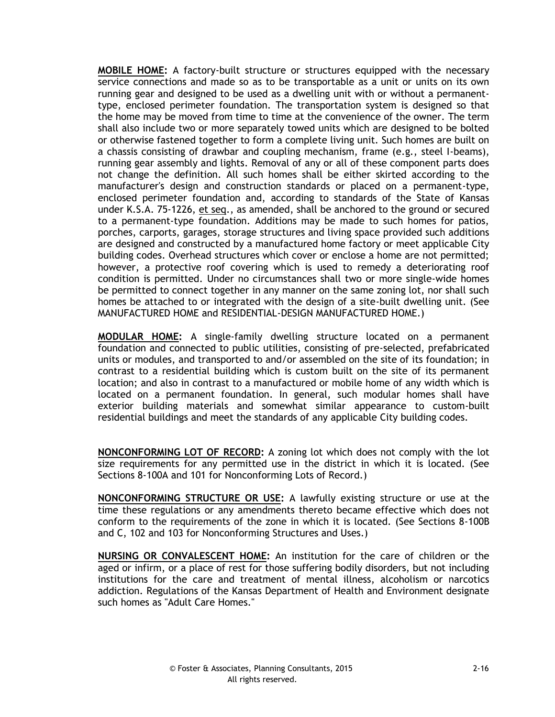**MOBILE HOME:** A factory-built structure or structures equipped with the necessary service connections and made so as to be transportable as a unit or units on its own running gear and designed to be used as a dwelling unit with or without a permanenttype, enclosed perimeter foundation. The transportation system is designed so that the home may be moved from time to time at the convenience of the owner. The term shall also include two or more separately towed units which are designed to be bolted or otherwise fastened together to form a complete living unit. Such homes are built on a chassis consisting of drawbar and coupling mechanism, frame (e.g., steel I-beams), running gear assembly and lights. Removal of any or all of these component parts does not change the definition. All such homes shall be either skirted according to the manufacturer's design and construction standards or placed on a permanent-type, enclosed perimeter foundation and, according to standards of the State of Kansas under K.S.A. 75-1226, et seq., as amended, shall be anchored to the ground or secured to a permanent-type foundation. Additions may be made to such homes for patios, porches, carports, garages, storage structures and living space provided such additions are designed and constructed by a manufactured home factory or meet applicable City building codes. Overhead structures which cover or enclose a home are not permitted; however, a protective roof covering which is used to remedy a deteriorating roof condition is permitted. Under no circumstances shall two or more single-wide homes be permitted to connect together in any manner on the same zoning lot, nor shall such homes be attached to or integrated with the design of a site-built dwelling unit. (See MANUFACTURED HOME and RESIDENTIAL-DESIGN MANUFACTURED HOME.)

**MODULAR HOME:** A single-family dwelling structure located on a permanent foundation and connected to public utilities, consisting of pre-selected, prefabricated units or modules, and transported to and/or assembled on the site of its foundation; in contrast to a residential building which is custom built on the site of its permanent location; and also in contrast to a manufactured or mobile home of any width which is located on a permanent foundation. In general, such modular homes shall have exterior building materials and somewhat similar appearance to custom-built residential buildings and meet the standards of any applicable City building codes.

**NONCONFORMING LOT OF RECORD:** A zoning lot which does not comply with the lot size requirements for any permitted use in the district in which it is located. (See Sections 8-100A and 101 for Nonconforming Lots of Record.)

**NONCONFORMING STRUCTURE OR USE:** A lawfully existing structure or use at the time these regulations or any amendments thereto became effective which does not conform to the requirements of the zone in which it is located. (See Sections 8-100B and C, 102 and 103 for Nonconforming Structures and Uses.)

**NURSING OR CONVALESCENT HOME:** An institution for the care of children or the aged or infirm, or a place of rest for those suffering bodily disorders, but not including institutions for the care and treatment of mental illness, alcoholism or narcotics addiction. Regulations of the Kansas Department of Health and Environment designate such homes as "Adult Care Homes."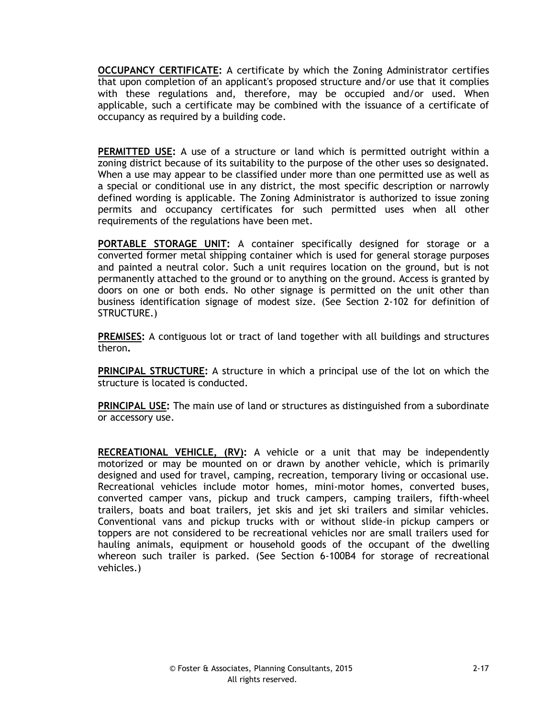**OCCUPANCY CERTIFICATE:** A certificate by which the Zoning Administrator certifies that upon completion of an applicant's proposed structure and/or use that it complies with these regulations and, therefore, may be occupied and/or used. When applicable, such a certificate may be combined with the issuance of a certificate of occupancy as required by a building code.

**PERMITTED USE:** A use of a structure or land which is permitted outright within a zoning district because of its suitability to the purpose of the other uses so designated. When a use may appear to be classified under more than one permitted use as well as a special or conditional use in any district, the most specific description or narrowly defined wording is applicable. The Zoning Administrator is authorized to issue zoning permits and occupancy certificates for such permitted uses when all other requirements of the regulations have been met.

**PORTABLE STORAGE UNIT:** A container specifically designed for storage or a converted former metal shipping container which is used for general storage purposes and painted a neutral color. Such a unit requires location on the ground, but is not permanently attached to the ground or to anything on the ground. Access is granted by doors on one or both ends. No other signage is permitted on the unit other than business identification signage of modest size. (See Section 2-102 for definition of STRUCTURE.)

**PREMISES:** A contiguous lot or tract of land together with all buildings and structures theron**.**

**PRINCIPAL STRUCTURE:** A structure in which a principal use of the lot on which the structure is located is conducted.

**PRINCIPAL USE:** The main use of land or structures as distinguished from a subordinate or accessory use.

**RECREATIONAL VEHICLE, (RV):** A vehicle or a unit that may be independently motorized or may be mounted on or drawn by another vehicle, which is primarily designed and used for travel, camping, recreation, temporary living or occasional use. Recreational vehicles include motor homes, mini-motor homes, converted buses, converted camper vans, pickup and truck campers, camping trailers, fifth-wheel trailers, boats and boat trailers, jet skis and jet ski trailers and similar vehicles. Conventional vans and pickup trucks with or without slide-in pickup campers or toppers are not considered to be recreational vehicles nor are small trailers used for hauling animals, equipment or household goods of the occupant of the dwelling whereon such trailer is parked. (See Section 6-100B4 for storage of recreational vehicles.)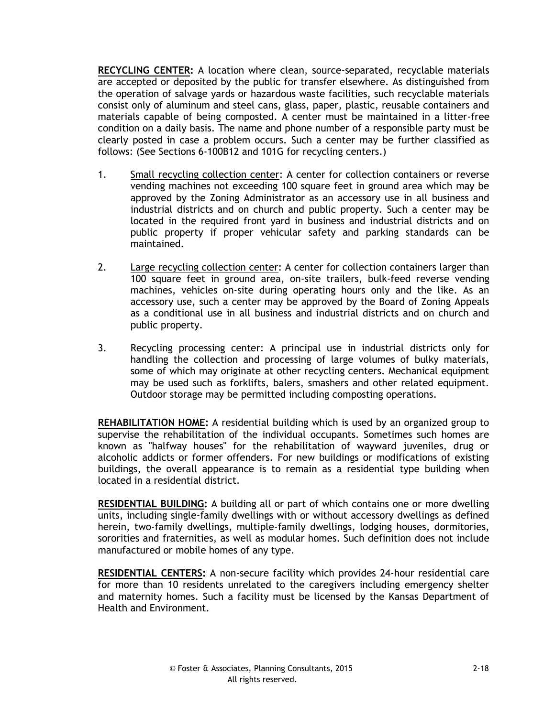**RECYCLING CENTER:** A location where clean, source-separated, recyclable materials are accepted or deposited by the public for transfer elsewhere. As distinguished from the operation of salvage yards or hazardous waste facilities, such recyclable materials consist only of aluminum and steel cans, glass, paper, plastic, reusable containers and materials capable of being composted. A center must be maintained in a litter-free condition on a daily basis. The name and phone number of a responsible party must be clearly posted in case a problem occurs. Such a center may be further classified as follows: (See Sections 6-100B12 and 101G for recycling centers.)

- 1. Small recycling collection center: A center for collection containers or reverse vending machines not exceeding 100 square feet in ground area which may be approved by the Zoning Administrator as an accessory use in all business and industrial districts and on church and public property. Such a center may be located in the required front yard in business and industrial districts and on public property if proper vehicular safety and parking standards can be maintained.
- 2. Large recycling collection center: A center for collection containers larger than 100 square feet in ground area, on-site trailers, bulk-feed reverse vending machines, vehicles on-site during operating hours only and the like. As an accessory use, such a center may be approved by the Board of Zoning Appeals as a conditional use in all business and industrial districts and on church and public property.
- 3. Recycling processing center: A principal use in industrial districts only for handling the collection and processing of large volumes of bulky materials, some of which may originate at other recycling centers. Mechanical equipment may be used such as forklifts, balers, smashers and other related equipment. Outdoor storage may be permitted including composting operations.

**REHABILITATION HOME:** A residential building which is used by an organized group to supervise the rehabilitation of the individual occupants. Sometimes such homes are known as "halfway houses" for the rehabilitation of wayward juveniles, drug or alcoholic addicts or former offenders. For new buildings or modifications of existing buildings, the overall appearance is to remain as a residential type building when located in a residential district.

**RESIDENTIAL BUILDING:** A building all or part of which contains one or more dwelling units, including single-family dwellings with or without accessory dwellings as defined herein, two-family dwellings, multiple-family dwellings, lodging houses, dormitories, sororities and fraternities, as well as modular homes. Such definition does not include manufactured or mobile homes of any type.

**RESIDENTIAL CENTERS:** A non-secure facility which provides 24-hour residential care for more than 10 residents unrelated to the caregivers including emergency shelter and maternity homes. Such a facility must be licensed by the Kansas Department of Health and Environment.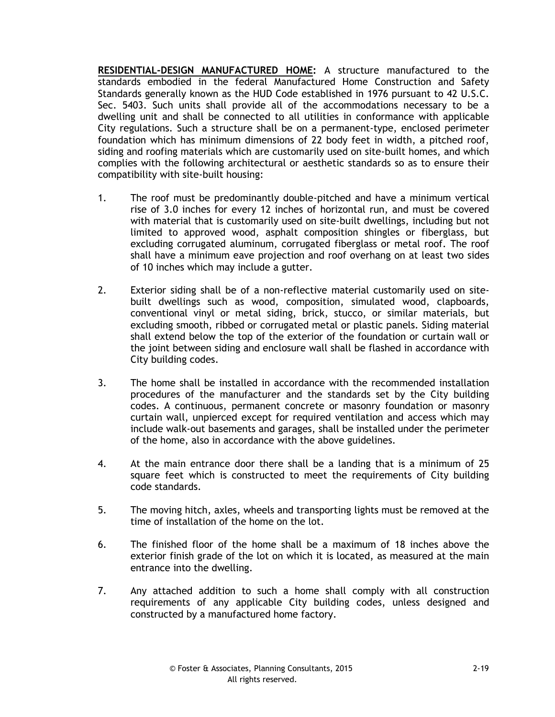**RESIDENTIAL-DESIGN MANUFACTURED HOME:** A structure manufactured to the standards embodied in the federal Manufactured Home Construction and Safety Standards generally known as the HUD Code established in 1976 pursuant to 42 U.S.C. Sec. 5403. Such units shall provide all of the accommodations necessary to be a dwelling unit and shall be connected to all utilities in conformance with applicable City regulations. Such a structure shall be on a permanent-type, enclosed perimeter foundation which has minimum dimensions of 22 body feet in width, a pitched roof, siding and roofing materials which are customarily used on site-built homes, and which complies with the following architectural or aesthetic standards so as to ensure their compatibility with site-built housing:

- 1. The roof must be predominantly double-pitched and have a minimum vertical rise of 3.0 inches for every 12 inches of horizontal run, and must be covered with material that is customarily used on site-built dwellings, including but not limited to approved wood, asphalt composition shingles or fiberglass, but excluding corrugated aluminum, corrugated fiberglass or metal roof. The roof shall have a minimum eave projection and roof overhang on at least two sides of 10 inches which may include a gutter.
- 2. Exterior siding shall be of a non-reflective material customarily used on sitebuilt dwellings such as wood, composition, simulated wood, clapboards, conventional vinyl or metal siding, brick, stucco, or similar materials, but excluding smooth, ribbed or corrugated metal or plastic panels. Siding material shall extend below the top of the exterior of the foundation or curtain wall or the joint between siding and enclosure wall shall be flashed in accordance with City building codes.
- 3. The home shall be installed in accordance with the recommended installation procedures of the manufacturer and the standards set by the City building codes. A continuous, permanent concrete or masonry foundation or masonry curtain wall, unpierced except for required ventilation and access which may include walk-out basements and garages, shall be installed under the perimeter of the home, also in accordance with the above guidelines.
- 4. At the main entrance door there shall be a landing that is a minimum of 25 square feet which is constructed to meet the requirements of City building code standards.
- 5. The moving hitch, axles, wheels and transporting lights must be removed at the time of installation of the home on the lot.
- 6. The finished floor of the home shall be a maximum of 18 inches above the exterior finish grade of the lot on which it is located, as measured at the main entrance into the dwelling.
- 7. Any attached addition to such a home shall comply with all construction requirements of any applicable City building codes, unless designed and constructed by a manufactured home factory.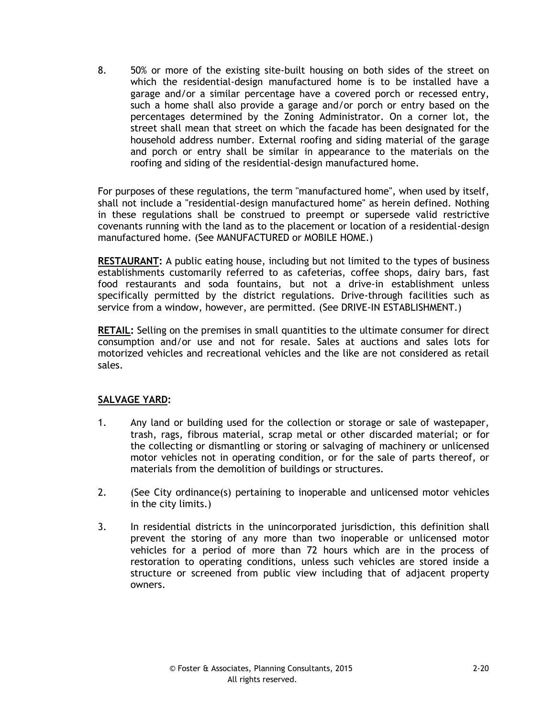8. 50% or more of the existing site-built housing on both sides of the street on which the residential-design manufactured home is to be installed have a garage and/or a similar percentage have a covered porch or recessed entry, such a home shall also provide a garage and/or porch or entry based on the percentages determined by the Zoning Administrator. On a corner lot, the street shall mean that street on which the facade has been designated for the household address number. External roofing and siding material of the garage and porch or entry shall be similar in appearance to the materials on the roofing and siding of the residential-design manufactured home.

For purposes of these regulations, the term "manufactured home", when used by itself, shall not include a "residential-design manufactured home" as herein defined. Nothing in these regulations shall be construed to preempt or supersede valid restrictive covenants running with the land as to the placement or location of a residential-design manufactured home. (See MANUFACTURED or MOBILE HOME.)

**RESTAURANT:** A public eating house, including but not limited to the types of business establishments customarily referred to as cafeterias, coffee shops, dairy bars, fast food restaurants and soda fountains, but not a drive-in establishment unless specifically permitted by the district regulations. Drive-through facilities such as service from a window, however, are permitted. (See DRIVE-IN ESTABLISHMENT.)

**RETAIL:** Selling on the premises in small quantities to the ultimate consumer for direct consumption and/or use and not for resale. Sales at auctions and sales lots for motorized vehicles and recreational vehicles and the like are not considered as retail sales.

# **SALVAGE YARD:**

- 1. Any land or building used for the collection or storage or sale of wastepaper, trash, rags, fibrous material, scrap metal or other discarded material; or for the collecting or dismantling or storing or salvaging of machinery or unlicensed motor vehicles not in operating condition, or for the sale of parts thereof, or materials from the demolition of buildings or structures.
- 2. (See City ordinance(s) pertaining to inoperable and unlicensed motor vehicles in the city limits.)
- 3. In residential districts in the unincorporated jurisdiction, this definition shall prevent the storing of any more than two inoperable or unlicensed motor vehicles for a period of more than 72 hours which are in the process of restoration to operating conditions, unless such vehicles are stored inside a structure or screened from public view including that of adjacent property owners.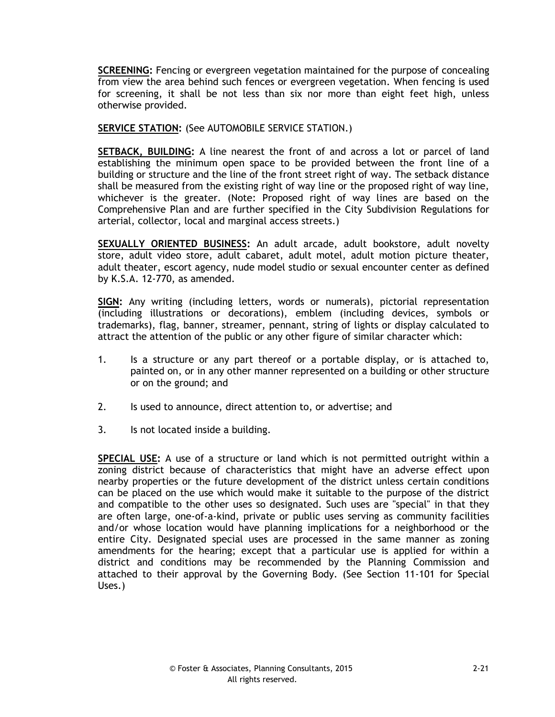**SCREENING:** Fencing or evergreen vegetation maintained for the purpose of concealing from view the area behind such fences or evergreen vegetation. When fencing is used for screening, it shall be not less than six nor more than eight feet high, unless otherwise provided.

**SERVICE STATION:** (See AUTOMOBILE SERVICE STATION.)

**SETBACK, BUILDING:** A line nearest the front of and across a lot or parcel of land establishing the minimum open space to be provided between the front line of a building or structure and the line of the front street right of way. The setback distance shall be measured from the existing right of way line or the proposed right of way line, whichever is the greater. (Note: Proposed right of way lines are based on the Comprehensive Plan and are further specified in the City Subdivision Regulations for arterial, collector, local and marginal access streets.)

**SEXUALLY ORIENTED BUSINESS:** An adult arcade, adult bookstore, adult novelty store, adult video store, adult cabaret, adult motel, adult motion picture theater, adult theater, escort agency, nude model studio or sexual encounter center as defined by K.S.A. 12-770, as amended.

**SIGN:** Any writing (including letters, words or numerals), pictorial representation (including illustrations or decorations), emblem (including devices, symbols or trademarks), flag, banner, streamer, pennant, string of lights or display calculated to attract the attention of the public or any other figure of similar character which:

- 1. Is a structure or any part thereof or a portable display, or is attached to, painted on, or in any other manner represented on a building or other structure or on the ground; and
- 2. Is used to announce, direct attention to, or advertise; and
- 3. Is not located inside a building.

**SPECIAL USE:** A use of a structure or land which is not permitted outright within a zoning district because of characteristics that might have an adverse effect upon nearby properties or the future development of the district unless certain conditions can be placed on the use which would make it suitable to the purpose of the district and compatible to the other uses so designated. Such uses are "special" in that they are often large, one-of-a-kind, private or public uses serving as community facilities and/or whose location would have planning implications for a neighborhood or the entire City. Designated special uses are processed in the same manner as zoning amendments for the hearing; except that a particular use is applied for within a district and conditions may be recommended by the Planning Commission and attached to their approval by the Governing Body. (See Section 11-101 for Special Uses.)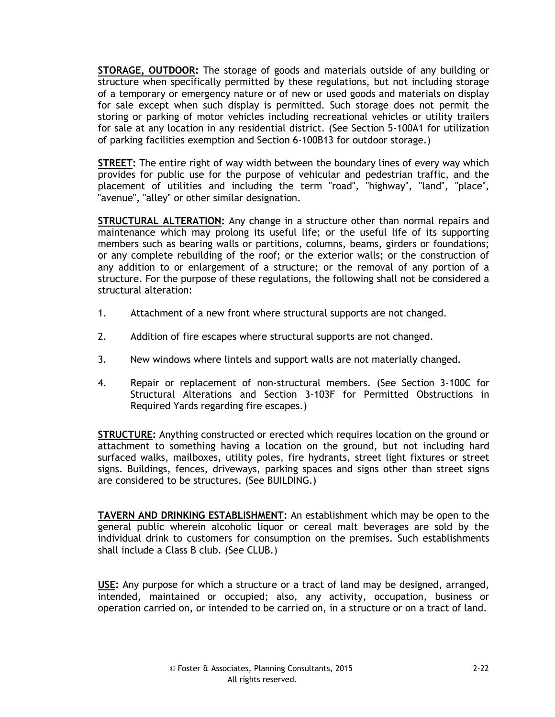**STORAGE, OUTDOOR:** The storage of goods and materials outside of any building or structure when specifically permitted by these regulations, but not including storage of a temporary or emergency nature or of new or used goods and materials on display for sale except when such display is permitted. Such storage does not permit the storing or parking of motor vehicles including recreational vehicles or utility trailers for sale at any location in any residential district. (See Section 5-100A1 for utilization of parking facilities exemption and Section 6-100B13 for outdoor storage.)

**STREET:** The entire right of way width between the boundary lines of every way which provides for public use for the purpose of vehicular and pedestrian traffic, and the placement of utilities and including the term "road", "highway", "land", "place", "avenue", "alley" or other similar designation.

**STRUCTURAL ALTERATION:** Any change in a structure other than normal repairs and maintenance which may prolong its useful life; or the useful life of its supporting members such as bearing walls or partitions, columns, beams, girders or foundations; or any complete rebuilding of the roof; or the exterior walls; or the construction of any addition to or enlargement of a structure; or the removal of any portion of a structure. For the purpose of these regulations, the following shall not be considered a structural alteration:

- 1. Attachment of a new front where structural supports are not changed.
- 2. Addition of fire escapes where structural supports are not changed.
- 3. New windows where lintels and support walls are not materially changed.
- 4. Repair or replacement of non-structural members. (See Section 3-100C for Structural Alterations and Section 3-103F for Permitted Obstructions in Required Yards regarding fire escapes.)

**STRUCTURE:** Anything constructed or erected which requires location on the ground or attachment to something having a location on the ground, but not including hard surfaced walks, mailboxes, utility poles, fire hydrants, street light fixtures or street signs. Buildings, fences, driveways, parking spaces and signs other than street signs are considered to be structures. (See BUILDING.)

**TAVERN AND DRINKING ESTABLISHMENT:** An establishment which may be open to the general public wherein alcoholic liquor or cereal malt beverages are sold by the individual drink to customers for consumption on the premises. Such establishments shall include a Class B club. (See CLUB.)

**USE:** Any purpose for which a structure or a tract of land may be designed, arranged, intended, maintained or occupied; also, any activity, occupation, business or operation carried on, or intended to be carried on, in a structure or on a tract of land.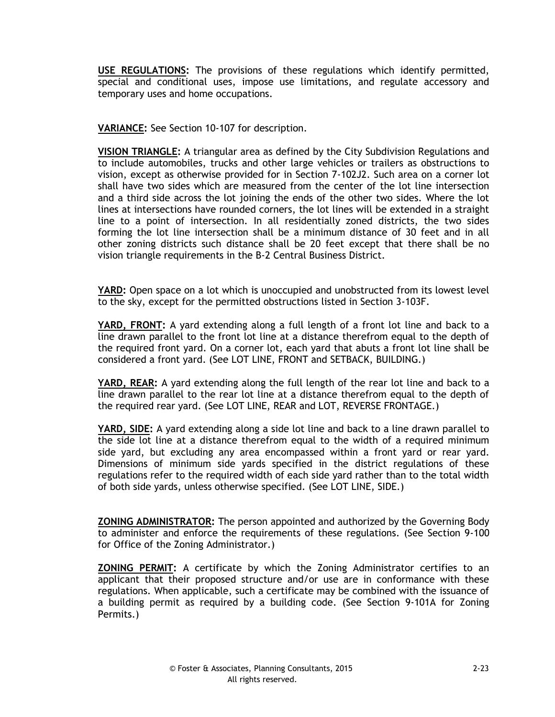**USE REGULATIONS:** The provisions of these regulations which identify permitted, special and conditional uses, impose use limitations, and regulate accessory and temporary uses and home occupations.

**VARIANCE:** See Section 10-107 for description.

**VISION TRIANGLE:** A triangular area as defined by the City Subdivision Regulations and to include automobiles, trucks and other large vehicles or trailers as obstructions to vision, except as otherwise provided for in Section 7-102J2. Such area on a corner lot shall have two sides which are measured from the center of the lot line intersection and a third side across the lot joining the ends of the other two sides. Where the lot lines at intersections have rounded corners, the lot lines will be extended in a straight line to a point of intersection. In all residentially zoned districts, the two sides forming the lot line intersection shall be a minimum distance of 30 feet and in all other zoning districts such distance shall be 20 feet except that there shall be no vision triangle requirements in the B-2 Central Business District.

**YARD:** Open space on a lot which is unoccupied and unobstructed from its lowest level to the sky, except for the permitted obstructions listed in Section 3-103F.

**YARD, FRONT:** A yard extending along a full length of a front lot line and back to a line drawn parallel to the front lot line at a distance therefrom equal to the depth of the required front yard. On a corner lot, each yard that abuts a front lot line shall be considered a front yard. (See LOT LINE, FRONT and SETBACK, BUILDING.)

**YARD, REAR:** A yard extending along the full length of the rear lot line and back to a line drawn parallel to the rear lot line at a distance therefrom equal to the depth of the required rear yard. (See LOT LINE, REAR and LOT, REVERSE FRONTAGE.)

**YARD, SIDE:** A yard extending along a side lot line and back to a line drawn parallel to the side lot line at a distance therefrom equal to the width of a required minimum side yard, but excluding any area encompassed within a front yard or rear yard. Dimensions of minimum side yards specified in the district regulations of these regulations refer to the required width of each side yard rather than to the total width of both side yards, unless otherwise specified. (See LOT LINE, SIDE.)

**ZONING ADMINISTRATOR:** The person appointed and authorized by the Governing Body to administer and enforce the requirements of these regulations. (See Section 9-100 for Office of the Zoning Administrator.)

**ZONING PERMIT:** A certificate by which the Zoning Administrator certifies to an applicant that their proposed structure and/or use are in conformance with these regulations. When applicable, such a certificate may be combined with the issuance of a building permit as required by a building code. (See Section 9-101A for Zoning Permits.)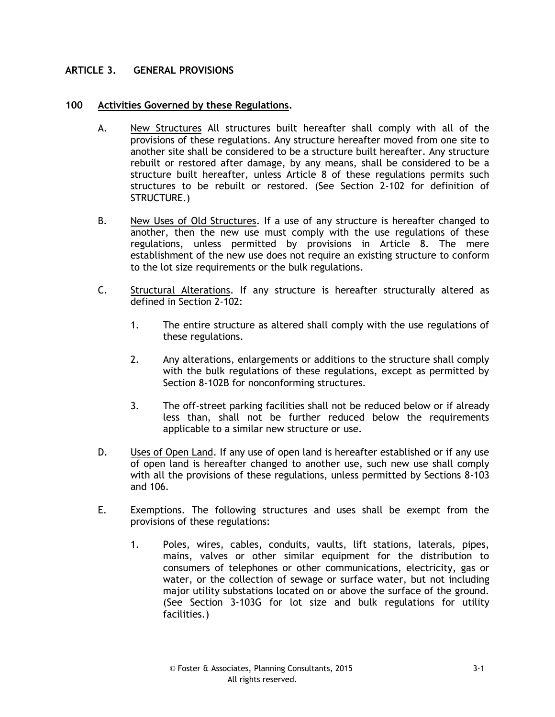# **ARTICLE 3. GENERAL PROVISIONS**

## **100 Activities Governed by these Regulations.**

- A. New Structures All structures built hereafter shall comply with all of the provisions of these regulations. Any structure hereafter moved from one site to another site shall be considered to be a structure built hereafter. Any structure rebuilt or restored after damage, by any means, shall be considered to be a structure built hereafter, unless Article 8 of these regulations permits such structures to be rebuilt or restored. (See Section 2-102 for definition of STRUCTURE.)
- B. New Uses of Old Structures. If a use of any structure is hereafter changed to another, then the new use must comply with the use regulations of these regulations, unless permitted by provisions in Article 8. The mere establishment of the new use does not require an existing structure to conform to the lot size requirements or the bulk regulations.
- C. Structural Alterations. If any structure is hereafter structurally altered as defined in Section 2-102:
	- 1. The entire structure as altered shall comply with the use regulations of these regulations.
	- 2. Any alterations, enlargements or additions to the structure shall comply with the bulk regulations of these regulations, except as permitted by Section 8-102B for nonconforming structures.
	- 3. The off-street parking facilities shall not be reduced below or if already less than, shall not be further reduced below the requirements applicable to a similar new structure or use.
- D. Uses of Open Land. If any use of open land is hereafter established or if any use of open land is hereafter changed to another use, such new use shall comply with all the provisions of these regulations, unless permitted by Sections 8-103 and 106.
- E. Exemptions. The following structures and uses shall be exempt from the provisions of these regulations:
	- 1. Poles, wires, cables, conduits, vaults, lift stations, laterals, pipes, mains, valves or other similar equipment for the distribution to consumers of telephones or other communications, electricity, gas or water, or the collection of sewage or surface water, but not including major utility substations located on or above the surface of the ground. (See Section 3-103G for lot size and bulk regulations for utility facilities.)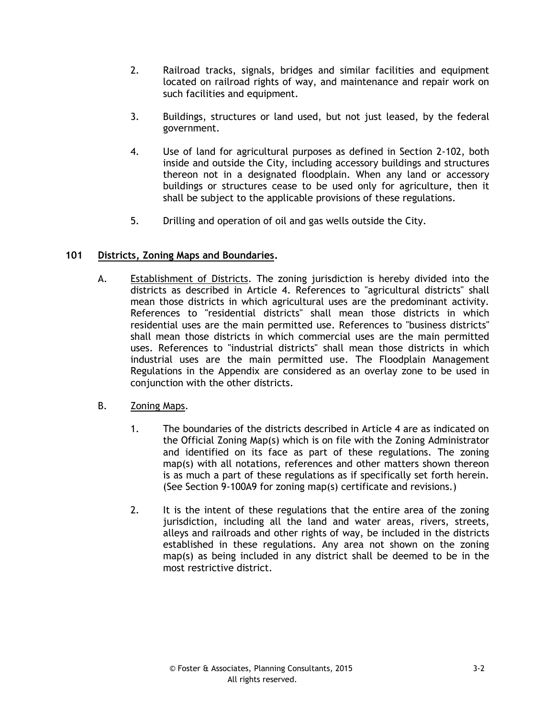- 2. Railroad tracks, signals, bridges and similar facilities and equipment located on railroad rights of way, and maintenance and repair work on such facilities and equipment.
- 3. Buildings, structures or land used, but not just leased, by the federal government.
- 4. Use of land for agricultural purposes as defined in Section 2-102, both inside and outside the City, including accessory buildings and structures thereon not in a designated floodplain. When any land or accessory buildings or structures cease to be used only for agriculture, then it shall be subject to the applicable provisions of these regulations.
- 5. Drilling and operation of oil and gas wells outside the City.

# **101 Districts, Zoning Maps and Boundaries.**

A. Establishment of Districts. The zoning jurisdiction is hereby divided into the districts as described in Article 4. References to "agricultural districts" shall mean those districts in which agricultural uses are the predominant activity. References to "residential districts" shall mean those districts in which residential uses are the main permitted use. References to "business districts" shall mean those districts in which commercial uses are the main permitted uses. References to "industrial districts" shall mean those districts in which industrial uses are the main permitted use. The Floodplain Management Regulations in the Appendix are considered as an overlay zone to be used in conjunction with the other districts.

# B. Zoning Maps.

- 1. The boundaries of the districts described in Article 4 are as indicated on the Official Zoning Map(s) which is on file with the Zoning Administrator and identified on its face as part of these regulations. The zoning map(s) with all notations, references and other matters shown thereon is as much a part of these regulations as if specifically set forth herein. (See Section 9-100A9 for zoning map(s) certificate and revisions.)
- 2. It is the intent of these regulations that the entire area of the zoning jurisdiction, including all the land and water areas, rivers, streets, alleys and railroads and other rights of way, be included in the districts established in these regulations. Any area not shown on the zoning map(s) as being included in any district shall be deemed to be in the most restrictive district.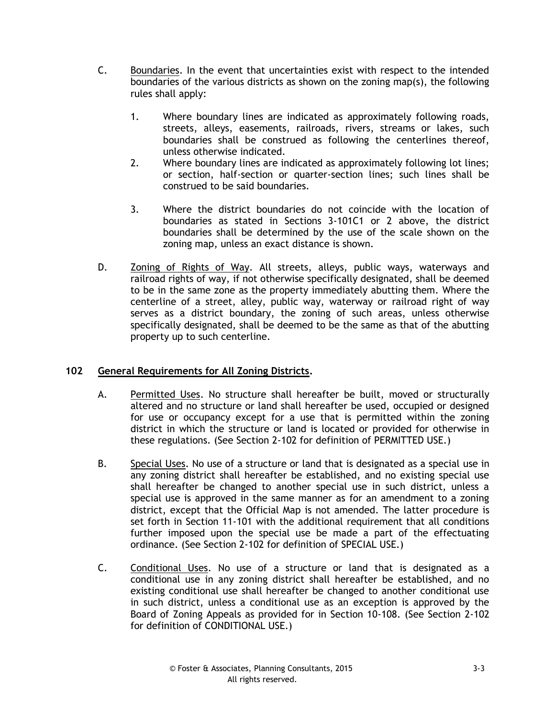- C. Boundaries. In the event that uncertainties exist with respect to the intended boundaries of the various districts as shown on the zoning map(s), the following rules shall apply:
	- 1. Where boundary lines are indicated as approximately following roads, streets, alleys, easements, railroads, rivers, streams or lakes, such boundaries shall be construed as following the centerlines thereof, unless otherwise indicated.
	- 2. Where boundary lines are indicated as approximately following lot lines; or section, half-section or quarter-section lines; such lines shall be construed to be said boundaries.
	- 3. Where the district boundaries do not coincide with the location of boundaries as stated in Sections 3-101C1 or 2 above, the district boundaries shall be determined by the use of the scale shown on the zoning map, unless an exact distance is shown.
- D. Zoning of Rights of Way. All streets, alleys, public ways, waterways and railroad rights of way, if not otherwise specifically designated, shall be deemed to be in the same zone as the property immediately abutting them. Where the centerline of a street, alley, public way, waterway or railroad right of way serves as a district boundary, the zoning of such areas, unless otherwise specifically designated, shall be deemed to be the same as that of the abutting property up to such centerline.

# **102 General Requirements for All Zoning Districts.**

- A. Permitted Uses. No structure shall hereafter be built, moved or structurally altered and no structure or land shall hereafter be used, occupied or designed for use or occupancy except for a use that is permitted within the zoning district in which the structure or land is located or provided for otherwise in these regulations. (See Section 2-102 for definition of PERMITTED USE.)
- B. Special Uses. No use of a structure or land that is designated as a special use in any zoning district shall hereafter be established, and no existing special use shall hereafter be changed to another special use in such district, unless a special use is approved in the same manner as for an amendment to a zoning district, except that the Official Map is not amended. The latter procedure is set forth in Section 11-101 with the additional requirement that all conditions further imposed upon the special use be made a part of the effectuating ordinance. (See Section 2-102 for definition of SPECIAL USE.)
- C. Conditional Uses. No use of a structure or land that is designated as a conditional use in any zoning district shall hereafter be established, and no existing conditional use shall hereafter be changed to another conditional use in such district, unless a conditional use as an exception is approved by the Board of Zoning Appeals as provided for in Section 10-108. (See Section 2-102 for definition of CONDITIONAL USE.)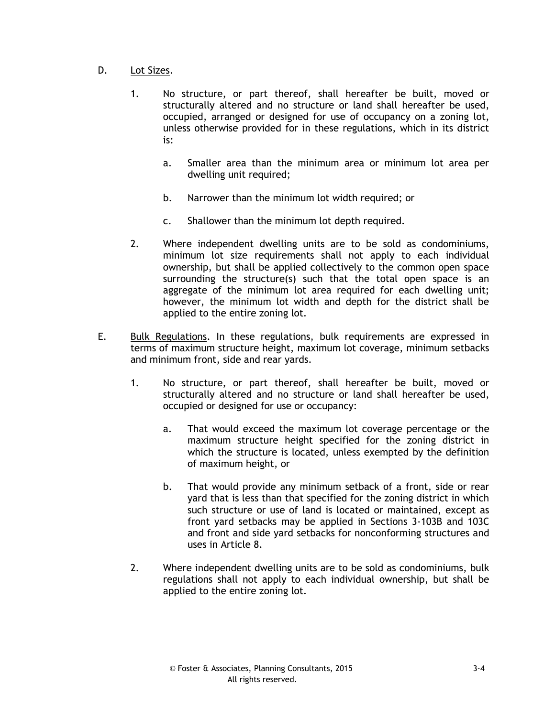# D. Lot Sizes.

- 1. No structure, or part thereof, shall hereafter be built, moved or structurally altered and no structure or land shall hereafter be used, occupied, arranged or designed for use of occupancy on a zoning lot, unless otherwise provided for in these regulations, which in its district is:
	- a. Smaller area than the minimum area or minimum lot area per dwelling unit required;
	- b. Narrower than the minimum lot width required; or
	- c. Shallower than the minimum lot depth required.
- 2. Where independent dwelling units are to be sold as condominiums, minimum lot size requirements shall not apply to each individual ownership, but shall be applied collectively to the common open space surrounding the structure(s) such that the total open space is an aggregate of the minimum lot area required for each dwelling unit; however, the minimum lot width and depth for the district shall be applied to the entire zoning lot.
- E. Bulk Regulations. In these regulations, bulk requirements are expressed in terms of maximum structure height, maximum lot coverage, minimum setbacks and minimum front, side and rear yards.
	- 1. No structure, or part thereof, shall hereafter be built, moved or structurally altered and no structure or land shall hereafter be used, occupied or designed for use or occupancy:
		- a. That would exceed the maximum lot coverage percentage or the maximum structure height specified for the zoning district in which the structure is located, unless exempted by the definition of maximum height, or
		- b. That would provide any minimum setback of a front, side or rear yard that is less than that specified for the zoning district in which such structure or use of land is located or maintained, except as front yard setbacks may be applied in Sections 3-103B and 103C and front and side yard setbacks for nonconforming structures and uses in Article 8.
	- 2. Where independent dwelling units are to be sold as condominiums, bulk regulations shall not apply to each individual ownership, but shall be applied to the entire zoning lot.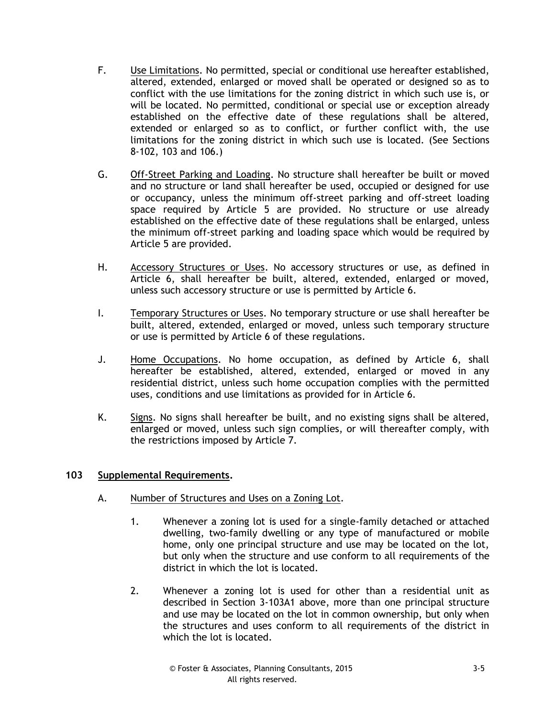- F. Use Limitations. No permitted, special or conditional use hereafter established, altered, extended, enlarged or moved shall be operated or designed so as to conflict with the use limitations for the zoning district in which such use is, or will be located. No permitted, conditional or special use or exception already established on the effective date of these regulations shall be altered, extended or enlarged so as to conflict, or further conflict with, the use limitations for the zoning district in which such use is located. (See Sections 8-102, 103 and 106.)
- G. Off-Street Parking and Loading. No structure shall hereafter be built or moved and no structure or land shall hereafter be used, occupied or designed for use or occupancy, unless the minimum off-street parking and off-street loading space required by Article 5 are provided. No structure or use already established on the effective date of these regulations shall be enlarged, unless the minimum off-street parking and loading space which would be required by Article 5 are provided.
- H. Accessory Structures or Uses. No accessory structures or use, as defined in Article 6, shall hereafter be built, altered, extended, enlarged or moved, unless such accessory structure or use is permitted by Article 6.
- I. Temporary Structures or Uses. No temporary structure or use shall hereafter be built, altered, extended, enlarged or moved, unless such temporary structure or use is permitted by Article 6 of these regulations.
- J. Home Occupations. No home occupation, as defined by Article 6, shall hereafter be established, altered, extended, enlarged or moved in any residential district, unless such home occupation complies with the permitted uses, conditions and use limitations as provided for in Article 6.
- K. Signs. No signs shall hereafter be built, and no existing signs shall be altered, enlarged or moved, unless such sign complies, or will thereafter comply, with the restrictions imposed by Article 7.

### **103 Supplemental Requirements.**

- A. Number of Structures and Uses on a Zoning Lot.
	- 1. Whenever a zoning lot is used for a single-family detached or attached dwelling, two-family dwelling or any type of manufactured or mobile home, only one principal structure and use may be located on the lot, but only when the structure and use conform to all requirements of the district in which the lot is located.
	- 2. Whenever a zoning lot is used for other than a residential unit as described in Section 3-103A1 above, more than one principal structure and use may be located on the lot in common ownership, but only when the structures and uses conform to all requirements of the district in which the lot is located.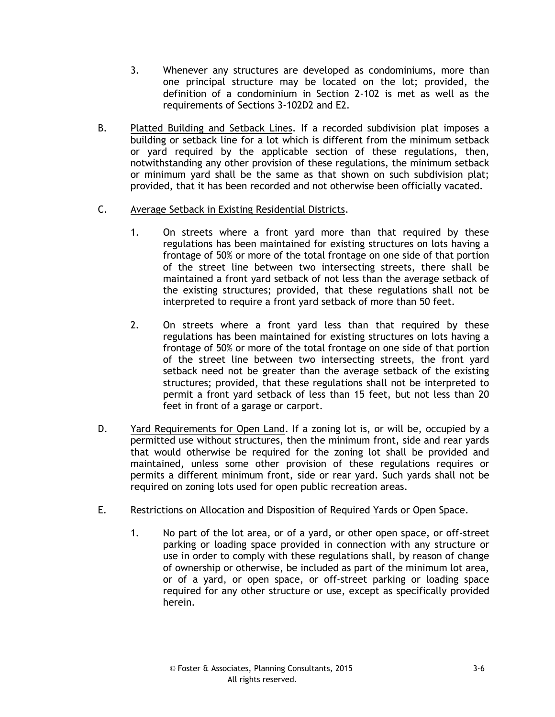- 3. Whenever any structures are developed as condominiums, more than one principal structure may be located on the lot; provided, the definition of a condominium in Section 2-102 is met as well as the requirements of Sections 3-102D2 and E2.
- B. Platted Building and Setback Lines. If a recorded subdivision plat imposes a building or setback line for a lot which is different from the minimum setback or yard required by the applicable section of these regulations, then, notwithstanding any other provision of these regulations, the minimum setback or minimum yard shall be the same as that shown on such subdivision plat; provided, that it has been recorded and not otherwise been officially vacated.
- C. Average Setback in Existing Residential Districts.
	- 1. On streets where a front yard more than that required by these regulations has been maintained for existing structures on lots having a frontage of 50% or more of the total frontage on one side of that portion of the street line between two intersecting streets, there shall be maintained a front yard setback of not less than the average setback of the existing structures; provided, that these regulations shall not be interpreted to require a front yard setback of more than 50 feet.
	- 2. On streets where a front yard less than that required by these regulations has been maintained for existing structures on lots having a frontage of 50% or more of the total frontage on one side of that portion of the street line between two intersecting streets, the front yard setback need not be greater than the average setback of the existing structures; provided, that these regulations shall not be interpreted to permit a front yard setback of less than 15 feet, but not less than 20 feet in front of a garage or carport.
- D. Yard Requirements for Open Land. If a zoning lot is, or will be, occupied by a permitted use without structures, then the minimum front, side and rear yards that would otherwise be required for the zoning lot shall be provided and maintained, unless some other provision of these regulations requires or permits a different minimum front, side or rear yard. Such yards shall not be required on zoning lots used for open public recreation areas.
- E. Restrictions on Allocation and Disposition of Required Yards or Open Space.
	- 1. No part of the lot area, or of a yard, or other open space, or off-street parking or loading space provided in connection with any structure or use in order to comply with these regulations shall, by reason of change of ownership or otherwise, be included as part of the minimum lot area, or of a yard, or open space, or off-street parking or loading space required for any other structure or use, except as specifically provided herein.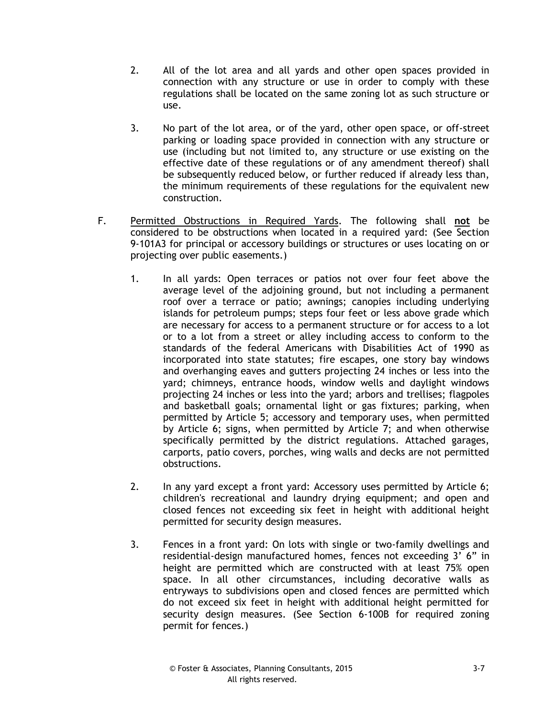- 2. All of the lot area and all yards and other open spaces provided in connection with any structure or use in order to comply with these regulations shall be located on the same zoning lot as such structure or use.
- 3. No part of the lot area, or of the yard, other open space, or off-street parking or loading space provided in connection with any structure or use (including but not limited to, any structure or use existing on the effective date of these regulations or of any amendment thereof) shall be subsequently reduced below, or further reduced if already less than, the minimum requirements of these regulations for the equivalent new construction.
- F. Permitted Obstructions in Required Yards. The following shall **not** be considered to be obstructions when located in a required yard: (See Section 9-101A3 for principal or accessory buildings or structures or uses locating on or projecting over public easements.)
	- 1. In all yards: Open terraces or patios not over four feet above the average level of the adjoining ground, but not including a permanent roof over a terrace or patio; awnings; canopies including underlying islands for petroleum pumps; steps four feet or less above grade which are necessary for access to a permanent structure or for access to a lot or to a lot from a street or alley including access to conform to the standards of the federal Americans with Disabilities Act of 1990 as incorporated into state statutes; fire escapes, one story bay windows and overhanging eaves and gutters projecting 24 inches or less into the yard; chimneys, entrance hoods, window wells and daylight windows projecting 24 inches or less into the yard; arbors and trellises; flagpoles and basketball goals; ornamental light or gas fixtures; parking, when permitted by Article 5; accessory and temporary uses, when permitted by Article 6; signs, when permitted by Article 7; and when otherwise specifically permitted by the district regulations. Attached garages, carports, patio covers, porches, wing walls and decks are not permitted obstructions.
	- 2. In any yard except a front yard: Accessory uses permitted by Article 6; children's recreational and laundry drying equipment; and open and closed fences not exceeding six feet in height with additional height permitted for security design measures.
	- 3. Fences in a front yard: On lots with single or two-family dwellings and residential-design manufactured homes, fences not exceeding 3' 6" in height are permitted which are constructed with at least 75% open space. In all other circumstances, including decorative walls as entryways to subdivisions open and closed fences are permitted which do not exceed six feet in height with additional height permitted for security design measures. (See Section 6-100B for required zoning permit for fences.)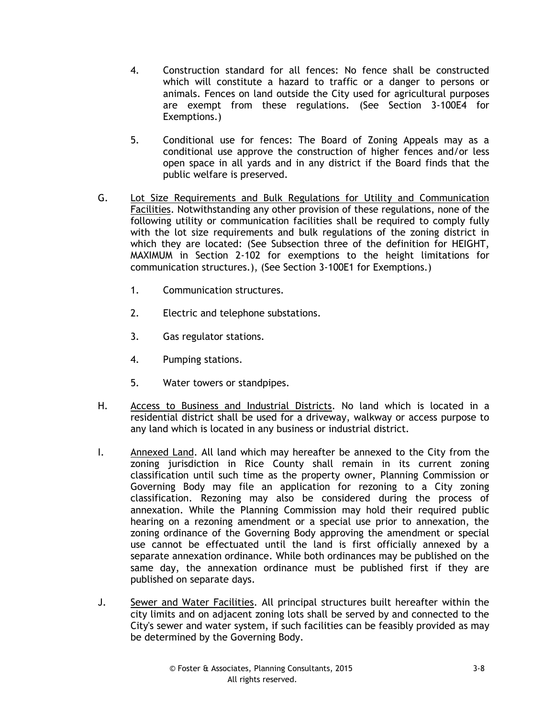- 4. Construction standard for all fences: No fence shall be constructed which will constitute a hazard to traffic or a danger to persons or animals. Fences on land outside the City used for agricultural purposes are exempt from these regulations. (See Section 3-100E4 for Exemptions.)
- 5. Conditional use for fences: The Board of Zoning Appeals may as a conditional use approve the construction of higher fences and/or less open space in all yards and in any district if the Board finds that the public welfare is preserved.
- G. Lot Size Requirements and Bulk Regulations for Utility and Communication Facilities. Notwithstanding any other provision of these regulations, none of the following utility or communication facilities shall be required to comply fully with the lot size requirements and bulk regulations of the zoning district in which they are located: (See Subsection three of the definition for HEIGHT, MAXIMUM in Section 2-102 for exemptions to the height limitations for communication structures.), (See Section 3-100E1 for Exemptions.)
	- 1. Communication structures.
	- 2. Electric and telephone substations.
	- 3. Gas regulator stations.
	- 4. Pumping stations.
	- 5. Water towers or standpipes.
- H. Access to Business and Industrial Districts. No land which is located in a residential district shall be used for a driveway, walkway or access purpose to any land which is located in any business or industrial district.
- I. Annexed Land. All land which may hereafter be annexed to the City from the zoning jurisdiction in Rice County shall remain in its current zoning classification until such time as the property owner, Planning Commission or Governing Body may file an application for rezoning to a City zoning classification. Rezoning may also be considered during the process of annexation. While the Planning Commission may hold their required public hearing on a rezoning amendment or a special use prior to annexation, the zoning ordinance of the Governing Body approving the amendment or special use cannot be effectuated until the land is first officially annexed by a separate annexation ordinance. While both ordinances may be published on the same day, the annexation ordinance must be published first if they are published on separate days.
- J. Sewer and Water Facilities. All principal structures built hereafter within the city limits and on adjacent zoning lots shall be served by and connected to the City's sewer and water system, if such facilities can be feasibly provided as may be determined by the Governing Body.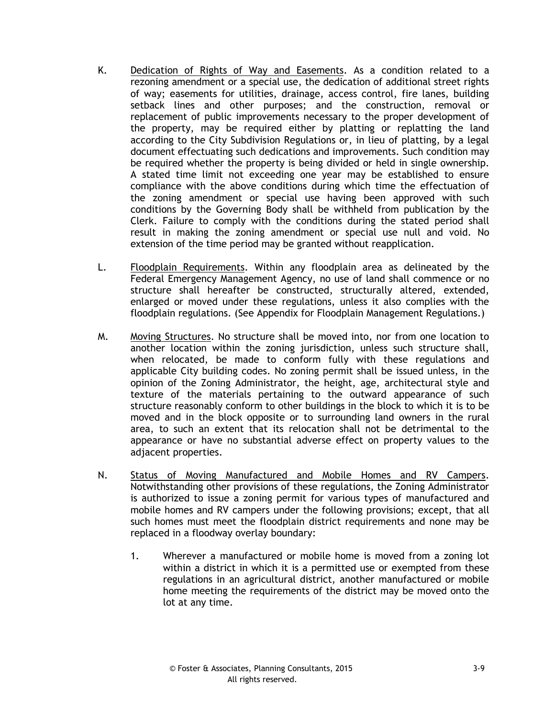- K. Dedication of Rights of Way and Easements. As a condition related to a rezoning amendment or a special use, the dedication of additional street rights of way; easements for utilities, drainage, access control, fire lanes, building setback lines and other purposes; and the construction, removal or replacement of public improvements necessary to the proper development of the property, may be required either by platting or replatting the land according to the City Subdivision Regulations or, in lieu of platting, by a legal document effectuating such dedications and improvements. Such condition may be required whether the property is being divided or held in single ownership. A stated time limit not exceeding one year may be established to ensure compliance with the above conditions during which time the effectuation of the zoning amendment or special use having been approved with such conditions by the Governing Body shall be withheld from publication by the Clerk. Failure to comply with the conditions during the stated period shall result in making the zoning amendment or special use null and void. No extension of the time period may be granted without reapplication.
- L. Floodplain Requirements. Within any floodplain area as delineated by the Federal Emergency Management Agency, no use of land shall commence or no structure shall hereafter be constructed, structurally altered, extended, enlarged or moved under these regulations, unless it also complies with the floodplain regulations. (See Appendix for Floodplain Management Regulations.)
- M. Moving Structures. No structure shall be moved into, nor from one location to another location within the zoning jurisdiction, unless such structure shall, when relocated, be made to conform fully with these regulations and applicable City building codes. No zoning permit shall be issued unless, in the opinion of the Zoning Administrator, the height, age, architectural style and texture of the materials pertaining to the outward appearance of such structure reasonably conform to other buildings in the block to which it is to be moved and in the block opposite or to surrounding land owners in the rural area, to such an extent that its relocation shall not be detrimental to the appearance or have no substantial adverse effect on property values to the adjacent properties.
- N. Status of Moving Manufactured and Mobile Homes and RV Campers. Notwithstanding other provisions of these regulations, the Zoning Administrator is authorized to issue a zoning permit for various types of manufactured and mobile homes and RV campers under the following provisions; except, that all such homes must meet the floodplain district requirements and none may be replaced in a floodway overlay boundary:
	- 1. Wherever a manufactured or mobile home is moved from a zoning lot within a district in which it is a permitted use or exempted from these regulations in an agricultural district, another manufactured or mobile home meeting the requirements of the district may be moved onto the lot at any time.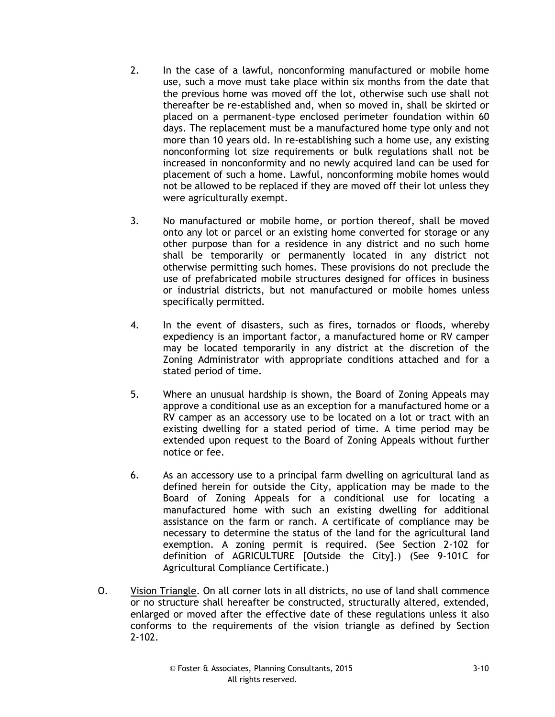- 2. In the case of a lawful, nonconforming manufactured or mobile home use, such a move must take place within six months from the date that the previous home was moved off the lot, otherwise such use shall not thereafter be re-established and, when so moved in, shall be skirted or placed on a permanent-type enclosed perimeter foundation within 60 days. The replacement must be a manufactured home type only and not more than 10 years old. In re-establishing such a home use, any existing nonconforming lot size requirements or bulk regulations shall not be increased in nonconformity and no newly acquired land can be used for placement of such a home. Lawful, nonconforming mobile homes would not be allowed to be replaced if they are moved off their lot unless they were agriculturally exempt.
- 3. No manufactured or mobile home, or portion thereof, shall be moved onto any lot or parcel or an existing home converted for storage or any other purpose than for a residence in any district and no such home shall be temporarily or permanently located in any district not otherwise permitting such homes. These provisions do not preclude the use of prefabricated mobile structures designed for offices in business or industrial districts, but not manufactured or mobile homes unless specifically permitted.
- 4. In the event of disasters, such as fires, tornados or floods, whereby expediency is an important factor, a manufactured home or RV camper may be located temporarily in any district at the discretion of the Zoning Administrator with appropriate conditions attached and for a stated period of time.
- 5. Where an unusual hardship is shown, the Board of Zoning Appeals may approve a conditional use as an exception for a manufactured home or a RV camper as an accessory use to be located on a lot or tract with an existing dwelling for a stated period of time. A time period may be extended upon request to the Board of Zoning Appeals without further notice or fee.
- 6. As an accessory use to a principal farm dwelling on agricultural land as defined herein for outside the City, application may be made to the Board of Zoning Appeals for a conditional use for locating a manufactured home with such an existing dwelling for additional assistance on the farm or ranch. A certificate of compliance may be necessary to determine the status of the land for the agricultural land exemption. A zoning permit is required. (See Section 2-102 for definition of AGRICULTURE [Outside the City].) (See 9-101C for Agricultural Compliance Certificate.)
- O. Vision Triangle. On all corner lots in all districts, no use of land shall commence or no structure shall hereafter be constructed, structurally altered, extended, enlarged or moved after the effective date of these regulations unless it also conforms to the requirements of the vision triangle as defined by Section 2-102.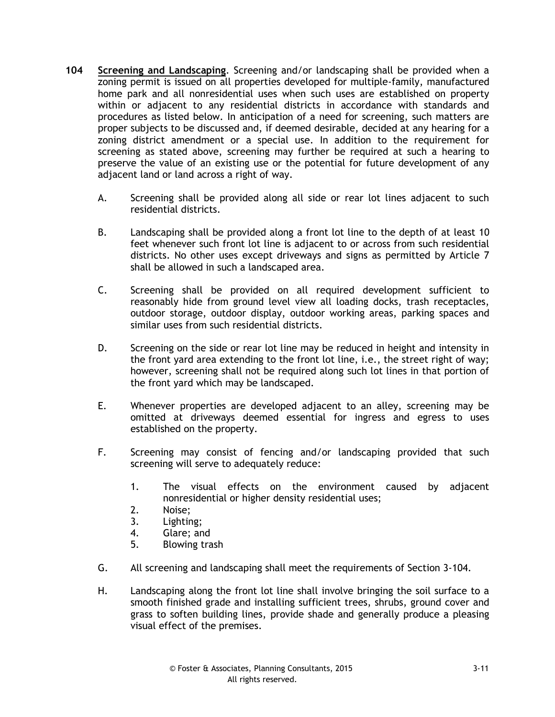- **104 Screening and Landscaping**. Screening and/or landscaping shall be provided when a zoning permit is issued on all properties developed for multiple-family, manufactured home park and all nonresidential uses when such uses are established on property within or adjacent to any residential districts in accordance with standards and procedures as listed below. In anticipation of a need for screening, such matters are proper subjects to be discussed and, if deemed desirable, decided at any hearing for a zoning district amendment or a special use. In addition to the requirement for screening as stated above, screening may further be required at such a hearing to preserve the value of an existing use or the potential for future development of any adjacent land or land across a right of way.
	- A. Screening shall be provided along all side or rear lot lines adjacent to such residential districts.
	- B. Landscaping shall be provided along a front lot line to the depth of at least 10 feet whenever such front lot line is adjacent to or across from such residential districts. No other uses except driveways and signs as permitted by Article 7 shall be allowed in such a landscaped area.
	- C. Screening shall be provided on all required development sufficient to reasonably hide from ground level view all loading docks, trash receptacles, outdoor storage, outdoor display, outdoor working areas, parking spaces and similar uses from such residential districts.
	- D. Screening on the side or rear lot line may be reduced in height and intensity in the front yard area extending to the front lot line, i.e., the street right of way; however, screening shall not be required along such lot lines in that portion of the front yard which may be landscaped.
	- E. Whenever properties are developed adjacent to an alley, screening may be omitted at driveways deemed essential for ingress and egress to uses established on the property.
	- F. Screening may consist of fencing and/or landscaping provided that such screening will serve to adequately reduce:
		- 1. The visual effects on the environment caused by adjacent nonresidential or higher density residential uses;
		- 2. Noise;
		- 3. Lighting;
		- 4. Glare; and
		- 5. Blowing trash
	- G. All screening and landscaping shall meet the requirements of Section 3-104.
	- H. Landscaping along the front lot line shall involve bringing the soil surface to a smooth finished grade and installing sufficient trees, shrubs, ground cover and grass to soften building lines, provide shade and generally produce a pleasing visual effect of the premises.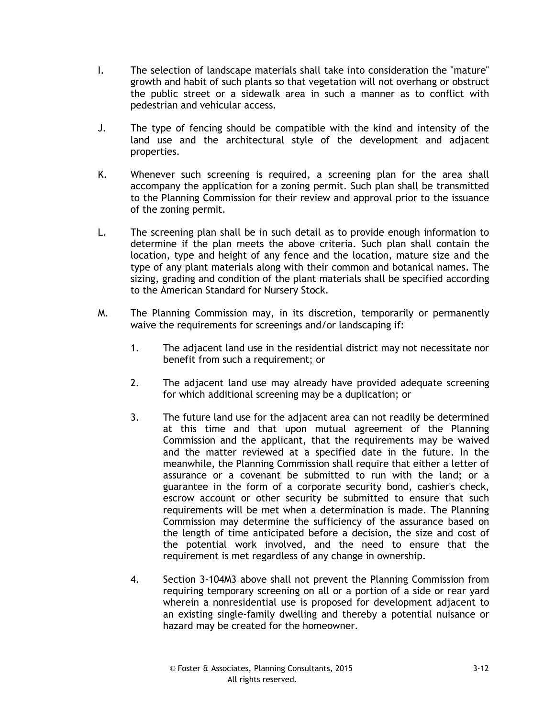- I. The selection of landscape materials shall take into consideration the "mature" growth and habit of such plants so that vegetation will not overhang or obstruct the public street or a sidewalk area in such a manner as to conflict with pedestrian and vehicular access.
- J. The type of fencing should be compatible with the kind and intensity of the land use and the architectural style of the development and adjacent properties.
- K. Whenever such screening is required, a screening plan for the area shall accompany the application for a zoning permit. Such plan shall be transmitted to the Planning Commission for their review and approval prior to the issuance of the zoning permit.
- L. The screening plan shall be in such detail as to provide enough information to determine if the plan meets the above criteria. Such plan shall contain the location, type and height of any fence and the location, mature size and the type of any plant materials along with their common and botanical names. The sizing, grading and condition of the plant materials shall be specified according to the American Standard for Nursery Stock.
- M. The Planning Commission may, in its discretion, temporarily or permanently waive the requirements for screenings and/or landscaping if:
	- 1. The adjacent land use in the residential district may not necessitate nor benefit from such a requirement; or
	- 2. The adjacent land use may already have provided adequate screening for which additional screening may be a duplication; or
	- 3. The future land use for the adjacent area can not readily be determined at this time and that upon mutual agreement of the Planning Commission and the applicant, that the requirements may be waived and the matter reviewed at a specified date in the future. In the meanwhile, the Planning Commission shall require that either a letter of assurance or a covenant be submitted to run with the land; or a guarantee in the form of a corporate security bond, cashier's check, escrow account or other security be submitted to ensure that such requirements will be met when a determination is made. The Planning Commission may determine the sufficiency of the assurance based on the length of time anticipated before a decision, the size and cost of the potential work involved, and the need to ensure that the requirement is met regardless of any change in ownership.
	- 4. Section 3-104M3 above shall not prevent the Planning Commission from requiring temporary screening on all or a portion of a side or rear yard wherein a nonresidential use is proposed for development adjacent to an existing single-family dwelling and thereby a potential nuisance or hazard may be created for the homeowner.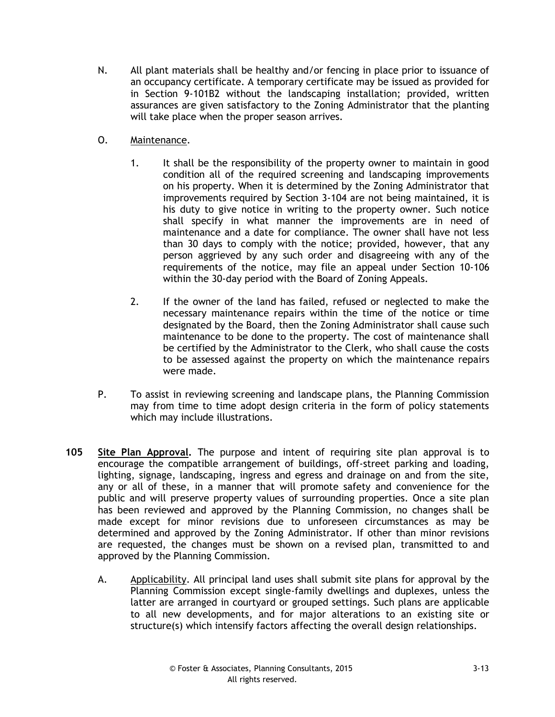- N. All plant materials shall be healthy and/or fencing in place prior to issuance of an occupancy certificate. A temporary certificate may be issued as provided for in Section 9-101B2 without the landscaping installation; provided, written assurances are given satisfactory to the Zoning Administrator that the planting will take place when the proper season arrives.
- O. Maintenance.
	- 1. It shall be the responsibility of the property owner to maintain in good condition all of the required screening and landscaping improvements on his property. When it is determined by the Zoning Administrator that improvements required by Section 3-104 are not being maintained, it is his duty to give notice in writing to the property owner. Such notice shall specify in what manner the improvements are in need of maintenance and a date for compliance. The owner shall have not less than 30 days to comply with the notice; provided, however, that any person aggrieved by any such order and disagreeing with any of the requirements of the notice, may file an appeal under Section 10-106 within the 30-day period with the Board of Zoning Appeals.
	- 2. If the owner of the land has failed, refused or neglected to make the necessary maintenance repairs within the time of the notice or time designated by the Board, then the Zoning Administrator shall cause such maintenance to be done to the property. The cost of maintenance shall be certified by the Administrator to the Clerk, who shall cause the costs to be assessed against the property on which the maintenance repairs were made.
- P. To assist in reviewing screening and landscape plans, the Planning Commission may from time to time adopt design criteria in the form of policy statements which may include illustrations.
- **105 Site Plan Approval.** The purpose and intent of requiring site plan approval is to encourage the compatible arrangement of buildings, off-street parking and loading, lighting, signage, landscaping, ingress and egress and drainage on and from the site, any or all of these, in a manner that will promote safety and convenience for the public and will preserve property values of surrounding properties. Once a site plan has been reviewed and approved by the Planning Commission, no changes shall be made except for minor revisions due to unforeseen circumstances as may be determined and approved by the Zoning Administrator. If other than minor revisions are requested, the changes must be shown on a revised plan, transmitted to and approved by the Planning Commission.
	- A. Applicability. All principal land uses shall submit site plans for approval by the Planning Commission except single-family dwellings and duplexes, unless the latter are arranged in courtyard or grouped settings. Such plans are applicable to all new developments, and for major alterations to an existing site or structure(s) which intensify factors affecting the overall design relationships.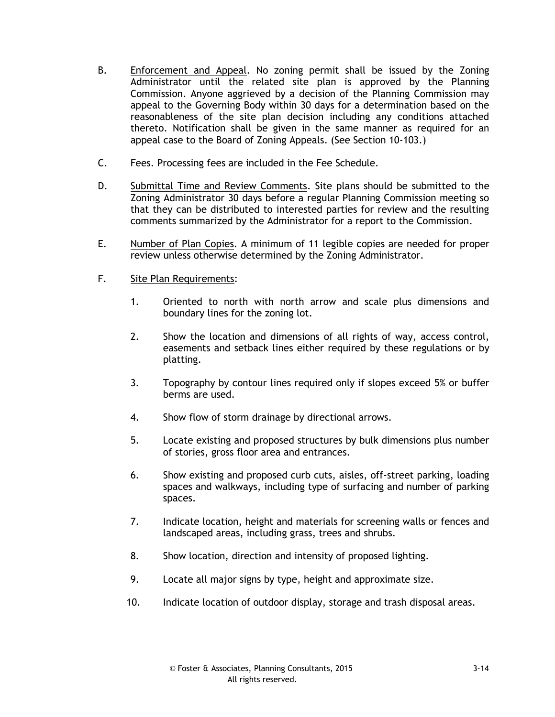- B. Enforcement and Appeal. No zoning permit shall be issued by the Zoning Administrator until the related site plan is approved by the Planning Commission. Anyone aggrieved by a decision of the Planning Commission may appeal to the Governing Body within 30 days for a determination based on the reasonableness of the site plan decision including any conditions attached thereto. Notification shall be given in the same manner as required for an appeal case to the Board of Zoning Appeals. (See Section 10-103.)
- C. Fees. Processing fees are included in the Fee Schedule.
- D. Submittal Time and Review Comments. Site plans should be submitted to the Zoning Administrator 30 days before a regular Planning Commission meeting so that they can be distributed to interested parties for review and the resulting comments summarized by the Administrator for a report to the Commission.
- E. Number of Plan Copies. A minimum of 11 legible copies are needed for proper review unless otherwise determined by the Zoning Administrator.
- F. Site Plan Requirements:
	- 1. Oriented to north with north arrow and scale plus dimensions and boundary lines for the zoning lot.
	- 2. Show the location and dimensions of all rights of way, access control, easements and setback lines either required by these regulations or by platting.
	- 3. Topography by contour lines required only if slopes exceed 5% or buffer berms are used.
	- 4. Show flow of storm drainage by directional arrows.
	- 5. Locate existing and proposed structures by bulk dimensions plus number of stories, gross floor area and entrances.
	- 6. Show existing and proposed curb cuts, aisles, off-street parking, loading spaces and walkways, including type of surfacing and number of parking spaces.
	- 7. Indicate location, height and materials for screening walls or fences and landscaped areas, including grass, trees and shrubs.
	- 8. Show location, direction and intensity of proposed lighting.
	- 9. Locate all major signs by type, height and approximate size.
	- 10. Indicate location of outdoor display, storage and trash disposal areas.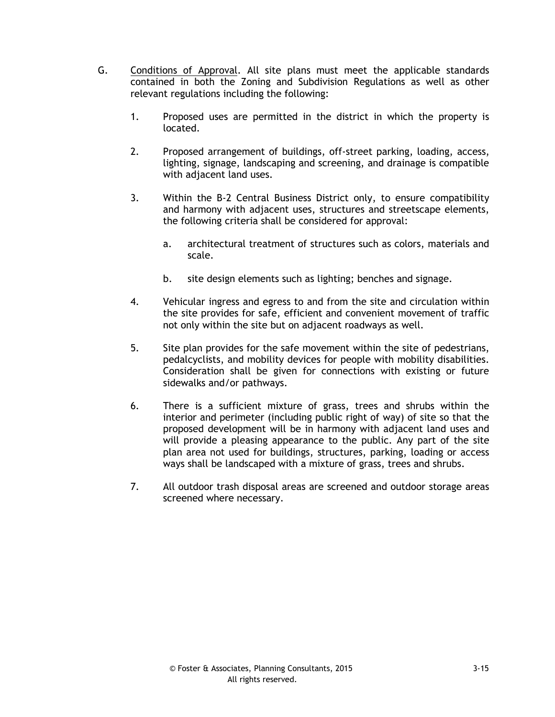- G. Conditions of Approval. All site plans must meet the applicable standards contained in both the Zoning and Subdivision Regulations as well as other relevant regulations including the following:
	- 1. Proposed uses are permitted in the district in which the property is located.
	- 2. Proposed arrangement of buildings, off-street parking, loading, access, lighting, signage, landscaping and screening, and drainage is compatible with adjacent land uses.
	- 3. Within the B-2 Central Business District only, to ensure compatibility and harmony with adjacent uses, structures and streetscape elements, the following criteria shall be considered for approval:
		- a. architectural treatment of structures such as colors, materials and scale.
		- b. site design elements such as lighting; benches and signage.
	- 4. Vehicular ingress and egress to and from the site and circulation within the site provides for safe, efficient and convenient movement of traffic not only within the site but on adjacent roadways as well.
	- 5. Site plan provides for the safe movement within the site of pedestrians, pedalcyclists, and mobility devices for people with mobility disabilities. Consideration shall be given for connections with existing or future sidewalks and/or pathways.
	- 6. There is a sufficient mixture of grass, trees and shrubs within the interior and perimeter (including public right of way) of site so that the proposed development will be in harmony with adjacent land uses and will provide a pleasing appearance to the public. Any part of the site plan area not used for buildings, structures, parking, loading or access ways shall be landscaped with a mixture of grass, trees and shrubs.
	- 7. All outdoor trash disposal areas are screened and outdoor storage areas screened where necessary.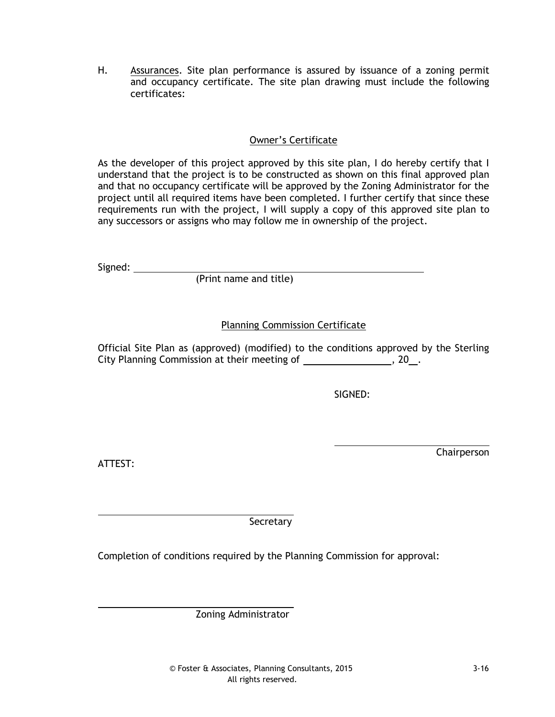H. Assurances. Site plan performance is assured by issuance of a zoning permit and occupancy certificate. The site plan drawing must include the following certificates:

## Owner's Certificate

As the developer of this project approved by this site plan, I do hereby certify that I understand that the project is to be constructed as shown on this final approved plan and that no occupancy certificate will be approved by the Zoning Administrator for the project until all required items have been completed. I further certify that since these requirements run with the project, I will supply a copy of this approved site plan to any successors or assigns who may follow me in ownership of the project.

Signed: \_\_\_\_\_\_\_\_\_\_\_\_

(Print name and title)

## Planning Commission Certificate

Official Site Plan as (approved) (modified) to the conditions approved by the Sterling City Planning Commission at their meeting of \_\_\_\_\_\_\_\_\_\_\_\_\_\_\_\_, 20\_.

SIGNED:

ATTEST:

Chairperson

Secretary

Completion of conditions required by the Planning Commission for approval:

Zoning Administrator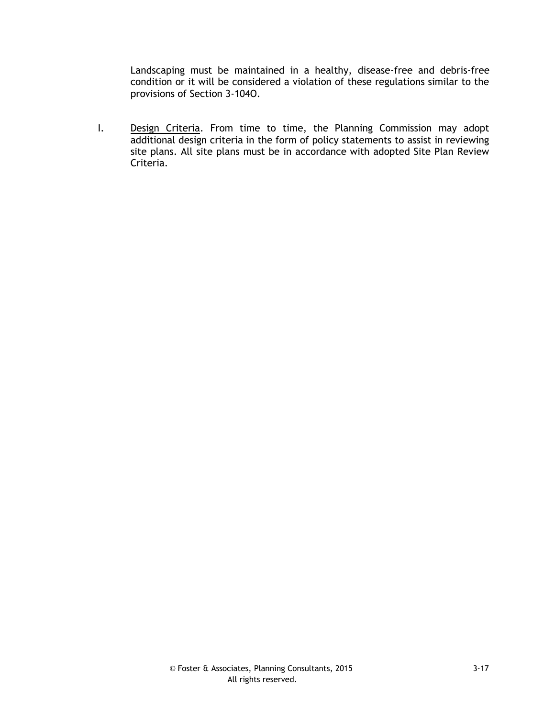Landscaping must be maintained in a healthy, disease-free and debris-free condition or it will be considered a violation of these regulations similar to the provisions of Section 3-104O.

I. Design Criteria. From time to time, the Planning Commission may adopt additional design criteria in the form of policy statements to assist in reviewing site plans. All site plans must be in accordance with adopted Site Plan Review Criteria.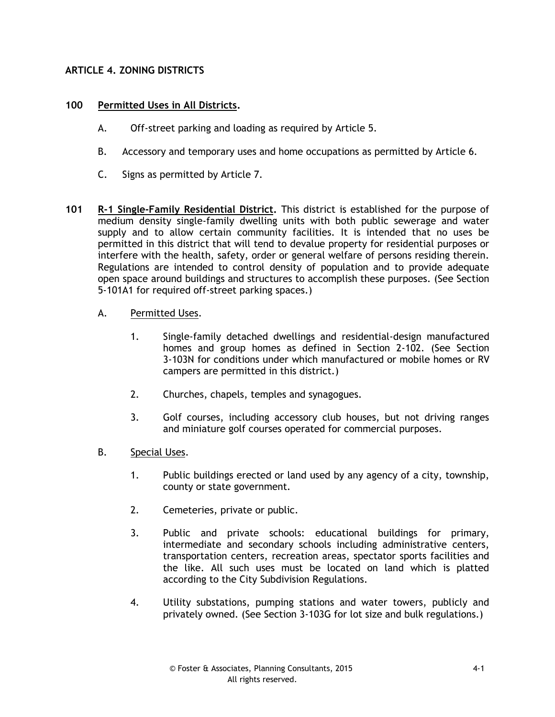### **ARTICLE 4. ZONING DISTRICTS**

### **100 Permitted Uses in All Districts.**

- A. Off-street parking and loading as required by Article 5.
- B. Accessory and temporary uses and home occupations as permitted by Article 6.
- C. Signs as permitted by Article 7.
- **101 R-1 Single-Family Residential District.** This district is established for the purpose of medium density single-family dwelling units with both public sewerage and water supply and to allow certain community facilities. It is intended that no uses be permitted in this district that will tend to devalue property for residential purposes or interfere with the health, safety, order or general welfare of persons residing therein. Regulations are intended to control density of population and to provide adequate open space around buildings and structures to accomplish these purposes. (See Section 5-101A1 for required off-street parking spaces.)
	- A. Permitted Uses.
		- 1. Single-family detached dwellings and residential-design manufactured homes and group homes as defined in Section 2-102. (See Section 3-103N for conditions under which manufactured or mobile homes or RV campers are permitted in this district.)
		- 2. Churches, chapels, temples and synagogues.
		- 3. Golf courses, including accessory club houses, but not driving ranges and miniature golf courses operated for commercial purposes.
	- B. Special Uses.
		- 1. Public buildings erected or land used by any agency of a city, township, county or state government.
		- 2. Cemeteries, private or public.
		- 3. Public and private schools: educational buildings for primary, intermediate and secondary schools including administrative centers, transportation centers, recreation areas, spectator sports facilities and the like. All such uses must be located on land which is platted according to the City Subdivision Regulations.
		- 4. Utility substations, pumping stations and water towers, publicly and privately owned. (See Section 3-103G for lot size and bulk regulations.)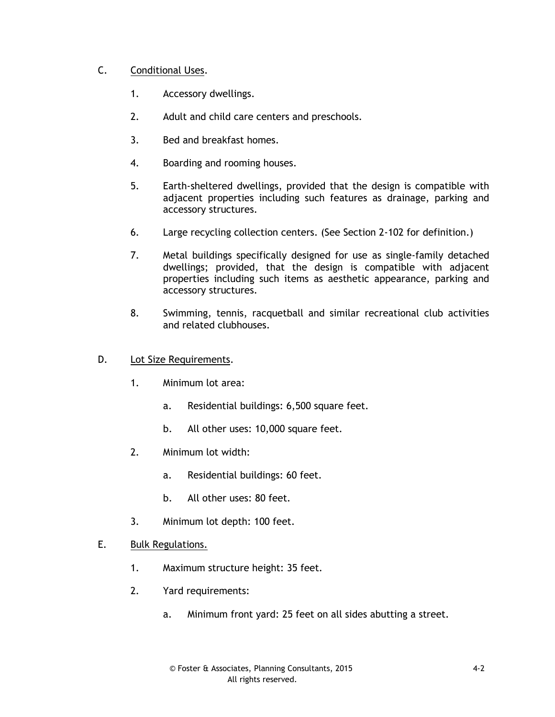## C. Conditional Uses.

- 1. Accessory dwellings.
- 2. Adult and child care centers and preschools.
- 3. Bed and breakfast homes.
- 4. Boarding and rooming houses.
- 5. Earth-sheltered dwellings, provided that the design is compatible with adjacent properties including such features as drainage, parking and accessory structures.
- 6. Large recycling collection centers. (See Section 2-102 for definition.)
- 7. Metal buildings specifically designed for use as single-family detached dwellings; provided, that the design is compatible with adjacent properties including such items as aesthetic appearance, parking and accessory structures.
- 8. Swimming, tennis, racquetball and similar recreational club activities and related clubhouses.
- D. Lot Size Requirements.
	- 1. Minimum lot area:
		- a. Residential buildings: 6,500 square feet.
		- b. All other uses: 10,000 square feet.
	- 2. Minimum lot width:
		- a. Residential buildings: 60 feet.
		- b. All other uses: 80 feet.
	- 3. Minimum lot depth: 100 feet.
- E. Bulk Regulations.
	- 1. Maximum structure height: 35 feet.
	- 2. Yard requirements:
		- a. Minimum front yard: 25 feet on all sides abutting a street.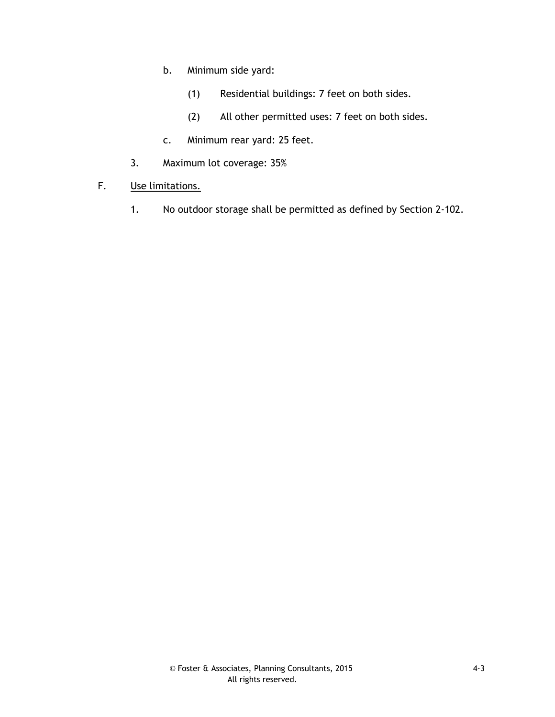- b. Minimum side yard:
	- (1) Residential buildings: 7 feet on both sides.
	- (2) All other permitted uses: 7 feet on both sides.
- c. Minimum rear yard: 25 feet.
- 3. Maximum lot coverage: 35%
- F. Use limitations.
	- 1. No outdoor storage shall be permitted as defined by Section 2-102.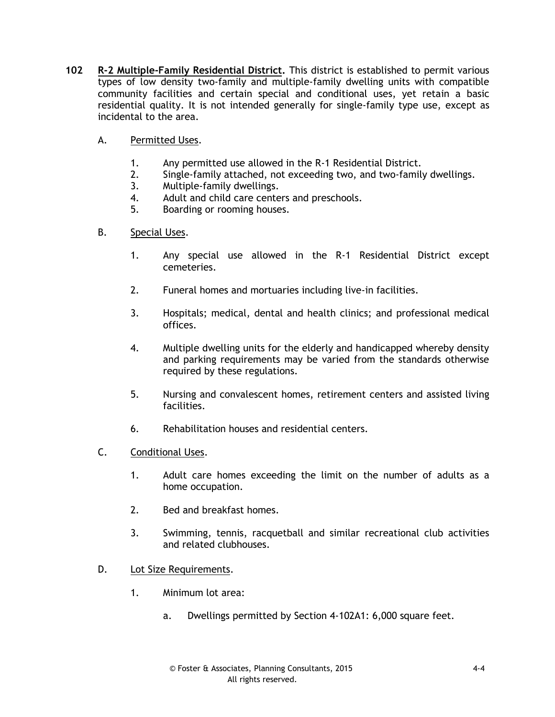- **102 R-2 Multiple-Family Residential District.** This district is established to permit various types of low density two-family and multiple-family dwelling units with compatible community facilities and certain special and conditional uses, yet retain a basic residential quality. It is not intended generally for single-family type use, except as incidental to the area.
	- A. Permitted Uses.
		- 1. Any permitted use allowed in the R-1 Residential District.
		- 2. Single-family attached, not exceeding two, and two-family dwellings.
		- 3. Multiple-family dwellings.
		- 4. Adult and child care centers and preschools.
		- 5. Boarding or rooming houses.
	- B. Special Uses.
		- 1. Any special use allowed in the R-1 Residential District except cemeteries.
		- 2. Funeral homes and mortuaries including live-in facilities.
		- 3. Hospitals; medical, dental and health clinics; and professional medical offices.
		- 4. Multiple dwelling units for the elderly and handicapped whereby density and parking requirements may be varied from the standards otherwise required by these regulations.
		- 5. Nursing and convalescent homes, retirement centers and assisted living facilities.
		- 6. Rehabilitation houses and residential centers.
	- C. Conditional Uses.
		- 1. Adult care homes exceeding the limit on the number of adults as a home occupation.
		- 2. Bed and breakfast homes.
		- 3. Swimming, tennis, racquetball and similar recreational club activities and related clubhouses.
	- D. Lot Size Requirements.
		- 1. Minimum lot area:
			- a. Dwellings permitted by Section 4-102A1: 6,000 square feet.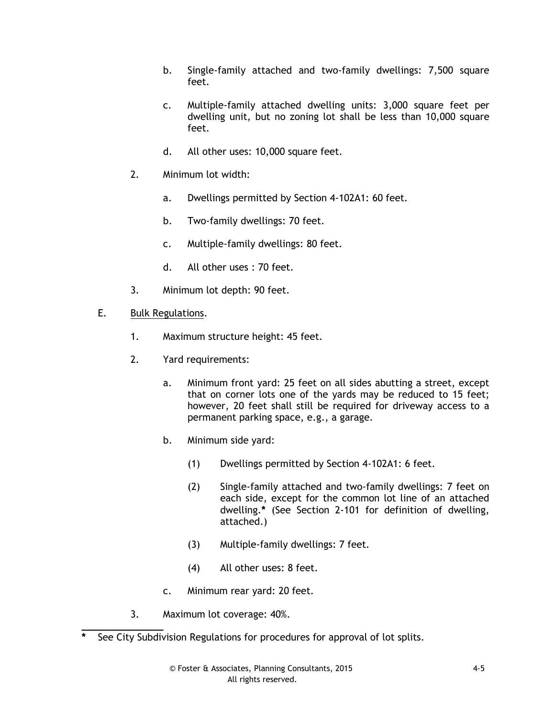- b. Single-family attached and two-family dwellings: 7,500 square feet.
- c. Multiple-family attached dwelling units: 3,000 square feet per dwelling unit, but no zoning lot shall be less than 10,000 square feet.
- d. All other uses: 10,000 square feet.
- 2. Minimum lot width:
	- a. Dwellings permitted by Section 4-102A1: 60 feet.
	- b. Two-family dwellings: 70 feet.
	- c. Multiple-family dwellings: 80 feet.
	- d. All other uses : 70 feet.
- 3. Minimum lot depth: 90 feet.
- E. Bulk Regulations.
	- 1. Maximum structure height: 45 feet.
	- 2. Yard requirements:
		- a. Minimum front yard: 25 feet on all sides abutting a street, except that on corner lots one of the yards may be reduced to 15 feet; however, 20 feet shall still be required for driveway access to a permanent parking space, e.g., a garage.
		- b. Minimum side yard:
			- (1) Dwellings permitted by Section 4-102A1: 6 feet.
			- (2) Single-family attached and two-family dwellings: 7 feet on each side, except for the common lot line of an attached dwelling.**\*** (See Section 2-101 for definition of dwelling, attached.)
			- (3) Multiple-family dwellings: 7 feet.
			- (4) All other uses: 8 feet.
		- c. Minimum rear yard: 20 feet.
	- 3. Maximum lot coverage: 40%.

**\_\_\_\_\_\_\_\_\_\_\_\_\_\_ \*** See City Subdivision Regulations for procedures for approval of lot splits.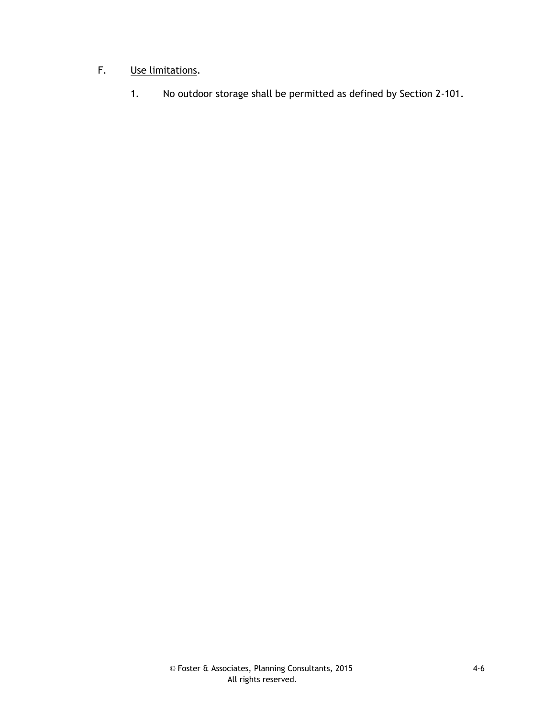# F. Use limitations.

1. No outdoor storage shall be permitted as defined by Section 2-101.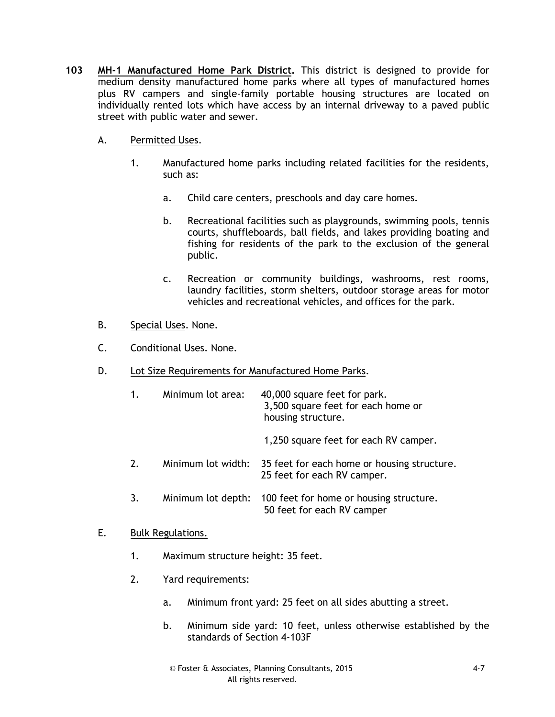- **103 MH-1 Manufactured Home Park District.** This district is designed to provide for medium density manufactured home parks where all types of manufactured homes plus RV campers and single-family portable housing structures are located on individually rented lots which have access by an internal driveway to a paved public street with public water and sewer.
	- A. Permitted Uses.
		- 1. Manufactured home parks including related facilities for the residents, such as:
			- a. Child care centers, preschools and day care homes.
			- b. Recreational facilities such as playgrounds, swimming pools, tennis courts, shuffleboards, ball fields, and lakes providing boating and fishing for residents of the park to the exclusion of the general public.
			- c. Recreation or community buildings, washrooms, rest rooms, laundry facilities, storm shelters, outdoor storage areas for motor vehicles and recreational vehicles, and offices for the park.
	- B. Special Uses. None.
	- C. Conditional Uses. None.
	- D. Lot Size Requirements for Manufactured Home Parks.

| 1. | Minimum lot area:  | 40,000 square feet for park.<br>3,500 square feet for each home or<br>housing structure. |
|----|--------------------|------------------------------------------------------------------------------------------|
|    |                    | 1,250 square feet for each RV camper.                                                    |
| 2. | Minimum lot width: | 35 feet for each home or housing structure.<br>25 feet for each RV camper.               |
| 3. | Minimum lot depth: | 100 feet for home or housing structure.<br>50 feet for each RV camper                    |

### E. Bulk Regulations.

- 1. Maximum structure height: 35 feet.
- 2. Yard requirements:
	- a. Minimum front yard: 25 feet on all sides abutting a street.
	- b. Minimum side yard: 10 feet, unless otherwise established by the standards of Section 4-103F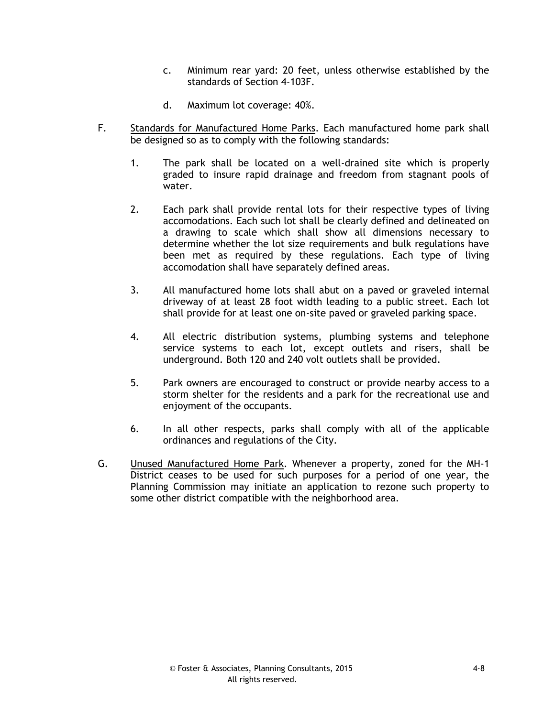- c. Minimum rear yard: 20 feet, unless otherwise established by the standards of Section 4-103F.
- d. Maximum lot coverage: 40%.
- F. Standards for Manufactured Home Parks. Each manufactured home park shall be designed so as to comply with the following standards:
	- 1. The park shall be located on a well-drained site which is properly graded to insure rapid drainage and freedom from stagnant pools of water.
	- 2. Each park shall provide rental lots for their respective types of living accomodations. Each such lot shall be clearly defined and delineated on a drawing to scale which shall show all dimensions necessary to determine whether the lot size requirements and bulk regulations have been met as required by these regulations. Each type of living accomodation shall have separately defined areas.
	- 3. All manufactured home lots shall abut on a paved or graveled internal driveway of at least 28 foot width leading to a public street. Each lot shall provide for at least one on-site paved or graveled parking space.
	- 4. All electric distribution systems, plumbing systems and telephone service systems to each lot, except outlets and risers, shall be underground. Both 120 and 240 volt outlets shall be provided.
	- 5. Park owners are encouraged to construct or provide nearby access to a storm shelter for the residents and a park for the recreational use and enjoyment of the occupants.
	- 6. In all other respects, parks shall comply with all of the applicable ordinances and regulations of the City.
- G. Unused Manufactured Home Park. Whenever a property, zoned for the MH-1 District ceases to be used for such purposes for a period of one year, the Planning Commission may initiate an application to rezone such property to some other district compatible with the neighborhood area.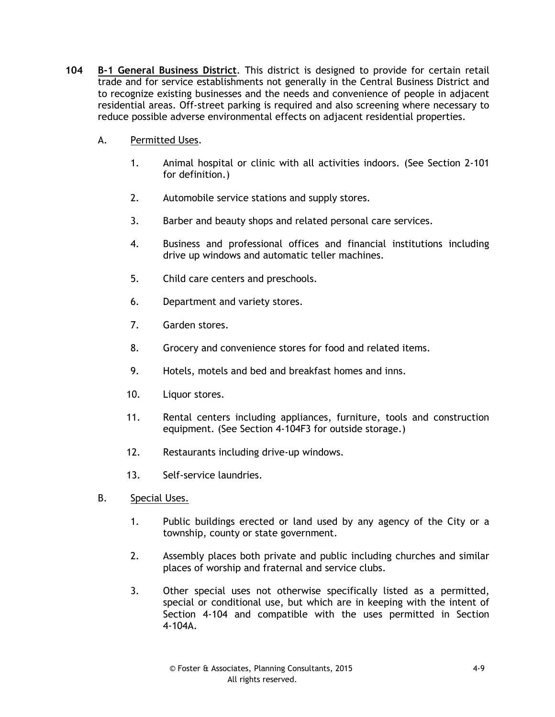- **104 B-1 General Business District**. This district is designed to provide for certain retail trade and for service establishments not generally in the Central Business District and to recognize existing businesses and the needs and convenience of people in adjacent residential areas. Off-street parking is required and also screening where necessary to reduce possible adverse environmental effects on adjacent residential properties.
	- A. Permitted Uses.
		- 1. Animal hospital or clinic with all activities indoors. (See Section 2-101 for definition.)
		- 2. Automobile service stations and supply stores.
		- 3. Barber and beauty shops and related personal care services.
		- 4. Business and professional offices and financial institutions including drive up windows and automatic teller machines.
		- 5. Child care centers and preschools.
		- 6. Department and variety stores.
		- 7. Garden stores.
		- 8. Grocery and convenience stores for food and related items.
		- 9. Hotels, motels and bed and breakfast homes and inns.
		- 10. Liquor stores.
		- 11. Rental centers including appliances, furniture, tools and construction equipment. (See Section 4-104F3 for outside storage.)
		- 12. Restaurants including drive-up windows.
		- 13. Self-service laundries.
	- B. Special Uses.
		- 1. Public buildings erected or land used by any agency of the City or a township, county or state government.
		- 2. Assembly places both private and public including churches and similar places of worship and fraternal and service clubs.
		- 3. Other special uses not otherwise specifically listed as a permitted, special or conditional use, but which are in keeping with the intent of Section 4-104 and compatible with the uses permitted in Section 4-104A.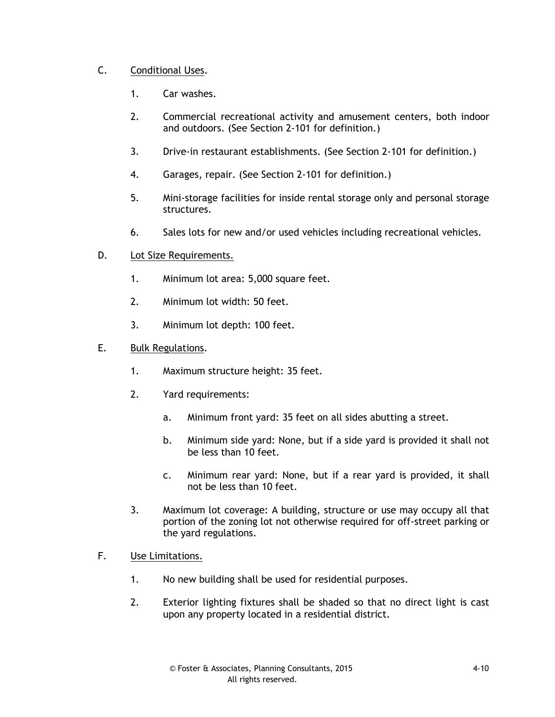## C. Conditional Uses.

- 1. Car washes.
- 2. Commercial recreational activity and amusement centers, both indoor and outdoors. (See Section 2-101 for definition.)
- 3. Drive-in restaurant establishments. (See Section 2-101 for definition.)
- 4. Garages, repair. (See Section 2-101 for definition.)
- 5. Mini-storage facilities for inside rental storage only and personal storage structures.
- 6. Sales lots for new and/or used vehicles including recreational vehicles.
- D. Lot Size Requirements.
	- 1. Minimum lot area: 5,000 square feet.
	- 2. Minimum lot width: 50 feet.
	- 3. Minimum lot depth: 100 feet.
- E. Bulk Regulations.
	- 1. Maximum structure height: 35 feet.
	- 2. Yard requirements:
		- a. Minimum front yard: 35 feet on all sides abutting a street.
		- b. Minimum side yard: None, but if a side yard is provided it shall not be less than 10 feet.
		- c. Minimum rear yard: None, but if a rear yard is provided, it shall not be less than 10 feet.
	- 3. Maximum lot coverage: A building, structure or use may occupy all that portion of the zoning lot not otherwise required for off-street parking or the yard regulations.
- F. Use Limitations.
	- 1. No new building shall be used for residential purposes.
	- 2. Exterior lighting fixtures shall be shaded so that no direct light is cast upon any property located in a residential district.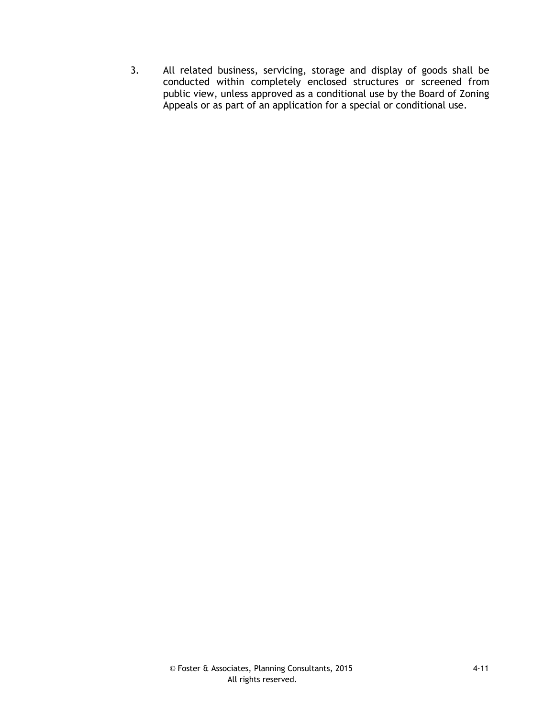3. All related business, servicing, storage and display of goods shall be conducted within completely enclosed structures or screened from public view, unless approved as a conditional use by the Board of Zoning Appeals or as part of an application for a special or conditional use.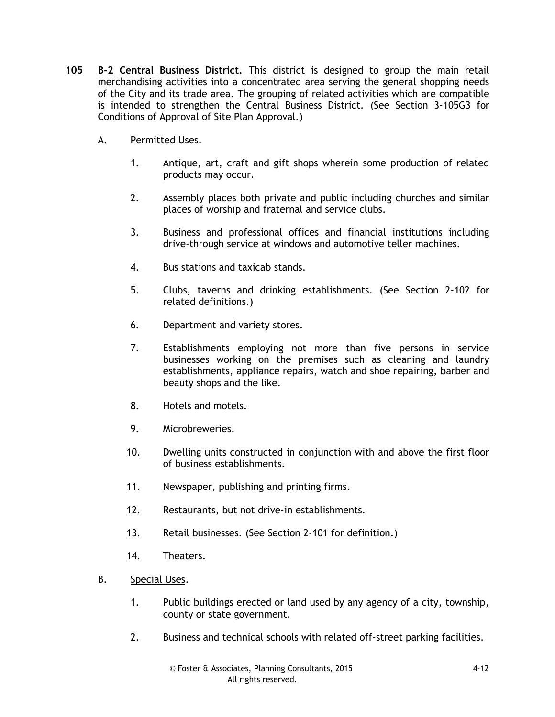- **105 B-2 Central Business District.** This district is designed to group the main retail merchandising activities into a concentrated area serving the general shopping needs of the City and its trade area. The grouping of related activities which are compatible is intended to strengthen the Central Business District. (See Section 3-105G3 for Conditions of Approval of Site Plan Approval.)
	- A. Permitted Uses.
		- 1. Antique, art, craft and gift shops wherein some production of related products may occur.
		- 2. Assembly places both private and public including churches and similar places of worship and fraternal and service clubs.
		- 3. Business and professional offices and financial institutions including drive-through service at windows and automotive teller machines.
		- 4. Bus stations and taxicab stands.
		- 5. Clubs, taverns and drinking establishments. (See Section 2-102 for related definitions.)
		- 6. Department and variety stores.
		- 7. Establishments employing not more than five persons in service businesses working on the premises such as cleaning and laundry establishments, appliance repairs, watch and shoe repairing, barber and beauty shops and the like.
		- 8. Hotels and motels.
		- 9. Microbreweries.
		- 10. Dwelling units constructed in conjunction with and above the first floor of business establishments.
		- 11. Newspaper, publishing and printing firms.
		- 12. Restaurants, but not drive-in establishments.
		- 13. Retail businesses. (See Section 2-101 for definition.)
		- 14. Theaters.
	- B. Special Uses.
		- 1. Public buildings erected or land used by any agency of a city, township, county or state government.
		- 2. Business and technical schools with related off-street parking facilities.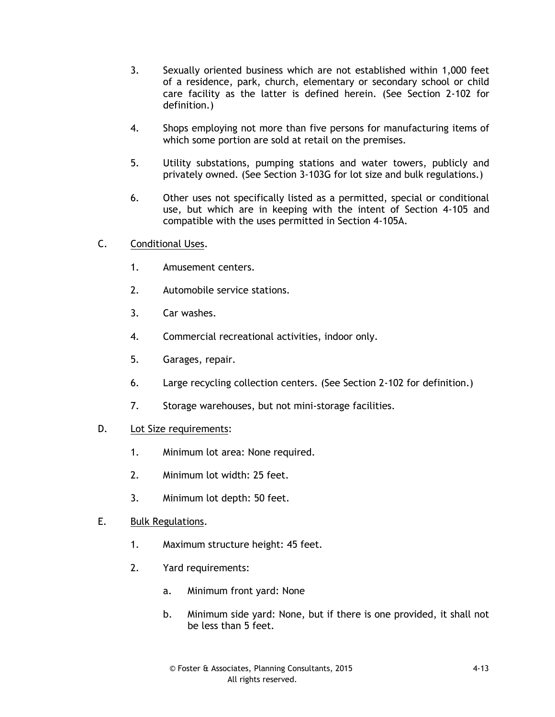- 3. Sexually oriented business which are not established within 1,000 feet of a residence, park, church, elementary or secondary school or child care facility as the latter is defined herein. (See Section 2-102 for definition.)
- 4. Shops employing not more than five persons for manufacturing items of which some portion are sold at retail on the premises.
- 5. Utility substations, pumping stations and water towers, publicly and privately owned. (See Section 3-103G for lot size and bulk regulations.)
- 6. Other uses not specifically listed as a permitted, special or conditional use, but which are in keeping with the intent of Section 4-105 and compatible with the uses permitted in Section 4-105A.
- C. Conditional Uses.
	- 1. Amusement centers.
	- 2. Automobile service stations.
	- 3. Car washes.
	- 4. Commercial recreational activities, indoor only.
	- 5. Garages, repair.
	- 6. Large recycling collection centers. (See Section 2-102 for definition.)
	- 7. Storage warehouses, but not mini-storage facilities.
- D. Lot Size requirements:
	- 1. Minimum lot area: None required.
	- 2. Minimum lot width: 25 feet.
	- 3. Minimum lot depth: 50 feet.
- E. Bulk Regulations.
	- 1. Maximum structure height: 45 feet.
	- 2. Yard requirements:
		- a. Minimum front yard: None
		- b. Minimum side yard: None, but if there is one provided, it shall not be less than 5 feet.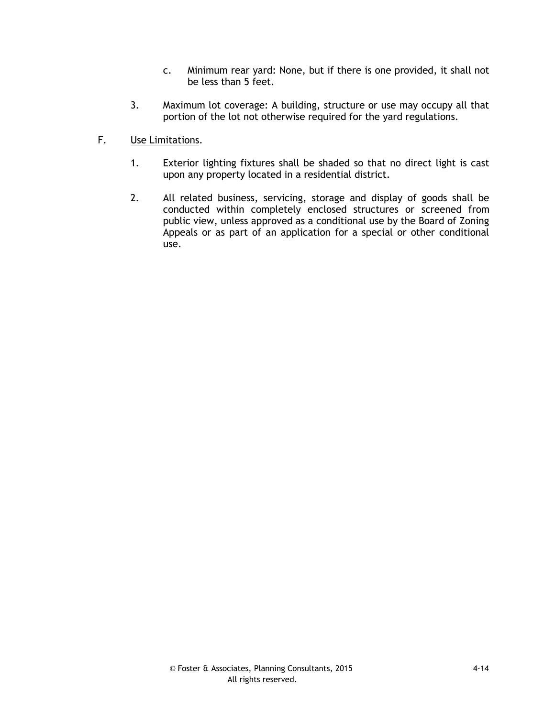- c. Minimum rear yard: None, but if there is one provided, it shall not be less than 5 feet.
- 3. Maximum lot coverage: A building, structure or use may occupy all that portion of the lot not otherwise required for the yard regulations.
- F. Use Limitations.
	- 1. Exterior lighting fixtures shall be shaded so that no direct light is cast upon any property located in a residential district.
	- 2. All related business, servicing, storage and display of goods shall be conducted within completely enclosed structures or screened from public view, unless approved as a conditional use by the Board of Zoning Appeals or as part of an application for a special or other conditional use.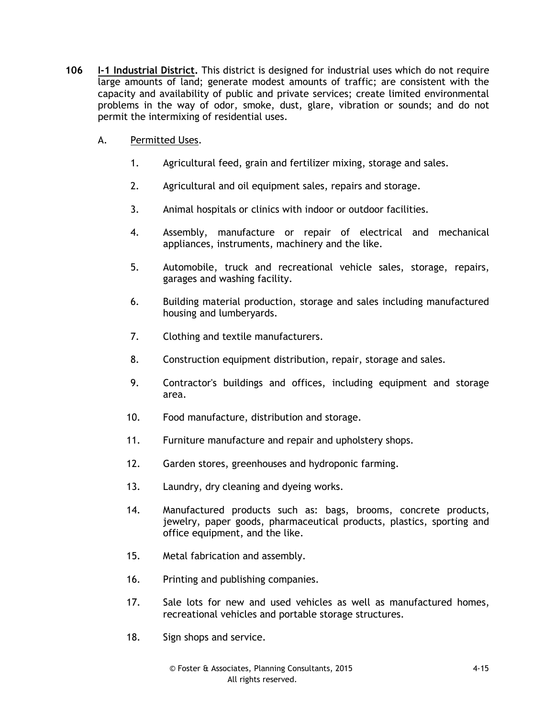- **106 I-1 Industrial District.** This district is designed for industrial uses which do not require large amounts of land; generate modest amounts of traffic; are consistent with the capacity and availability of public and private services; create limited environmental problems in the way of odor, smoke, dust, glare, vibration or sounds; and do not permit the intermixing of residential uses.
	- A. Permitted Uses.
		- 1. Agricultural feed, grain and fertilizer mixing, storage and sales.
		- 2. Agricultural and oil equipment sales, repairs and storage.
		- 3. Animal hospitals or clinics with indoor or outdoor facilities.
		- 4. Assembly, manufacture or repair of electrical and mechanical appliances, instruments, machinery and the like.
		- 5. Automobile, truck and recreational vehicle sales, storage, repairs, garages and washing facility.
		- 6. Building material production, storage and sales including manufactured housing and lumberyards.
		- 7. Clothing and textile manufacturers.
		- 8. Construction equipment distribution, repair, storage and sales.
		- 9. Contractor's buildings and offices, including equipment and storage area.
		- 10. Food manufacture, distribution and storage.
		- 11. Furniture manufacture and repair and upholstery shops.
		- 12. Garden stores, greenhouses and hydroponic farming.
		- 13. Laundry, dry cleaning and dyeing works.
		- 14. Manufactured products such as: bags, brooms, concrete products, jewelry, paper goods, pharmaceutical products, plastics, sporting and office equipment, and the like.
		- 15. Metal fabrication and assembly.
		- 16. Printing and publishing companies.
		- 17. Sale lots for new and used vehicles as well as manufactured homes, recreational vehicles and portable storage structures.
		- 18. Sign shops and service.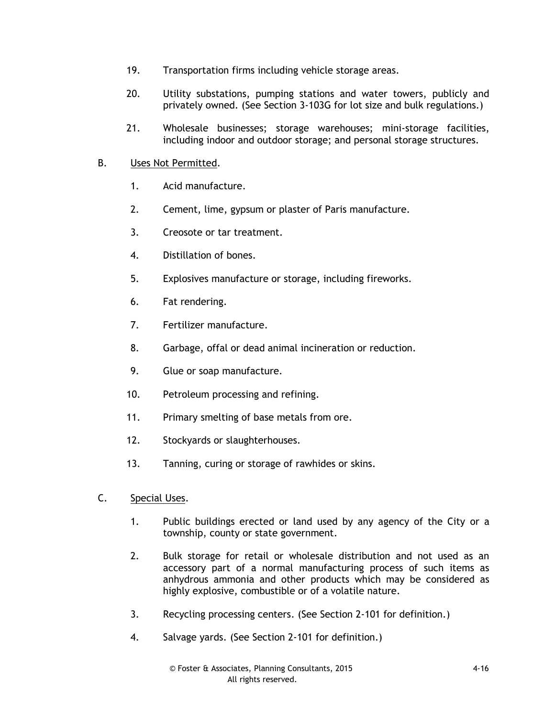- 19. Transportation firms including vehicle storage areas.
- 20. Utility substations, pumping stations and water towers, publicly and privately owned. (See Section 3-103G for lot size and bulk regulations.)
- 21. Wholesale businesses; storage warehouses; mini-storage facilities, including indoor and outdoor storage; and personal storage structures.
- B. Uses Not Permitted.
	- 1. Acid manufacture.
	- 2. Cement, lime, gypsum or plaster of Paris manufacture.
	- 3. Creosote or tar treatment.
	- 4. Distillation of bones.
	- 5. Explosives manufacture or storage, including fireworks.
	- 6. Fat rendering.
	- 7. Fertilizer manufacture.
	- 8. Garbage, offal or dead animal incineration or reduction.
	- 9. Glue or soap manufacture.
	- 10. Petroleum processing and refining.
	- 11. Primary smelting of base metals from ore.
	- 12. Stockyards or slaughterhouses.
	- 13. Tanning, curing or storage of rawhides or skins.
- C. Special Uses.
	- 1. Public buildings erected or land used by any agency of the City or a township, county or state government.
	- 2. Bulk storage for retail or wholesale distribution and not used as an accessory part of a normal manufacturing process of such items as anhydrous ammonia and other products which may be considered as highly explosive, combustible or of a volatile nature.
	- 3. Recycling processing centers. (See Section 2-101 for definition.)
	- 4. Salvage yards. (See Section 2-101 for definition.)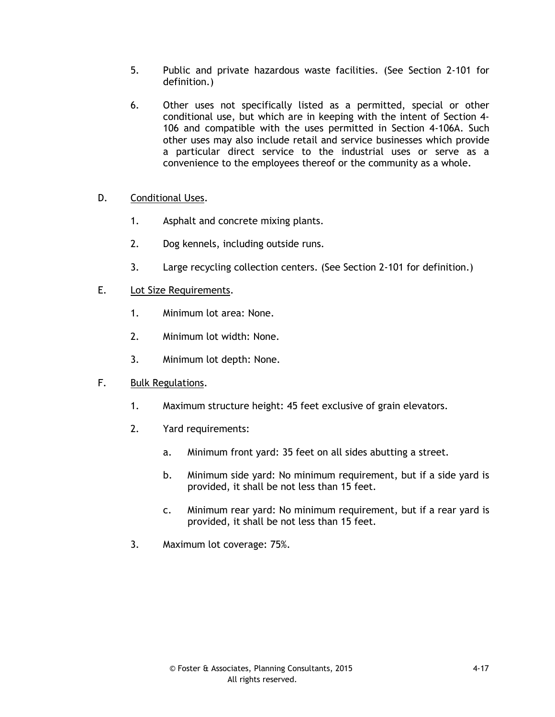- 5. Public and private hazardous waste facilities. (See Section 2-101 for definition.)
- 6. Other uses not specifically listed as a permitted, special or other conditional use, but which are in keeping with the intent of Section 4- 106 and compatible with the uses permitted in Section 4-106A. Such other uses may also include retail and service businesses which provide a particular direct service to the industrial uses or serve as a convenience to the employees thereof or the community as a whole.
- D. Conditional Uses.
	- 1. Asphalt and concrete mixing plants.
	- 2. Dog kennels, including outside runs.
	- 3. Large recycling collection centers. (See Section 2-101 for definition.)
- E. Lot Size Requirements.
	- 1. Minimum lot area: None.
	- 2. Minimum lot width: None.
	- 3. Minimum lot depth: None.
- F. Bulk Regulations.
	- 1. Maximum structure height: 45 feet exclusive of grain elevators.
	- 2. Yard requirements:
		- a. Minimum front yard: 35 feet on all sides abutting a street.
		- b. Minimum side yard: No minimum requirement, but if a side yard is provided, it shall be not less than 15 feet.
		- c. Minimum rear yard: No minimum requirement, but if a rear yard is provided, it shall be not less than 15 feet.
	- 3. Maximum lot coverage: 75%.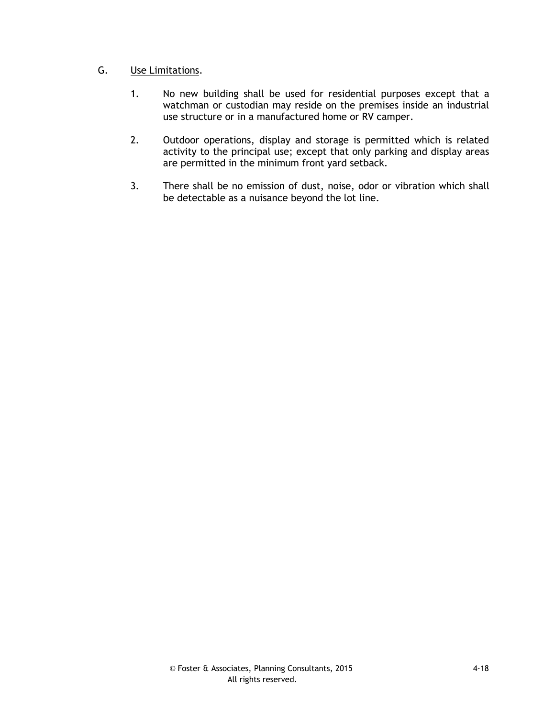## G. Use Limitations.

- 1. No new building shall be used for residential purposes except that a watchman or custodian may reside on the premises inside an industrial use structure or in a manufactured home or RV camper.
- 2. Outdoor operations, display and storage is permitted which is related activity to the principal use; except that only parking and display areas are permitted in the minimum front yard setback.
- 3. There shall be no emission of dust, noise, odor or vibration which shall be detectable as a nuisance beyond the lot line.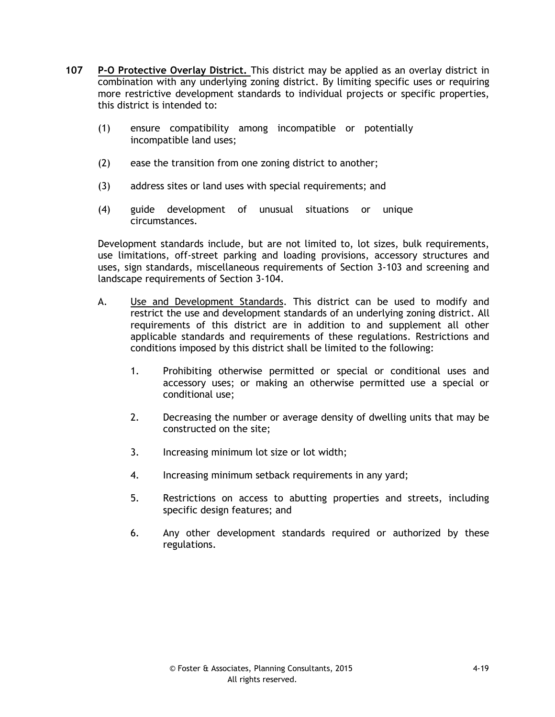- **107 P-O Protective Overlay District.** This district may be applied as an overlay district in combination with any underlying zoning district. By limiting specific uses or requiring more restrictive development standards to individual projects or specific properties, this district is intended to:
	- (1) ensure compatibility among incompatible or potentially incompatible land uses;
	- (2) ease the transition from one zoning district to another;
	- (3) address sites or land uses with special requirements; and
	- (4) guide development of unusual situations or unique circumstances.

Development standards include, but are not limited to, lot sizes, bulk requirements, use limitations, off-street parking and loading provisions, accessory structures and uses, sign standards, miscellaneous requirements of Section 3-103 and screening and landscape requirements of Section 3-104.

- A. Use and Development Standards. This district can be used to modify and restrict the use and development standards of an underlying zoning district. All requirements of this district are in addition to and supplement all other applicable standards and requirements of these regulations. Restrictions and conditions imposed by this district shall be limited to the following:
	- 1. Prohibiting otherwise permitted or special or conditional uses and accessory uses; or making an otherwise permitted use a special or conditional use;
	- 2. Decreasing the number or average density of dwelling units that may be constructed on the site;
	- 3. Increasing minimum lot size or lot width;
	- 4. Increasing minimum setback requirements in any yard;
	- 5. Restrictions on access to abutting properties and streets, including specific design features; and
	- 6. Any other development standards required or authorized by these regulations.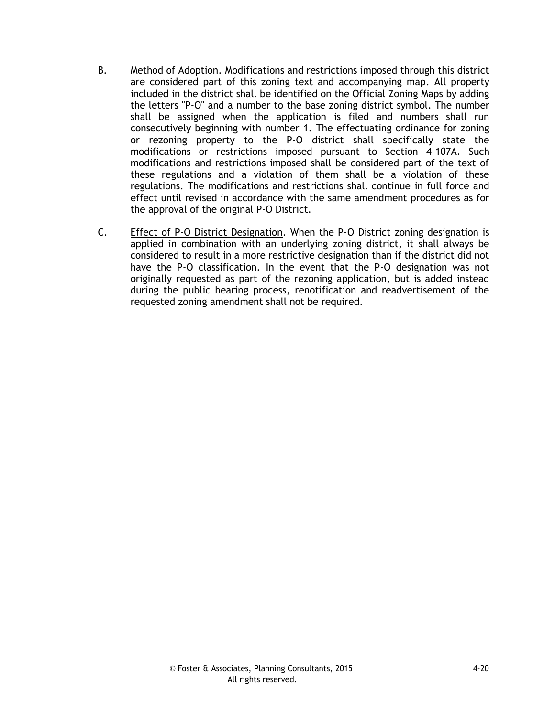- B. Method of Adoption. Modifications and restrictions imposed through this district are considered part of this zoning text and accompanying map. All property included in the district shall be identified on the Official Zoning Maps by adding the letters "P-O" and a number to the base zoning district symbol. The number shall be assigned when the application is filed and numbers shall run consecutively beginning with number 1. The effectuating ordinance for zoning or rezoning property to the P-O district shall specifically state the modifications or restrictions imposed pursuant to Section 4-107A. Such modifications and restrictions imposed shall be considered part of the text of these regulations and a violation of them shall be a violation of these regulations. The modifications and restrictions shall continue in full force and effect until revised in accordance with the same amendment procedures as for the approval of the original P-O District.
- C. Effect of P-O District Designation. When the P-O District zoning designation is applied in combination with an underlying zoning district, it shall always be considered to result in a more restrictive designation than if the district did not have the P-O classification. In the event that the P-O designation was not originally requested as part of the rezoning application, but is added instead during the public hearing process, renotification and readvertisement of the requested zoning amendment shall not be required.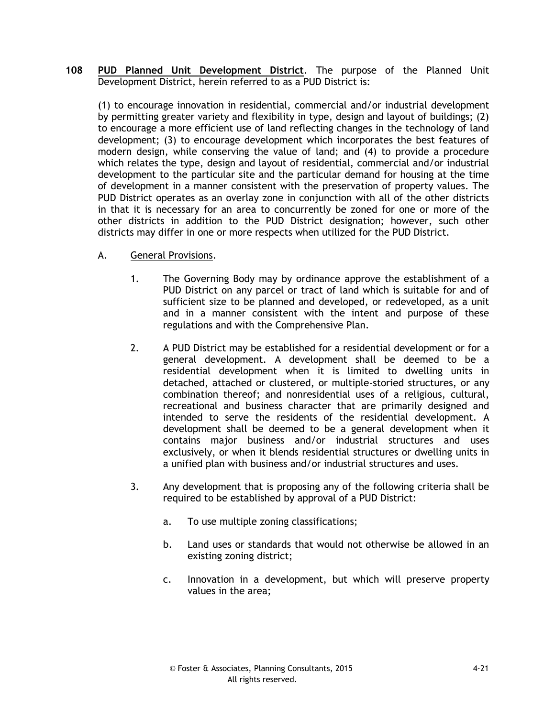**108 PUD Planned Unit Development District**. The purpose of the Planned Unit Development District, herein referred to as a PUD District is:

(1) to encourage innovation in residential, commercial and/or industrial development by permitting greater variety and flexibility in type, design and layout of buildings; (2) to encourage a more efficient use of land reflecting changes in the technology of land development; (3) to encourage development which incorporates the best features of modern design, while conserving the value of land; and (4) to provide a procedure which relates the type, design and layout of residential, commercial and/or industrial development to the particular site and the particular demand for housing at the time of development in a manner consistent with the preservation of property values. The PUD District operates as an overlay zone in conjunction with all of the other districts in that it is necessary for an area to concurrently be zoned for one or more of the other districts in addition to the PUD District designation; however, such other districts may differ in one or more respects when utilized for the PUD District.

- A. General Provisions.
	- 1. The Governing Body may by ordinance approve the establishment of a PUD District on any parcel or tract of land which is suitable for and of sufficient size to be planned and developed, or redeveloped, as a unit and in a manner consistent with the intent and purpose of these regulations and with the Comprehensive Plan.
	- 2. A PUD District may be established for a residential development or for a general development. A development shall be deemed to be a residential development when it is limited to dwelling units in detached, attached or clustered, or multiple-storied structures, or any combination thereof; and nonresidential uses of a religious, cultural, recreational and business character that are primarily designed and intended to serve the residents of the residential development. A development shall be deemed to be a general development when it contains major business and/or industrial structures and uses exclusively, or when it blends residential structures or dwelling units in a unified plan with business and/or industrial structures and uses.
	- 3. Any development that is proposing any of the following criteria shall be required to be established by approval of a PUD District:
		- a. To use multiple zoning classifications;
		- b. Land uses or standards that would not otherwise be allowed in an existing zoning district;
		- c. Innovation in a development, but which will preserve property values in the area;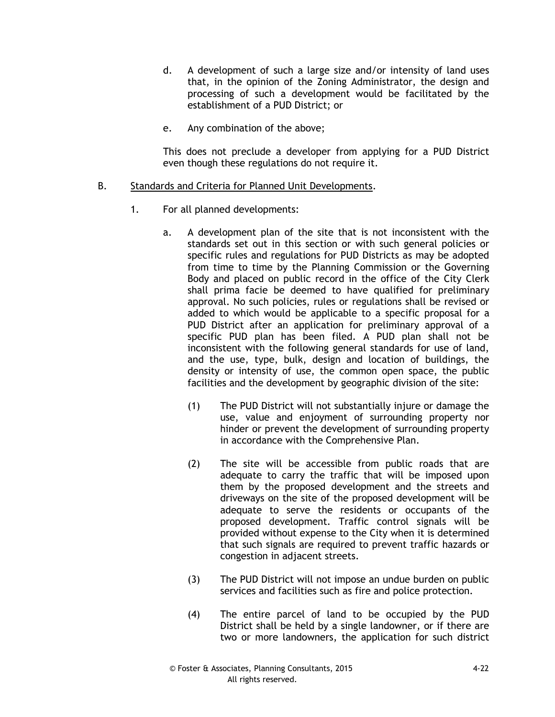- d. A development of such a large size and/or intensity of land uses that, in the opinion of the Zoning Administrator, the design and processing of such a development would be facilitated by the establishment of a PUD District; or
- e. Any combination of the above;

This does not preclude a developer from applying for a PUD District even though these regulations do not require it.

### B. Standards and Criteria for Planned Unit Developments.

- 1. For all planned developments:
	- a. A development plan of the site that is not inconsistent with the standards set out in this section or with such general policies or specific rules and regulations for PUD Districts as may be adopted from time to time by the Planning Commission or the Governing Body and placed on public record in the office of the City Clerk shall prima facie be deemed to have qualified for preliminary approval. No such policies, rules or regulations shall be revised or added to which would be applicable to a specific proposal for a PUD District after an application for preliminary approval of a specific PUD plan has been filed. A PUD plan shall not be inconsistent with the following general standards for use of land, and the use, type, bulk, design and location of buildings, the density or intensity of use, the common open space, the public facilities and the development by geographic division of the site:
		- (1) The PUD District will not substantially injure or damage the use, value and enjoyment of surrounding property nor hinder or prevent the development of surrounding property in accordance with the Comprehensive Plan.
		- (2) The site will be accessible from public roads that are adequate to carry the traffic that will be imposed upon them by the proposed development and the streets and driveways on the site of the proposed development will be adequate to serve the residents or occupants of the proposed development. Traffic control signals will be provided without expense to the City when it is determined that such signals are required to prevent traffic hazards or congestion in adjacent streets.
		- (3) The PUD District will not impose an undue burden on public services and facilities such as fire and police protection.
		- (4) The entire parcel of land to be occupied by the PUD District shall be held by a single landowner, or if there are two or more landowners, the application for such district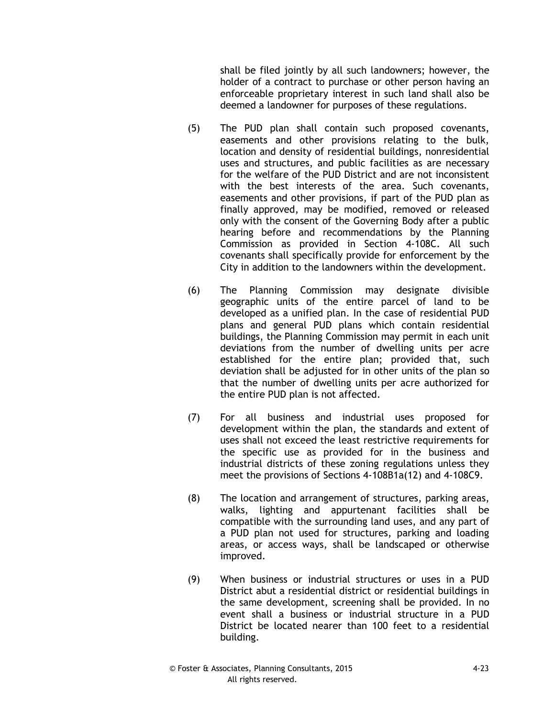shall be filed jointly by all such landowners; however, the holder of a contract to purchase or other person having an enforceable proprietary interest in such land shall also be deemed a landowner for purposes of these regulations.

- (5) The PUD plan shall contain such proposed covenants, easements and other provisions relating to the bulk, location and density of residential buildings, nonresidential uses and structures, and public facilities as are necessary for the welfare of the PUD District and are not inconsistent with the best interests of the area. Such covenants, easements and other provisions, if part of the PUD plan as finally approved, may be modified, removed or released only with the consent of the Governing Body after a public hearing before and recommendations by the Planning Commission as provided in Section 4-108C. All such covenants shall specifically provide for enforcement by the City in addition to the landowners within the development.
- (6) The Planning Commission may designate divisible geographic units of the entire parcel of land to be developed as a unified plan. In the case of residential PUD plans and general PUD plans which contain residential buildings, the Planning Commission may permit in each unit deviations from the number of dwelling units per acre established for the entire plan; provided that, such deviation shall be adjusted for in other units of the plan so that the number of dwelling units per acre authorized for the entire PUD plan is not affected.
- (7) For all business and industrial uses proposed for development within the plan, the standards and extent of uses shall not exceed the least restrictive requirements for the specific use as provided for in the business and industrial districts of these zoning regulations unless they meet the provisions of Sections 4-108B1a(12) and 4-108C9.
- (8) The location and arrangement of structures, parking areas, walks, lighting and appurtenant facilities shall be compatible with the surrounding land uses, and any part of a PUD plan not used for structures, parking and loading areas, or access ways, shall be landscaped or otherwise improved.
- (9) When business or industrial structures or uses in a PUD District abut a residential district or residential buildings in the same development, screening shall be provided. In no event shall a business or industrial structure in a PUD District be located nearer than 100 feet to a residential building.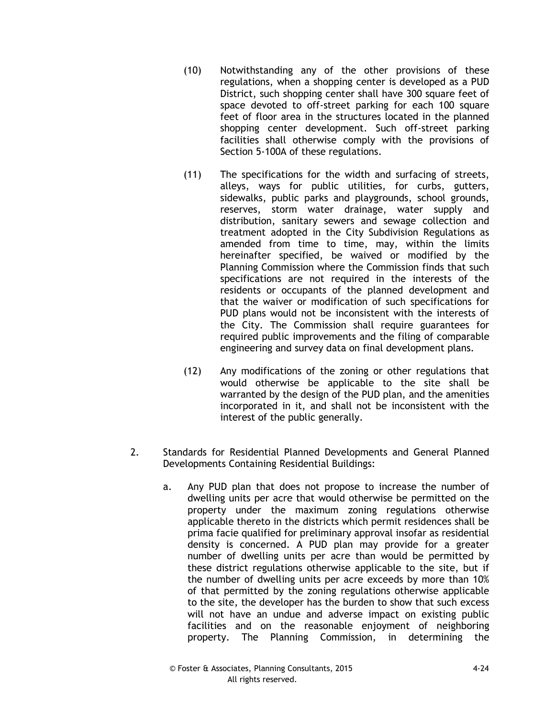- (10) Notwithstanding any of the other provisions of these regulations, when a shopping center is developed as a PUD District, such shopping center shall have 300 square feet of space devoted to off-street parking for each 100 square feet of floor area in the structures located in the planned shopping center development. Such off-street parking facilities shall otherwise comply with the provisions of Section 5-100A of these regulations.
- (11) The specifications for the width and surfacing of streets, alleys, ways for public utilities, for curbs, gutters, sidewalks, public parks and playgrounds, school grounds, reserves, storm water drainage, water supply and distribution, sanitary sewers and sewage collection and treatment adopted in the City Subdivision Regulations as amended from time to time, may, within the limits hereinafter specified, be waived or modified by the Planning Commission where the Commission finds that such specifications are not required in the interests of the residents or occupants of the planned development and that the waiver or modification of such specifications for PUD plans would not be inconsistent with the interests of the City. The Commission shall require guarantees for required public improvements and the filing of comparable engineering and survey data on final development plans.
- (12) Any modifications of the zoning or other regulations that would otherwise be applicable to the site shall be warranted by the design of the PUD plan, and the amenities incorporated in it, and shall not be inconsistent with the interest of the public generally.
- 2. Standards for Residential Planned Developments and General Planned Developments Containing Residential Buildings:
	- a. Any PUD plan that does not propose to increase the number of dwelling units per acre that would otherwise be permitted on the property under the maximum zoning regulations otherwise applicable thereto in the districts which permit residences shall be prima facie qualified for preliminary approval insofar as residential density is concerned. A PUD plan may provide for a greater number of dwelling units per acre than would be permitted by these district regulations otherwise applicable to the site, but if the number of dwelling units per acre exceeds by more than 10% of that permitted by the zoning regulations otherwise applicable to the site, the developer has the burden to show that such excess will not have an undue and adverse impact on existing public facilities and on the reasonable enjoyment of neighboring property. The Planning Commission, in determining the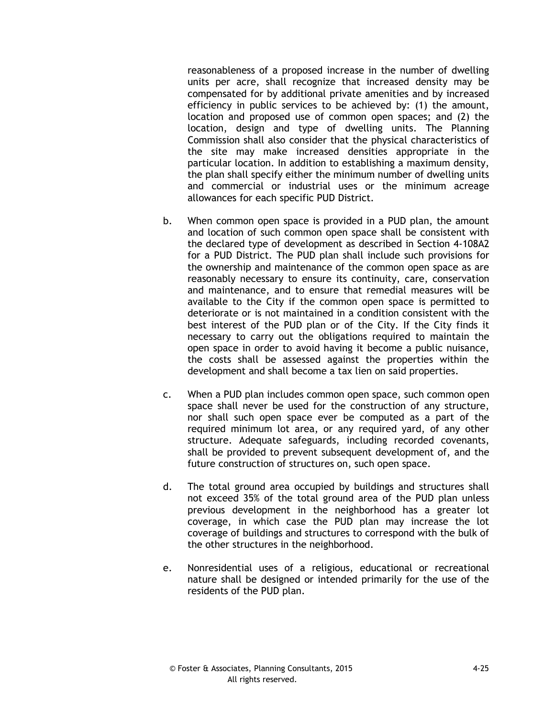reasonableness of a proposed increase in the number of dwelling units per acre, shall recognize that increased density may be compensated for by additional private amenities and by increased efficiency in public services to be achieved by: (1) the amount, location and proposed use of common open spaces; and (2) the location, design and type of dwelling units. The Planning Commission shall also consider that the physical characteristics of the site may make increased densities appropriate in the particular location. In addition to establishing a maximum density, the plan shall specify either the minimum number of dwelling units and commercial or industrial uses or the minimum acreage allowances for each specific PUD District.

- b. When common open space is provided in a PUD plan, the amount and location of such common open space shall be consistent with the declared type of development as described in Section 4-108A2 for a PUD District. The PUD plan shall include such provisions for the ownership and maintenance of the common open space as are reasonably necessary to ensure its continuity, care, conservation and maintenance, and to ensure that remedial measures will be available to the City if the common open space is permitted to deteriorate or is not maintained in a condition consistent with the best interest of the PUD plan or of the City. If the City finds it necessary to carry out the obligations required to maintain the open space in order to avoid having it become a public nuisance, the costs shall be assessed against the properties within the development and shall become a tax lien on said properties.
- c. When a PUD plan includes common open space, such common open space shall never be used for the construction of any structure, nor shall such open space ever be computed as a part of the required minimum lot area, or any required yard, of any other structure. Adequate safeguards, including recorded covenants, shall be provided to prevent subsequent development of, and the future construction of structures on, such open space.
- d. The total ground area occupied by buildings and structures shall not exceed 35% of the total ground area of the PUD plan unless previous development in the neighborhood has a greater lot coverage, in which case the PUD plan may increase the lot coverage of buildings and structures to correspond with the bulk of the other structures in the neighborhood.
- e. Nonresidential uses of a religious, educational or recreational nature shall be designed or intended primarily for the use of the residents of the PUD plan.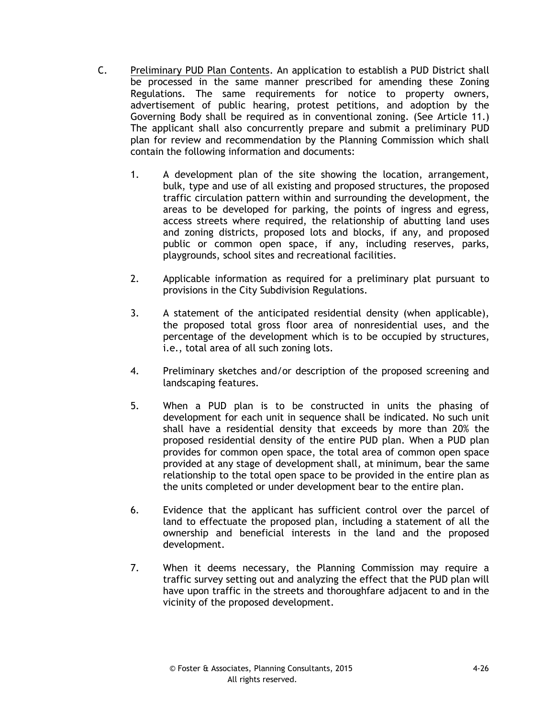- C. Preliminary PUD Plan Contents. An application to establish a PUD District shall be processed in the same manner prescribed for amending these Zoning Regulations. The same requirements for notice to property owners, advertisement of public hearing, protest petitions, and adoption by the Governing Body shall be required as in conventional zoning. (See Article 11.) The applicant shall also concurrently prepare and submit a preliminary PUD plan for review and recommendation by the Planning Commission which shall contain the following information and documents:
	- 1. A development plan of the site showing the location, arrangement, bulk, type and use of all existing and proposed structures, the proposed traffic circulation pattern within and surrounding the development, the areas to be developed for parking, the points of ingress and egress, access streets where required, the relationship of abutting land uses and zoning districts, proposed lots and blocks, if any, and proposed public or common open space, if any, including reserves, parks, playgrounds, school sites and recreational facilities.
	- 2. Applicable information as required for a preliminary plat pursuant to provisions in the City Subdivision Regulations.
	- 3. A statement of the anticipated residential density (when applicable), the proposed total gross floor area of nonresidential uses, and the percentage of the development which is to be occupied by structures, i.e., total area of all such zoning lots.
	- 4. Preliminary sketches and/or description of the proposed screening and landscaping features.
	- 5. When a PUD plan is to be constructed in units the phasing of development for each unit in sequence shall be indicated. No such unit shall have a residential density that exceeds by more than 20% the proposed residential density of the entire PUD plan. When a PUD plan provides for common open space, the total area of common open space provided at any stage of development shall, at minimum, bear the same relationship to the total open space to be provided in the entire plan as the units completed or under development bear to the entire plan.
	- 6. Evidence that the applicant has sufficient control over the parcel of land to effectuate the proposed plan, including a statement of all the ownership and beneficial interests in the land and the proposed development.
	- 7. When it deems necessary, the Planning Commission may require a traffic survey setting out and analyzing the effect that the PUD plan will have upon traffic in the streets and thoroughfare adjacent to and in the vicinity of the proposed development.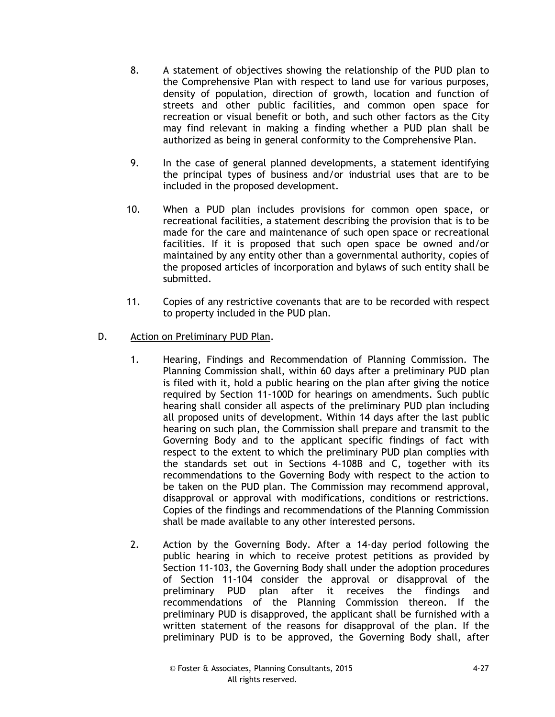- 8. A statement of objectives showing the relationship of the PUD plan to the Comprehensive Plan with respect to land use for various purposes, density of population, direction of growth, location and function of streets and other public facilities, and common open space for recreation or visual benefit or both, and such other factors as the City may find relevant in making a finding whether a PUD plan shall be authorized as being in general conformity to the Comprehensive Plan.
- 9. In the case of general planned developments, a statement identifying the principal types of business and/or industrial uses that are to be included in the proposed development.
- 10. When a PUD plan includes provisions for common open space, or recreational facilities, a statement describing the provision that is to be made for the care and maintenance of such open space or recreational facilities. If it is proposed that such open space be owned and/or maintained by any entity other than a governmental authority, copies of the proposed articles of incorporation and bylaws of such entity shall be submitted.
- 11. Copies of any restrictive covenants that are to be recorded with respect to property included in the PUD plan.
- D. Action on Preliminary PUD Plan.
	- 1. Hearing, Findings and Recommendation of Planning Commission. The Planning Commission shall, within 60 days after a preliminary PUD plan is filed with it, hold a public hearing on the plan after giving the notice required by Section 11-100D for hearings on amendments. Such public hearing shall consider all aspects of the preliminary PUD plan including all proposed units of development. Within 14 days after the last public hearing on such plan, the Commission shall prepare and transmit to the Governing Body and to the applicant specific findings of fact with respect to the extent to which the preliminary PUD plan complies with the standards set out in Sections 4-108B and C, together with its recommendations to the Governing Body with respect to the action to be taken on the PUD plan. The Commission may recommend approval, disapproval or approval with modifications, conditions or restrictions. Copies of the findings and recommendations of the Planning Commission shall be made available to any other interested persons.
	- 2. Action by the Governing Body. After a 14-day period following the public hearing in which to receive protest petitions as provided by Section 11-103, the Governing Body shall under the adoption procedures of Section 11-104 consider the approval or disapproval of the preliminary PUD plan after it receives the findings and recommendations of the Planning Commission thereon. If the preliminary PUD is disapproved, the applicant shall be furnished with a written statement of the reasons for disapproval of the plan. If the preliminary PUD is to be approved, the Governing Body shall, after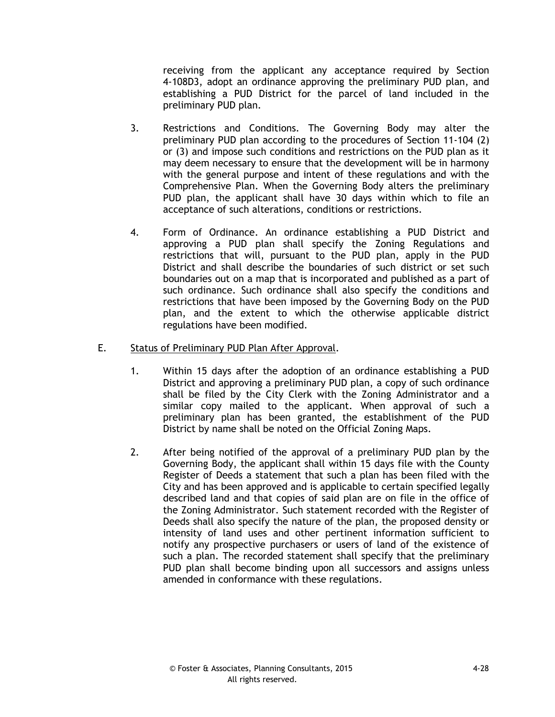receiving from the applicant any acceptance required by Section 4-108D3, adopt an ordinance approving the preliminary PUD plan, and establishing a PUD District for the parcel of land included in the preliminary PUD plan.

- 3. Restrictions and Conditions. The Governing Body may alter the preliminary PUD plan according to the procedures of Section 11-104 (2) or (3) and impose such conditions and restrictions on the PUD plan as it may deem necessary to ensure that the development will be in harmony with the general purpose and intent of these regulations and with the Comprehensive Plan. When the Governing Body alters the preliminary PUD plan, the applicant shall have 30 days within which to file an acceptance of such alterations, conditions or restrictions.
- 4. Form of Ordinance. An ordinance establishing a PUD District and approving a PUD plan shall specify the Zoning Regulations and restrictions that will, pursuant to the PUD plan, apply in the PUD District and shall describe the boundaries of such district or set such boundaries out on a map that is incorporated and published as a part of such ordinance. Such ordinance shall also specify the conditions and restrictions that have been imposed by the Governing Body on the PUD plan, and the extent to which the otherwise applicable district regulations have been modified.

### E. Status of Preliminary PUD Plan After Approval.

- 1. Within 15 days after the adoption of an ordinance establishing a PUD District and approving a preliminary PUD plan, a copy of such ordinance shall be filed by the City Clerk with the Zoning Administrator and a similar copy mailed to the applicant. When approval of such a preliminary plan has been granted, the establishment of the PUD District by name shall be noted on the Official Zoning Maps.
- 2. After being notified of the approval of a preliminary PUD plan by the Governing Body, the applicant shall within 15 days file with the County Register of Deeds a statement that such a plan has been filed with the City and has been approved and is applicable to certain specified legally described land and that copies of said plan are on file in the office of the Zoning Administrator. Such statement recorded with the Register of Deeds shall also specify the nature of the plan, the proposed density or intensity of land uses and other pertinent information sufficient to notify any prospective purchasers or users of land of the existence of such a plan. The recorded statement shall specify that the preliminary PUD plan shall become binding upon all successors and assigns unless amended in conformance with these regulations.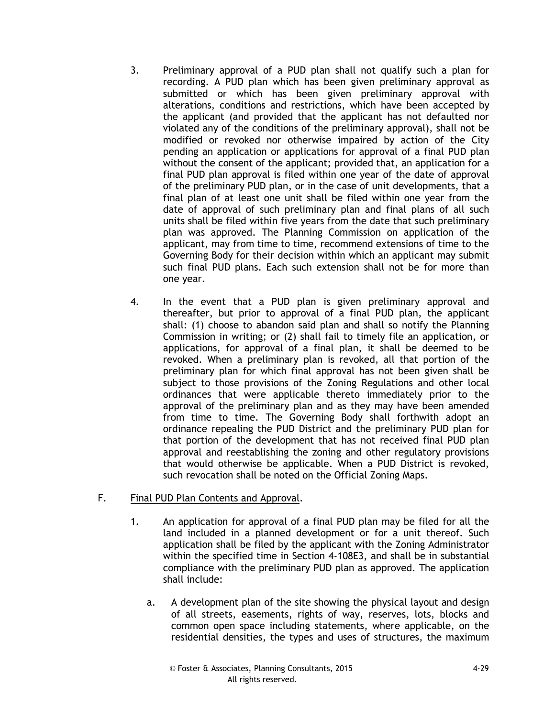- 3. Preliminary approval of a PUD plan shall not qualify such a plan for recording. A PUD plan which has been given preliminary approval as submitted or which has been given preliminary approval with alterations, conditions and restrictions, which have been accepted by the applicant (and provided that the applicant has not defaulted nor violated any of the conditions of the preliminary approval), shall not be modified or revoked nor otherwise impaired by action of the City pending an application or applications for approval of a final PUD plan without the consent of the applicant; provided that, an application for a final PUD plan approval is filed within one year of the date of approval of the preliminary PUD plan, or in the case of unit developments, that a final plan of at least one unit shall be filed within one year from the date of approval of such preliminary plan and final plans of all such units shall be filed within five years from the date that such preliminary plan was approved. The Planning Commission on application of the applicant, may from time to time, recommend extensions of time to the Governing Body for their decision within which an applicant may submit such final PUD plans. Each such extension shall not be for more than one year.
- 4. In the event that a PUD plan is given preliminary approval and thereafter, but prior to approval of a final PUD plan, the applicant shall: (1) choose to abandon said plan and shall so notify the Planning Commission in writing; or (2) shall fail to timely file an application, or applications, for approval of a final plan, it shall be deemed to be revoked. When a preliminary plan is revoked, all that portion of the preliminary plan for which final approval has not been given shall be subject to those provisions of the Zoning Regulations and other local ordinances that were applicable thereto immediately prior to the approval of the preliminary plan and as they may have been amended from time to time. The Governing Body shall forthwith adopt an ordinance repealing the PUD District and the preliminary PUD plan for that portion of the development that has not received final PUD plan approval and reestablishing the zoning and other regulatory provisions that would otherwise be applicable. When a PUD District is revoked, such revocation shall be noted on the Official Zoning Maps.

### F. Final PUD Plan Contents and Approval.

- 1. An application for approval of a final PUD plan may be filed for all the land included in a planned development or for a unit thereof. Such application shall be filed by the applicant with the Zoning Administrator within the specified time in Section 4-108E3, and shall be in substantial compliance with the preliminary PUD plan as approved. The application shall include:
	- a. A development plan of the site showing the physical layout and design of all streets, easements, rights of way, reserves, lots, blocks and common open space including statements, where applicable, on the residential densities, the types and uses of structures, the maximum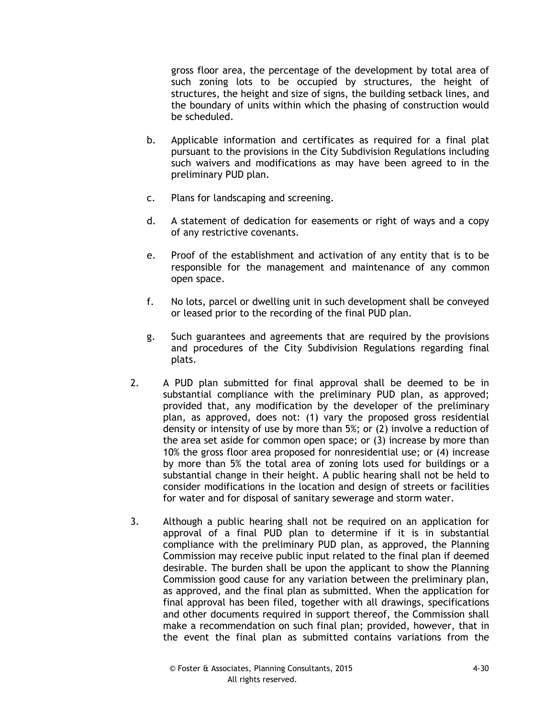gross floor area, the percentage of the development by total area of such zoning lots to be occupied by structures, the height of structures, the height and size of signs, the building setback lines, and the boundary of units within which the phasing of construction would be scheduled.

- b. Applicable information and certificates as required for a final plat pursuant to the provisions in the City Subdivision Regulations including such waivers and modifications as may have been agreed to in the preliminary PUD plan.
- c. Plans for landscaping and screening.
- d. A statement of dedication for easements or right of ways and a copy of any restrictive covenants.
- e. Proof of the establishment and activation of any entity that is to be responsible for the management and maintenance of any common open space.
- f. No lots, parcel or dwelling unit in such development shall be conveyed or leased prior to the recording of the final PUD plan.
- g. Such guarantees and agreements that are required by the provisions and procedures of the City Subdivision Regulations regarding final plats.
- 2. A PUD plan submitted for final approval shall be deemed to be in substantial compliance with the preliminary PUD plan, as approved; provided that, any modification by the developer of the preliminary plan, as approved, does not: (1) vary the proposed gross residential density or intensity of use by more than 5%; or (2) involve a reduction of the area set aside for common open space; or (3) increase by more than 10% the gross floor area proposed for nonresidential use; or (4) increase by more than 5% the total area of zoning lots used for buildings or a substantial change in their height. A public hearing shall not be held to consider modifications in the location and design of streets or facilities for water and for disposal of sanitary sewerage and storm water.
- 3. Although a public hearing shall not be required on an application for approval of a final PUD plan to determine if it is in substantial compliance with the preliminary PUD plan, as approved, the Planning Commission may receive public input related to the final plan if deemed desirable. The burden shall be upon the applicant to show the Planning Commission good cause for any variation between the preliminary plan, as approved, and the final plan as submitted. When the application for final approval has been filed, together with all drawings, specifications and other documents required in support thereof, the Commission shall make a recommendation on such final plan; provided, however, that in the event the final plan as submitted contains variations from the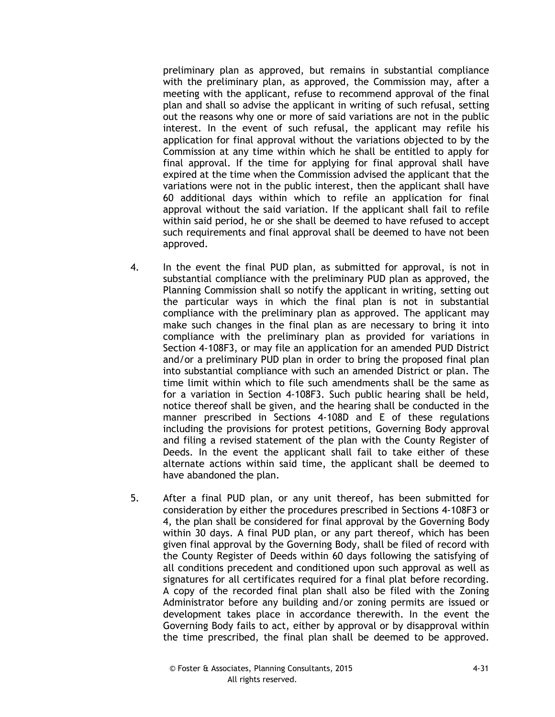preliminary plan as approved, but remains in substantial compliance with the preliminary plan, as approved, the Commission may, after a meeting with the applicant, refuse to recommend approval of the final plan and shall so advise the applicant in writing of such refusal, setting out the reasons why one or more of said variations are not in the public interest. In the event of such refusal, the applicant may refile his application for final approval without the variations objected to by the Commission at any time within which he shall be entitled to apply for final approval. If the time for applying for final approval shall have expired at the time when the Commission advised the applicant that the variations were not in the public interest, then the applicant shall have 60 additional days within which to refile an application for final approval without the said variation. If the applicant shall fail to refile within said period, he or she shall be deemed to have refused to accept such requirements and final approval shall be deemed to have not been approved.

- 4. In the event the final PUD plan, as submitted for approval, is not in substantial compliance with the preliminary PUD plan as approved, the Planning Commission shall so notify the applicant in writing, setting out the particular ways in which the final plan is not in substantial compliance with the preliminary plan as approved. The applicant may make such changes in the final plan as are necessary to bring it into compliance with the preliminary plan as provided for variations in Section 4-108F3, or may file an application for an amended PUD District and/or a preliminary PUD plan in order to bring the proposed final plan into substantial compliance with such an amended District or plan. The time limit within which to file such amendments shall be the same as for a variation in Section 4-108F3. Such public hearing shall be held, notice thereof shall be given, and the hearing shall be conducted in the manner prescribed in Sections 4-108D and E of these regulations including the provisions for protest petitions, Governing Body approval and filing a revised statement of the plan with the County Register of Deeds. In the event the applicant shall fail to take either of these alternate actions within said time, the applicant shall be deemed to have abandoned the plan.
- 5. After a final PUD plan, or any unit thereof, has been submitted for consideration by either the procedures prescribed in Sections 4-108F3 or 4, the plan shall be considered for final approval by the Governing Body within 30 days. A final PUD plan, or any part thereof, which has been given final approval by the Governing Body, shall be filed of record with the County Register of Deeds within 60 days following the satisfying of all conditions precedent and conditioned upon such approval as well as signatures for all certificates required for a final plat before recording. A copy of the recorded final plan shall also be filed with the Zoning Administrator before any building and/or zoning permits are issued or development takes place in accordance therewith. In the event the Governing Body fails to act, either by approval or by disapproval within the time prescribed, the final plan shall be deemed to be approved.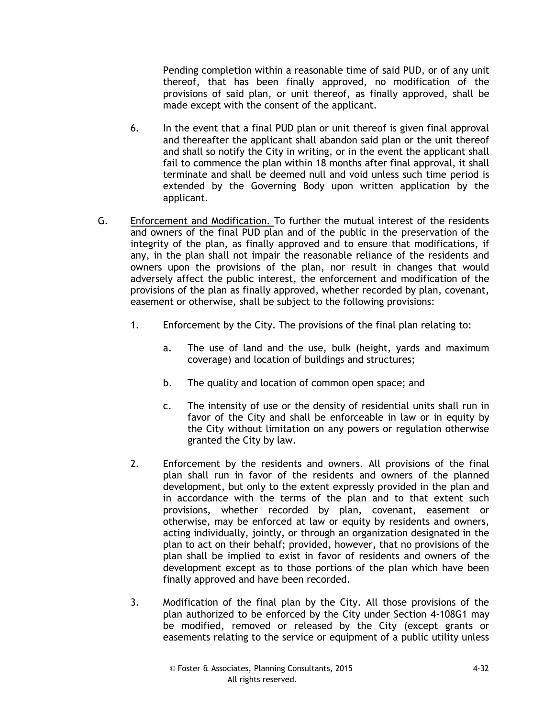Pending completion within a reasonable time of said PUD, or of any unit thereof, that has been finally approved, no modification of the provisions of said plan, or unit thereof, as finally approved, shall be made except with the consent of the applicant.

- 6. In the event that a final PUD plan or unit thereof is given final approval and thereafter the applicant shall abandon said plan or the unit thereof and shall so notify the City in writing, or in the event the applicant shall fail to commence the plan within 18 months after final approval, it shall terminate and shall be deemed null and void unless such time period is extended by the Governing Body upon written application by the applicant.
- G. Enforcement and Modification. To further the mutual interest of the residents and owners of the final PUD plan and of the public in the preservation of the integrity of the plan, as finally approved and to ensure that modifications, if any, in the plan shall not impair the reasonable reliance of the residents and owners upon the provisions of the plan, nor result in changes that would adversely affect the public interest, the enforcement and modification of the provisions of the plan as finally approved, whether recorded by plan, covenant, easement or otherwise, shall be subject to the following provisions:
	- 1. Enforcement by the City. The provisions of the final plan relating to:
		- a. The use of land and the use, bulk (height, yards and maximum coverage) and location of buildings and structures;
		- b. The quality and location of common open space; and
		- c. The intensity of use or the density of residential units shall run in favor of the City and shall be enforceable in law or in equity by the City without limitation on any powers or regulation otherwise granted the City by law.
	- 2. Enforcement by the residents and owners. All provisions of the final plan shall run in favor of the residents and owners of the planned development, but only to the extent expressly provided in the plan and in accordance with the terms of the plan and to that extent such provisions, whether recorded by plan, covenant, easement or otherwise, may be enforced at law or equity by residents and owners, acting individually, jointly, or through an organization designated in the plan to act on their behalf; provided, however, that no provisions of the plan shall be implied to exist in favor of residents and owners of the development except as to those portions of the plan which have been finally approved and have been recorded.
	- 3. Modification of the final plan by the City. All those provisions of the plan authorized to be enforced by the City under Section 4-108G1 may be modified, removed or released by the City (except grants or easements relating to the service or equipment of a public utility unless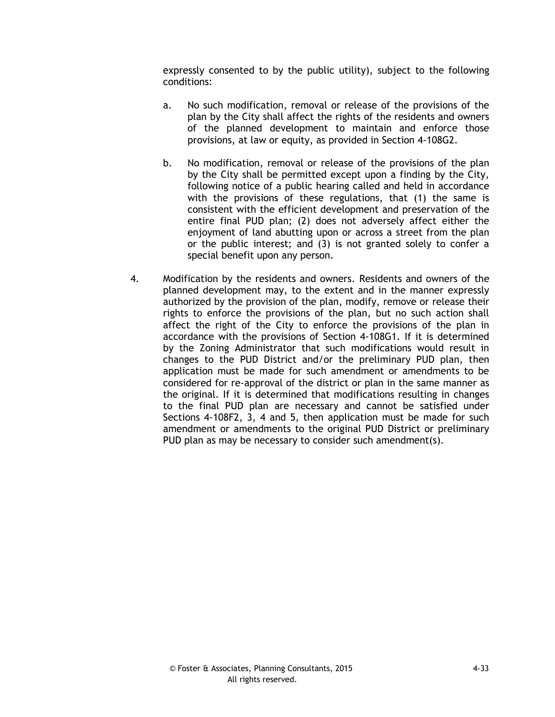expressly consented to by the public utility), subject to the following conditions:

- a. No such modification, removal or release of the provisions of the plan by the City shall affect the rights of the residents and owners of the planned development to maintain and enforce those provisions, at law or equity, as provided in Section 4-108G2.
- b. No modification, removal or release of the provisions of the plan by the City shall be permitted except upon a finding by the City, following notice of a public hearing called and held in accordance with the provisions of these regulations, that (1) the same is consistent with the efficient development and preservation of the entire final PUD plan; (2) does not adversely affect either the enjoyment of land abutting upon or across a street from the plan or the public interest; and (3) is not granted solely to confer a special benefit upon any person.
- 4. Modification by the residents and owners. Residents and owners of the planned development may, to the extent and in the manner expressly authorized by the provision of the plan, modify, remove or release their rights to enforce the provisions of the plan, but no such action shall affect the right of the City to enforce the provisions of the plan in accordance with the provisions of Section 4-108G1. If it is determined by the Zoning Administrator that such modifications would result in changes to the PUD District and/or the preliminary PUD plan, then application must be made for such amendment or amendments to be considered for re-approval of the district or plan in the same manner as the original. If it is determined that modifications resulting in changes to the final PUD plan are necessary and cannot be satisfied under Sections 4-108F2, 3, 4 and 5, then application must be made for such amendment or amendments to the original PUD District or preliminary PUD plan as may be necessary to consider such amendment(s).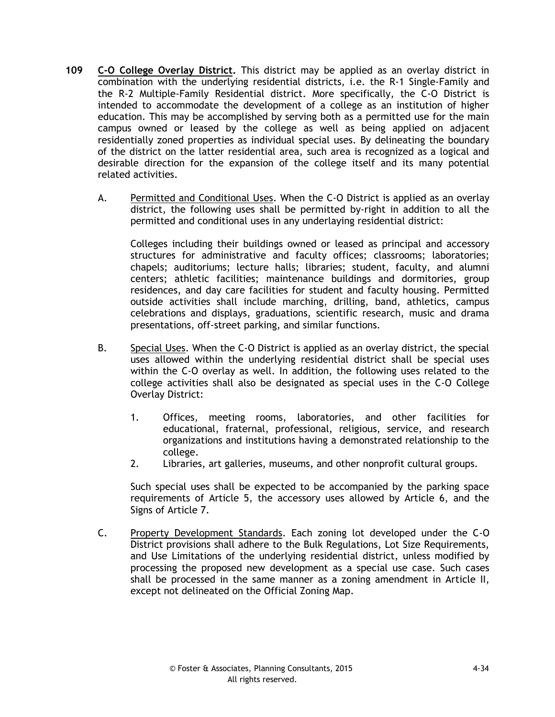- **109 C-O College Overlay District.** This district may be applied as an overlay district in combination with the underlying residential districts, i.e. the R-1 Single-Family and the R-2 Multiple-Family Residential district. More specifically, the C-O District is intended to accommodate the development of a college as an institution of higher education. This may be accomplished by serving both as a permitted use for the main campus owned or leased by the college as well as being applied on adjacent residentially zoned properties as individual special uses. By delineating the boundary of the district on the latter residential area, such area is recognized as a logical and desirable direction for the expansion of the college itself and its many potential related activities.
	- A. Permitted and Conditional Uses. When the C-O District is applied as an overlay district, the following uses shall be permitted by-right in addition to all the permitted and conditional uses in any underlaying residential district:

Colleges including their buildings owned or leased as principal and accessory structures for administrative and faculty offices; classrooms; laboratories; chapels; auditoriums; lecture halls; libraries; student, faculty, and alumni centers; athletic facilities; maintenance buildings and dormitories, group residences, and day care facilities for student and faculty housing. Permitted outside activities shall include marching, drilling, band, athletics, campus celebrations and displays, graduations, scientific research, music and drama presentations, off-street parking, and similar functions.

- B. Special Uses. When the C-O District is applied as an overlay district, the special uses allowed within the underlying residential district shall be special uses within the C-O overlay as well. In addition, the following uses related to the college activities shall also be designated as special uses in the C-O College Overlay District:
	- 1. Offices, meeting rooms, laboratories, and other facilities for educational, fraternal, professional, religious, service, and research organizations and institutions having a demonstrated relationship to the college.
	- 2. Libraries, art galleries, museums, and other nonprofit cultural groups.

Such special uses shall be expected to be accompanied by the parking space requirements of Article 5, the accessory uses allowed by Article 6, and the Signs of Article 7.

C. Property Development Standards. Each zoning lot developed under the C-O District provisions shall adhere to the Bulk Regulations, Lot Size Requirements, and Use Limitations of the underlying residential district, unless modified by processing the proposed new development as a special use case. Such cases shall be processed in the same manner as a zoning amendment in Article II, except not delineated on the Official Zoning Map.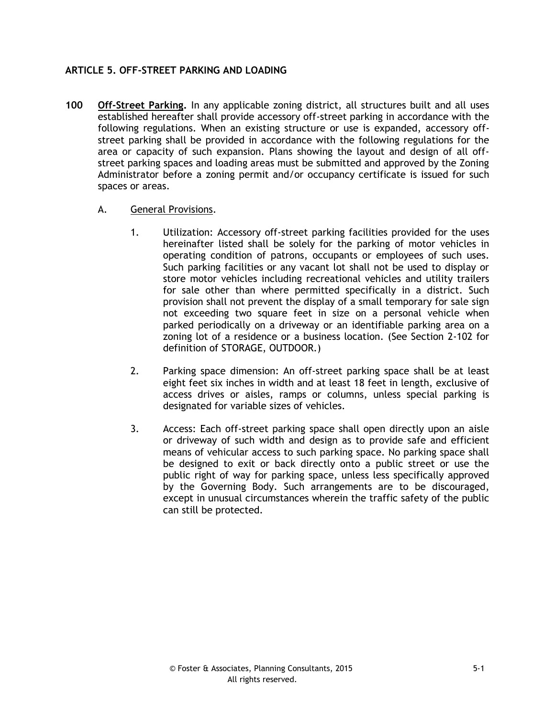## **ARTICLE 5. OFF-STREET PARKING AND LOADING**

- **100 Off-Street Parking.** In any applicable zoning district, all structures built and all uses established hereafter shall provide accessory off-street parking in accordance with the following regulations. When an existing structure or use is expanded, accessory offstreet parking shall be provided in accordance with the following regulations for the area or capacity of such expansion. Plans showing the layout and design of all offstreet parking spaces and loading areas must be submitted and approved by the Zoning Administrator before a zoning permit and/or occupancy certificate is issued for such spaces or areas.
	- A. General Provisions.
		- 1. Utilization: Accessory off-street parking facilities provided for the uses hereinafter listed shall be solely for the parking of motor vehicles in operating condition of patrons, occupants or employees of such uses. Such parking facilities or any vacant lot shall not be used to display or store motor vehicles including recreational vehicles and utility trailers for sale other than where permitted specifically in a district. Such provision shall not prevent the display of a small temporary for sale sign not exceeding two square feet in size on a personal vehicle when parked periodically on a driveway or an identifiable parking area on a zoning lot of a residence or a business location. (See Section 2-102 for definition of STORAGE, OUTDOOR.)
		- 2. Parking space dimension: An off-street parking space shall be at least eight feet six inches in width and at least 18 feet in length, exclusive of access drives or aisles, ramps or columns, unless special parking is designated for variable sizes of vehicles.
		- 3. Access: Each off-street parking space shall open directly upon an aisle or driveway of such width and design as to provide safe and efficient means of vehicular access to such parking space. No parking space shall be designed to exit or back directly onto a public street or use the public right of way for parking space, unless less specifically approved by the Governing Body. Such arrangements are to be discouraged, except in unusual circumstances wherein the traffic safety of the public can still be protected.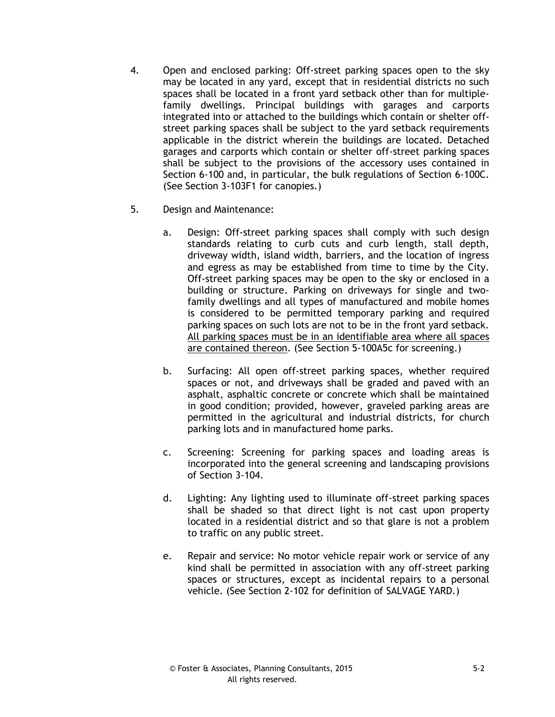- 4. Open and enclosed parking: Off-street parking spaces open to the sky may be located in any yard, except that in residential districts no such spaces shall be located in a front yard setback other than for multiplefamily dwellings. Principal buildings with garages and carports integrated into or attached to the buildings which contain or shelter offstreet parking spaces shall be subject to the yard setback requirements applicable in the district wherein the buildings are located. Detached garages and carports which contain or shelter off-street parking spaces shall be subject to the provisions of the accessory uses contained in Section 6-100 and, in particular, the bulk regulations of Section 6-100C. (See Section 3-103F1 for canopies.)
- 5. Design and Maintenance:
	- a. Design: Off-street parking spaces shall comply with such design standards relating to curb cuts and curb length, stall depth, driveway width, island width, barriers, and the location of ingress and egress as may be established from time to time by the City. Off-street parking spaces may be open to the sky or enclosed in a building or structure. Parking on driveways for single and twofamily dwellings and all types of manufactured and mobile homes is considered to be permitted temporary parking and required parking spaces on such lots are not to be in the front yard setback. All parking spaces must be in an identifiable area where all spaces are contained thereon. (See Section 5-100A5c for screening.)
	- b. Surfacing: All open off-street parking spaces, whether required spaces or not, and driveways shall be graded and paved with an asphalt, asphaltic concrete or concrete which shall be maintained in good condition; provided, however, graveled parking areas are permitted in the agricultural and industrial districts, for church parking lots and in manufactured home parks.
	- c. Screening: Screening for parking spaces and loading areas is incorporated into the general screening and landscaping provisions of Section 3-104.
	- d. Lighting: Any lighting used to illuminate off-street parking spaces shall be shaded so that direct light is not cast upon property located in a residential district and so that glare is not a problem to traffic on any public street.
	- e. Repair and service: No motor vehicle repair work or service of any kind shall be permitted in association with any off-street parking spaces or structures, except as incidental repairs to a personal vehicle. (See Section 2-102 for definition of SALVAGE YARD.)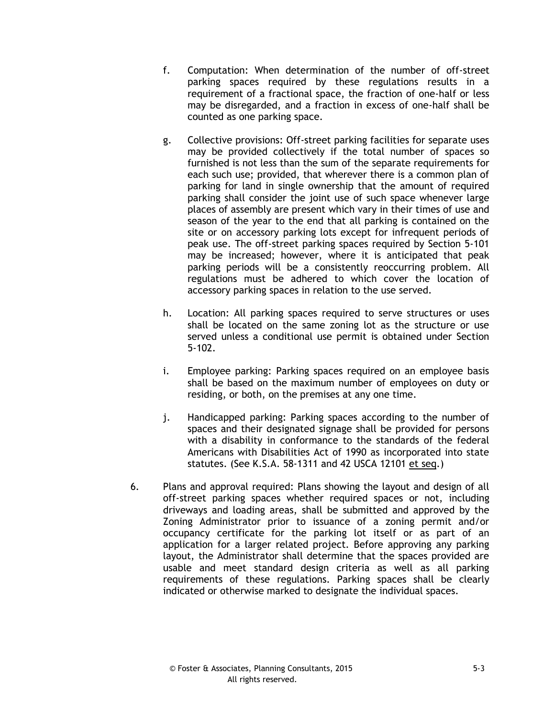- f. Computation: When determination of the number of off-street parking spaces required by these regulations results in a requirement of a fractional space, the fraction of one-half or less may be disregarded, and a fraction in excess of one-half shall be counted as one parking space.
- g. Collective provisions: Off-street parking facilities for separate uses may be provided collectively if the total number of spaces so furnished is not less than the sum of the separate requirements for each such use; provided, that wherever there is a common plan of parking for land in single ownership that the amount of required parking shall consider the joint use of such space whenever large places of assembly are present which vary in their times of use and season of the year to the end that all parking is contained on the site or on accessory parking lots except for infrequent periods of peak use. The off-street parking spaces required by Section 5-101 may be increased; however, where it is anticipated that peak parking periods will be a consistently reoccurring problem. All regulations must be adhered to which cover the location of accessory parking spaces in relation to the use served.
- h. Location: All parking spaces required to serve structures or uses shall be located on the same zoning lot as the structure or use served unless a conditional use permit is obtained under Section 5-102.
- i. Employee parking: Parking spaces required on an employee basis shall be based on the maximum number of employees on duty or residing, or both, on the premises at any one time.
- j. Handicapped parking: Parking spaces according to the number of spaces and their designated signage shall be provided for persons with a disability in conformance to the standards of the federal Americans with Disabilities Act of 1990 as incorporated into state statutes. (See K.S.A. 58-1311 and 42 USCA 12101 et seq.)
- 6. Plans and approval required: Plans showing the layout and design of all off-street parking spaces whether required spaces or not, including driveways and loading areas, shall be submitted and approved by the Zoning Administrator prior to issuance of a zoning permit and/or occupancy certificate for the parking lot itself or as part of an application for a larger related project. Before approving any parking layout, the Administrator shall determine that the spaces provided are usable and meet standard design criteria as well as all parking requirements of these regulations. Parking spaces shall be clearly indicated or otherwise marked to designate the individual spaces.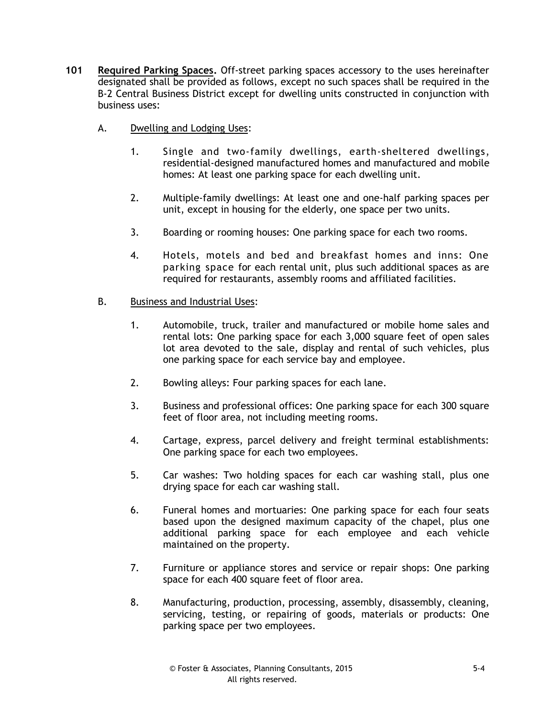- **101 Required Parking Spaces.** Off-street parking spaces accessory to the uses hereinafter designated shall be provided as follows, except no such spaces shall be required in the B-2 Central Business District except for dwelling units constructed in conjunction with business uses:
	- A. Dwelling and Lodging Uses:
		- 1. Single and two-family dwellings, earth-sheltered dwellings, residential-designed manufactured homes and manufactured and mobile homes: At least one parking space for each dwelling unit.
		- 2. Multiple-family dwellings: At least one and one-half parking spaces per unit, except in housing for the elderly, one space per two units.
		- 3. Boarding or rooming houses: One parking space for each two rooms.
		- 4. Hotels, motels and bed and breakfast homes and inns: One parking space for each rental unit, plus such additional spaces as are required for restaurants, assembly rooms and affiliated facilities.

### B. Business and Industrial Uses:

- 1. Automobile, truck, trailer and manufactured or mobile home sales and rental lots: One parking space for each 3,000 square feet of open sales lot area devoted to the sale, display and rental of such vehicles, plus one parking space for each service bay and employee.
- 2. Bowling alleys: Four parking spaces for each lane.
- 3. Business and professional offices: One parking space for each 300 square feet of floor area, not including meeting rooms.
- 4. Cartage, express, parcel delivery and freight terminal establishments: One parking space for each two employees.
- 5. Car washes: Two holding spaces for each car washing stall, plus one drying space for each car washing stall.
- 6. Funeral homes and mortuaries: One parking space for each four seats based upon the designed maximum capacity of the chapel, plus one additional parking space for each employee and each vehicle maintained on the property.
- 7. Furniture or appliance stores and service or repair shops: One parking space for each 400 square feet of floor area.
- 8. Manufacturing, production, processing, assembly, disassembly, cleaning, servicing, testing, or repairing of goods, materials or products: One parking space per two employees.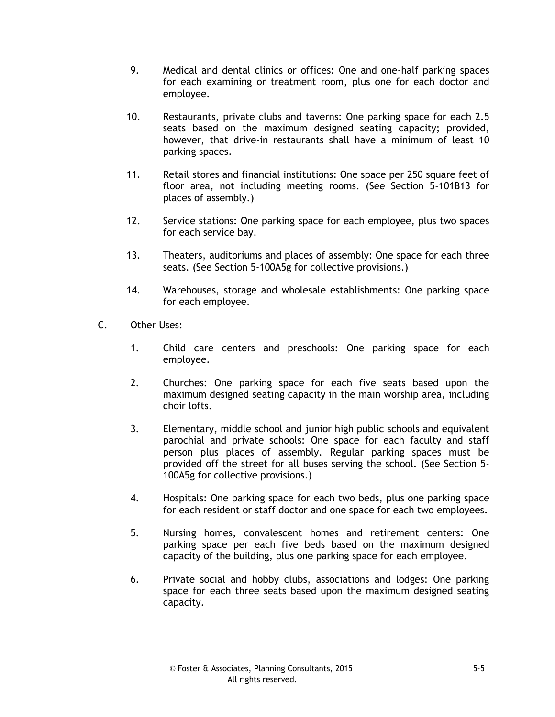- 9. Medical and dental clinics or offices: One and one-half parking spaces for each examining or treatment room, plus one for each doctor and employee.
- 10. Restaurants, private clubs and taverns: One parking space for each 2.5 seats based on the maximum designed seating capacity; provided, however, that drive-in restaurants shall have a minimum of least 10 parking spaces.
- 11. Retail stores and financial institutions: One space per 250 square feet of floor area, not including meeting rooms. (See Section 5-101B13 for places of assembly.)
- 12. Service stations: One parking space for each employee, plus two spaces for each service bay.
- 13. Theaters, auditoriums and places of assembly: One space for each three seats. (See Section 5-100A5g for collective provisions.)
- 14. Warehouses, storage and wholesale establishments: One parking space for each employee.
- C. Other Uses:
	- 1. Child care centers and preschools: One parking space for each employee.
	- 2. Churches: One parking space for each five seats based upon the maximum designed seating capacity in the main worship area, including choir lofts.
	- 3. Elementary, middle school and junior high public schools and equivalent parochial and private schools: One space for each faculty and staff person plus places of assembly. Regular parking spaces must be provided off the street for all buses serving the school. (See Section 5- 100A5g for collective provisions.)
	- 4. Hospitals: One parking space for each two beds, plus one parking space for each resident or staff doctor and one space for each two employees.
	- 5. Nursing homes, convalescent homes and retirement centers: One parking space per each five beds based on the maximum designed capacity of the building, plus one parking space for each employee.
	- 6. Private social and hobby clubs, associations and lodges: One parking space for each three seats based upon the maximum designed seating capacity.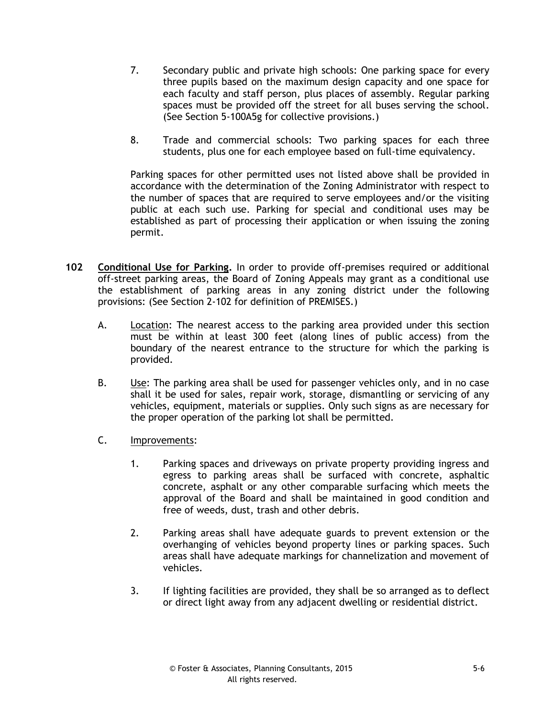- 7. Secondary public and private high schools: One parking space for every three pupils based on the maximum design capacity and one space for each faculty and staff person, plus places of assembly. Regular parking spaces must be provided off the street for all buses serving the school. (See Section 5-100A5g for collective provisions.)
- 8. Trade and commercial schools: Two parking spaces for each three students, plus one for each employee based on full-time equivalency.

Parking spaces for other permitted uses not listed above shall be provided in accordance with the determination of the Zoning Administrator with respect to the number of spaces that are required to serve employees and/or the visiting public at each such use. Parking for special and conditional uses may be established as part of processing their application or when issuing the zoning permit.

- **102 Conditional Use for Parking.** In order to provide off-premises required or additional off-street parking areas, the Board of Zoning Appeals may grant as a conditional use the establishment of parking areas in any zoning district under the following provisions: (See Section 2-102 for definition of PREMISES.)
	- A. Location: The nearest access to the parking area provided under this section must be within at least 300 feet (along lines of public access) from the boundary of the nearest entrance to the structure for which the parking is provided.
	- B. Use: The parking area shall be used for passenger vehicles only, and in no case shall it be used for sales, repair work, storage, dismantling or servicing of any vehicles, equipment, materials or supplies. Only such signs as are necessary for the proper operation of the parking lot shall be permitted.
	- C. Improvements:
		- 1. Parking spaces and driveways on private property providing ingress and egress to parking areas shall be surfaced with concrete, asphaltic concrete, asphalt or any other comparable surfacing which meets the approval of the Board and shall be maintained in good condition and free of weeds, dust, trash and other debris.
		- 2. Parking areas shall have adequate guards to prevent extension or the overhanging of vehicles beyond property lines or parking spaces. Such areas shall have adequate markings for channelization and movement of vehicles.
		- 3. If lighting facilities are provided, they shall be so arranged as to deflect or direct light away from any adjacent dwelling or residential district.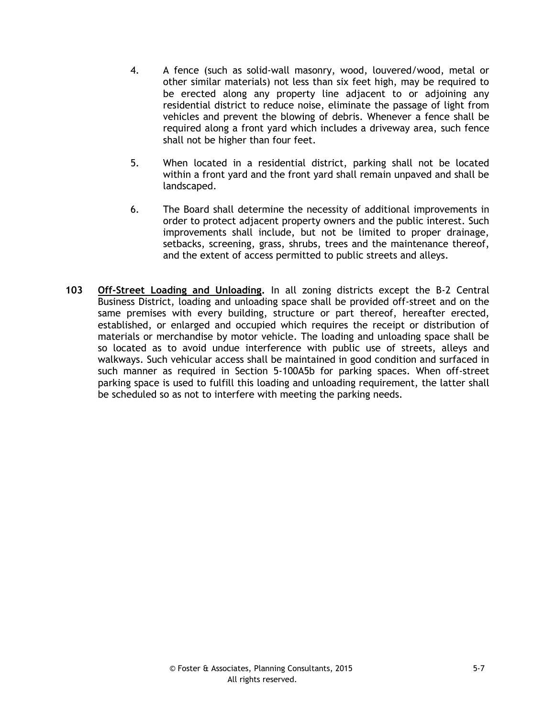- 4. A fence (such as solid-wall masonry, wood, louvered/wood, metal or other similar materials) not less than six feet high, may be required to be erected along any property line adjacent to or adjoining any residential district to reduce noise, eliminate the passage of light from vehicles and prevent the blowing of debris. Whenever a fence shall be required along a front yard which includes a driveway area, such fence shall not be higher than four feet.
- 5. When located in a residential district, parking shall not be located within a front yard and the front yard shall remain unpaved and shall be landscaped.
- 6. The Board shall determine the necessity of additional improvements in order to protect adjacent property owners and the public interest. Such improvements shall include, but not be limited to proper drainage, setbacks, screening, grass, shrubs, trees and the maintenance thereof, and the extent of access permitted to public streets and alleys.
- **103 Off-Street Loading and Unloading.** In all zoning districts except the B-2 Central Business District, loading and unloading space shall be provided off-street and on the same premises with every building, structure or part thereof, hereafter erected, established, or enlarged and occupied which requires the receipt or distribution of materials or merchandise by motor vehicle. The loading and unloading space shall be so located as to avoid undue interference with public use of streets, alleys and walkways. Such vehicular access shall be maintained in good condition and surfaced in such manner as required in Section 5-100A5b for parking spaces. When off-street parking space is used to fulfill this loading and unloading requirement, the latter shall be scheduled so as not to interfere with meeting the parking needs.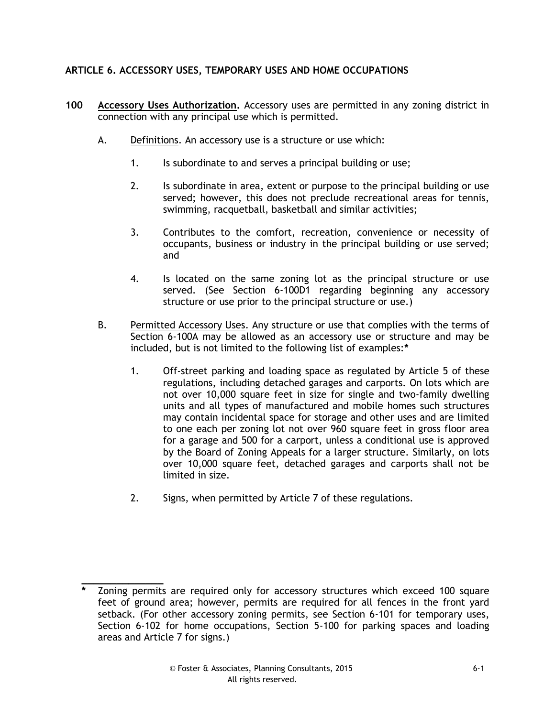# **ARTICLE 6. ACCESSORY USES, TEMPORARY USES AND HOME OCCUPATIONS**

- **100 Accessory Uses Authorization.** Accessory uses are permitted in any zoning district in connection with any principal use which is permitted.
	- A. Definitions. An accessory use is a structure or use which:
		- 1. Is subordinate to and serves a principal building or use;
		- 2. Is subordinate in area, extent or purpose to the principal building or use served; however, this does not preclude recreational areas for tennis, swimming, racquetball, basketball and similar activities;
		- 3. Contributes to the comfort, recreation, convenience or necessity of occupants, business or industry in the principal building or use served; and
		- 4. Is located on the same zoning lot as the principal structure or use served. (See Section 6-100D1 regarding beginning any accessory structure or use prior to the principal structure or use.)
	- B. Permitted Accessory Uses. Any structure or use that complies with the terms of Section 6-100A may be allowed as an accessory use or structure and may be included, but is not limited to the following list of examples:**\***
		- 1. Off-street parking and loading space as regulated by Article 5 of these regulations, including detached garages and carports. On lots which are not over 10,000 square feet in size for single and two-family dwelling units and all types of manufactured and mobile homes such structures may contain incidental space for storage and other uses and are limited to one each per zoning lot not over 960 square feet in gross floor area for a garage and 500 for a carport, unless a conditional use is approved by the Board of Zoning Appeals for a larger structure. Similarly, on lots over 10,000 square feet, detached garages and carports shall not be limited in size.
		- 2. Signs, when permitted by Article 7 of these regulations.

**\_\_\_\_\_\_\_\_\_\_\_\_\_\_**

**<sup>\*</sup>** Zoning permits are required only for accessory structures which exceed 100 square feet of ground area; however, permits are required for all fences in the front yard setback. (For other accessory zoning permits, see Section 6-101 for temporary uses, Section 6-102 for home occupations, Section 5-100 for parking spaces and loading areas and Article 7 for signs.)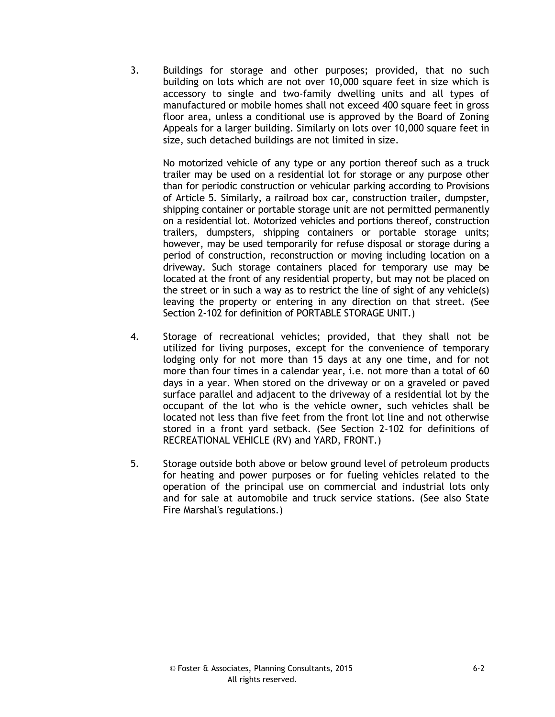3. Buildings for storage and other purposes; provided, that no such building on lots which are not over 10,000 square feet in size which is accessory to single and two-family dwelling units and all types of manufactured or mobile homes shall not exceed 400 square feet in gross floor area, unless a conditional use is approved by the Board of Zoning Appeals for a larger building. Similarly on lots over 10,000 square feet in size, such detached buildings are not limited in size.

No motorized vehicle of any type or any portion thereof such as a truck trailer may be used on a residential lot for storage or any purpose other than for periodic construction or vehicular parking according to Provisions of Article 5. Similarly, a railroad box car, construction trailer, dumpster, shipping container or portable storage unit are not permitted permanently on a residential lot. Motorized vehicles and portions thereof, construction trailers, dumpsters, shipping containers or portable storage units; however, may be used temporarily for refuse disposal or storage during a period of construction, reconstruction or moving including location on a driveway. Such storage containers placed for temporary use may be located at the front of any residential property, but may not be placed on the street or in such a way as to restrict the line of sight of any vehicle(s) leaving the property or entering in any direction on that street. (See Section 2-102 for definition of PORTABLE STORAGE UNIT.)

- 4. Storage of recreational vehicles; provided, that they shall not be utilized for living purposes, except for the convenience of temporary lodging only for not more than 15 days at any one time, and for not more than four times in a calendar year, i.e. not more than a total of 60 days in a year. When stored on the driveway or on a graveled or paved surface parallel and adjacent to the driveway of a residential lot by the occupant of the lot who is the vehicle owner, such vehicles shall be located not less than five feet from the front lot line and not otherwise stored in a front yard setback. (See Section 2-102 for definitions of RECREATIONAL VEHICLE (RV) and YARD, FRONT.)
- 5. Storage outside both above or below ground level of petroleum products for heating and power purposes or for fueling vehicles related to the operation of the principal use on commercial and industrial lots only and for sale at automobile and truck service stations. (See also State Fire Marshal's regulations.)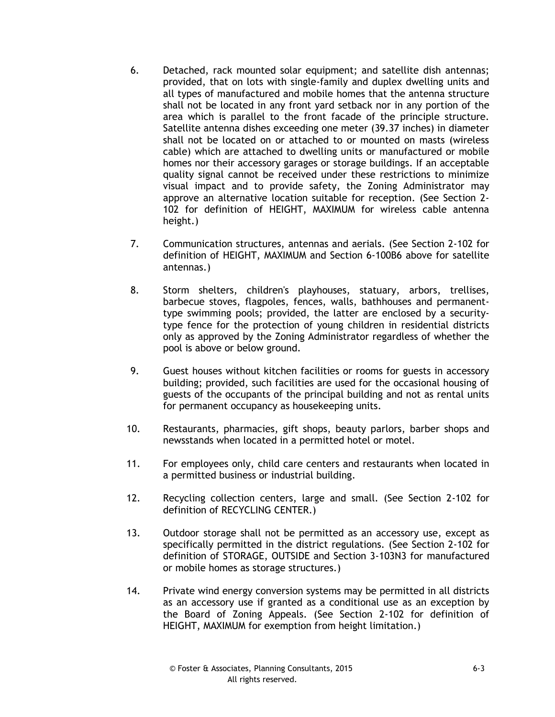- 6. Detached, rack mounted solar equipment; and satellite dish antennas; provided, that on lots with single-family and duplex dwelling units and all types of manufactured and mobile homes that the antenna structure shall not be located in any front yard setback nor in any portion of the area which is parallel to the front facade of the principle structure. Satellite antenna dishes exceeding one meter (39.37 inches) in diameter shall not be located on or attached to or mounted on masts (wireless cable) which are attached to dwelling units or manufactured or mobile homes nor their accessory garages or storage buildings. If an acceptable quality signal cannot be received under these restrictions to minimize visual impact and to provide safety, the Zoning Administrator may approve an alternative location suitable for reception. (See Section 2- 102 for definition of HEIGHT, MAXIMUM for wireless cable antenna height.)
- 7. Communication structures, antennas and aerials. (See Section 2-102 for definition of HEIGHT, MAXIMUM and Section 6-100B6 above for satellite antennas.)
- 8. Storm shelters, children's playhouses, statuary, arbors, trellises, barbecue stoves, flagpoles, fences, walls, bathhouses and permanenttype swimming pools; provided, the latter are enclosed by a securitytype fence for the protection of young children in residential districts only as approved by the Zoning Administrator regardless of whether the pool is above or below ground.
- 9. Guest houses without kitchen facilities or rooms for guests in accessory building; provided, such facilities are used for the occasional housing of guests of the occupants of the principal building and not as rental units for permanent occupancy as housekeeping units.
- 10. Restaurants, pharmacies, gift shops, beauty parlors, barber shops and newsstands when located in a permitted hotel or motel.
- 11. For employees only, child care centers and restaurants when located in a permitted business or industrial building.
- 12. Recycling collection centers, large and small. (See Section 2-102 for definition of RECYCLING CENTER.)
- 13. Outdoor storage shall not be permitted as an accessory use, except as specifically permitted in the district regulations. (See Section 2-102 for definition of STORAGE, OUTSIDE and Section 3-103N3 for manufactured or mobile homes as storage structures.)
- 14. Private wind energy conversion systems may be permitted in all districts as an accessory use if granted as a conditional use as an exception by the Board of Zoning Appeals. (See Section 2-102 for definition of HEIGHT, MAXIMUM for exemption from height limitation.)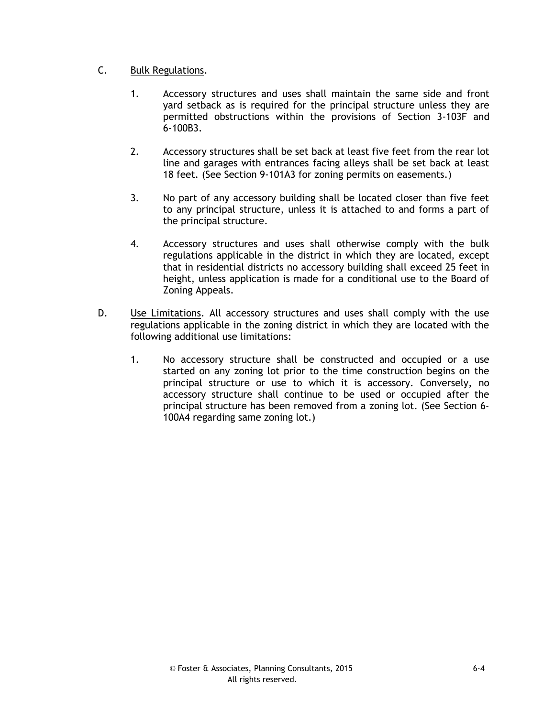## C. Bulk Regulations.

- 1. Accessory structures and uses shall maintain the same side and front yard setback as is required for the principal structure unless they are permitted obstructions within the provisions of Section 3-103F and 6-100B3.
- 2. Accessory structures shall be set back at least five feet from the rear lot line and garages with entrances facing alleys shall be set back at least 18 feet. (See Section 9-101A3 for zoning permits on easements.)
- 3. No part of any accessory building shall be located closer than five feet to any principal structure, unless it is attached to and forms a part of the principal structure.
- 4. Accessory structures and uses shall otherwise comply with the bulk regulations applicable in the district in which they are located, except that in residential districts no accessory building shall exceed 25 feet in height, unless application is made for a conditional use to the Board of Zoning Appeals.
- D. Use Limitations. All accessory structures and uses shall comply with the use regulations applicable in the zoning district in which they are located with the following additional use limitations:
	- 1. No accessory structure shall be constructed and occupied or a use started on any zoning lot prior to the time construction begins on the principal structure or use to which it is accessory. Conversely, no accessory structure shall continue to be used or occupied after the principal structure has been removed from a zoning lot. (See Section 6- 100A4 regarding same zoning lot.)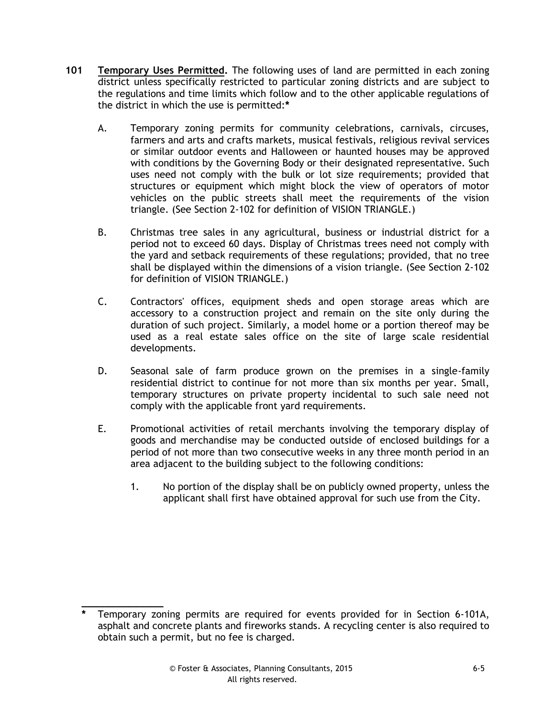- **101 Temporary Uses Permitted.** The following uses of land are permitted in each zoning district unless specifically restricted to particular zoning districts and are subject to the regulations and time limits which follow and to the other applicable regulations of the district in which the use is permitted:**\***
	- A. Temporary zoning permits for community celebrations, carnivals, circuses, farmers and arts and crafts markets, musical festivals, religious revival services or similar outdoor events and Halloween or haunted houses may be approved with conditions by the Governing Body or their designated representative. Such uses need not comply with the bulk or lot size requirements; provided that structures or equipment which might block the view of operators of motor vehicles on the public streets shall meet the requirements of the vision triangle. (See Section 2-102 for definition of VISION TRIANGLE.)
	- B. Christmas tree sales in any agricultural, business or industrial district for a period not to exceed 60 days. Display of Christmas trees need not comply with the yard and setback requirements of these regulations; provided, that no tree shall be displayed within the dimensions of a vision triangle. (See Section 2-102 for definition of VISION TRIANGLE.)
	- C. Contractors' offices, equipment sheds and open storage areas which are accessory to a construction project and remain on the site only during the duration of such project. Similarly, a model home or a portion thereof may be used as a real estate sales office on the site of large scale residential developments.
	- D. Seasonal sale of farm produce grown on the premises in a single-family residential district to continue for not more than six months per year. Small, temporary structures on private property incidental to such sale need not comply with the applicable front yard requirements.
	- E. Promotional activities of retail merchants involving the temporary display of goods and merchandise may be conducted outside of enclosed buildings for a period of not more than two consecutive weeks in any three month period in an area adjacent to the building subject to the following conditions:
		- 1. No portion of the display shall be on publicly owned property, unless the applicant shall first have obtained approval for such use from the City.

**\_\_\_\_\_\_\_\_\_\_\_\_\_\_**

**<sup>\*</sup>** Temporary zoning permits are required for events provided for in Section 6-101A, asphalt and concrete plants and fireworks stands. A recycling center is also required to obtain such a permit, but no fee is charged.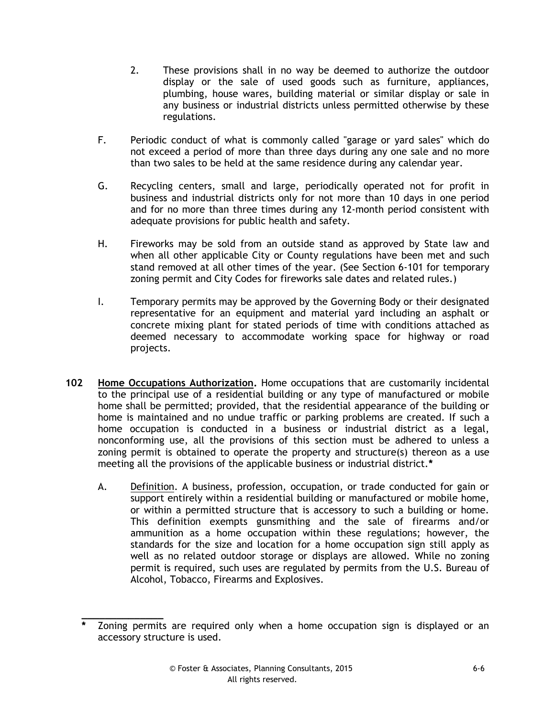- 2. These provisions shall in no way be deemed to authorize the outdoor display or the sale of used goods such as furniture, appliances, plumbing, house wares, building material or similar display or sale in any business or industrial districts unless permitted otherwise by these regulations.
- F. Periodic conduct of what is commonly called "garage or yard sales" which do not exceed a period of more than three days during any one sale and no more than two sales to be held at the same residence during any calendar year.
- G. Recycling centers, small and large, periodically operated not for profit in business and industrial districts only for not more than 10 days in one period and for no more than three times during any 12-month period consistent with adequate provisions for public health and safety.
- H. Fireworks may be sold from an outside stand as approved by State law and when all other applicable City or County regulations have been met and such stand removed at all other times of the year. (See Section 6-101 for temporary zoning permit and City Codes for fireworks sale dates and related rules.)
- I. Temporary permits may be approved by the Governing Body or their designated representative for an equipment and material yard including an asphalt or concrete mixing plant for stated periods of time with conditions attached as deemed necessary to accommodate working space for highway or road projects.
- **102 Home Occupations Authorization.** Home occupations that are customarily incidental to the principal use of a residential building or any type of manufactured or mobile home shall be permitted; provided, that the residential appearance of the building or home is maintained and no undue traffic or parking problems are created. If such a home occupation is conducted in a business or industrial district as a legal, nonconforming use, all the provisions of this section must be adhered to unless a zoning permit is obtained to operate the property and structure(s) thereon as a use meeting all the provisions of the applicable business or industrial district.**\***
	- A. Definition. A business, profession, occupation, or trade conducted for gain or support entirely within a residential building or manufactured or mobile home, or within a permitted structure that is accessory to such a building or home. This definition exempts gunsmithing and the sale of firearms and/or ammunition as a home occupation within these regulations; however, the standards for the size and location for a home occupation sign still apply as well as no related outdoor storage or displays are allowed. While no zoning permit is required, such uses are regulated by permits from the U.S. Bureau of Alcohol, Tobacco, Firearms and Explosives.

**\_\_\_\_\_\_\_\_\_\_\_\_\_\_**

**<sup>\*</sup>** Zoning permits are required only when a home occupation sign is displayed or an accessory structure is used.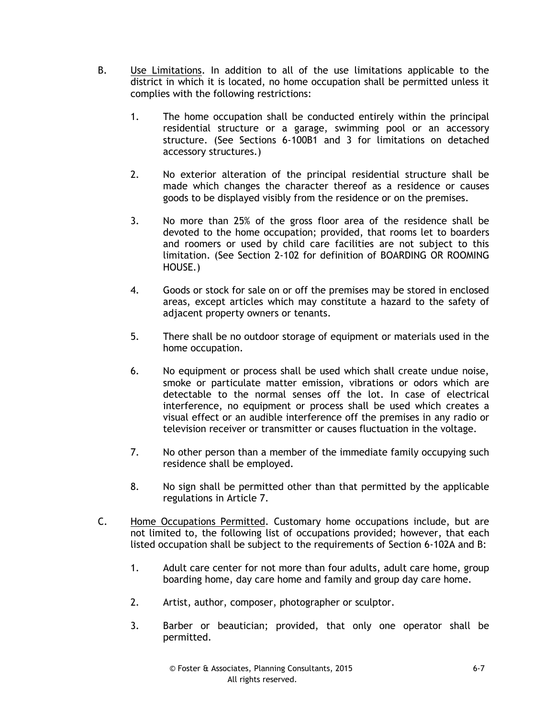- B. Use Limitations. In addition to all of the use limitations applicable to the district in which it is located, no home occupation shall be permitted unless it complies with the following restrictions:
	- 1. The home occupation shall be conducted entirely within the principal residential structure or a garage, swimming pool or an accessory structure. (See Sections 6-100B1 and 3 for limitations on detached accessory structures.)
	- 2. No exterior alteration of the principal residential structure shall be made which changes the character thereof as a residence or causes goods to be displayed visibly from the residence or on the premises.
	- 3. No more than 25% of the gross floor area of the residence shall be devoted to the home occupation; provided, that rooms let to boarders and roomers or used by child care facilities are not subject to this limitation. (See Section 2-102 for definition of BOARDING OR ROOMING HOUSE.)
	- 4. Goods or stock for sale on or off the premises may be stored in enclosed areas, except articles which may constitute a hazard to the safety of adjacent property owners or tenants.
	- 5. There shall be no outdoor storage of equipment or materials used in the home occupation.
	- 6. No equipment or process shall be used which shall create undue noise, smoke or particulate matter emission, vibrations or odors which are detectable to the normal senses off the lot. In case of electrical interference, no equipment or process shall be used which creates a visual effect or an audible interference off the premises in any radio or television receiver or transmitter or causes fluctuation in the voltage.
	- 7. No other person than a member of the immediate family occupying such residence shall be employed.
	- 8. No sign shall be permitted other than that permitted by the applicable regulations in Article 7.
- C. Home Occupations Permitted. Customary home occupations include, but are not limited to, the following list of occupations provided; however, that each listed occupation shall be subject to the requirements of Section 6-102A and B:
	- 1. Adult care center for not more than four adults, adult care home, group boarding home, day care home and family and group day care home.
	- 2. Artist, author, composer, photographer or sculptor.
	- 3. Barber or beautician; provided, that only one operator shall be permitted.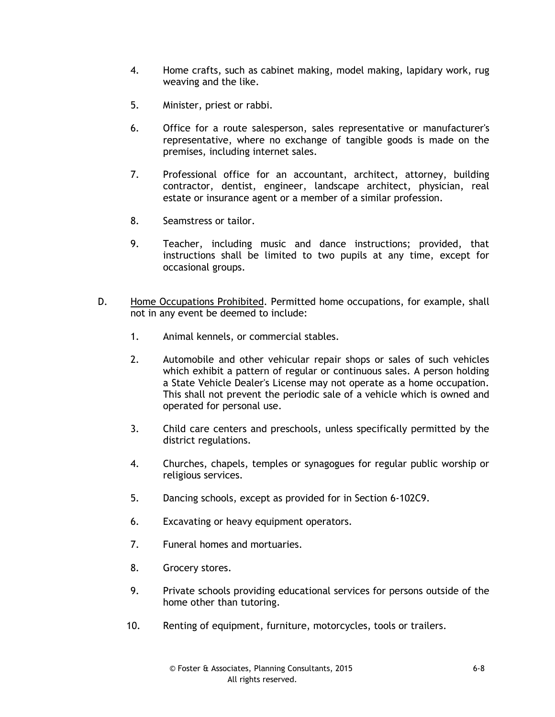- 4. Home crafts, such as cabinet making, model making, lapidary work, rug weaving and the like.
- 5. Minister, priest or rabbi.
- 6. Office for a route salesperson, sales representative or manufacturer's representative, where no exchange of tangible goods is made on the premises, including internet sales.
- 7. Professional office for an accountant, architect, attorney, building contractor, dentist, engineer, landscape architect, physician, real estate or insurance agent or a member of a similar profession.
- 8. Seamstress or tailor.
- 9. Teacher, including music and dance instructions; provided, that instructions shall be limited to two pupils at any time, except for occasional groups.
- D. Home Occupations Prohibited. Permitted home occupations, for example, shall not in any event be deemed to include:
	- 1. Animal kennels, or commercial stables.
	- 2. Automobile and other vehicular repair shops or sales of such vehicles which exhibit a pattern of regular or continuous sales. A person holding a State Vehicle Dealer's License may not operate as a home occupation. This shall not prevent the periodic sale of a vehicle which is owned and operated for personal use.
	- 3. Child care centers and preschools, unless specifically permitted by the district regulations.
	- 4. Churches, chapels, temples or synagogues for regular public worship or religious services.
	- 5. Dancing schools, except as provided for in Section 6-102C9.
	- 6. Excavating or heavy equipment operators.
	- 7. Funeral homes and mortuaries.
	- 8. Grocery stores.
	- 9. Private schools providing educational services for persons outside of the home other than tutoring.
	- 10. Renting of equipment, furniture, motorcycles, tools or trailers.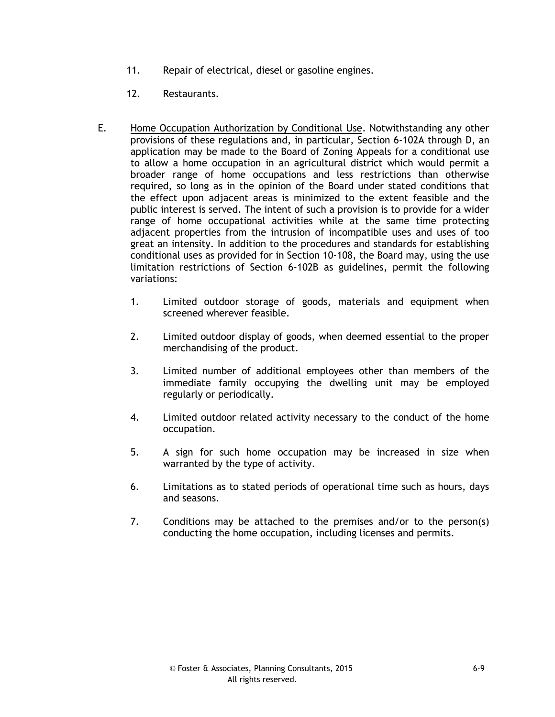- 11. Repair of electrical, diesel or gasoline engines.
- 12. Restaurants.
- E. Home Occupation Authorization by Conditional Use. Notwithstanding any other provisions of these regulations and, in particular, Section 6-102A through D, an application may be made to the Board of Zoning Appeals for a conditional use to allow a home occupation in an agricultural district which would permit a broader range of home occupations and less restrictions than otherwise required, so long as in the opinion of the Board under stated conditions that the effect upon adjacent areas is minimized to the extent feasible and the public interest is served. The intent of such a provision is to provide for a wider range of home occupational activities while at the same time protecting adjacent properties from the intrusion of incompatible uses and uses of too great an intensity. In addition to the procedures and standards for establishing conditional uses as provided for in Section 10-108, the Board may, using the use limitation restrictions of Section 6-102B as guidelines, permit the following variations:
	- 1. Limited outdoor storage of goods, materials and equipment when screened wherever feasible.
	- 2. Limited outdoor display of goods, when deemed essential to the proper merchandising of the product.
	- 3. Limited number of additional employees other than members of the immediate family occupying the dwelling unit may be employed regularly or periodically.
	- 4. Limited outdoor related activity necessary to the conduct of the home occupation.
	- 5. A sign for such home occupation may be increased in size when warranted by the type of activity.
	- 6. Limitations as to stated periods of operational time such as hours, days and seasons.
	- 7. Conditions may be attached to the premises and/or to the person(s) conducting the home occupation, including licenses and permits.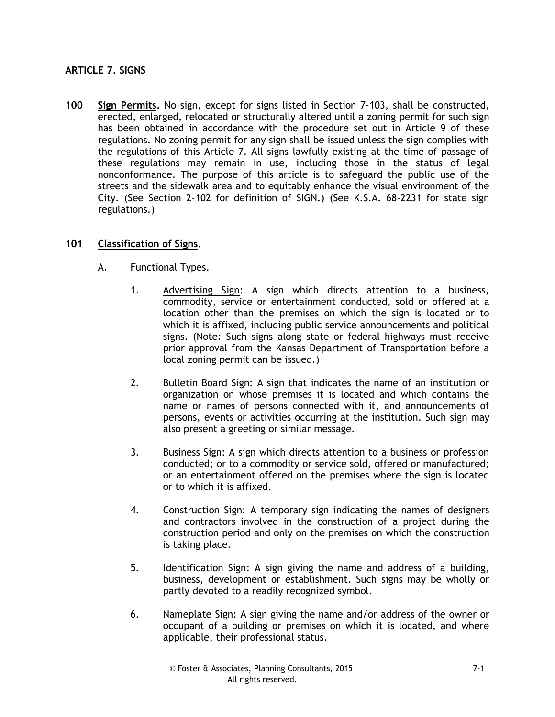## **ARTICLE 7. SIGNS**

**100 Sign Permits.** No sign, except for signs listed in Section 7-103, shall be constructed, erected, enlarged, relocated or structurally altered until a zoning permit for such sign has been obtained in accordance with the procedure set out in Article 9 of these regulations. No zoning permit for any sign shall be issued unless the sign complies with the regulations of this Article 7. All signs lawfully existing at the time of passage of these regulations may remain in use, including those in the status of legal nonconformance. The purpose of this article is to safeguard the public use of the streets and the sidewalk area and to equitably enhance the visual environment of the City. (See Section 2-102 for definition of SIGN.) (See K.S.A. 68-2231 for state sign regulations.)

### **101 Classification of Signs.**

- A. Functional Types.
	- 1. Advertising Sign: A sign which directs attention to a business, commodity, service or entertainment conducted, sold or offered at a location other than the premises on which the sign is located or to which it is affixed, including public service announcements and political signs. (Note: Such signs along state or federal highways must receive prior approval from the Kansas Department of Transportation before a local zoning permit can be issued.)
	- 2. Bulletin Board Sign: A sign that indicates the name of an institution or organization on whose premises it is located and which contains the name or names of persons connected with it, and announcements of persons, events or activities occurring at the institution. Such sign may also present a greeting or similar message.
	- 3. Business Sign: A sign which directs attention to a business or profession conducted; or to a commodity or service sold, offered or manufactured; or an entertainment offered on the premises where the sign is located or to which it is affixed.
	- 4. Construction Sign: A temporary sign indicating the names of designers and contractors involved in the construction of a project during the construction period and only on the premises on which the construction is taking place.
	- 5. Identification Sign: A sign giving the name and address of a building, business, development or establishment. Such signs may be wholly or partly devoted to a readily recognized symbol.
	- 6. Nameplate Sign: A sign giving the name and/or address of the owner or occupant of a building or premises on which it is located, and where applicable, their professional status.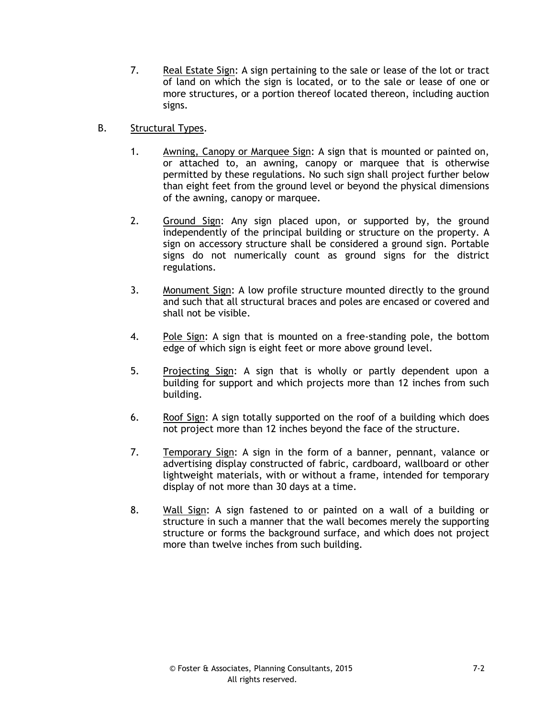- 7. Real Estate Sign: A sign pertaining to the sale or lease of the lot or tract of land on which the sign is located, or to the sale or lease of one or more structures, or a portion thereof located thereon, including auction signs.
- B. Structural Types.
	- 1. Awning, Canopy or Marquee Sign: A sign that is mounted or painted on, or attached to, an awning, canopy or marquee that is otherwise permitted by these regulations. No such sign shall project further below than eight feet from the ground level or beyond the physical dimensions of the awning, canopy or marquee.
	- 2. Ground Sign: Any sign placed upon, or supported by, the ground independently of the principal building or structure on the property. A sign on accessory structure shall be considered a ground sign. Portable signs do not numerically count as ground signs for the district regulations.
	- 3. Monument Sign: A low profile structure mounted directly to the ground and such that all structural braces and poles are encased or covered and shall not be visible.
	- 4. Pole Sign: A sign that is mounted on a free-standing pole, the bottom edge of which sign is eight feet or more above ground level.
	- 5. Projecting Sign: A sign that is wholly or partly dependent upon a building for support and which projects more than 12 inches from such building.
	- 6. Roof Sign: A sign totally supported on the roof of a building which does not project more than 12 inches beyond the face of the structure.
	- 7. Temporary Sign: A sign in the form of a banner, pennant, valance or advertising display constructed of fabric, cardboard, wallboard or other lightweight materials, with or without a frame, intended for temporary display of not more than 30 days at a time.
	- 8. Wall Sign: A sign fastened to or painted on a wall of a building or structure in such a manner that the wall becomes merely the supporting structure or forms the background surface, and which does not project more than twelve inches from such building.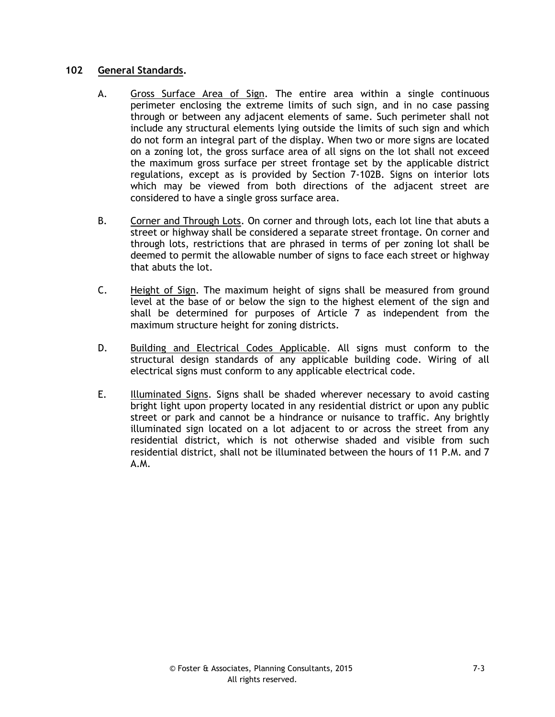### **102 General Standards.**

- A. Gross Surface Area of Sign. The entire area within a single continuous perimeter enclosing the extreme limits of such sign, and in no case passing through or between any adjacent elements of same. Such perimeter shall not include any structural elements lying outside the limits of such sign and which do not form an integral part of the display. When two or more signs are located on a zoning lot, the gross surface area of all signs on the lot shall not exceed the maximum gross surface per street frontage set by the applicable district regulations, except as is provided by Section 7-102B. Signs on interior lots which may be viewed from both directions of the adjacent street are considered to have a single gross surface area.
- B. Corner and Through Lots. On corner and through lots, each lot line that abuts a street or highway shall be considered a separate street frontage. On corner and through lots, restrictions that are phrased in terms of per zoning lot shall be deemed to permit the allowable number of signs to face each street or highway that abuts the lot.
- C. Height of Sign. The maximum height of signs shall be measured from ground level at the base of or below the sign to the highest element of the sign and shall be determined for purposes of Article 7 as independent from the maximum structure height for zoning districts.
- D. Building and Electrical Codes Applicable. All signs must conform to the structural design standards of any applicable building code. Wiring of all electrical signs must conform to any applicable electrical code.
- E. Illuminated Signs. Signs shall be shaded wherever necessary to avoid casting bright light upon property located in any residential district or upon any public street or park and cannot be a hindrance or nuisance to traffic. Any brightly illuminated sign located on a lot adjacent to or across the street from any residential district, which is not otherwise shaded and visible from such residential district, shall not be illuminated between the hours of 11 P.M. and 7 A.M.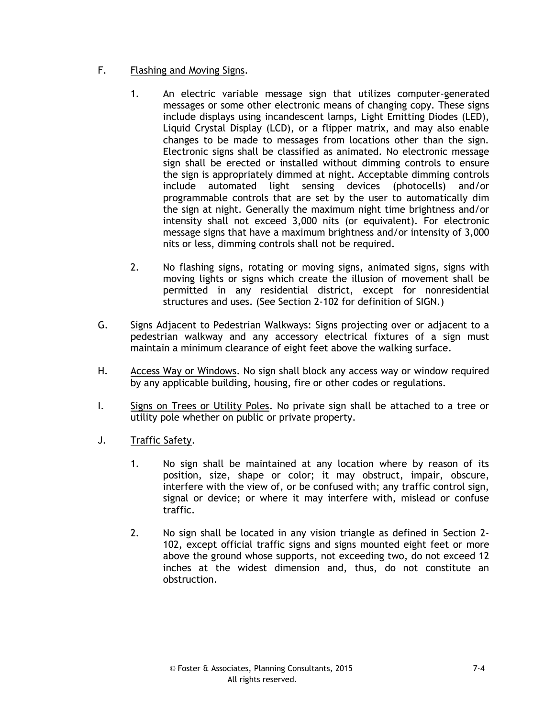- F. Flashing and Moving Signs.
	- 1. An electric variable message sign that utilizes computer-generated messages or some other electronic means of changing copy. These signs include displays using incandescent lamps, Light Emitting Diodes (LED), Liquid Crystal Display (LCD), or a flipper matrix, and may also enable changes to be made to messages from locations other than the sign. Electronic signs shall be classified as animated. No electronic message sign shall be erected or installed without dimming controls to ensure the sign is appropriately dimmed at night. Acceptable dimming controls include automated light sensing devices (photocells) and/or programmable controls that are set by the user to automatically dim the sign at night. Generally the maximum night time brightness and/or intensity shall not exceed 3,000 nits (or equivalent). For electronic message signs that have a maximum brightness and/or intensity of 3,000 nits or less, dimming controls shall not be required.
	- 2. No flashing signs, rotating or moving signs, animated signs, signs with moving lights or signs which create the illusion of movement shall be permitted in any residential district, except for nonresidential structures and uses. (See Section 2-102 for definition of SIGN.)
- G. Signs Adjacent to Pedestrian Walkways: Signs projecting over or adjacent to a pedestrian walkway and any accessory electrical fixtures of a sign must maintain a minimum clearance of eight feet above the walking surface.
- H. Access Way or Windows. No sign shall block any access way or window required by any applicable building, housing, fire or other codes or regulations.
- I. Signs on Trees or Utility Poles. No private sign shall be attached to a tree or utility pole whether on public or private property.
- J. Traffic Safety.
	- 1. No sign shall be maintained at any location where by reason of its position, size, shape or color; it may obstruct, impair, obscure, interfere with the view of, or be confused with; any traffic control sign, signal or device; or where it may interfere with, mislead or confuse traffic.
	- 2. No sign shall be located in any vision triangle as defined in Section 2- 102, except official traffic signs and signs mounted eight feet or more above the ground whose supports, not exceeding two, do not exceed 12 inches at the widest dimension and, thus, do not constitute an obstruction.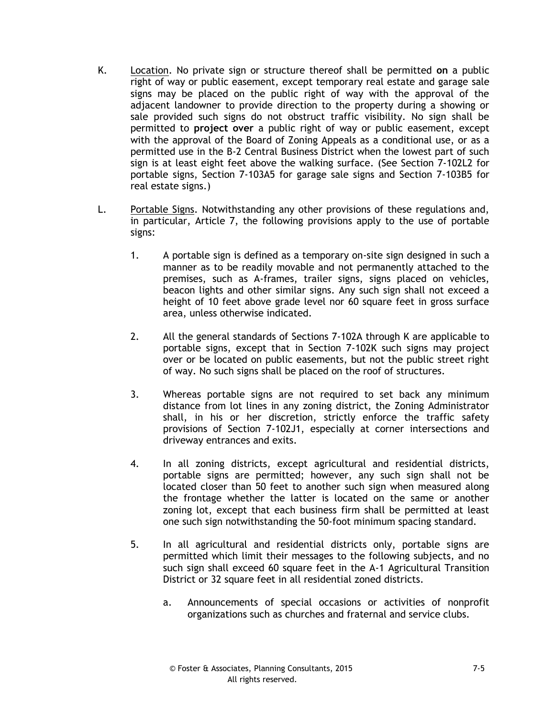- K. Location. No private sign or structure thereof shall be permitted **on** a public right of way or public easement, except temporary real estate and garage sale signs may be placed on the public right of way with the approval of the adjacent landowner to provide direction to the property during a showing or sale provided such signs do not obstruct traffic visibility. No sign shall be permitted to **project over** a public right of way or public easement, except with the approval of the Board of Zoning Appeals as a conditional use, or as a permitted use in the B-2 Central Business District when the lowest part of such sign is at least eight feet above the walking surface. (See Section 7-102L2 for portable signs, Section 7-103A5 for garage sale signs and Section 7-103B5 for real estate signs.)
- L. Portable Signs. Notwithstanding any other provisions of these regulations and, in particular, Article 7, the following provisions apply to the use of portable signs:
	- 1. A portable sign is defined as a temporary on-site sign designed in such a manner as to be readily movable and not permanently attached to the premises, such as A-frames, trailer signs, signs placed on vehicles, beacon lights and other similar signs. Any such sign shall not exceed a height of 10 feet above grade level nor 60 square feet in gross surface area, unless otherwise indicated.
	- 2. All the general standards of Sections 7-102A through K are applicable to portable signs, except that in Section 7-102K such signs may project over or be located on public easements, but not the public street right of way. No such signs shall be placed on the roof of structures.
	- 3. Whereas portable signs are not required to set back any minimum distance from lot lines in any zoning district, the Zoning Administrator shall, in his or her discretion, strictly enforce the traffic safety provisions of Section 7-102J1, especially at corner intersections and driveway entrances and exits.
	- 4. In all zoning districts, except agricultural and residential districts, portable signs are permitted; however, any such sign shall not be located closer than 50 feet to another such sign when measured along the frontage whether the latter is located on the same or another zoning lot, except that each business firm shall be permitted at least one such sign notwithstanding the 50-foot minimum spacing standard.
	- 5. In all agricultural and residential districts only, portable signs are permitted which limit their messages to the following subjects, and no such sign shall exceed 60 square feet in the A-1 Agricultural Transition District or 32 square feet in all residential zoned districts.
		- a. Announcements of special occasions or activities of nonprofit organizations such as churches and fraternal and service clubs.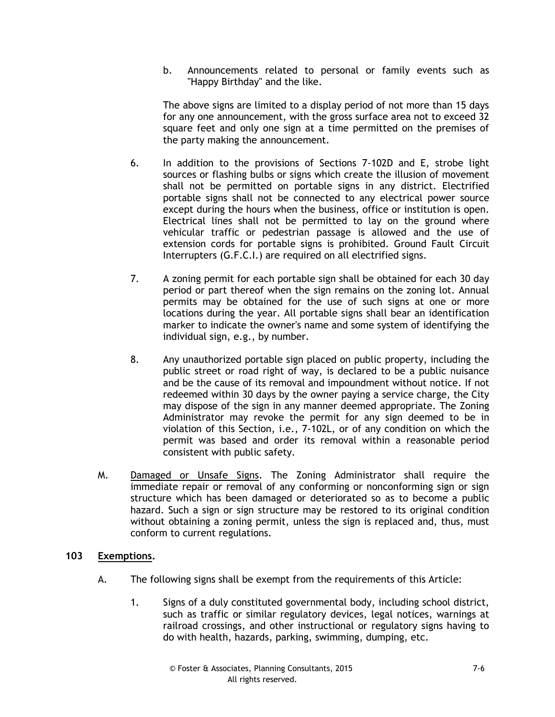b. Announcements related to personal or family events such as "Happy Birthday" and the like.

The above signs are limited to a display period of not more than 15 days for any one announcement, with the gross surface area not to exceed 32 square feet and only one sign at a time permitted on the premises of the party making the announcement.

- 6. In addition to the provisions of Sections 7-102D and E, strobe light sources or flashing bulbs or signs which create the illusion of movement shall not be permitted on portable signs in any district. Electrified portable signs shall not be connected to any electrical power source except during the hours when the business, office or institution is open. Electrical lines shall not be permitted to lay on the ground where vehicular traffic or pedestrian passage is allowed and the use of extension cords for portable signs is prohibited. Ground Fault Circuit Interrupters (G.F.C.I.) are required on all electrified signs.
- 7. A zoning permit for each portable sign shall be obtained for each 30 day period or part thereof when the sign remains on the zoning lot. Annual permits may be obtained for the use of such signs at one or more locations during the year. All portable signs shall bear an identification marker to indicate the owner's name and some system of identifying the individual sign, e.g., by number.
- 8. Any unauthorized portable sign placed on public property, including the public street or road right of way, is declared to be a public nuisance and be the cause of its removal and impoundment without notice. If not redeemed within 30 days by the owner paying a service charge, the City may dispose of the sign in any manner deemed appropriate. The Zoning Administrator may revoke the permit for any sign deemed to be in violation of this Section, i.e., 7-102L, or of any condition on which the permit was based and order its removal within a reasonable period consistent with public safety.
- M. Damaged or Unsafe Signs. The Zoning Administrator shall require the immediate repair or removal of any conforming or nonconforming sign or sign structure which has been damaged or deteriorated so as to become a public hazard. Such a sign or sign structure may be restored to its original condition without obtaining a zoning permit, unless the sign is replaced and, thus, must conform to current regulations.

### **103 Exemptions.**

- A. The following signs shall be exempt from the requirements of this Article:
	- 1. Signs of a duly constituted governmental body, including school district, such as traffic or similar regulatory devices, legal notices, warnings at railroad crossings, and other instructional or regulatory signs having to do with health, hazards, parking, swimming, dumping, etc.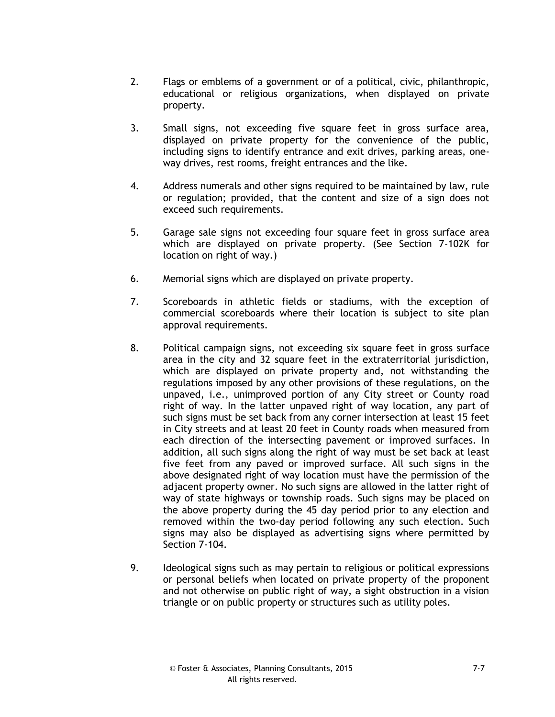- 2. Flags or emblems of a government or of a political, civic, philanthropic, educational or religious organizations, when displayed on private property.
- 3. Small signs, not exceeding five square feet in gross surface area, displayed on private property for the convenience of the public, including signs to identify entrance and exit drives, parking areas, oneway drives, rest rooms, freight entrances and the like.
- 4. Address numerals and other signs required to be maintained by law, rule or regulation; provided, that the content and size of a sign does not exceed such requirements.
- 5. Garage sale signs not exceeding four square feet in gross surface area which are displayed on private property. (See Section 7-102K for location on right of way.)
- 6. Memorial signs which are displayed on private property.
- 7. Scoreboards in athletic fields or stadiums, with the exception of commercial scoreboards where their location is subject to site plan approval requirements.
- 8. Political campaign signs, not exceeding six square feet in gross surface area in the city and 32 square feet in the extraterritorial jurisdiction, which are displayed on private property and, not withstanding the regulations imposed by any other provisions of these regulations, on the unpaved, i.e., unimproved portion of any City street or County road right of way. In the latter unpaved right of way location, any part of such signs must be set back from any corner intersection at least 15 feet in City streets and at least 20 feet in County roads when measured from each direction of the intersecting pavement or improved surfaces. In addition, all such signs along the right of way must be set back at least five feet from any paved or improved surface. All such signs in the above designated right of way location must have the permission of the adjacent property owner. No such signs are allowed in the latter right of way of state highways or township roads. Such signs may be placed on the above property during the 45 day period prior to any election and removed within the two-day period following any such election. Such signs may also be displayed as advertising signs where permitted by Section 7-104.
- 9. Ideological signs such as may pertain to religious or political expressions or personal beliefs when located on private property of the proponent and not otherwise on public right of way, a sight obstruction in a vision triangle or on public property or structures such as utility poles.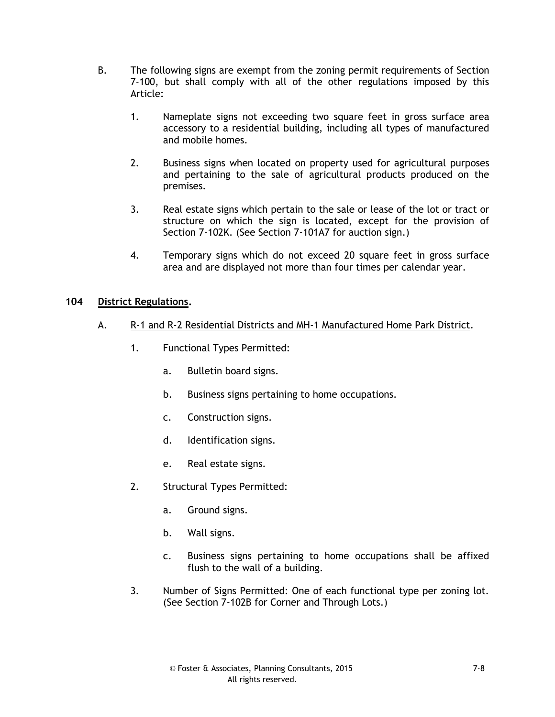- B. The following signs are exempt from the zoning permit requirements of Section 7-100, but shall comply with all of the other regulations imposed by this Article:
	- 1. Nameplate signs not exceeding two square feet in gross surface area accessory to a residential building, including all types of manufactured and mobile homes.
	- 2. Business signs when located on property used for agricultural purposes and pertaining to the sale of agricultural products produced on the premises.
	- 3. Real estate signs which pertain to the sale or lease of the lot or tract or structure on which the sign is located, except for the provision of Section 7-102K. (See Section 7-101A7 for auction sign.)
	- 4. Temporary signs which do not exceed 20 square feet in gross surface area and are displayed not more than four times per calendar year.

### **104 District Regulations.**

- A. R-1 and R-2 Residential Districts and MH-1 Manufactured Home Park District.
	- 1. Functional Types Permitted:
		- a. Bulletin board signs.
		- b. Business signs pertaining to home occupations.
		- c. Construction signs.
		- d. Identification signs.
		- e. Real estate signs.
	- 2. Structural Types Permitted:
		- a. Ground signs.
		- b. Wall signs.
		- c. Business signs pertaining to home occupations shall be affixed flush to the wall of a building.
	- 3. Number of Signs Permitted: One of each functional type per zoning lot. (See Section 7-102B for Corner and Through Lots.)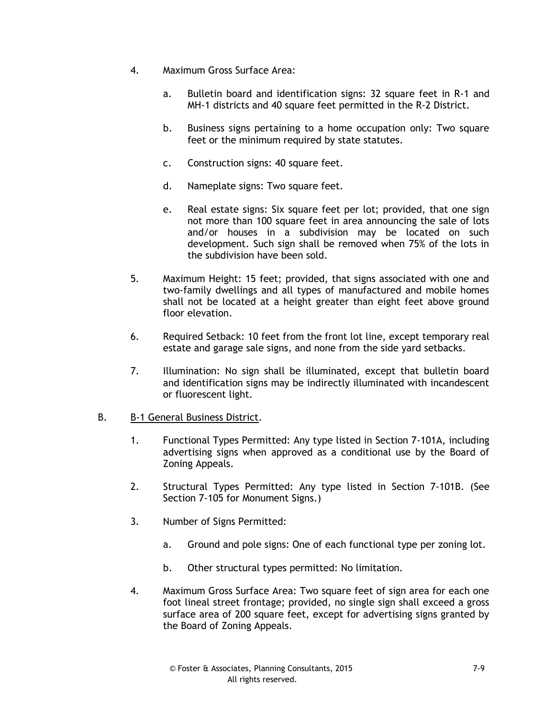- 4. Maximum Gross Surface Area:
	- a. Bulletin board and identification signs: 32 square feet in R-1 and MH-1 districts and 40 square feet permitted in the R-2 District.
	- b. Business signs pertaining to a home occupation only: Two square feet or the minimum required by state statutes.
	- c. Construction signs: 40 square feet.
	- d. Nameplate signs: Two square feet.
	- e. Real estate signs: Six square feet per lot; provided, that one sign not more than 100 square feet in area announcing the sale of lots and/or houses in a subdivision may be located on such development. Such sign shall be removed when 75% of the lots in the subdivision have been sold.
- 5. Maximum Height: 15 feet; provided, that signs associated with one and two-family dwellings and all types of manufactured and mobile homes shall not be located at a height greater than eight feet above ground floor elevation.
- 6. Required Setback: 10 feet from the front lot line, except temporary real estate and garage sale signs, and none from the side yard setbacks.
- 7. Illumination: No sign shall be illuminated, except that bulletin board and identification signs may be indirectly illuminated with incandescent or fluorescent light.

### B. B-1 General Business District.

- 1. Functional Types Permitted: Any type listed in Section 7-101A, including advertising signs when approved as a conditional use by the Board of Zoning Appeals.
- 2. Structural Types Permitted: Any type listed in Section 7-101B. (See Section 7-105 for Monument Signs.)
- 3. Number of Signs Permitted:
	- a. Ground and pole signs: One of each functional type per zoning lot.
	- b. Other structural types permitted: No limitation.
- 4. Maximum Gross Surface Area: Two square feet of sign area for each one foot lineal street frontage; provided, no single sign shall exceed a gross surface area of 200 square feet, except for advertising signs granted by the Board of Zoning Appeals.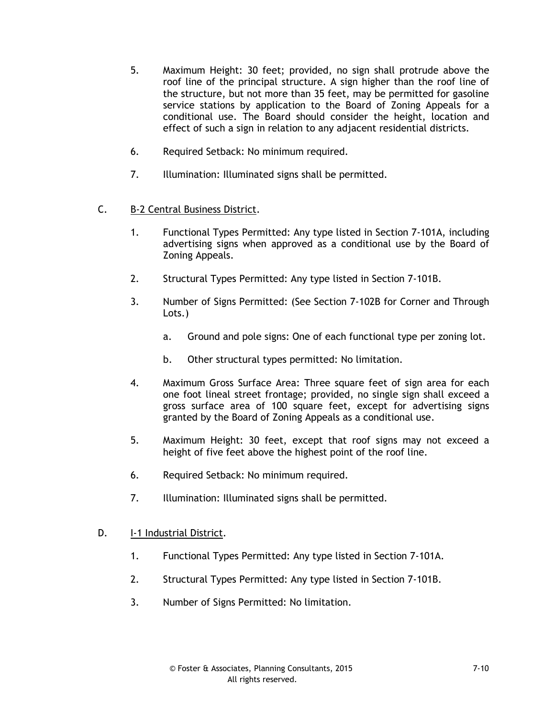- 5. Maximum Height: 30 feet; provided, no sign shall protrude above the roof line of the principal structure. A sign higher than the roof line of the structure, but not more than 35 feet, may be permitted for gasoline service stations by application to the Board of Zoning Appeals for a conditional use. The Board should consider the height, location and effect of such a sign in relation to any adjacent residential districts.
- 6. Required Setback: No minimum required.
- 7. Illumination: Illuminated signs shall be permitted.
- C. B-2 Central Business District.
	- 1. Functional Types Permitted: Any type listed in Section 7-101A, including advertising signs when approved as a conditional use by the Board of Zoning Appeals.
	- 2. Structural Types Permitted: Any type listed in Section 7-101B.
	- 3. Number of Signs Permitted: (See Section 7-102B for Corner and Through Lots.)
		- a. Ground and pole signs: One of each functional type per zoning lot.
		- b. Other structural types permitted: No limitation.
	- 4. Maximum Gross Surface Area: Three square feet of sign area for each one foot lineal street frontage; provided, no single sign shall exceed a gross surface area of 100 square feet, except for advertising signs granted by the Board of Zoning Appeals as a conditional use.
	- 5. Maximum Height: 30 feet, except that roof signs may not exceed a height of five feet above the highest point of the roof line.
	- 6. Required Setback: No minimum required.
	- 7. Illumination: Illuminated signs shall be permitted.
- D. I-1 Industrial District.
	- 1. Functional Types Permitted: Any type listed in Section 7-101A.
	- 2. Structural Types Permitted: Any type listed in Section 7-101B.
	- 3. Number of Signs Permitted: No limitation.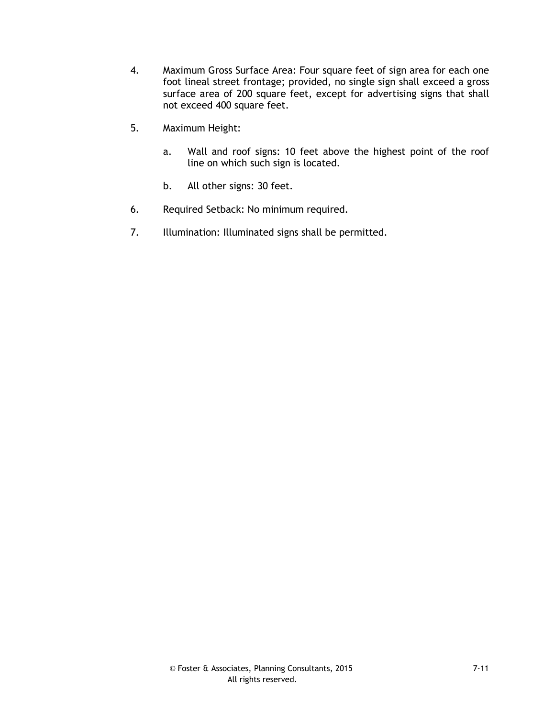- 4. Maximum Gross Surface Area: Four square feet of sign area for each one foot lineal street frontage; provided, no single sign shall exceed a gross surface area of 200 square feet, except for advertising signs that shall not exceed 400 square feet.
- 5. Maximum Height:
	- a. Wall and roof signs: 10 feet above the highest point of the roof line on which such sign is located.
	- b. All other signs: 30 feet.
- 6. Required Setback: No minimum required.
- 7. Illumination: Illuminated signs shall be permitted.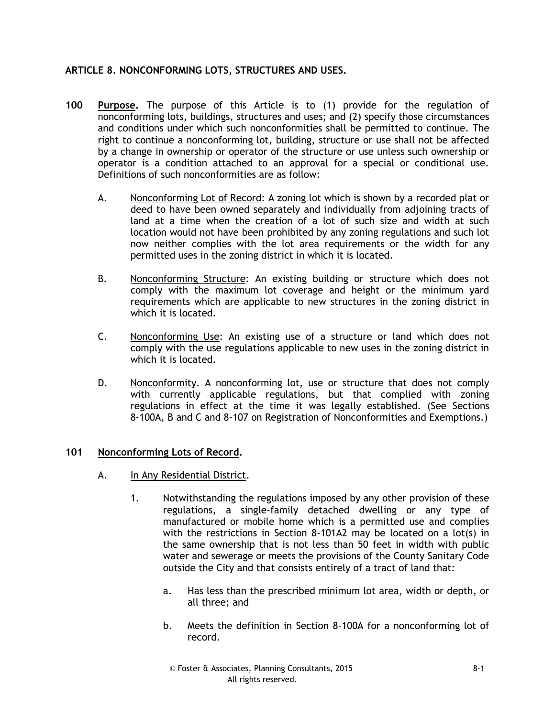# **ARTICLE 8. NONCONFORMING LOTS, STRUCTURES AND USES.**

- **100 Purpose.** The purpose of this Article is to (1) provide for the regulation of nonconforming lots, buildings, structures and uses; and (2) specify those circumstances and conditions under which such nonconformities shall be permitted to continue. The right to continue a nonconforming lot, building, structure or use shall not be affected by a change in ownership or operator of the structure or use unless such ownership or operator is a condition attached to an approval for a special or conditional use. Definitions of such nonconformities are as follow:
	- A. Nonconforming Lot of Record: A zoning lot which is shown by a recorded plat or deed to have been owned separately and individually from adjoining tracts of land at a time when the creation of a lot of such size and width at such location would not have been prohibited by any zoning regulations and such lot now neither complies with the lot area requirements or the width for any permitted uses in the zoning district in which it is located.
	- B. Nonconforming Structure: An existing building or structure which does not comply with the maximum lot coverage and height or the minimum yard requirements which are applicable to new structures in the zoning district in which it is located.
	- C. Nonconforming Use: An existing use of a structure or land which does not comply with the use regulations applicable to new uses in the zoning district in which it is located.
	- D. Nonconformity. A nonconforming lot, use or structure that does not comply with currently applicable regulations, but that complied with zoning regulations in effect at the time it was legally established. (See Sections 8-100A, B and C and 8-107 on Registration of Nonconformities and Exemptions.)

### **101 Nonconforming Lots of Record.**

- A. In Any Residential District.
	- 1. Notwithstanding the regulations imposed by any other provision of these regulations, a single-family detached dwelling or any type of manufactured or mobile home which is a permitted use and complies with the restrictions in Section 8-101A2 may be located on a lot(s) in the same ownership that is not less than 50 feet in width with public water and sewerage or meets the provisions of the County Sanitary Code outside the City and that consists entirely of a tract of land that:
		- a. Has less than the prescribed minimum lot area, width or depth, or all three; and
		- b. Meets the definition in Section 8-100A for a nonconforming lot of record.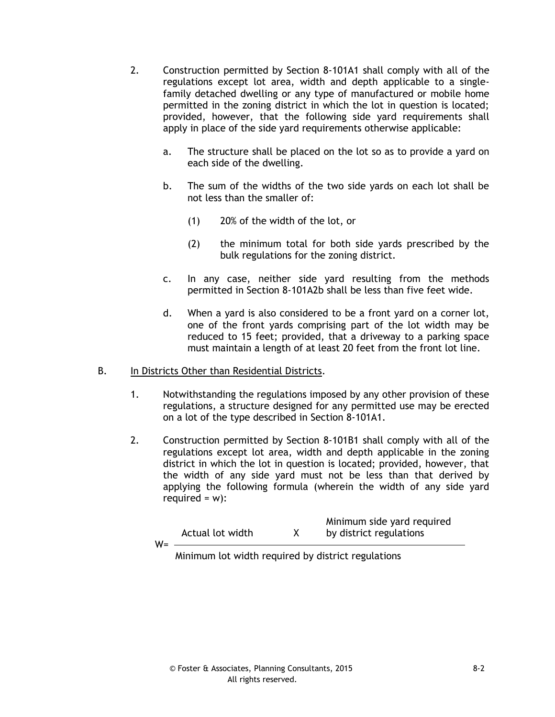- 2. Construction permitted by Section 8-101A1 shall comply with all of the regulations except lot area, width and depth applicable to a singlefamily detached dwelling or any type of manufactured or mobile home permitted in the zoning district in which the lot in question is located; provided, however, that the following side yard requirements shall apply in place of the side yard requirements otherwise applicable:
	- a. The structure shall be placed on the lot so as to provide a yard on each side of the dwelling.
	- b. The sum of the widths of the two side yards on each lot shall be not less than the smaller of:
		- (1) 20% of the width of the lot, or
		- (2) the minimum total for both side yards prescribed by the bulk regulations for the zoning district.
	- c. In any case, neither side yard resulting from the methods permitted in Section 8-101A2b shall be less than five feet wide.
	- d. When a yard is also considered to be a front yard on a corner lot, one of the front yards comprising part of the lot width may be reduced to 15 feet; provided, that a driveway to a parking space must maintain a length of at least 20 feet from the front lot line.

#### B. In Districts Other than Residential Districts.

- 1. Notwithstanding the regulations imposed by any other provision of these regulations, a structure designed for any permitted use may be erected on a lot of the type described in Section 8-101A1.
- 2. Construction permitted by Section 8-101B1 shall comply with all of the regulations except lot area, width and depth applicable in the zoning district in which the lot in question is located; provided, however, that the width of any side yard must not be less than that derived by applying the following formula (wherein the width of any side yard required =  $w$ ):

| $W =$ | Actual lot width | Minimum side yard required<br>by district regulations |  |
|-------|------------------|-------------------------------------------------------|--|
|       |                  |                                                       |  |

Minimum side yard required

Minimum lot width required by district regulations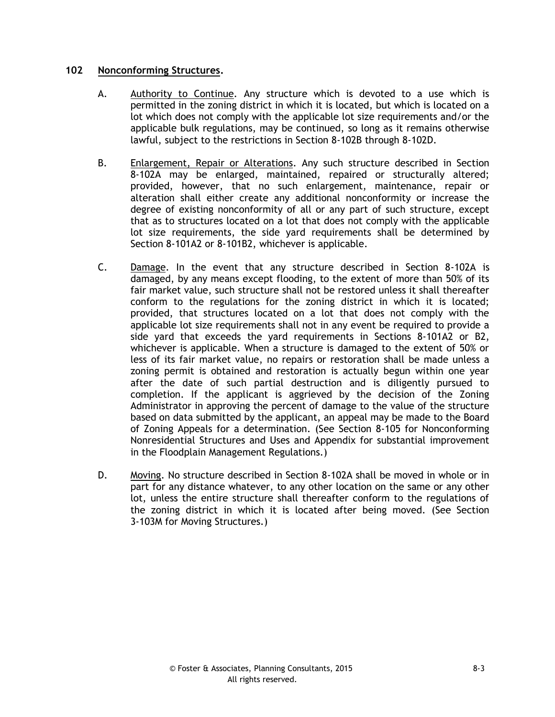### **102 Nonconforming Structures.**

- A. Authority to Continue. Any structure which is devoted to a use which is permitted in the zoning district in which it is located, but which is located on a lot which does not comply with the applicable lot size requirements and/or the applicable bulk regulations, may be continued, so long as it remains otherwise lawful, subject to the restrictions in Section 8-102B through 8-102D.
- B. Enlargement, Repair or Alterations. Any such structure described in Section 8-102A may be enlarged, maintained, repaired or structurally altered; provided, however, that no such enlargement, maintenance, repair or alteration shall either create any additional nonconformity or increase the degree of existing nonconformity of all or any part of such structure, except that as to structures located on a lot that does not comply with the applicable lot size requirements, the side yard requirements shall be determined by Section 8-101A2 or 8-101B2, whichever is applicable.
- C. Damage. In the event that any structure described in Section 8-102A is damaged, by any means except flooding, to the extent of more than 50% of its fair market value, such structure shall not be restored unless it shall thereafter conform to the regulations for the zoning district in which it is located; provided, that structures located on a lot that does not comply with the applicable lot size requirements shall not in any event be required to provide a side yard that exceeds the yard requirements in Sections 8-101A2 or B2, whichever is applicable. When a structure is damaged to the extent of 50% or less of its fair market value, no repairs or restoration shall be made unless a zoning permit is obtained and restoration is actually begun within one year after the date of such partial destruction and is diligently pursued to completion. If the applicant is aggrieved by the decision of the Zoning Administrator in approving the percent of damage to the value of the structure based on data submitted by the applicant, an appeal may be made to the Board of Zoning Appeals for a determination. (See Section 8-105 for Nonconforming Nonresidential Structures and Uses and Appendix for substantial improvement in the Floodplain Management Regulations.)
- D. Moving. No structure described in Section 8-102A shall be moved in whole or in part for any distance whatever, to any other location on the same or any other lot, unless the entire structure shall thereafter conform to the regulations of the zoning district in which it is located after being moved. (See Section 3-103M for Moving Structures.)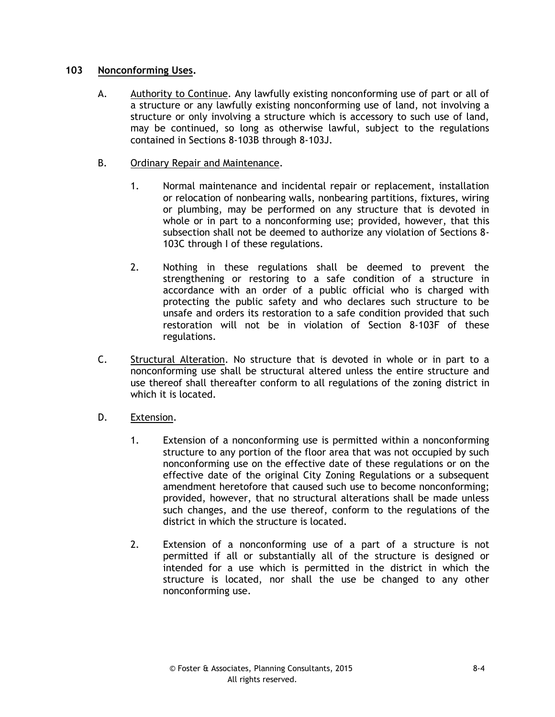## **103 Nonconforming Uses.**

- A. Authority to Continue. Any lawfully existing nonconforming use of part or all of a structure or any lawfully existing nonconforming use of land, not involving a structure or only involving a structure which is accessory to such use of land, may be continued, so long as otherwise lawful, subject to the regulations contained in Sections 8-103B through 8-103J.
- B. Ordinary Repair and Maintenance.
	- 1. Normal maintenance and incidental repair or replacement, installation or relocation of nonbearing walls, nonbearing partitions, fixtures, wiring or plumbing, may be performed on any structure that is devoted in whole or in part to a nonconforming use; provided, however, that this subsection shall not be deemed to authorize any violation of Sections 8- 103C through I of these regulations.
	- 2. Nothing in these regulations shall be deemed to prevent the strengthening or restoring to a safe condition of a structure in accordance with an order of a public official who is charged with protecting the public safety and who declares such structure to be unsafe and orders its restoration to a safe condition provided that such restoration will not be in violation of Section 8-103F of these regulations.
- C. Structural Alteration. No structure that is devoted in whole or in part to a nonconforming use shall be structural altered unless the entire structure and use thereof shall thereafter conform to all regulations of the zoning district in which it is located.
- D. Extension.
	- 1. Extension of a nonconforming use is permitted within a nonconforming structure to any portion of the floor area that was not occupied by such nonconforming use on the effective date of these regulations or on the effective date of the original City Zoning Regulations or a subsequent amendment heretofore that caused such use to become nonconforming; provided, however, that no structural alterations shall be made unless such changes, and the use thereof, conform to the regulations of the district in which the structure is located.
	- 2. Extension of a nonconforming use of a part of a structure is not permitted if all or substantially all of the structure is designed or intended for a use which is permitted in the district in which the structure is located, nor shall the use be changed to any other nonconforming use.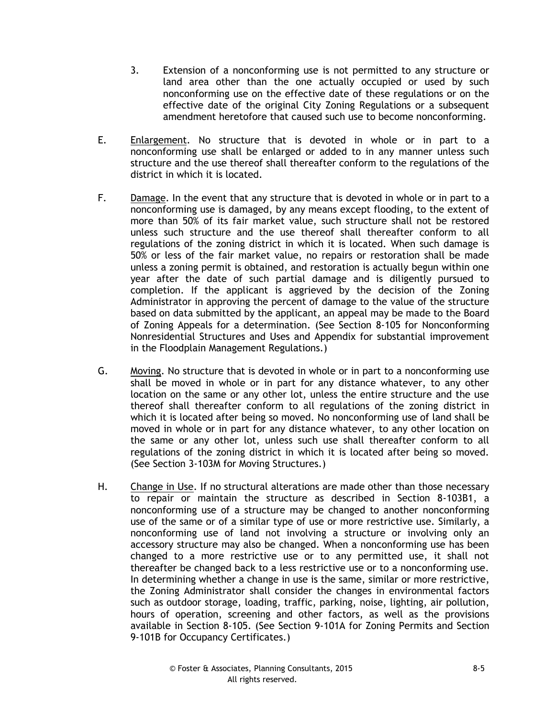- 3. Extension of a nonconforming use is not permitted to any structure or land area other than the one actually occupied or used by such nonconforming use on the effective date of these regulations or on the effective date of the original City Zoning Regulations or a subsequent amendment heretofore that caused such use to become nonconforming.
- E. Enlargement. No structure that is devoted in whole or in part to a nonconforming use shall be enlarged or added to in any manner unless such structure and the use thereof shall thereafter conform to the regulations of the district in which it is located.
- F. Damage. In the event that any structure that is devoted in whole or in part to a nonconforming use is damaged, by any means except flooding, to the extent of more than 50% of its fair market value, such structure shall not be restored unless such structure and the use thereof shall thereafter conform to all regulations of the zoning district in which it is located. When such damage is 50% or less of the fair market value, no repairs or restoration shall be made unless a zoning permit is obtained, and restoration is actually begun within one year after the date of such partial damage and is diligently pursued to completion. If the applicant is aggrieved by the decision of the Zoning Administrator in approving the percent of damage to the value of the structure based on data submitted by the applicant, an appeal may be made to the Board of Zoning Appeals for a determination. (See Section 8-105 for Nonconforming Nonresidential Structures and Uses and Appendix for substantial improvement in the Floodplain Management Regulations.)
- G. Moving. No structure that is devoted in whole or in part to a nonconforming use shall be moved in whole or in part for any distance whatever, to any other location on the same or any other lot, unless the entire structure and the use thereof shall thereafter conform to all regulations of the zoning district in which it is located after being so moved. No nonconforming use of land shall be moved in whole or in part for any distance whatever, to any other location on the same or any other lot, unless such use shall thereafter conform to all regulations of the zoning district in which it is located after being so moved. (See Section 3-103M for Moving Structures.)
- H. Change in Use. If no structural alterations are made other than those necessary to repair or maintain the structure as described in Section 8-103B1, a nonconforming use of a structure may be changed to another nonconforming use of the same or of a similar type of use or more restrictive use. Similarly, a nonconforming use of land not involving a structure or involving only an accessory structure may also be changed. When a nonconforming use has been changed to a more restrictive use or to any permitted use, it shall not thereafter be changed back to a less restrictive use or to a nonconforming use. In determining whether a change in use is the same, similar or more restrictive, the Zoning Administrator shall consider the changes in environmental factors such as outdoor storage, loading, traffic, parking, noise, lighting, air pollution, hours of operation, screening and other factors, as well as the provisions available in Section 8-105. (See Section 9-101A for Zoning Permits and Section 9-101B for Occupancy Certificates.)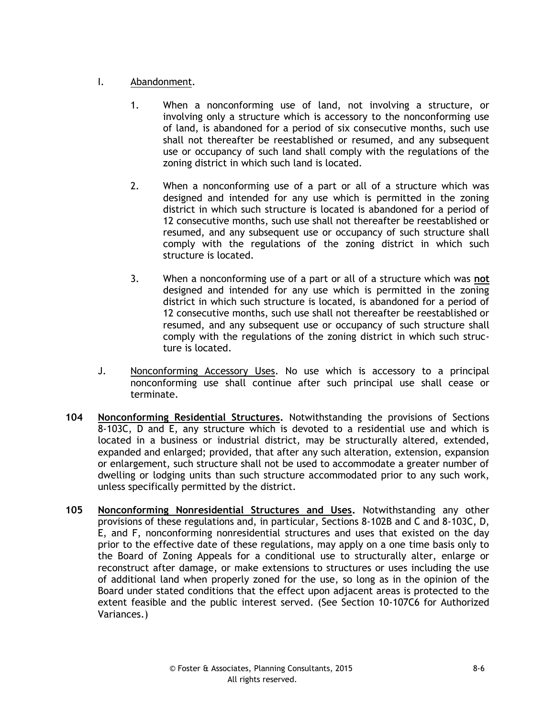# I. Abandonment.

- 1. When a nonconforming use of land, not involving a structure, or involving only a structure which is accessory to the nonconforming use of land, is abandoned for a period of six consecutive months, such use shall not thereafter be reestablished or resumed, and any subsequent use or occupancy of such land shall comply with the regulations of the zoning district in which such land is located.
- 2. When a nonconforming use of a part or all of a structure which was designed and intended for any use which is permitted in the zoning district in which such structure is located is abandoned for a period of 12 consecutive months, such use shall not thereafter be reestablished or resumed, and any subsequent use or occupancy of such structure shall comply with the regulations of the zoning district in which such structure is located.
- 3. When a nonconforming use of a part or all of a structure which was **not** designed and intended for any use which is permitted in the zoning district in which such structure is located, is abandoned for a period of 12 consecutive months, such use shall not thereafter be reestablished or resumed, and any subsequent use or occupancy of such structure shall comply with the regulations of the zoning district in which such structure is located.
- J. Nonconforming Accessory Uses. No use which is accessory to a principal nonconforming use shall continue after such principal use shall cease or terminate.
- **104 Nonconforming Residential Structures.** Notwithstanding the provisions of Sections 8-103C, D and E, any structure which is devoted to a residential use and which is located in a business or industrial district, may be structurally altered, extended, expanded and enlarged; provided, that after any such alteration, extension, expansion or enlargement, such structure shall not be used to accommodate a greater number of dwelling or lodging units than such structure accommodated prior to any such work, unless specifically permitted by the district.
- **105 Nonconforming Nonresidential Structures and Uses.** Notwithstanding any other provisions of these regulations and, in particular, Sections 8-102B and C and 8-103C, D, E, and F, nonconforming nonresidential structures and uses that existed on the day prior to the effective date of these regulations, may apply on a one time basis only to the Board of Zoning Appeals for a conditional use to structurally alter, enlarge or reconstruct after damage, or make extensions to structures or uses including the use of additional land when properly zoned for the use, so long as in the opinion of the Board under stated conditions that the effect upon adjacent areas is protected to the extent feasible and the public interest served. (See Section 10-107C6 for Authorized Variances.)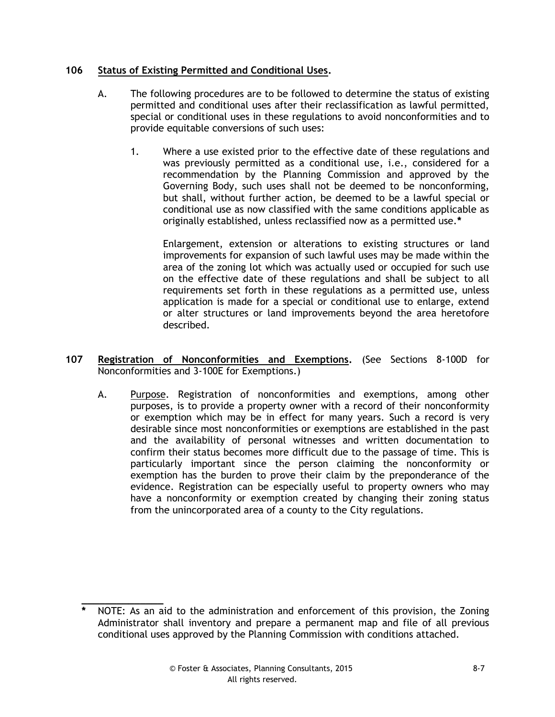# **106 Status of Existing Permitted and Conditional Uses.**

- A. The following procedures are to be followed to determine the status of existing permitted and conditional uses after their reclassification as lawful permitted, special or conditional uses in these regulations to avoid nonconformities and to provide equitable conversions of such uses:
	- 1. Where a use existed prior to the effective date of these regulations and was previously permitted as a conditional use, i.e., considered for a recommendation by the Planning Commission and approved by the Governing Body, such uses shall not be deemed to be nonconforming, but shall, without further action, be deemed to be a lawful special or conditional use as now classified with the same conditions applicable as originally established, unless reclassified now as a permitted use.**\***

Enlargement, extension or alterations to existing structures or land improvements for expansion of such lawful uses may be made within the area of the zoning lot which was actually used or occupied for such use on the effective date of these regulations and shall be subject to all requirements set forth in these regulations as a permitted use, unless application is made for a special or conditional use to enlarge, extend or alter structures or land improvements beyond the area heretofore described.

- **107 Registration of Nonconformities and Exemptions.** (See Sections 8-100D for Nonconformities and 3-100E for Exemptions.)
	- A. Purpose. Registration of nonconformities and exemptions, among other purposes, is to provide a property owner with a record of their nonconformity or exemption which may be in effect for many years. Such a record is very desirable since most nonconformities or exemptions are established in the past and the availability of personal witnesses and written documentation to confirm their status becomes more difficult due to the passage of time. This is particularly important since the person claiming the nonconformity or exemption has the burden to prove their claim by the preponderance of the evidence. Registration can be especially useful to property owners who may have a nonconformity or exemption created by changing their zoning status from the unincorporated area of a county to the City regulations.

**\_\_\_\_\_\_\_\_\_\_\_\_\_\_ \*** NOTE: As an aid to the administration and enforcement of this provision, the Zoning Administrator shall inventory and prepare a permanent map and file of all previous conditional uses approved by the Planning Commission with conditions attached.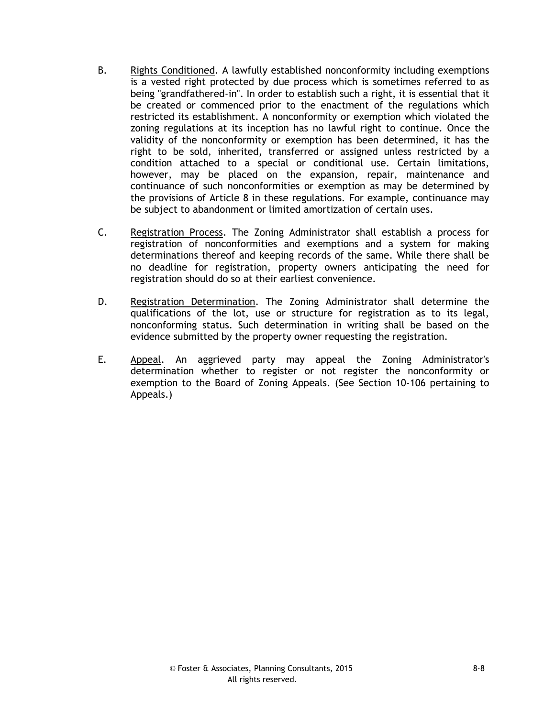- B. Rights Conditioned. A lawfully established nonconformity including exemptions is a vested right protected by due process which is sometimes referred to as being "grandfathered-in". In order to establish such a right, it is essential that it be created or commenced prior to the enactment of the regulations which restricted its establishment. A nonconformity or exemption which violated the zoning regulations at its inception has no lawful right to continue. Once the validity of the nonconformity or exemption has been determined, it has the right to be sold, inherited, transferred or assigned unless restricted by a condition attached to a special or conditional use. Certain limitations, however, may be placed on the expansion, repair, maintenance and continuance of such nonconformities or exemption as may be determined by the provisions of Article 8 in these regulations. For example, continuance may be subject to abandonment or limited amortization of certain uses.
- C. Registration Process. The Zoning Administrator shall establish a process for registration of nonconformities and exemptions and a system for making determinations thereof and keeping records of the same. While there shall be no deadline for registration, property owners anticipating the need for registration should do so at their earliest convenience.
- D. Registration Determination. The Zoning Administrator shall determine the qualifications of the lot, use or structure for registration as to its legal, nonconforming status. Such determination in writing shall be based on the evidence submitted by the property owner requesting the registration.
- E. Appeal. An aggrieved party may appeal the Zoning Administrator's determination whether to register or not register the nonconformity or exemption to the Board of Zoning Appeals. (See Section 10-106 pertaining to Appeals.)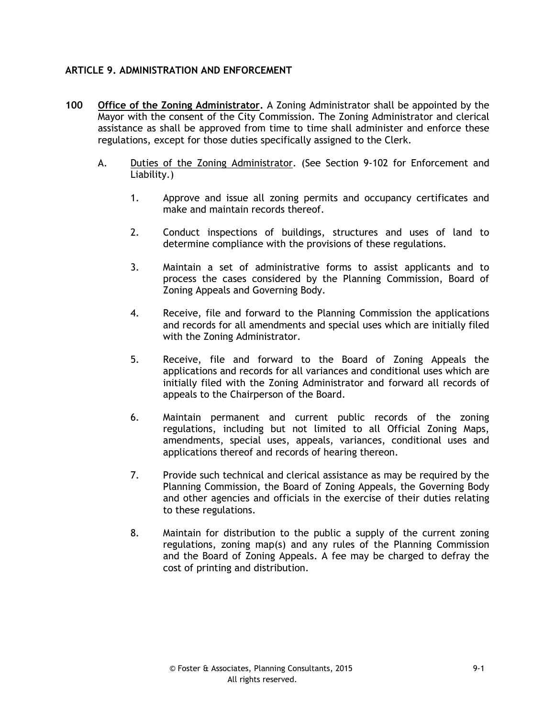# **ARTICLE 9. ADMINISTRATION AND ENFORCEMENT**

- **100 Office of the Zoning Administrator.** A Zoning Administrator shall be appointed by the Mayor with the consent of the City Commission. The Zoning Administrator and clerical assistance as shall be approved from time to time shall administer and enforce these regulations, except for those duties specifically assigned to the Clerk.
	- A. Duties of the Zoning Administrator. (See Section 9-102 for Enforcement and Liability.)
		- 1. Approve and issue all zoning permits and occupancy certificates and make and maintain records thereof.
		- 2. Conduct inspections of buildings, structures and uses of land to determine compliance with the provisions of these regulations.
		- 3. Maintain a set of administrative forms to assist applicants and to process the cases considered by the Planning Commission, Board of Zoning Appeals and Governing Body.
		- 4. Receive, file and forward to the Planning Commission the applications and records for all amendments and special uses which are initially filed with the Zoning Administrator.
		- 5. Receive, file and forward to the Board of Zoning Appeals the applications and records for all variances and conditional uses which are initially filed with the Zoning Administrator and forward all records of appeals to the Chairperson of the Board.
		- 6. Maintain permanent and current public records of the zoning regulations, including but not limited to all Official Zoning Maps, amendments, special uses, appeals, variances, conditional uses and applications thereof and records of hearing thereon.
		- 7. Provide such technical and clerical assistance as may be required by the Planning Commission, the Board of Zoning Appeals, the Governing Body and other agencies and officials in the exercise of their duties relating to these regulations.
		- 8. Maintain for distribution to the public a supply of the current zoning regulations, zoning map(s) and any rules of the Planning Commission and the Board of Zoning Appeals. A fee may be charged to defray the cost of printing and distribution.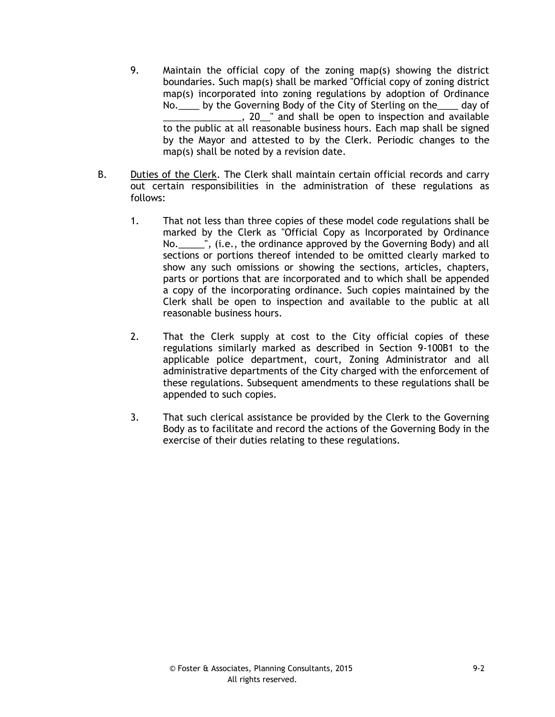- 9. Maintain the official copy of the zoning map(s) showing the district boundaries. Such map(s) shall be marked "Official copy of zoning district map(s) incorporated into zoning regulations by adoption of Ordinance No. by the Governing Body of the City of Sterling on the day of 1. 20<sup>th</sup> and shall be open to inspection and available to the public at all reasonable business hours. Each map shall be signed by the Mayor and attested to by the Clerk. Periodic changes to the map(s) shall be noted by a revision date.
- B. Duties of the Clerk. The Clerk shall maintain certain official records and carry out certain responsibilities in the administration of these regulations as follows:
	- 1. That not less than three copies of these model code regulations shall be marked by the Clerk as "Official Copy as Incorporated by Ordinance No.\_\_\_\_\_", (i.e., the ordinance approved by the Governing Body) and all sections or portions thereof intended to be omitted clearly marked to show any such omissions or showing the sections, articles, chapters, parts or portions that are incorporated and to which shall be appended a copy of the incorporating ordinance. Such copies maintained by the Clerk shall be open to inspection and available to the public at all reasonable business hours.
	- 2. That the Clerk supply at cost to the City official copies of these regulations similarly marked as described in Section 9-100B1 to the applicable police department, court, Zoning Administrator and all administrative departments of the City charged with the enforcement of these regulations. Subsequent amendments to these regulations shall be appended to such copies.
	- 3. That such clerical assistance be provided by the Clerk to the Governing Body as to facilitate and record the actions of the Governing Body in the exercise of their duties relating to these regulations.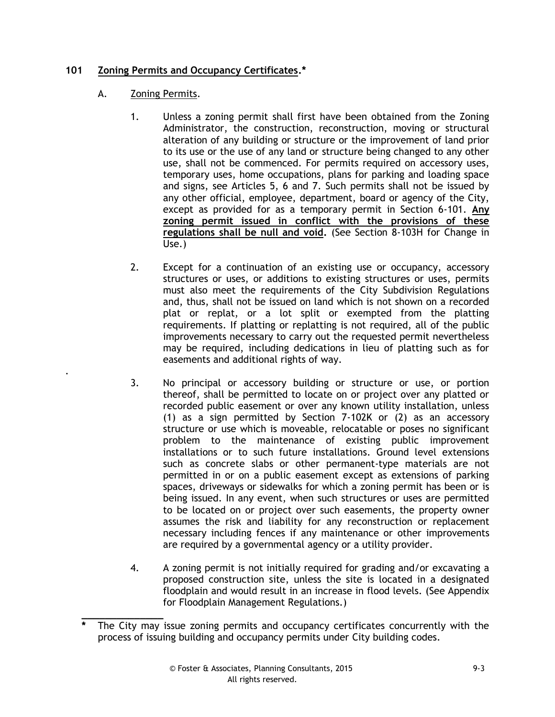# **101 Zoning Permits and Occupancy Certificates.\***

# A. Zoning Permits.

.

- 1. Unless a zoning permit shall first have been obtained from the Zoning Administrator, the construction, reconstruction, moving or structural alteration of any building or structure or the improvement of land prior to its use or the use of any land or structure being changed to any other use, shall not be commenced. For permits required on accessory uses, temporary uses, home occupations, plans for parking and loading space and signs, see Articles 5, 6 and 7. Such permits shall not be issued by any other official, employee, department, board or agency of the City, except as provided for as a temporary permit in Section 6-101. **Any zoning permit issued in conflict with the provisions of these regulations shall be null and void.** (See Section 8-103H for Change in Use.)
- 2. Except for a continuation of an existing use or occupancy, accessory structures or uses, or additions to existing structures or uses, permits must also meet the requirements of the City Subdivision Regulations and, thus, shall not be issued on land which is not shown on a recorded plat or replat, or a lot split or exempted from the platting requirements. If platting or replatting is not required, all of the public improvements necessary to carry out the requested permit nevertheless may be required, including dedications in lieu of platting such as for easements and additional rights of way.
- 3. No principal or accessory building or structure or use, or portion thereof, shall be permitted to locate on or project over any platted or recorded public easement or over any known utility installation, unless (1) as a sign permitted by Section 7-102K or (2) as an accessory structure or use which is moveable, relocatable or poses no significant problem to the maintenance of existing public improvement installations or to such future installations. Ground level extensions such as concrete slabs or other permanent-type materials are not permitted in or on a public easement except as extensions of parking spaces, driveways or sidewalks for which a zoning permit has been or is being issued. In any event, when such structures or uses are permitted to be located on or project over such easements, the property owner assumes the risk and liability for any reconstruction or replacement necessary including fences if any maintenance or other improvements are required by a governmental agency or a utility provider.
- 4. A zoning permit is not initially required for grading and/or excavating a proposed construction site, unless the site is located in a designated floodplain and would result in an increase in flood levels. (See Appendix for Floodplain Management Regulations.)

**\_\_\_\_\_\_\_\_\_\_\_\_\_\_ \*** The City may issue zoning permits and occupancy certificates concurrently with the process of issuing building and occupancy permits under City building codes.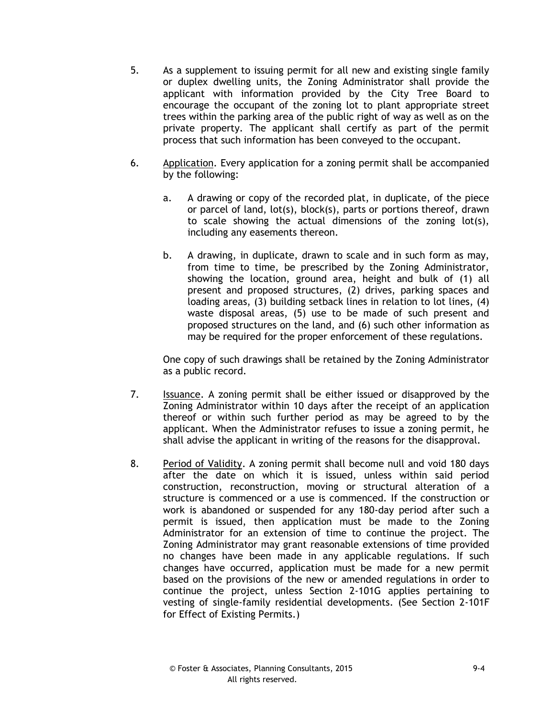- 5. As a supplement to issuing permit for all new and existing single family or duplex dwelling units, the Zoning Administrator shall provide the applicant with information provided by the City Tree Board to encourage the occupant of the zoning lot to plant appropriate street trees within the parking area of the public right of way as well as on the private property. The applicant shall certify as part of the permit process that such information has been conveyed to the occupant.
- 6. Application. Every application for a zoning permit shall be accompanied by the following:
	- a. A drawing or copy of the recorded plat, in duplicate, of the piece or parcel of land, lot(s), block(s), parts or portions thereof, drawn to scale showing the actual dimensions of the zoning lot(s), including any easements thereon.
	- b. A drawing, in duplicate, drawn to scale and in such form as may, from time to time, be prescribed by the Zoning Administrator, showing the location, ground area, height and bulk of (1) all present and proposed structures, (2) drives, parking spaces and loading areas, (3) building setback lines in relation to lot lines, (4) waste disposal areas, (5) use to be made of such present and proposed structures on the land, and (6) such other information as may be required for the proper enforcement of these regulations.

One copy of such drawings shall be retained by the Zoning Administrator as a public record.

- 7. Issuance. A zoning permit shall be either issued or disapproved by the Zoning Administrator within 10 days after the receipt of an application thereof or within such further period as may be agreed to by the applicant. When the Administrator refuses to issue a zoning permit, he shall advise the applicant in writing of the reasons for the disapproval.
- 8. Period of Validity. A zoning permit shall become null and void 180 days after the date on which it is issued, unless within said period construction, reconstruction, moving or structural alteration of a structure is commenced or a use is commenced. If the construction or work is abandoned or suspended for any 180-day period after such a permit is issued, then application must be made to the Zoning Administrator for an extension of time to continue the project. The Zoning Administrator may grant reasonable extensions of time provided no changes have been made in any applicable regulations. If such changes have occurred, application must be made for a new permit based on the provisions of the new or amended regulations in order to continue the project, unless Section 2-101G applies pertaining to vesting of single-family residential developments. (See Section 2-101F for Effect of Existing Permits.)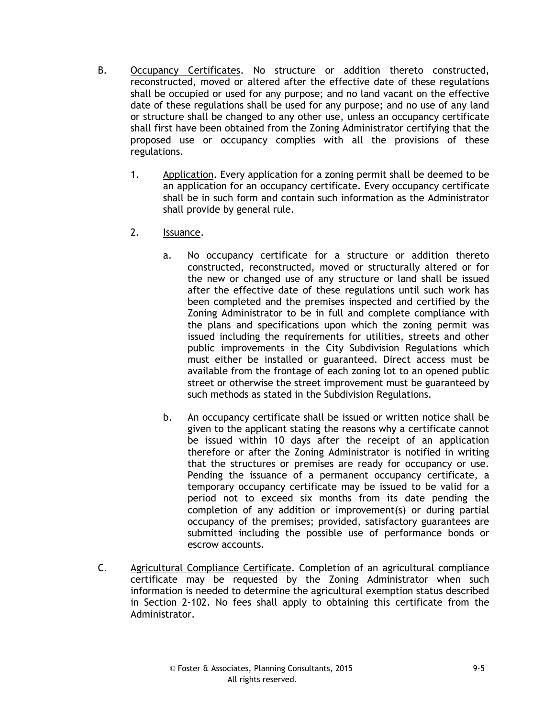- B. Occupancy Certificates. No structure or addition thereto constructed, reconstructed, moved or altered after the effective date of these regulations shall be occupied or used for any purpose; and no land vacant on the effective date of these regulations shall be used for any purpose; and no use of any land or structure shall be changed to any other use, unless an occupancy certificate shall first have been obtained from the Zoning Administrator certifying that the proposed use or occupancy complies with all the provisions of these regulations.
	- 1. Application. Every application for a zoning permit shall be deemed to be an application for an occupancy certificate. Every occupancy certificate shall be in such form and contain such information as the Administrator shall provide by general rule.
	- 2. Issuance.
		- a. No occupancy certificate for a structure or addition thereto constructed, reconstructed, moved or structurally altered or for the new or changed use of any structure or land shall be issued after the effective date of these regulations until such work has been completed and the premises inspected and certified by the Zoning Administrator to be in full and complete compliance with the plans and specifications upon which the zoning permit was issued including the requirements for utilities, streets and other public improvements in the City Subdivision Regulations which must either be installed or guaranteed. Direct access must be available from the frontage of each zoning lot to an opened public street or otherwise the street improvement must be guaranteed by such methods as stated in the Subdivision Regulations.
		- b. An occupancy certificate shall be issued or written notice shall be given to the applicant stating the reasons why a certificate cannot be issued within 10 days after the receipt of an application therefore or after the Zoning Administrator is notified in writing that the structures or premises are ready for occupancy or use. Pending the issuance of a permanent occupancy certificate, a temporary occupancy certificate may be issued to be valid for a period not to exceed six months from its date pending the completion of any addition or improvement(s) or during partial occupancy of the premises; provided, satisfactory guarantees are submitted including the possible use of performance bonds or escrow accounts.
- C. Agricultural Compliance Certificate. Completion of an agricultural compliance certificate may be requested by the Zoning Administrator when such information is needed to determine the agricultural exemption status described in Section 2-102. No fees shall apply to obtaining this certificate from the Administrator.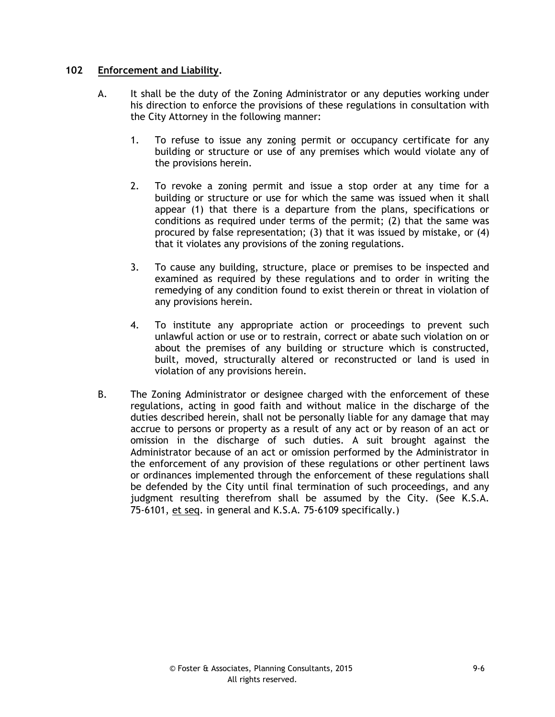### **102 Enforcement and Liability.**

- A. It shall be the duty of the Zoning Administrator or any deputies working under his direction to enforce the provisions of these regulations in consultation with the City Attorney in the following manner:
	- 1. To refuse to issue any zoning permit or occupancy certificate for any building or structure or use of any premises which would violate any of the provisions herein.
	- 2. To revoke a zoning permit and issue a stop order at any time for a building or structure or use for which the same was issued when it shall appear (1) that there is a departure from the plans, specifications or conditions as required under terms of the permit; (2) that the same was procured by false representation; (3) that it was issued by mistake, or (4) that it violates any provisions of the zoning regulations.
	- 3. To cause any building, structure, place or premises to be inspected and examined as required by these regulations and to order in writing the remedying of any condition found to exist therein or threat in violation of any provisions herein.
	- 4. To institute any appropriate action or proceedings to prevent such unlawful action or use or to restrain, correct or abate such violation on or about the premises of any building or structure which is constructed, built, moved, structurally altered or reconstructed or land is used in violation of any provisions herein.
- B. The Zoning Administrator or designee charged with the enforcement of these regulations, acting in good faith and without malice in the discharge of the duties described herein, shall not be personally liable for any damage that may accrue to persons or property as a result of any act or by reason of an act or omission in the discharge of such duties. A suit brought against the Administrator because of an act or omission performed by the Administrator in the enforcement of any provision of these regulations or other pertinent laws or ordinances implemented through the enforcement of these regulations shall be defended by the City until final termination of such proceedings, and any judgment resulting therefrom shall be assumed by the City. (See K.S.A. 75-6101, et seq. in general and K.S.A. 75-6109 specifically.)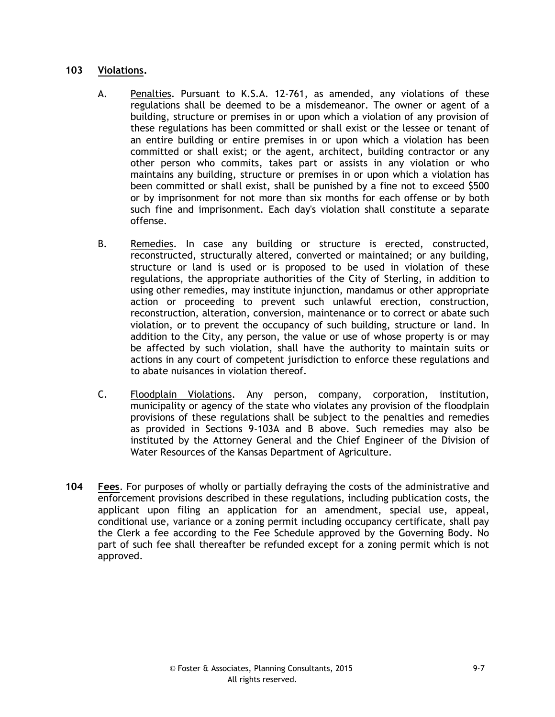### **103 Violations.**

- A. Penalties. Pursuant to K.S.A. 12-761, as amended, any violations of these regulations shall be deemed to be a misdemeanor. The owner or agent of a building, structure or premises in or upon which a violation of any provision of these regulations has been committed or shall exist or the lessee or tenant of an entire building or entire premises in or upon which a violation has been committed or shall exist; or the agent, architect, building contractor or any other person who commits, takes part or assists in any violation or who maintains any building, structure or premises in or upon which a violation has been committed or shall exist, shall be punished by a fine not to exceed \$500 or by imprisonment for not more than six months for each offense or by both such fine and imprisonment. Each day's violation shall constitute a separate offense.
- B. Remedies. In case any building or structure is erected, constructed, reconstructed, structurally altered, converted or maintained; or any building, structure or land is used or is proposed to be used in violation of these regulations, the appropriate authorities of the City of Sterling, in addition to using other remedies, may institute injunction, mandamus or other appropriate action or proceeding to prevent such unlawful erection, construction, reconstruction, alteration, conversion, maintenance or to correct or abate such violation, or to prevent the occupancy of such building, structure or land. In addition to the City, any person, the value or use of whose property is or may be affected by such violation, shall have the authority to maintain suits or actions in any court of competent jurisdiction to enforce these regulations and to abate nuisances in violation thereof.
- C. Floodplain Violations. Any person, company, corporation, institution, municipality or agency of the state who violates any provision of the floodplain provisions of these regulations shall be subject to the penalties and remedies as provided in Sections 9-103A and B above. Such remedies may also be instituted by the Attorney General and the Chief Engineer of the Division of Water Resources of the Kansas Department of Agriculture.
- **104 Fees**. For purposes of wholly or partially defraying the costs of the administrative and enforcement provisions described in these regulations, including publication costs, the applicant upon filing an application for an amendment, special use, appeal, conditional use, variance or a zoning permit including occupancy certificate, shall pay the Clerk a fee according to the Fee Schedule approved by the Governing Body. No part of such fee shall thereafter be refunded except for a zoning permit which is not approved.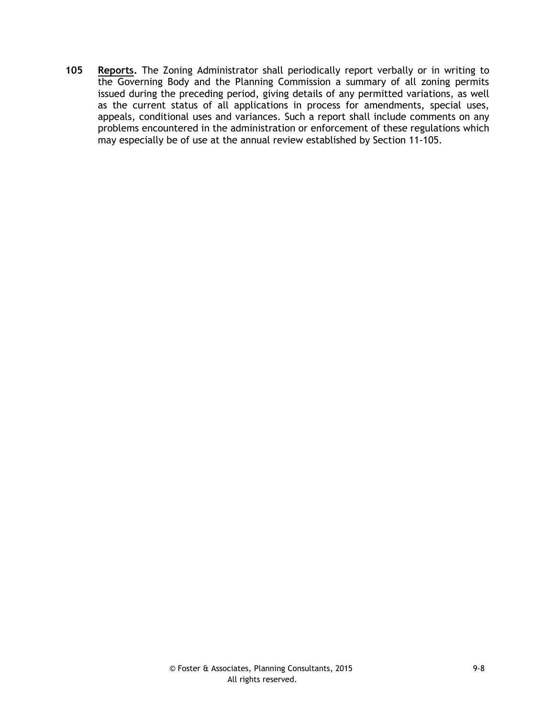**105 Reports.** The Zoning Administrator shall periodically report verbally or in writing to the Governing Body and the Planning Commission a summary of all zoning permits issued during the preceding period, giving details of any permitted variations, as well as the current status of all applications in process for amendments, special uses, appeals, conditional uses and variances. Such a report shall include comments on any problems encountered in the administration or enforcement of these regulations which may especially be of use at the annual review established by Section 11-105.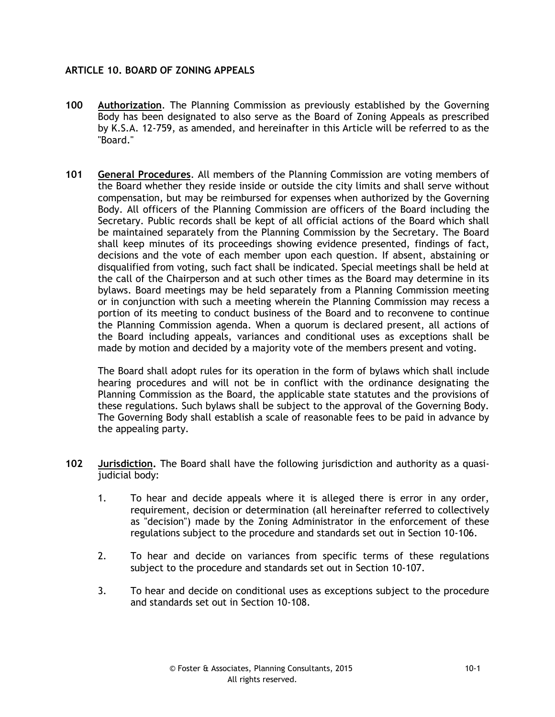# **ARTICLE 10. BOARD OF ZONING APPEALS**

- **100 Authorization**. The Planning Commission as previously established by the Governing Body has been designated to also serve as the Board of Zoning Appeals as prescribed by K.S.A. 12-759, as amended, and hereinafter in this Article will be referred to as the "Board."
- **101 General Procedures**. All members of the Planning Commission are voting members of the Board whether they reside inside or outside the city limits and shall serve without compensation, but may be reimbursed for expenses when authorized by the Governing Body. All officers of the Planning Commission are officers of the Board including the Secretary. Public records shall be kept of all official actions of the Board which shall be maintained separately from the Planning Commission by the Secretary. The Board shall keep minutes of its proceedings showing evidence presented, findings of fact, decisions and the vote of each member upon each question. If absent, abstaining or disqualified from voting, such fact shall be indicated. Special meetings shall be held at the call of the Chairperson and at such other times as the Board may determine in its bylaws. Board meetings may be held separately from a Planning Commission meeting or in conjunction with such a meeting wherein the Planning Commission may recess a portion of its meeting to conduct business of the Board and to reconvene to continue the Planning Commission agenda. When a quorum is declared present, all actions of the Board including appeals, variances and conditional uses as exceptions shall be made by motion and decided by a majority vote of the members present and voting.

The Board shall adopt rules for its operation in the form of bylaws which shall include hearing procedures and will not be in conflict with the ordinance designating the Planning Commission as the Board, the applicable state statutes and the provisions of these regulations. Such bylaws shall be subject to the approval of the Governing Body. The Governing Body shall establish a scale of reasonable fees to be paid in advance by the appealing party.

- **102 Jurisdiction.** The Board shall have the following jurisdiction and authority as a quasijudicial body:
	- 1. To hear and decide appeals where it is alleged there is error in any order, requirement, decision or determination (all hereinafter referred to collectively as "decision") made by the Zoning Administrator in the enforcement of these regulations subject to the procedure and standards set out in Section 10-106.
	- 2. To hear and decide on variances from specific terms of these regulations subject to the procedure and standards set out in Section 10-107.
	- 3. To hear and decide on conditional uses as exceptions subject to the procedure and standards set out in Section 10-108.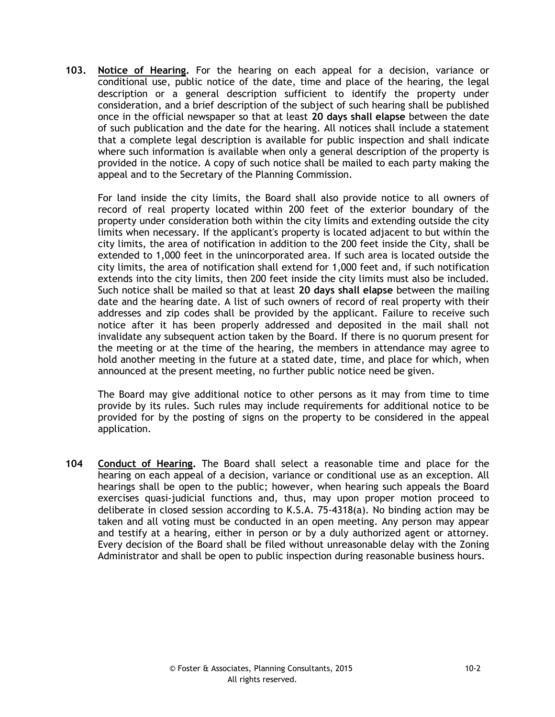**103. Notice of Hearing.** For the hearing on each appeal for a decision, variance or conditional use, public notice of the date, time and place of the hearing, the legal description or a general description sufficient to identify the property under consideration, and a brief description of the subject of such hearing shall be published once in the official newspaper so that at least **20 days shall elapse** between the date of such publication and the date for the hearing. All notices shall include a statement that a complete legal description is available for public inspection and shall indicate where such information is available when only a general description of the property is provided in the notice. A copy of such notice shall be mailed to each party making the appeal and to the Secretary of the Planning Commission.

For land inside the city limits, the Board shall also provide notice to all owners of record of real property located within 200 feet of the exterior boundary of the property under consideration both within the city limits and extending outside the city limits when necessary. If the applicant's property is located adjacent to but within the city limits, the area of notification in addition to the 200 feet inside the City, shall be extended to 1,000 feet in the unincorporated area. If such area is located outside the city limits, the area of notification shall extend for 1,000 feet and, if such notification extends into the city limits, then 200 feet inside the city limits must also be included. Such notice shall be mailed so that at least **20 days shall elapse** between the mailing date and the hearing date. A list of such owners of record of real property with their addresses and zip codes shall be provided by the applicant. Failure to receive such notice after it has been properly addressed and deposited in the mail shall not invalidate any subsequent action taken by the Board. If there is no quorum present for the meeting or at the time of the hearing, the members in attendance may agree to hold another meeting in the future at a stated date, time, and place for which, when announced at the present meeting, no further public notice need be given.

The Board may give additional notice to other persons as it may from time to time provide by its rules. Such rules may include requirements for additional notice to be provided for by the posting of signs on the property to be considered in the appeal application.

**104 Conduct of Hearing.** The Board shall select a reasonable time and place for the hearing on each appeal of a decision, variance or conditional use as an exception. All hearings shall be open to the public; however, when hearing such appeals the Board exercises quasi-judicial functions and, thus, may upon proper motion proceed to deliberate in closed session according to K.S.A. 75-4318(a). No binding action may be taken and all voting must be conducted in an open meeting. Any person may appear and testify at a hearing, either in person or by a duly authorized agent or attorney. Every decision of the Board shall be filed without unreasonable delay with the Zoning Administrator and shall be open to public inspection during reasonable business hours.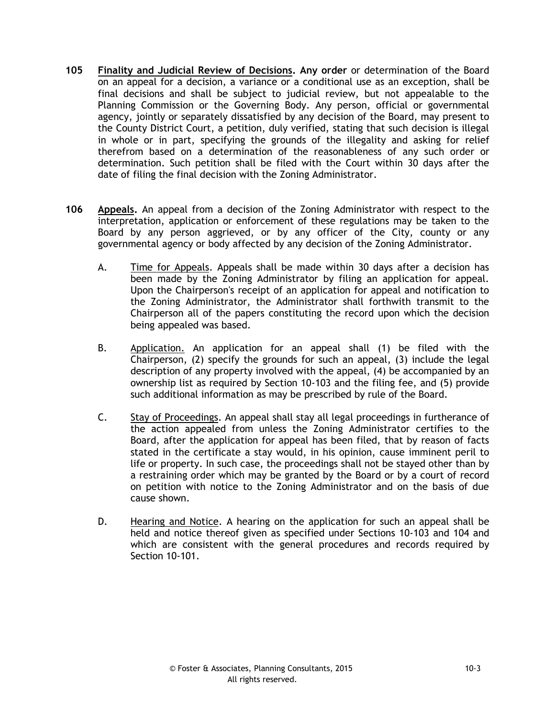- **105 Finality and Judicial Review of Decisions. Any order** or determination of the Board on an appeal for a decision, a variance or a conditional use as an exception, shall be final decisions and shall be subject to judicial review, but not appealable to the Planning Commission or the Governing Body. Any person, official or governmental agency, jointly or separately dissatisfied by any decision of the Board, may present to the County District Court, a petition, duly verified, stating that such decision is illegal in whole or in part, specifying the grounds of the illegality and asking for relief therefrom based on a determination of the reasonableness of any such order or determination. Such petition shall be filed with the Court within 30 days after the date of filing the final decision with the Zoning Administrator.
- **106 Appeals.** An appeal from a decision of the Zoning Administrator with respect to the interpretation, application or enforcement of these regulations may be taken to the Board by any person aggrieved, or by any officer of the City, county or any governmental agency or body affected by any decision of the Zoning Administrator.
	- A. Time for Appeals. Appeals shall be made within 30 days after a decision has been made by the Zoning Administrator by filing an application for appeal. Upon the Chairperson's receipt of an application for appeal and notification to the Zoning Administrator, the Administrator shall forthwith transmit to the Chairperson all of the papers constituting the record upon which the decision being appealed was based.
	- B. Application. An application for an appeal shall (1) be filed with the Chairperson, (2) specify the grounds for such an appeal, (3) include the legal description of any property involved with the appeal, (4) be accompanied by an ownership list as required by Section 10-103 and the filing fee, and (5) provide such additional information as may be prescribed by rule of the Board.
	- C. Stay of Proceedings. An appeal shall stay all legal proceedings in furtherance of the action appealed from unless the Zoning Administrator certifies to the Board, after the application for appeal has been filed, that by reason of facts stated in the certificate a stay would, in his opinion, cause imminent peril to life or property. In such case, the proceedings shall not be stayed other than by a restraining order which may be granted by the Board or by a court of record on petition with notice to the Zoning Administrator and on the basis of due cause shown.
	- D. Hearing and Notice. A hearing on the application for such an appeal shall be held and notice thereof given as specified under Sections 10-103 and 104 and which are consistent with the general procedures and records required by Section 10-101.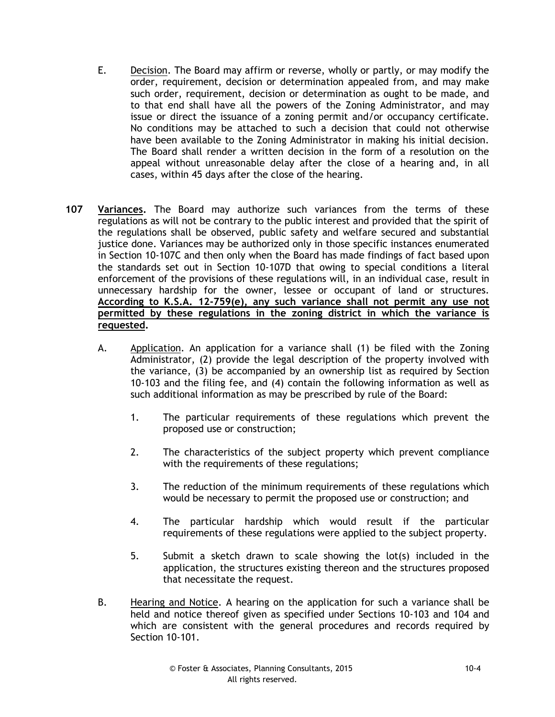- E. Decision. The Board may affirm or reverse, wholly or partly, or may modify the order, requirement, decision or determination appealed from, and may make such order, requirement, decision or determination as ought to be made, and to that end shall have all the powers of the Zoning Administrator, and may issue or direct the issuance of a zoning permit and/or occupancy certificate. No conditions may be attached to such a decision that could not otherwise have been available to the Zoning Administrator in making his initial decision. The Board shall render a written decision in the form of a resolution on the appeal without unreasonable delay after the close of a hearing and, in all cases, within 45 days after the close of the hearing.
- **107 Variances.** The Board may authorize such variances from the terms of these regulations as will not be contrary to the public interest and provided that the spirit of the regulations shall be observed, public safety and welfare secured and substantial justice done. Variances may be authorized only in those specific instances enumerated in Section 10-107C and then only when the Board has made findings of fact based upon the standards set out in Section 10-107D that owing to special conditions a literal enforcement of the provisions of these regulations will, in an individual case, result in unnecessary hardship for the owner, lessee or occupant of land or structures. **According to K.S.A. 12-759(e), any such variance shall not permit any use not permitted by these regulations in the zoning district in which the variance is requested.**
	- A. Application. An application for a variance shall (1) be filed with the Zoning Administrator, (2) provide the legal description of the property involved with the variance, (3) be accompanied by an ownership list as required by Section 10-103 and the filing fee, and (4) contain the following information as well as such additional information as may be prescribed by rule of the Board:
		- 1. The particular requirements of these regulations which prevent the proposed use or construction;
		- 2. The characteristics of the subject property which prevent compliance with the requirements of these regulations;
		- 3. The reduction of the minimum requirements of these regulations which would be necessary to permit the proposed use or construction; and
		- 4. The particular hardship which would result if the particular requirements of these regulations were applied to the subject property.
		- 5. Submit a sketch drawn to scale showing the lot(s) included in the application, the structures existing thereon and the structures proposed that necessitate the request.
	- B. Hearing and Notice. A hearing on the application for such a variance shall be held and notice thereof given as specified under Sections 10-103 and 104 and which are consistent with the general procedures and records required by Section 10-101.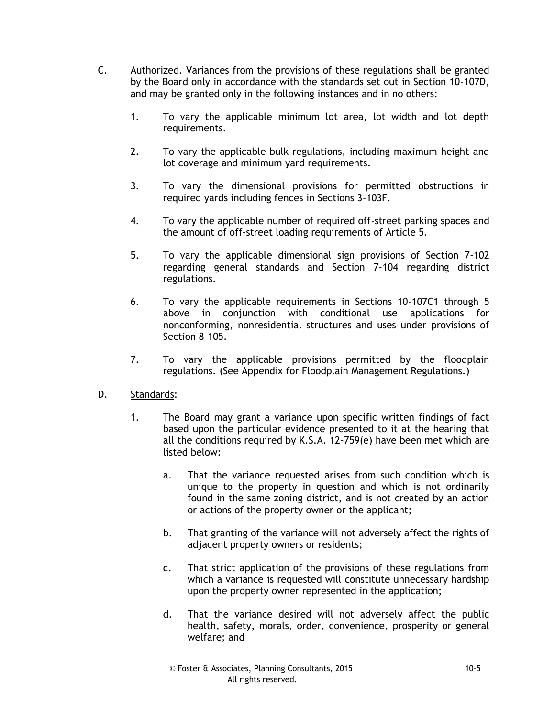- C. Authorized. Variances from the provisions of these regulations shall be granted by the Board only in accordance with the standards set out in Section 10-107D, and may be granted only in the following instances and in no others:
	- 1. To vary the applicable minimum lot area, lot width and lot depth requirements.
	- 2. To vary the applicable bulk regulations, including maximum height and lot coverage and minimum yard requirements.
	- 3. To vary the dimensional provisions for permitted obstructions in required yards including fences in Sections 3-103F.
	- 4. To vary the applicable number of required off-street parking spaces and the amount of off-street loading requirements of Article 5.
	- 5. To vary the applicable dimensional sign provisions of Section 7-102 regarding general standards and Section 7-104 regarding district regulations.
	- 6. To vary the applicable requirements in Sections 10-107C1 through 5 above in conjunction with conditional use applications for nonconforming, nonresidential structures and uses under provisions of Section 8-105.
	- 7. To vary the applicable provisions permitted by the floodplain regulations. (See Appendix for Floodplain Management Regulations.)
- D. Standards:
	- 1. The Board may grant a variance upon specific written findings of fact based upon the particular evidence presented to it at the hearing that all the conditions required by K.S.A. 12-759(e) have been met which are listed below:
		- a. That the variance requested arises from such condition which is unique to the property in question and which is not ordinarily found in the same zoning district, and is not created by an action or actions of the property owner or the applicant;
		- b. That granting of the variance will not adversely affect the rights of adjacent property owners or residents;
		- c. That strict application of the provisions of these regulations from which a variance is requested will constitute unnecessary hardship upon the property owner represented in the application;
		- d. That the variance desired will not adversely affect the public health, safety, morals, order, convenience, prosperity or general welfare; and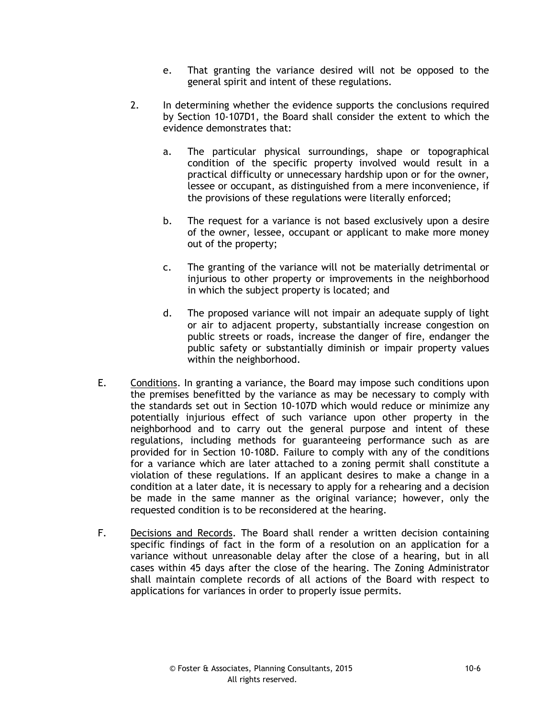- e. That granting the variance desired will not be opposed to the general spirit and intent of these regulations.
- 2. In determining whether the evidence supports the conclusions required by Section 10-107D1, the Board shall consider the extent to which the evidence demonstrates that:
	- a. The particular physical surroundings, shape or topographical condition of the specific property involved would result in a practical difficulty or unnecessary hardship upon or for the owner, lessee or occupant, as distinguished from a mere inconvenience, if the provisions of these regulations were literally enforced;
	- b. The request for a variance is not based exclusively upon a desire of the owner, lessee, occupant or applicant to make more money out of the property;
	- c. The granting of the variance will not be materially detrimental or injurious to other property or improvements in the neighborhood in which the subject property is located; and
	- d. The proposed variance will not impair an adequate supply of light or air to adjacent property, substantially increase congestion on public streets or roads, increase the danger of fire, endanger the public safety or substantially diminish or impair property values within the neighborhood.
- E. Conditions. In granting a variance, the Board may impose such conditions upon the premises benefitted by the variance as may be necessary to comply with the standards set out in Section 10-107D which would reduce or minimize any potentially injurious effect of such variance upon other property in the neighborhood and to carry out the general purpose and intent of these regulations, including methods for guaranteeing performance such as are provided for in Section 10-108D. Failure to comply with any of the conditions for a variance which are later attached to a zoning permit shall constitute a violation of these regulations. If an applicant desires to make a change in a condition at a later date, it is necessary to apply for a rehearing and a decision be made in the same manner as the original variance; however, only the requested condition is to be reconsidered at the hearing.
- F. Decisions and Records. The Board shall render a written decision containing specific findings of fact in the form of a resolution on an application for a variance without unreasonable delay after the close of a hearing, but in all cases within 45 days after the close of the hearing. The Zoning Administrator shall maintain complete records of all actions of the Board with respect to applications for variances in order to properly issue permits.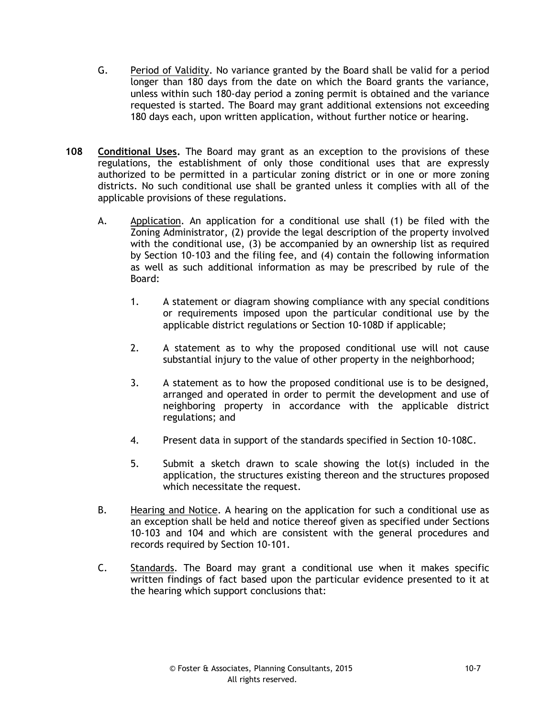- G. Period of Validity. No variance granted by the Board shall be valid for a period longer than 180 days from the date on which the Board grants the variance, unless within such 180-day period a zoning permit is obtained and the variance requested is started. The Board may grant additional extensions not exceeding 180 days each, upon written application, without further notice or hearing.
- **108 Conditional Uses.** The Board may grant as an exception to the provisions of these regulations, the establishment of only those conditional uses that are expressly authorized to be permitted in a particular zoning district or in one or more zoning districts. No such conditional use shall be granted unless it complies with all of the applicable provisions of these regulations.
	- A. Application. An application for a conditional use shall (1) be filed with the Zoning Administrator, (2) provide the legal description of the property involved with the conditional use, (3) be accompanied by an ownership list as required by Section 10-103 and the filing fee, and (4) contain the following information as well as such additional information as may be prescribed by rule of the Board:
		- 1. A statement or diagram showing compliance with any special conditions or requirements imposed upon the particular conditional use by the applicable district regulations or Section 10-108D if applicable;
		- 2. A statement as to why the proposed conditional use will not cause substantial injury to the value of other property in the neighborhood;
		- 3. A statement as to how the proposed conditional use is to be designed, arranged and operated in order to permit the development and use of neighboring property in accordance with the applicable district regulations; and
		- 4. Present data in support of the standards specified in Section 10-108C.
		- 5. Submit a sketch drawn to scale showing the lot(s) included in the application, the structures existing thereon and the structures proposed which necessitate the request.
	- B. Hearing and Notice. A hearing on the application for such a conditional use as an exception shall be held and notice thereof given as specified under Sections 10-103 and 104 and which are consistent with the general procedures and records required by Section 10-101.
	- C. Standards. The Board may grant a conditional use when it makes specific written findings of fact based upon the particular evidence presented to it at the hearing which support conclusions that: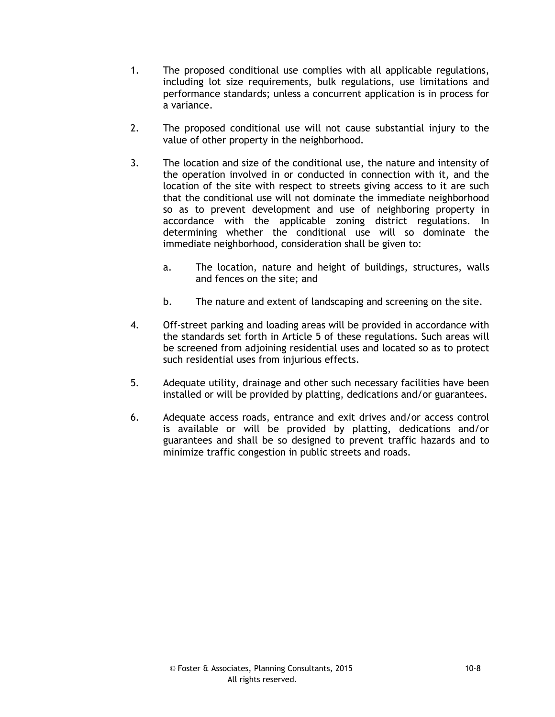- 1. The proposed conditional use complies with all applicable regulations, including lot size requirements, bulk regulations, use limitations and performance standards; unless a concurrent application is in process for a variance.
- 2. The proposed conditional use will not cause substantial injury to the value of other property in the neighborhood.
- 3. The location and size of the conditional use, the nature and intensity of the operation involved in or conducted in connection with it, and the location of the site with respect to streets giving access to it are such that the conditional use will not dominate the immediate neighborhood so as to prevent development and use of neighboring property in accordance with the applicable zoning district regulations. In determining whether the conditional use will so dominate the immediate neighborhood, consideration shall be given to:
	- a. The location, nature and height of buildings, structures, walls and fences on the site; and
	- b. The nature and extent of landscaping and screening on the site.
- 4. Off-street parking and loading areas will be provided in accordance with the standards set forth in Article 5 of these regulations. Such areas will be screened from adjoining residential uses and located so as to protect such residential uses from injurious effects.
- 5. Adequate utility, drainage and other such necessary facilities have been installed or will be provided by platting, dedications and/or guarantees.
- 6. Adequate access roads, entrance and exit drives and/or access control is available or will be provided by platting, dedications and/or guarantees and shall be so designed to prevent traffic hazards and to minimize traffic congestion in public streets and roads.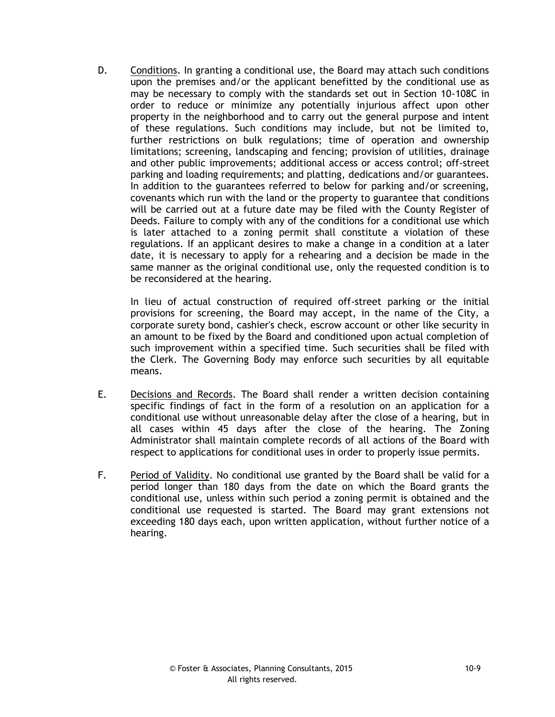D. Conditions. In granting a conditional use, the Board may attach such conditions upon the premises and/or the applicant benefitted by the conditional use as may be necessary to comply with the standards set out in Section 10-108C in order to reduce or minimize any potentially injurious affect upon other property in the neighborhood and to carry out the general purpose and intent of these regulations. Such conditions may include, but not be limited to, further restrictions on bulk regulations; time of operation and ownership limitations; screening, landscaping and fencing; provision of utilities, drainage and other public improvements; additional access or access control; off-street parking and loading requirements; and platting, dedications and/or guarantees. In addition to the guarantees referred to below for parking and/or screening, covenants which run with the land or the property to guarantee that conditions will be carried out at a future date may be filed with the County Register of Deeds. Failure to comply with any of the conditions for a conditional use which is later attached to a zoning permit shall constitute a violation of these regulations. If an applicant desires to make a change in a condition at a later date, it is necessary to apply for a rehearing and a decision be made in the same manner as the original conditional use, only the requested condition is to be reconsidered at the hearing.

In lieu of actual construction of required off-street parking or the initial provisions for screening, the Board may accept, in the name of the City, a corporate surety bond, cashier's check, escrow account or other like security in an amount to be fixed by the Board and conditioned upon actual completion of such improvement within a specified time. Such securities shall be filed with the Clerk. The Governing Body may enforce such securities by all equitable means.

- E. Decisions and Records. The Board shall render a written decision containing specific findings of fact in the form of a resolution on an application for a conditional use without unreasonable delay after the close of a hearing, but in all cases within 45 days after the close of the hearing. The Zoning Administrator shall maintain complete records of all actions of the Board with respect to applications for conditional uses in order to properly issue permits.
- F. Period of Validity. No conditional use granted by the Board shall be valid for a period longer than 180 days from the date on which the Board grants the conditional use, unless within such period a zoning permit is obtained and the conditional use requested is started. The Board may grant extensions not exceeding 180 days each, upon written application, without further notice of a hearing.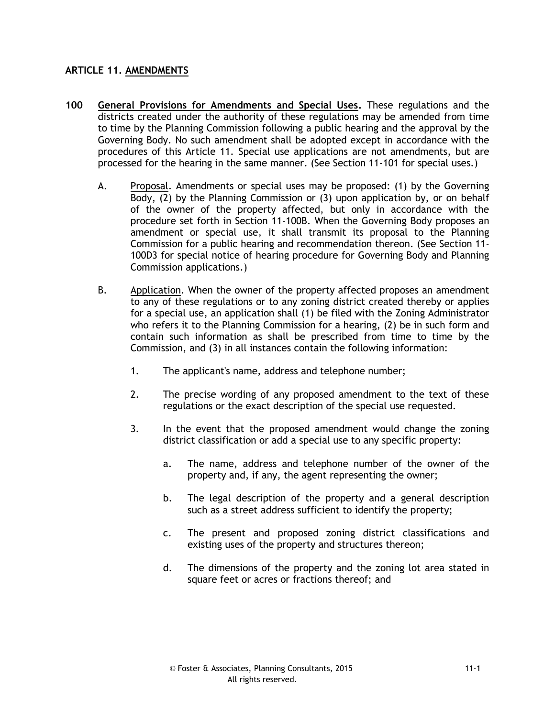### **ARTICLE 11. AMENDMENTS**

- **100 General Provisions for Amendments and Special Uses.** These regulations and the districts created under the authority of these regulations may be amended from time to time by the Planning Commission following a public hearing and the approval by the Governing Body. No such amendment shall be adopted except in accordance with the procedures of this Article 11. Special use applications are not amendments, but are processed for the hearing in the same manner. (See Section 11-101 for special uses.)
	- A. Proposal. Amendments or special uses may be proposed: (1) by the Governing Body, (2) by the Planning Commission or (3) upon application by, or on behalf of the owner of the property affected, but only in accordance with the procedure set forth in Section 11-100B. When the Governing Body proposes an amendment or special use, it shall transmit its proposal to the Planning Commission for a public hearing and recommendation thereon. (See Section 11- 100D3 for special notice of hearing procedure for Governing Body and Planning Commission applications.)
	- B. Application. When the owner of the property affected proposes an amendment to any of these regulations or to any zoning district created thereby or applies for a special use, an application shall (1) be filed with the Zoning Administrator who refers it to the Planning Commission for a hearing, (2) be in such form and contain such information as shall be prescribed from time to time by the Commission, and (3) in all instances contain the following information:
		- 1. The applicant's name, address and telephone number;
		- 2. The precise wording of any proposed amendment to the text of these regulations or the exact description of the special use requested.
		- 3. In the event that the proposed amendment would change the zoning district classification or add a special use to any specific property:
			- a. The name, address and telephone number of the owner of the property and, if any, the agent representing the owner;
			- b. The legal description of the property and a general description such as a street address sufficient to identify the property;
			- c. The present and proposed zoning district classifications and existing uses of the property and structures thereon;
			- d. The dimensions of the property and the zoning lot area stated in square feet or acres or fractions thereof; and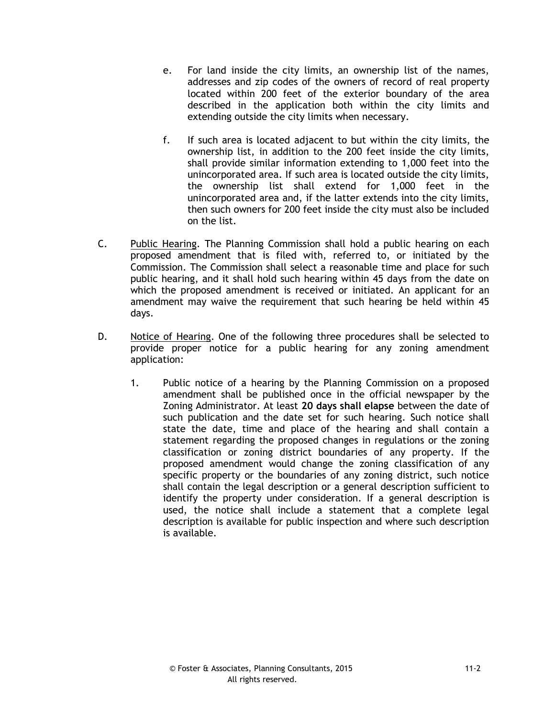- e. For land inside the city limits, an ownership list of the names, addresses and zip codes of the owners of record of real property located within 200 feet of the exterior boundary of the area described in the application both within the city limits and extending outside the city limits when necessary.
- f. If such area is located adjacent to but within the city limits, the ownership list, in addition to the 200 feet inside the city limits, shall provide similar information extending to 1,000 feet into the unincorporated area. If such area is located outside the city limits, the ownership list shall extend for 1,000 feet in the unincorporated area and, if the latter extends into the city limits, then such owners for 200 feet inside the city must also be included on the list.
- C. Public Hearing. The Planning Commission shall hold a public hearing on each proposed amendment that is filed with, referred to, or initiated by the Commission. The Commission shall select a reasonable time and place for such public hearing, and it shall hold such hearing within 45 days from the date on which the proposed amendment is received or initiated. An applicant for an amendment may waive the requirement that such hearing be held within 45 days.
- D. Notice of Hearing. One of the following three procedures shall be selected to provide proper notice for a public hearing for any zoning amendment application:
	- 1. Public notice of a hearing by the Planning Commission on a proposed amendment shall be published once in the official newspaper by the Zoning Administrator. At least **20 days shall elapse** between the date of such publication and the date set for such hearing. Such notice shall state the date, time and place of the hearing and shall contain a statement regarding the proposed changes in regulations or the zoning classification or zoning district boundaries of any property. If the proposed amendment would change the zoning classification of any specific property or the boundaries of any zoning district, such notice shall contain the legal description or a general description sufficient to identify the property under consideration. If a general description is used, the notice shall include a statement that a complete legal description is available for public inspection and where such description is available.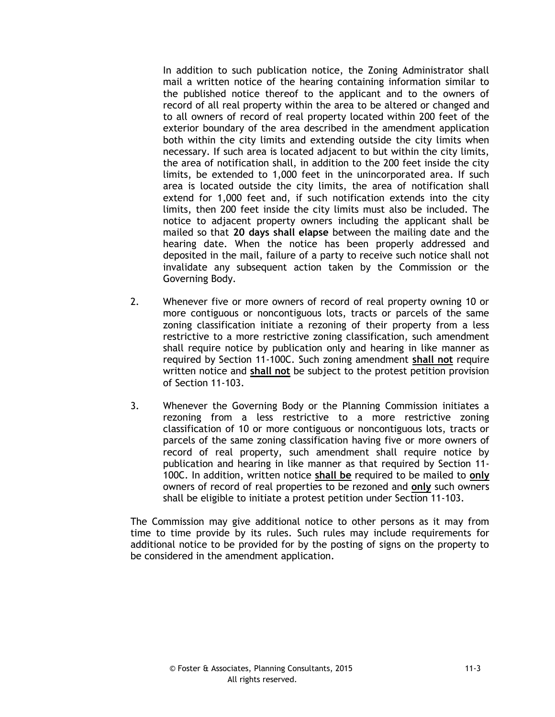In addition to such publication notice, the Zoning Administrator shall mail a written notice of the hearing containing information similar to the published notice thereof to the applicant and to the owners of record of all real property within the area to be altered or changed and to all owners of record of real property located within 200 feet of the exterior boundary of the area described in the amendment application both within the city limits and extending outside the city limits when necessary. If such area is located adjacent to but within the city limits, the area of notification shall, in addition to the 200 feet inside the city limits, be extended to 1,000 feet in the unincorporated area. If such area is located outside the city limits, the area of notification shall extend for 1,000 feet and, if such notification extends into the city limits, then 200 feet inside the city limits must also be included. The notice to adjacent property owners including the applicant shall be mailed so that **20 days shall elapse** between the mailing date and the hearing date. When the notice has been properly addressed and deposited in the mail, failure of a party to receive such notice shall not invalidate any subsequent action taken by the Commission or the Governing Body.

- 2. Whenever five or more owners of record of real property owning 10 or more contiguous or noncontiguous lots, tracts or parcels of the same zoning classification initiate a rezoning of their property from a less restrictive to a more restrictive zoning classification, such amendment shall require notice by publication only and hearing in like manner as required by Section 11-100C. Such zoning amendment **shall not** require written notice and **shall not** be subject to the protest petition provision of Section 11-103.
- 3. Whenever the Governing Body or the Planning Commission initiates a rezoning from a less restrictive to a more restrictive zoning classification of 10 or more contiguous or noncontiguous lots, tracts or parcels of the same zoning classification having five or more owners of record of real property, such amendment shall require notice by publication and hearing in like manner as that required by Section 11- 100C. In addition, written notice **shall be** required to be mailed to **only** owners of record of real properties to be rezoned and **only** such owners shall be eligible to initiate a protest petition under Section 11-103.

The Commission may give additional notice to other persons as it may from time to time provide by its rules. Such rules may include requirements for additional notice to be provided for by the posting of signs on the property to be considered in the amendment application.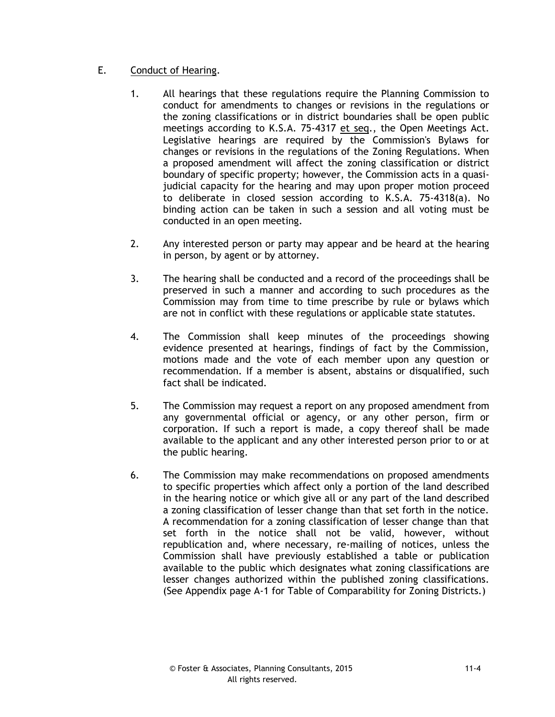# E. Conduct of Hearing.

- 1. All hearings that these regulations require the Planning Commission to conduct for amendments to changes or revisions in the regulations or the zoning classifications or in district boundaries shall be open public meetings according to K.S.A. 75-4317 et seq., the Open Meetings Act. Legislative hearings are required by the Commission's Bylaws for changes or revisions in the regulations of the Zoning Regulations. When a proposed amendment will affect the zoning classification or district boundary of specific property; however, the Commission acts in a quasijudicial capacity for the hearing and may upon proper motion proceed to deliberate in closed session according to K.S.A. 75-4318(a). No binding action can be taken in such a session and all voting must be conducted in an open meeting.
- 2. Any interested person or party may appear and be heard at the hearing in person, by agent or by attorney.
- 3. The hearing shall be conducted and a record of the proceedings shall be preserved in such a manner and according to such procedures as the Commission may from time to time prescribe by rule or bylaws which are not in conflict with these regulations or applicable state statutes.
- 4. The Commission shall keep minutes of the proceedings showing evidence presented at hearings, findings of fact by the Commission, motions made and the vote of each member upon any question or recommendation. If a member is absent, abstains or disqualified, such fact shall be indicated.
- 5. The Commission may request a report on any proposed amendment from any governmental official or agency, or any other person, firm or corporation. If such a report is made, a copy thereof shall be made available to the applicant and any other interested person prior to or at the public hearing.
- 6. The Commission may make recommendations on proposed amendments to specific properties which affect only a portion of the land described in the hearing notice or which give all or any part of the land described a zoning classification of lesser change than that set forth in the notice. A recommendation for a zoning classification of lesser change than that set forth in the notice shall not be valid, however, without republication and, where necessary, re-mailing of notices, unless the Commission shall have previously established a table or publication available to the public which designates what zoning classifications are lesser changes authorized within the published zoning classifications. (See Appendix page A-1 for Table of Comparability for Zoning Districts.)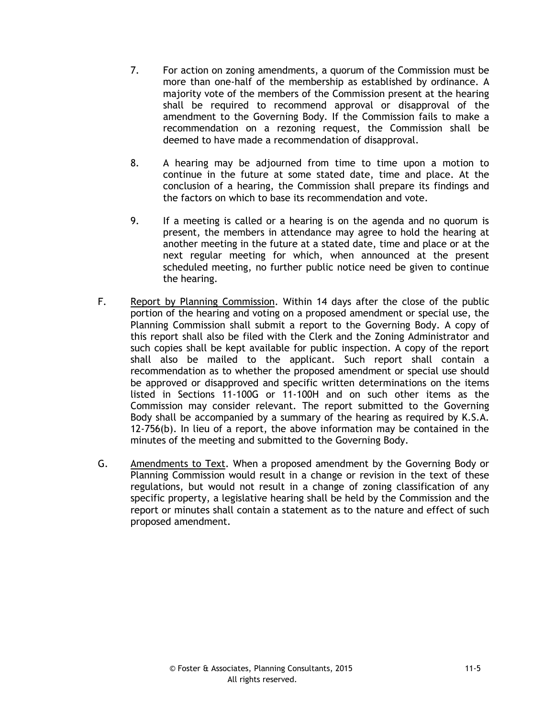- 7. For action on zoning amendments, a quorum of the Commission must be more than one-half of the membership as established by ordinance. A majority vote of the members of the Commission present at the hearing shall be required to recommend approval or disapproval of the amendment to the Governing Body. If the Commission fails to make a recommendation on a rezoning request, the Commission shall be deemed to have made a recommendation of disapproval.
- 8. A hearing may be adjourned from time to time upon a motion to continue in the future at some stated date, time and place. At the conclusion of a hearing, the Commission shall prepare its findings and the factors on which to base its recommendation and vote.
- 9. If a meeting is called or a hearing is on the agenda and no quorum is present, the members in attendance may agree to hold the hearing at another meeting in the future at a stated date, time and place or at the next regular meeting for which, when announced at the present scheduled meeting, no further public notice need be given to continue the hearing.
- F. Report by Planning Commission. Within 14 days after the close of the public portion of the hearing and voting on a proposed amendment or special use, the Planning Commission shall submit a report to the Governing Body. A copy of this report shall also be filed with the Clerk and the Zoning Administrator and such copies shall be kept available for public inspection. A copy of the report shall also be mailed to the applicant. Such report shall contain a recommendation as to whether the proposed amendment or special use should be approved or disapproved and specific written determinations on the items listed in Sections 11-100G or 11-100H and on such other items as the Commission may consider relevant. The report submitted to the Governing Body shall be accompanied by a summary of the hearing as required by K.S.A. 12-756(b). In lieu of a report, the above information may be contained in the minutes of the meeting and submitted to the Governing Body.
- G. Amendments to Text. When a proposed amendment by the Governing Body or Planning Commission would result in a change or revision in the text of these regulations, but would not result in a change of zoning classification of any specific property, a legislative hearing shall be held by the Commission and the report or minutes shall contain a statement as to the nature and effect of such proposed amendment.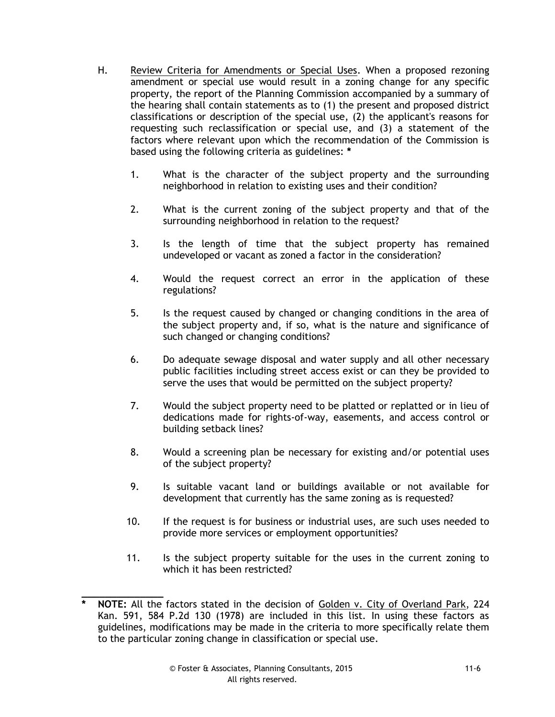- H. Review Criteria for Amendments or Special Uses. When a proposed rezoning amendment or special use would result in a zoning change for any specific property, the report of the Planning Commission accompanied by a summary of the hearing shall contain statements as to (1) the present and proposed district classifications or description of the special use, (2) the applicant's reasons for requesting such reclassification or special use, and (3) a statement of the factors where relevant upon which the recommendation of the Commission is based using the following criteria as guidelines: **\***
	- 1. What is the character of the subject property and the surrounding neighborhood in relation to existing uses and their condition?
	- 2. What is the current zoning of the subject property and that of the surrounding neighborhood in relation to the request?
	- 3. Is the length of time that the subject property has remained undeveloped or vacant as zoned a factor in the consideration?
	- 4. Would the request correct an error in the application of these regulations?
	- 5. Is the request caused by changed or changing conditions in the area of the subject property and, if so, what is the nature and significance of such changed or changing conditions?
	- 6. Do adequate sewage disposal and water supply and all other necessary public facilities including street access exist or can they be provided to serve the uses that would be permitted on the subject property?
	- 7. Would the subject property need to be platted or replatted or in lieu of dedications made for rights-of-way, easements, and access control or building setback lines?
	- 8. Would a screening plan be necessary for existing and/or potential uses of the subject property?
	- 9. Is suitable vacant land or buildings available or not available for development that currently has the same zoning as is requested?
	- 10. If the request is for business or industrial uses, are such uses needed to provide more services or employment opportunities?
	- 11. Is the subject property suitable for the uses in the current zoning to which it has been restricted?

**\_\_\_\_\_\_\_\_\_\_\_\_\_\_ \* NOTE:** All the factors stated in the decision of Golden v. City of Overland Park, 224 Kan. 591, 584 P.2d 130 (1978) are included in this list. In using these factors as guidelines, modifications may be made in the criteria to more specifically relate them to the particular zoning change in classification or special use.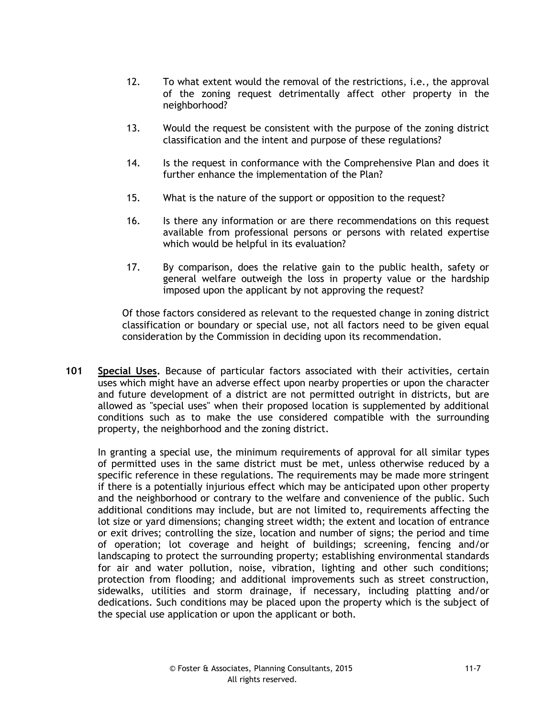- 12. To what extent would the removal of the restrictions, i.e., the approval of the zoning request detrimentally affect other property in the neighborhood?
- 13. Would the request be consistent with the purpose of the zoning district classification and the intent and purpose of these regulations?
- 14. Is the request in conformance with the Comprehensive Plan and does it further enhance the implementation of the Plan?
- 15. What is the nature of the support or opposition to the request?
- 16. Is there any information or are there recommendations on this request available from professional persons or persons with related expertise which would be helpful in its evaluation?
- 17. By comparison, does the relative gain to the public health, safety or general welfare outweigh the loss in property value or the hardship imposed upon the applicant by not approving the request?

Of those factors considered as relevant to the requested change in zoning district classification or boundary or special use, not all factors need to be given equal consideration by the Commission in deciding upon its recommendation.

**101 Special Uses.** Because of particular factors associated with their activities, certain uses which might have an adverse effect upon nearby properties or upon the character and future development of a district are not permitted outright in districts, but are allowed as "special uses" when their proposed location is supplemented by additional conditions such as to make the use considered compatible with the surrounding property, the neighborhood and the zoning district.

In granting a special use, the minimum requirements of approval for all similar types of permitted uses in the same district must be met, unless otherwise reduced by a specific reference in these regulations. The requirements may be made more stringent if there is a potentially injurious effect which may be anticipated upon other property and the neighborhood or contrary to the welfare and convenience of the public. Such additional conditions may include, but are not limited to, requirements affecting the lot size or yard dimensions; changing street width; the extent and location of entrance or exit drives; controlling the size, location and number of signs; the period and time of operation; lot coverage and height of buildings; screening, fencing and/or landscaping to protect the surrounding property; establishing environmental standards for air and water pollution, noise, vibration, lighting and other such conditions; protection from flooding; and additional improvements such as street construction, sidewalks, utilities and storm drainage, if necessary, including platting and/or dedications. Such conditions may be placed upon the property which is the subject of the special use application or upon the applicant or both.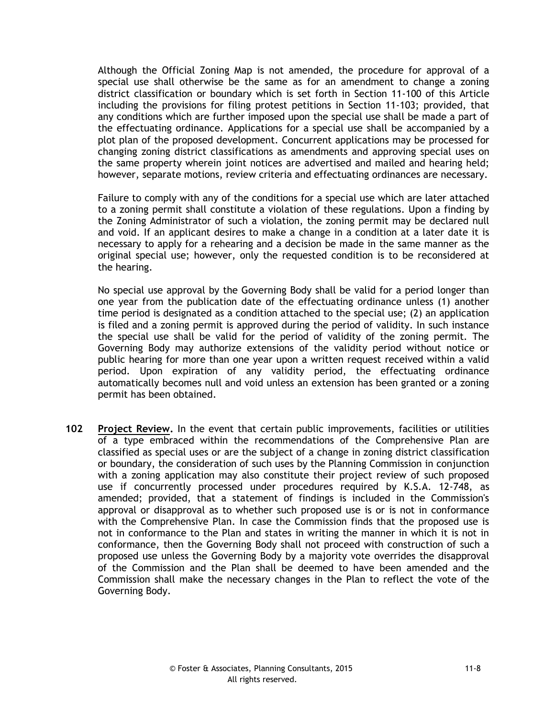Although the Official Zoning Map is not amended, the procedure for approval of a special use shall otherwise be the same as for an amendment to change a zoning district classification or boundary which is set forth in Section 11-100 of this Article including the provisions for filing protest petitions in Section 11-103; provided, that any conditions which are further imposed upon the special use shall be made a part of the effectuating ordinance. Applications for a special use shall be accompanied by a plot plan of the proposed development. Concurrent applications may be processed for changing zoning district classifications as amendments and approving special uses on the same property wherein joint notices are advertised and mailed and hearing held; however, separate motions, review criteria and effectuating ordinances are necessary.

Failure to comply with any of the conditions for a special use which are later attached to a zoning permit shall constitute a violation of these regulations. Upon a finding by the Zoning Administrator of such a violation, the zoning permit may be declared null and void. If an applicant desires to make a change in a condition at a later date it is necessary to apply for a rehearing and a decision be made in the same manner as the original special use; however, only the requested condition is to be reconsidered at the hearing.

No special use approval by the Governing Body shall be valid for a period longer than one year from the publication date of the effectuating ordinance unless (1) another time period is designated as a condition attached to the special use; (2) an application is filed and a zoning permit is approved during the period of validity. In such instance the special use shall be valid for the period of validity of the zoning permit. The Governing Body may authorize extensions of the validity period without notice or public hearing for more than one year upon a written request received within a valid period. Upon expiration of any validity period, the effectuating ordinance automatically becomes null and void unless an extension has been granted or a zoning permit has been obtained.

**102 Project Review.** In the event that certain public improvements, facilities or utilities of a type embraced within the recommendations of the Comprehensive Plan are classified as special uses or are the subject of a change in zoning district classification or boundary, the consideration of such uses by the Planning Commission in conjunction with a zoning application may also constitute their project review of such proposed use if concurrently processed under procedures required by K.S.A. 12-748, as amended; provided, that a statement of findings is included in the Commission's approval or disapproval as to whether such proposed use is or is not in conformance with the Comprehensive Plan. In case the Commission finds that the proposed use is not in conformance to the Plan and states in writing the manner in which it is not in conformance, then the Governing Body shall not proceed with construction of such a proposed use unless the Governing Body by a majority vote overrides the disapproval of the Commission and the Plan shall be deemed to have been amended and the Commission shall make the necessary changes in the Plan to reflect the vote of the Governing Body.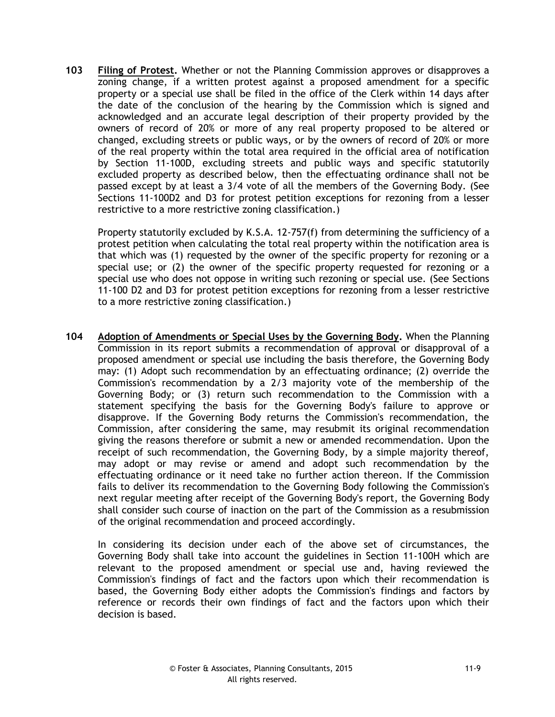**103 Filing of Protest.** Whether or not the Planning Commission approves or disapproves a zoning change, if a written protest against a proposed amendment for a specific property or a special use shall be filed in the office of the Clerk within 14 days after the date of the conclusion of the hearing by the Commission which is signed and acknowledged and an accurate legal description of their property provided by the owners of record of 20% or more of any real property proposed to be altered or changed, excluding streets or public ways, or by the owners of record of 20% or more of the real property within the total area required in the official area of notification by Section 11-100D, excluding streets and public ways and specific statutorily excluded property as described below, then the effectuating ordinance shall not be passed except by at least a 3/4 vote of all the members of the Governing Body. (See Sections 11-100D2 and D3 for protest petition exceptions for rezoning from a lesser restrictive to a more restrictive zoning classification.)

Property statutorily excluded by K.S.A. 12-757(f) from determining the sufficiency of a protest petition when calculating the total real property within the notification area is that which was (1) requested by the owner of the specific property for rezoning or a special use; or (2) the owner of the specific property requested for rezoning or a special use who does not oppose in writing such rezoning or special use. (See Sections 11-100 D2 and D3 for protest petition exceptions for rezoning from a lesser restrictive to a more restrictive zoning classification.)

**104 Adoption of Amendments or Special Uses by the Governing Body.** When the Planning Commission in its report submits a recommendation of approval or disapproval of a proposed amendment or special use including the basis therefore, the Governing Body may: (1) Adopt such recommendation by an effectuating ordinance; (2) override the Commission's recommendation by a 2/3 majority vote of the membership of the Governing Body; or (3) return such recommendation to the Commission with a statement specifying the basis for the Governing Body's failure to approve or disapprove. If the Governing Body returns the Commission's recommendation, the Commission, after considering the same, may resubmit its original recommendation giving the reasons therefore or submit a new or amended recommendation. Upon the receipt of such recommendation, the Governing Body, by a simple majority thereof, may adopt or may revise or amend and adopt such recommendation by the effectuating ordinance or it need take no further action thereon. If the Commission fails to deliver its recommendation to the Governing Body following the Commission's next regular meeting after receipt of the Governing Body's report, the Governing Body shall consider such course of inaction on the part of the Commission as a resubmission of the original recommendation and proceed accordingly.

In considering its decision under each of the above set of circumstances, the Governing Body shall take into account the guidelines in Section 11-100H which are relevant to the proposed amendment or special use and, having reviewed the Commission's findings of fact and the factors upon which their recommendation is based, the Governing Body either adopts the Commission's findings and factors by reference or records their own findings of fact and the factors upon which their decision is based.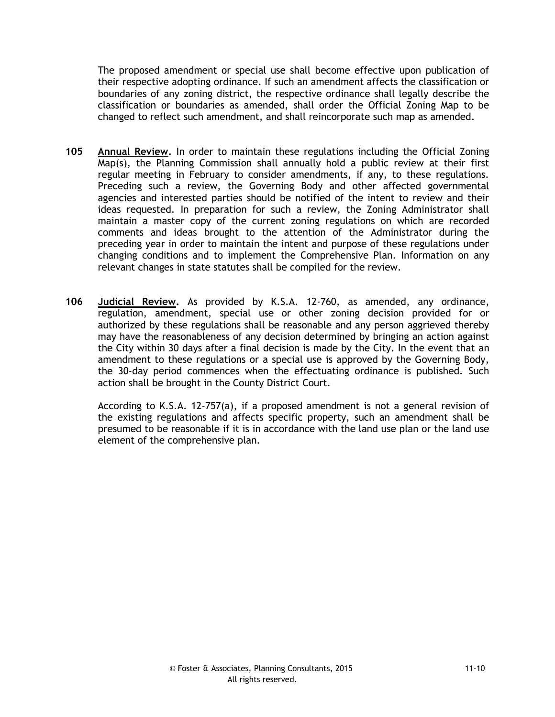The proposed amendment or special use shall become effective upon publication of their respective adopting ordinance. If such an amendment affects the classification or boundaries of any zoning district, the respective ordinance shall legally describe the classification or boundaries as amended, shall order the Official Zoning Map to be changed to reflect such amendment, and shall reincorporate such map as amended.

- **105 Annual Review.** In order to maintain these regulations including the Official Zoning Map(s), the Planning Commission shall annually hold a public review at their first regular meeting in February to consider amendments, if any, to these regulations. Preceding such a review, the Governing Body and other affected governmental agencies and interested parties should be notified of the intent to review and their ideas requested. In preparation for such a review, the Zoning Administrator shall maintain a master copy of the current zoning regulations on which are recorded comments and ideas brought to the attention of the Administrator during the preceding year in order to maintain the intent and purpose of these regulations under changing conditions and to implement the Comprehensive Plan. Information on any relevant changes in state statutes shall be compiled for the review.
- **106 Judicial Review.** As provided by K.S.A. 12-760, as amended, any ordinance, regulation, amendment, special use or other zoning decision provided for or authorized by these regulations shall be reasonable and any person aggrieved thereby may have the reasonableness of any decision determined by bringing an action against the City within 30 days after a final decision is made by the City. In the event that an amendment to these regulations or a special use is approved by the Governing Body, the 30-day period commences when the effectuating ordinance is published. Such action shall be brought in the County District Court.

According to K.S.A. 12-757(a), if a proposed amendment is not a general revision of the existing regulations and affects specific property, such an amendment shall be presumed to be reasonable if it is in accordance with the land use plan or the land use element of the comprehensive plan.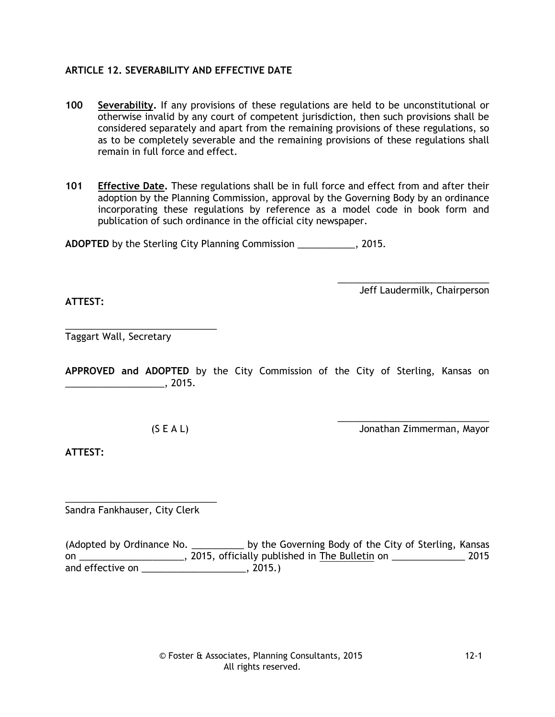# **ARTICLE 12. SEVERABILITY AND EFFECTIVE DATE**

**100 Severability.** If any provisions of these regulations are held to be unconstitutional or otherwise invalid by any court of competent jurisdiction, then such provisions shall be considered separately and apart from the remaining provisions of these regulations, so as to be completely severable and the remaining provisions of these regulations shall remain in full force and effect.

**101 Effective Date.** These regulations shall be in full force and effect from and after their adoption by the Planning Commission, approval by the Governing Body by an ordinance incorporating these regulations by reference as a model code in book form and publication of such ordinance in the official city newspaper.

**ADOPTED** by the Sterling City Planning Commission \_\_\_\_\_\_\_\_\_\_\_, 2015.

\_\_\_\_\_\_\_\_\_\_\_\_\_\_\_\_\_\_\_\_\_\_\_\_\_\_\_\_\_ Jeff Laudermilk, Chairperson

**ATTEST:**

\_\_\_\_\_\_\_\_\_\_\_\_\_\_\_\_\_\_\_\_\_\_\_\_\_\_\_\_\_ Taggart Wall, Secretary

**APPROVED and ADOPTED** by the City Commission of the City of Sterling, Kansas on  $\sim$  2015.

\_\_\_\_\_\_\_\_\_\_\_\_\_\_\_\_\_\_\_\_\_\_\_\_\_\_\_\_\_ (S E A L) Jonathan Zimmerman, Mayor

**ATTEST:**

\_\_\_\_\_\_\_\_\_\_\_\_\_\_\_\_\_\_\_\_\_\_\_\_\_\_\_\_\_ Sandra Fankhauser, City Clerk

(Adopted by Ordinance No. \_\_\_\_\_\_\_\_\_\_\_ by the Governing Body of the City of Sterling, Kansas on \_\_\_\_\_\_\_\_\_\_\_\_\_\_\_\_\_\_\_\_\_\_\_, 2015, officially published in The Bulletin on \_\_\_\_\_\_\_\_\_\_\_\_\_\_\_\_\_\_ 2015 and effective on \_\_\_\_\_\_\_\_\_\_\_\_\_\_\_\_\_\_\_\_\_\_\_, 2015.)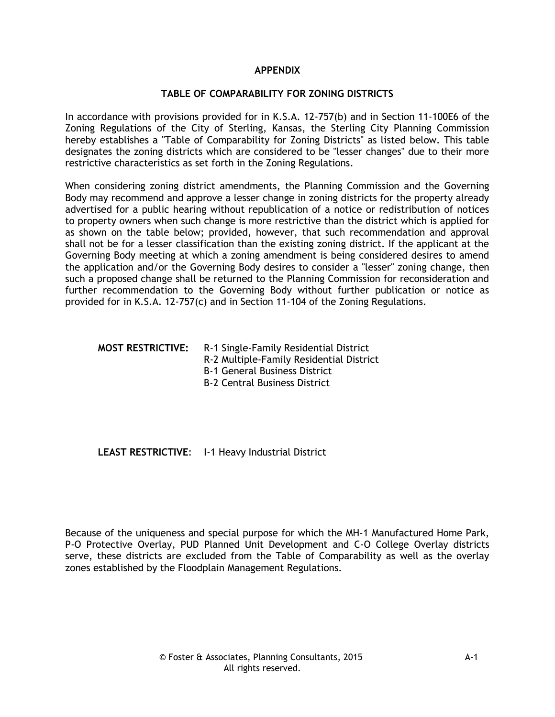### **APPENDIX**

### **TABLE OF COMPARABILITY FOR ZONING DISTRICTS**

In accordance with provisions provided for in K.S.A. 12-757(b) and in Section 11-100E6 of the Zoning Regulations of the City of Sterling, Kansas, the Sterling City Planning Commission hereby establishes a "Table of Comparability for Zoning Districts" as listed below. This table designates the zoning districts which are considered to be "lesser changes" due to their more restrictive characteristics as set forth in the Zoning Regulations.

When considering zoning district amendments, the Planning Commission and the Governing Body may recommend and approve a lesser change in zoning districts for the property already advertised for a public hearing without republication of a notice or redistribution of notices to property owners when such change is more restrictive than the district which is applied for as shown on the table below; provided, however, that such recommendation and approval shall not be for a lesser classification than the existing zoning district. If the applicant at the Governing Body meeting at which a zoning amendment is being considered desires to amend the application and/or the Governing Body desires to consider a "lesser" zoning change, then such a proposed change shall be returned to the Planning Commission for reconsideration and further recommendation to the Governing Body without further publication or notice as provided for in K.S.A. 12-757(c) and in Section 11-104 of the Zoning Regulations.

#### **MOST RESTRICTIVE:** R-1 Single-Family Residential District

R-2 Multiple-Family Residential District

B-1 General Business District

B-2 Central Business District

## **LEAST RESTRICTIVE**: I-1 Heavy Industrial District

Because of the uniqueness and special purpose for which the MH-1 Manufactured Home Park, P-O Protective Overlay, PUD Planned Unit Development and C-O College Overlay districts serve, these districts are excluded from the Table of Comparability as well as the overlay zones established by the Floodplain Management Regulations.